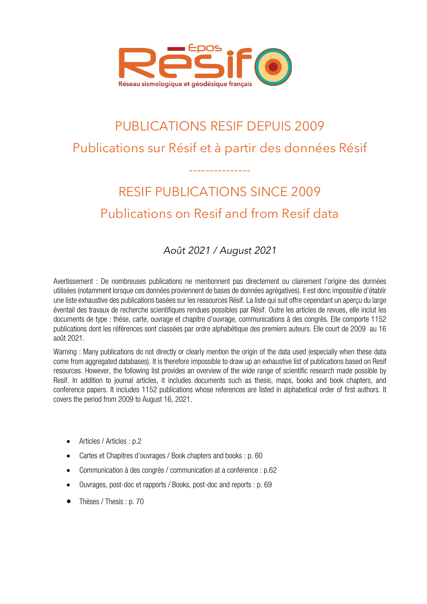

## PUBLICATIONS RESIF DEPUIS 2009 Publications sur Résif et à partir des données Résif

## RESIF PUBLICATIONS SINCE 2009 Publications on Resif and from Resif data

---------------

## *Août 2021 / August 2021*

Avertissement : De nombreuses publications ne mentionnent pas directement ou clairement l'origine des données utilisées (notamment lorsque ces données proviennent de bases de données agrégatives). Il est donc impossible d'établir une liste exhaustive des publications basées sur les ressources Résif. La liste qui suit offre cependant un aperçu du large éventail des travaux de recherche scientifiques rendues possibles par Résif. Outre les articles de revues, elle inclut les documents de type : thèse, carte, ouvrage et chapitre d'ouvrage, communications à des congrès. Elle comporte 1152 publications dont les références sont classées par ordre alphabétique des premiers auteurs. Elle court de 2009 au 16 août 2021.

Warning : Many publications do not directly or clearly mention the origin of the data used (especially when these data come from aggregated databases). It is therefore impossible to draw up an exhaustive list of publications based on Resif resources. However, the following list provides an overview of the wide range of scientific research made possible by Resif. In addition to journal articles, it includes documents such as thesis, maps, books and book chapters, and conference papers. It includes 1152 publications whose references are listed in alphabetical order of first authors. It covers the period from 2009 to August 16, 2021.

- Articles / Articles : p.2
- Cartes et Chapitres d'ouvrages / Book chapters and books : p. 60
- Communication à des congrès / communication at a conference : p.62
- Ouvrages, post-doc et rapports / Books, post-doc and reports : p. 69
- Thèses / Thesis : p. 70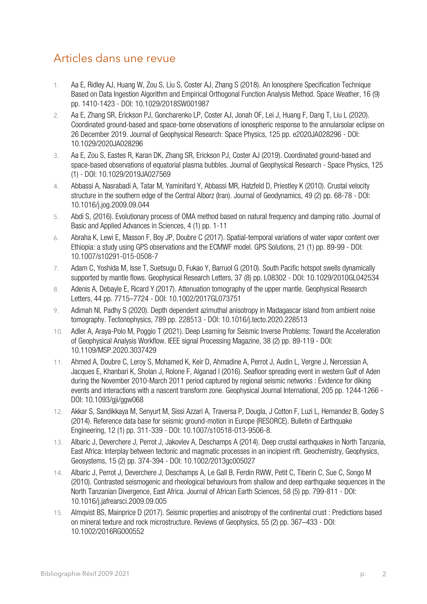## Articles dans une revue

- 1. Aa E, Ridley AJ, Huang W, Zou S, Liu S, Coster AJ, Zhang S (2018). An Ionosphere Specification Technique Based on Data Ingestion Algorithm and Empirical Orthogonal Function Analysis Method. Space Weather, 16 (9) pp. 1410-1423 - DOI: 10.1029/2018SW001987
- 2. Aa E, Zhang SR, Erickson PJ, Goncharenko LP, Coster AJ, Jonah OF, Lei J, Huang F, Dang T, Liu L (2020). Coordinated ground‐based and space‐borne observations of ionospheric response to the annularsolar eclipse on 26 December 2019. Journal of Geophysical Research: Space Physics, 125 pp. e2020JA028296 - DOI: 10.1029/2020JA028296
- 3. Aa E, Zou S, Eastes R, Karan DK, Zhang SR, Erickson PJ, Coster AJ (2019). Coordinated ground-based and space-based observations of equatorial plasma bubbles. Journal of Geophysical Research - Space Physics, 125 (1) - DOI: 10.1029/2019JA027569
- 4. Abbassi A, Nasrabadi A, Tatar M, Yaminifard Y, Abbassi MR, Hatzfeld D, Priestley K (2010). Crustal velocity structure in the southern edge of the Central Alborz (Iran). Journal of Geodynamics, 49 (2) pp. 68-78 - DOI: 10.1016/j.jog.2009.09.044
- 5. Abdi S, (2016). Evolutionary process of OMA method based on natural frequency and damping ratio. Journal of Basic and Applied Advances in Sciences, 4 (1) pp. 1-11
- 6. Abraha K, Lewi E, Masson F, Boy JP, Doubre C (2017). Spatial-temporal variations of water vapor content over Ethiopia: a study using GPS observations and the ECMWF model. GPS Solutions, 21 (1) pp. 89-99 - DOI: 10.1007/s10291-015-0508-7
- 7. Adam C, Yoshida M, Isse T, Suetsugu D, Fukao Y, Barruol G (2010). South Pacific hotspot swells dynamically supported by mantle flows. Geophysical Research Letters, 37 (8) pp. L08302 - DOI: 10.1029/2010GL042534
- 8. Adenis A, Debayle E, Ricard Y (2017). Attenuation tomography of the upper mantle. Geophysical Research Letters, 44 pp. 7715–7724 - DOI: 10.1002/2017GL073751
- 9. Adimah NI, Padhy S (2020). Depth dependent azimuthal anisotropy in Madagascar island from ambient noise tomography. Tectonophysics, 789 pp. 228513 - DOI: 10.1016/j.tecto.2020.228513
- 10. Adler A, Araya-Polo M, Poggio T (2021). Deep Learning for Seismic Inverse Problems: Toward the Acceleration of Geophysical Analysis Workflow. IEEE signal Processing Magazine, 38 (2) pp. 89-119 - DOI: 10.1109/MSP.2020.3037429
- 11. Ahmed A, Doubre C, Leroy S, Mohamed K, Keir D, Ahmadine A, Perrot J, Audin L, Vergne J, Nercessian A, Jacques E, Khanbari K, Sholan J, Rolone F, Alganad I (2016). Seafloor spreading event in western Gulf of Aden during the November 2010-March 2011 period captured by regional seismic networks : Evidence for diking events and interactions with a nascent transform zone. Geophysical Journal International, 205 pp. 1244-1266 - DOI: 10.1093/gji/ggw068
- 12. Akkar S, Sandikkaya M, Senyurt M, Sissi Azzari A, Traversa P, Dougla, J Cotton F, Luzi L, Hernandez B, Godey S (2014). Reference data base for seismic ground-motion in Europe (RESORCE). Bulletin of Earthquake Engineering, 12 (1) pp. 311-339 - DOI: 10.1007/s10518-013-9506-8.
- 13. Albaric J, Deverchere J, Perrot J, Jakovlev A, Deschamps A (2014). Deep crustal earthquakes in North Tanzania, East Africa: Interplay between tectonic and magmatic processes in an incipient rift. Geochemistry, Geophysics, Geosystems, 15 (2) pp. 374-394 - DOI: 10.1002/2013gc005027
- 14. Albaric J, Perrot J, Deverchere J, Deschamps A, Le Gall B, Ferdin RWW, Petit C, Tiberin C, Sue C, Songo M (2010). Contrasted seismogenic and rheological behaviours from shallow and deep earthquake sequences in the North Tanzanian Divergence, East Africa. Journal of African Earth Sciences, 58 (5) pp. 799-811 - DOI: 10.1016/j.jafrearsci.2009.09.005
- 15. Almqvist BS, Mainprice D (2017). Seismic properties and anisotropy of the continental crust : Predictions based on mineral texture and rock microstructure. Reviews of Geophysics, 55 (2) pp. 367–433 - DOI: 10.1002/2016RG000552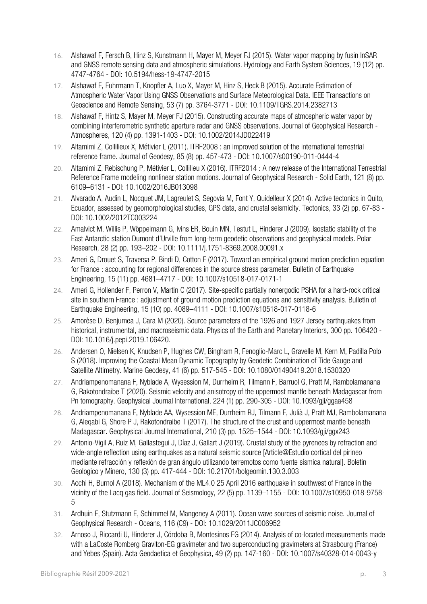- 16. Alshawaf F, Fersch B, Hinz S, Kunstmann H, Mayer M, Meyer FJ (2015). Water vapor mapping by fusin InSAR and GNSS remote sensing data and atmospheric simulations. Hydrology and Earth System Sciences, 19 (12) pp. 4747-4764 - DOI: 10.5194/hess-19-4747-2015
- 17. Alshawaf F, Fuhrmann T, Knopfler A, Luo X, Mayer M, Hinz S, Heck B (2015). Accurate Estimation of Atmospheric Water Vapor Using GNSS Observations and Surface Meteorological Data. IEEE Transactions on Geoscience and Remote Sensing, 53 (7) pp. 3764-3771 - DOI: 10.1109/TGRS.2014.2382713
- 18. Alshawaf F, Hintz S, Mayer M, Meyer FJ (2015). Constructing accurate maps of atmospheric water vapor by combining interferometric synthetic aperture radar and GNSS observations. Journal of Geophysical Research - Atmospheres, 120 (4) pp. 1391-1403 - DOI: 10.1002/2014JD022419
- 19. Altamimi Z, Collilieux X, Métivier L (2011). ITRF2008 : an improved solution of the international terrestrial reference frame. Journal of Geodesy, 85 (8) pp. 457-473 - DOI: 10.1007/s00190-011-0444-4
- 20. Altamimi Z, Rebischung P, Métivier L, Collilieu X (2016). ITRF2014 : A new release of the International Terrestrial Reference Frame modeling nonlinear station motions. Journal of Geophysical Research - Solid Earth, 121 (8) pp. 6109–6131 - DOI: 10.1002/2016JB013098
- 21. Alvarado A, Audin L, Nocquet JM, Lagreulet S, Segovia M, Font Y, Quidelleur X (2014). Active tectonics in Quito, Ecuador, assessed by geomorphological studies, GPS data, and crustal seismicity. Tectonics, 33 (2) pp. 67-83 - DOI: 10.1002/2012TC003224
- 22. Amalvict M, Willis P, Wöppelmann G, Ivins ER, Bouin MN, Testut L, Hinderer J (2009). Isostatic stability of the East Antarctic station Dumont d'Urville from long-term geodetic observations and geophysical models. Polar Research, 28 (2) pp. 193–202 - DOI: 10.1111/j.1751-8369.2008.00091.x
- 23. Ameri G, Drouet S, Traversa P, Bindi D, Cotton F (2017). Toward an empirical ground motion prediction equation for France : accounting for regional differences in the source stress parameter. Bulletin of Earthquake Engineering, 15 (11) pp. 4681–4717 - DOI: 10.1007/s10518-017-0171-1
- 24. Ameri G, Hollender F, Perron V, Martin C (2017). Site-specific partially nonergodic PSHA for a hard-rock critical site in southern France : adiustment of ground motion prediction equations and sensitivity analysis. Bulletin of Earthquake Engineering, 15 (10) pp. 4089–4111 - DOI: 10.1007/s10518-017-0118-6
- 25. Amorèse D, Benjumea J, Cara M (2020). Source parameters of the 1926 and 1927 Jersey earthquakes from historical, instrumental, and macroseismic data. Physics of the Earth and Planetary Interiors, 300 pp. 106420 - DOI: 10.1016/j.pepi.2019.106420.
- 26. Andersen O, Nielsen K, Knudsen P, Hughes CW, Bingham R, Fenoglio-Marc L, Gravelle M, Kern M, Padilla Polo S (2018). Improving the Coastal Mean Dynamic Topography by Geodetic Combination of Tide Gauge and Satellite Altimetry. Marine Geodesy, 41 (6) pp. 517-545 - DOI: 10.1080/01490419.2018.1530320
- 27. Andriampenomanana F, Nyblade A, Wysession M, Durrheim R, Tilmann F, Barruol G, Pratt M, Rambolamanana G, Rakotondraibe T (2020). Seismic velocity and anisotropy of the uppermost mantle beneath Madagascar from Pn tomography. Geophysical Journal International, 224 (1) pp. 290-305 - DOI: 10.1093/gji/ggaa458
- 28. Andriampenomanana F, Nyblade AA, Wysession ME, Durrheim RJ, Tilmann F, Julià J, Pratt MJ, Rambolamanana G, Aleqabi G, Shore P J, Rakotondraibe T (2017). The structure of the crust and uppermost mantle beneath Madagascar. Geophysical Journal International, 210 (3) pp. 1525–1544 - DOI: 10.1093/gji/ggx243
- 29. Antonio-Vigil A, Ruiz M, Gallastegui J, Díaz J, Gallart J (2019). Crustal study of the pyrenees by refraction and wide-angle reflection using earthquakes as a natural seismic source [Article@Estudio cortical del pirineo mediante refracción y reflexión de gran ángulo utilizando terremotos como fuente sísmica natural]. Boletin Geologico y Minero, 130 (3) pp. 417-444 - DOI: 10.21701/bolgeomin.130.3.003
- 30. Aochi H, Burnol A (2018). Mechanism of the ML4.0 25 April 2016 earthquake in southwest of France in the vicinity of the Lacq gas field. Journal of Seismology, 22 (5) pp. 1139–1155 - DOI: 10.1007/s10950-018-9758- 5
- 31. Ardhuin F, Stutzmann E, Schimmel M, Mangeney A (2011). Ocean wave sources of seismic noise. Journal of Geophysical Research - Oceans, 116 (C9) - DOI: 10.1029/2011JC006952
- 32. Arnoso J, Riccardi U, Hinderer J, Córdoba B, Montesinos FG (2014). Analysis of co-located measurements made with a LaCoste Romberg Graviton-EG gravimeter and two superconducting gravimeters at Strasbourg (France) and Yebes (Spain). Acta Geodaetica et Geophysica, 49 (2) pp. 147-160 - DOI: 10.1007/s40328-014-0043-y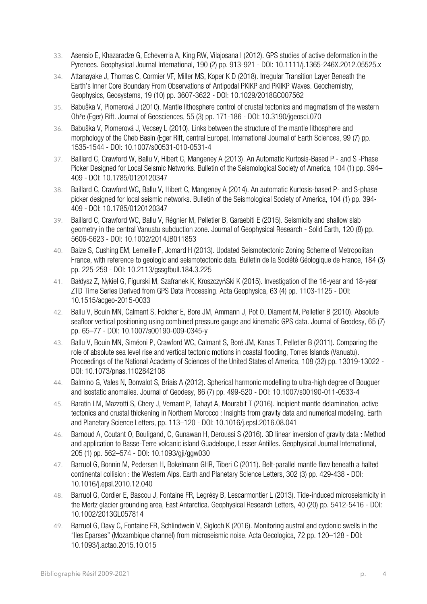- 33. Asensio E, Khazaradze G, Echeverria A, King RW, Vilajosana I (2012). GPS studies of active deformation in the Pyrenees. Geophysical Journal International, 190 (2) pp. 913-921 - DOI: 10.1111/j.1365-246X.2012.05525.x
- 34. Attanayake J, Thomas C, Cormier VF, Miller MS, Koper K D (2018). Irregular Transition Layer Beneath the Earth's Inner Core Boundary From Observations of Antipodal PKIKP and PKIIKP Waves. Geochemistry, Geophysics, Geosystems, 19 (10) pp. 3607-3622 - DOI: 10.1029/2018GC007562
- 35. Babuška V, Plomerová J (2010). Mantle lithosphere control of crustal tectonics and magmatism of the western Ohře (Eger) Rift. Journal of Geosciences, 55 (3) pp. 171-186 - DOI: 10.3190/jgeosci.070
- 36. Babuška V, Plomerová J, Vecsey L (2010). Links between the structure of the mantle lithosphere and morphology of the Cheb Basin (Eger Rift, central Europe). International Journal of Earth Sciences, 99 (7) pp. 1535-1544 - DOI: 10.1007/s00531-010-0531-4
- 37. Baillard C, Crawford W, Ballu V, Hibert C, Mangeney A (2013). An Automatic Kurtosis‐Based P ‐ and S ‐Phase Picker Designed for Local Seismic Networks. Bulletin of the Seismological Society of America, 104 (1) pp. 394– 409 - DOI: 10.1785/0120120347
- 38. Baillard C, Crawford WC, Ballu V, Hibert C, Mangeney A (2014). An automatic Kurtosis-based P- and S-phase picker designed for local seismic networks. Bulletin of the Seismological Society of America, 104 (1) pp. 394- 409 - DOI: 10.1785/0120120347
- 39. Baillard C, Crawford WC, Ballu V, Régnier M, Pelletier B, Garaebiti E (2015). Seismicity and shallow slab geometry in the central Vanuatu subduction zone. Journal of Geophysical Research - Solid Earth, 120 (8) pp. 5606-5623 - DOI: 10.1002/2014JB011853
- 40. Baize S, Cushing EM, Lemeille F, Jomard H (2013). Updated Seismotectonic Zoning Scheme of Metropolitan France, with reference to geologic and seismotectonic data. Bulletin de la Société Géologique de France, 184 (3) pp. 225-259 - DOI: 10.2113/gssgfbull.184.3.225
- 41. Bałdysz Z, Nykiel G, Figurski M, Szafranek K, KroszczyńSki K (2015). Investigation of the 16-year and 18-year ZTD Time Series Derived from GPS Data Processing. Acta Geophysica, 63 (4) pp. 1103-1125 - DOI: 10.1515/acgeo-2015-0033
- 42. Ballu V, Bouin MN, Calmant S, Folcher E, Bore JM, Ammann J, Pot O, Diament M, Pelletier B (2010). Absolute seafloor vertical positioning using combined pressure gauge and kinematic GPS data. Journal of Geodesy, 65 (7) pp. 65–77 - DOI: 10.1007/s00190-009-0345-y
- 43. Ballu V, Bouin MN, Siméoni P, Crawford WC, Calmant S, Boré JM, Kanas T, Pelletier B (2011). Comparing the role of absolute sea level rise and vertical tectonic motions in coastal flooding, Torres Islands (Vanuatu). Proceedings of the National Academy of Sciences of the United States of America, 108 (32) pp. 13019-13022 - DOI: 10.1073/pnas.1102842108
- 44. Balmino G, Vales N, Bonvalot S, Briais A (2012). Spherical harmonic modelling to ultra-high degree of Bouguer and isostatic anomalies. Journal of Geodesy, 86 (7) pp. 499-520 - DOI: 10.1007/s00190-011-0533-4
- 45. Baratin LM, Mazzotti S, Chery J, Vernant P, Tahayt A, Mourabit T (2016). Incipient mantle delamination, active tectonics and crustal thickening in Northern Morocco : Insights from gravity data and numerical modeling. Earth and Planetary Science Letters, pp. 113–120 - DOI: 10.1016/j.epsl.2016.08.041
- 46. Barnoud A, Coutant O, Bouligand, C, Gunawan H, Deroussi S (2016). 3D linear inversion of gravity data : Method and application to Basse-Terre volcanic island Guadeloupe, Lesser Antilles. Geophysical Journal International, 205 (1) pp. 562–574 - DOI: 10.1093/gji/ggw030
- 47. Barruol G, Bonnin M, Pedersen H, Bokelmann GHR, Tiberi C (2011). Belt-parallel mantle flow beneath a halted continental collision : the Western Alps. Earth and Planetary Science Letters, 302 (3) pp. 429-438 - DOI: 10.1016/j.epsl.2010.12.040
- 48. Barruol G, Cordier E, Bascou J, Fontaine FR, Legrésy B, Lescarmontier L (2013). Tide-induced microseismicity in the Mertz glacier grounding area, East Antarctica. Geophysical Research Letters, 40 (20) pp. 5412-5416 - DOI: 10.1002/2013GL057814
- 49. Barruol G, Davy C, Fontaine FR, Schlindwein V, Sigloch K (2016). Monitoring austral and cyclonic swells in the "Iles Eparses" (Mozambique channel) from microseismic noise. Acta Oecologica, 72 pp. 120–128 - DOI: 10.1093/j.actao.2015.10.015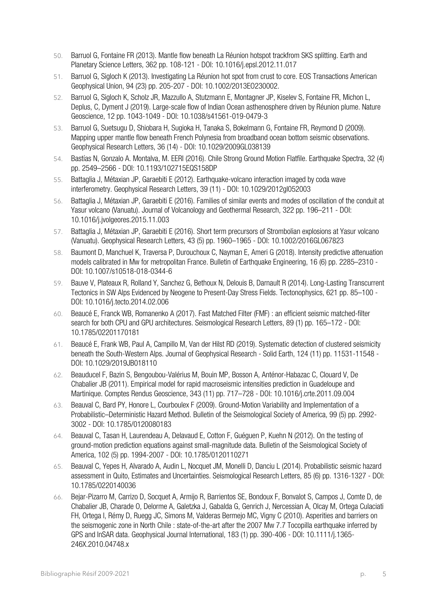- 50. Barruol G, Fontaine FR (2013). Mantle flow beneath La Réunion hotspot trackfrom SKS splitting. Earth and Planetary Science Letters, 362 pp. 108-121 - DOI: 10.1016/j.epsl.2012.11.017
- 51. Barruol G, Sigloch K (2013). Investigating La Réunion hot spot from crust to core. EOS Transactions American Geophysical Union, 94 (23) pp. 205-207 - DOI: 10.1002/2013EO230002.
- 52. Barruol G, Sigloch K, Scholz JR, Mazzullo A, Stutzmann E, Montagner JP, Kiselev S, Fontaine FR, Michon L, Deplus, C, Dyment J (2019). Large-scale flow of Indian Ocean asthenosphere driven by Réunion plume. Nature Geoscience, 12 pp. 1043-1049 - DOI: 10.1038/s41561-019-0479-3
- 53. Barruol G, Suetsugu D, Shiobara H, Sugioka H, Tanaka S, Bokelmann G, Fontaine FR, Reymond D (2009). Mapping upper mantle flow beneath French Polynesia from broadband ocean bottom seismic observations. Geophysical Research Letters, 36 (14) - DOI: 10.1029/2009GL038139
- 54. Bastías N, Gonzalo A. Montalva, M. EERI (2016). Chile Strong Ground Motion Flatfile. Earthquake Spectra, 32 (4) pp. 2549–2566 - DOI: 10.1193/102715EQS158DP
- 55. Battaglia J, Métaxian JP, Garaebiti E (2012). Earthquake-volcano interaction imaged by coda wave interferometry. Geophysical Research Letters, 39 (11) - DOI: 10.1029/2012gl052003
- 56. Battaglia J, Métaxian JP, Garaebiti E (2016). Families of similar events and modes of oscillation of the conduit at Yasur volcano (Vanuatu). Journal of Volcanology and Geothermal Research, 322 pp. 196–211 - DOI: 10.1016/j.jvolgeores.2015.11.003
- 57. Battaglia J, Métaxian JP, Garaebiti E (2016). Short term precursors of Strombolian explosions at Yasur volcano (Vanuatu). Geophysical Research Letters, 43 (5) pp. 1960–1965 - DOI: 10.1002/2016GL067823
- 58. Baumont D, Manchuel K, Traversa P, Durouchoux C, Nayman E, Ameri G (2018). Intensity predictive attenuation models calibrated in Mw for metropolitan France. Bulletin of Earthquake Engineering, 16 (6) pp. 2285–2310 - DOI: 10.1007/s10518-018-0344-6
- 59. Bauve V, Plateaux R, Rolland Y, Sanchez G, Bethoux N, Delouis B, Darnault R (2014). Long-Lasting Transcurrent Tectonics in SW Alps Evidenced by Neogene to Present-Day Stress Fields. Tectonophysics, 621 pp. 85–100 - DOI: 10.1016/j.tecto.2014.02.006
- 60. Beaucé E, Franck WB, Romanenko A (2017). Fast Matched Filter (FMF) : an efficient seismic matched-filter search for both CPU and GPU architectures. Seismological Research Letters, 89 (1) pp. 165–172 - DOI: 10.1785/02201170181
- 61. Beaucé E, Frank WB, Paul A, Campillo M, Van der Hilst RD (2019). Systematic detection of clustered seismicity beneath the South-Western Alps. Journal of Geophysical Research - Solid Earth, 124 (11) pp. 11531-11548 - DOI: 10.1029/2019JB018110
- 62. Beauducel F, Bazin S, Bengoubou-Valérius M, Bouin MP, Bosson A, Anténor-Habazac C, Clouard V, De Chabalier JB (2011). Empirical model for rapid macroseismic intensities prediction in Guadeloupe and Martinique. Comptes Rendus Geoscience, 343 (11) pp. 717–728 - DOI: 10.1016/j.crte.2011.09.004
- 63. Beauval C, Bard PY, Honore L, Courboulex F (2009). Ground-Motion Variability and Implementation of a Probabilistic–Deterministic Hazard Method. Bulletin of the Seismological Society of America, 99 (5) pp. 2992- 3002 - DOI: 10.1785/0120080183
- 64. Beauval C, Tasan H, Laurendeau A, Delavaud E, Cotton F, Guéguen P, Kuehn N (2012). On the testing of ground-motion prediction equations against small-magnitude data. Bulletin of the Seismological Society of America, 102 (5) pp. 1994-2007 - DOI: 10.1785/0120110271
- 65. Beauval C, Yepes H, Alvarado A, Audin L, Nocquet JM, Monelli D, Danciu L (2014). Probabilistic seismic hazard assessment in Quito, Estimates and Uncertainties. Seismological Research Letters, 85 (6) pp. 1316-1327 - DOI: 10.1785/0220140036
- 66. Bejar-Pizarro M, Carrizo D, Socquet A, Armijo R, Barrientos SE, Bondoux F, Bonvalot S, Campos J, Comte D, de Chabalier JB, Charade O, Delorme A, Galetzka J, Gabalda G, Genrich J, Nercessian A, Olcay M, Ortega Culaciati FH, Ortega I, Rémy D, Ruegg JC, Simons M, Valderas Bermejo MC, Vigny C (2010). Asperities and barriers on the seismogenic zone in North Chile : state-of-the-art after the 2007 Mw 7.7 Tocopilla earthquake inferred by GPS and InSAR data. Geophysical Journal International, 183 (1) pp. 390-406 - DOI: 10.1111/j.1365- 246X.2010.04748.x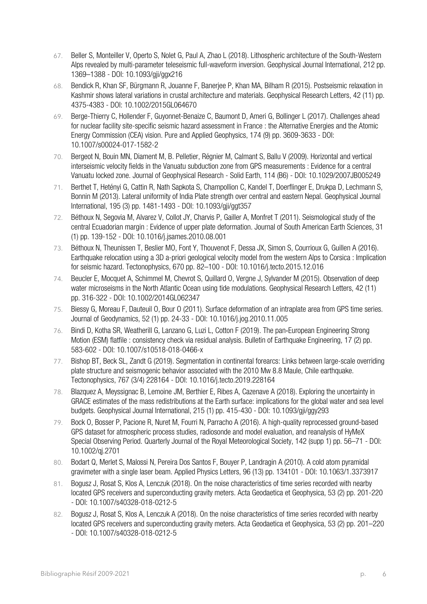- 67. Beller S, Monteiller V, Operto S, Nolet G, Paul A, Zhao L (2018). Lithospheric architecture of the South-Western Alps revealed by multi-parameter teleseismic full-waveform inversion. Geophysical Journal International, 212 pp. 1369–1388 - DOI: 10.1093/gji/ggx216
- 68. Bendick R, Khan SF, Bürgmann R, Jouanne F, Banerjee P, Khan MA, Bilham R (2015). Postseismic relaxation in Kashmir shows lateral variations in crustal architecture and materials. Geophysical Research Letters, 42 (11) pp. 4375-4383 - DOI: 10.1002/2015GL064670
- 69. Berge-Thierry C, Hollender F, Guyonnet-Benaize C, Baumont D, Ameri G, Bollinger L (2017). Challenges ahead for nuclear facility site-specific seismic hazard assessment in France : the Alternative Energies and the Atomic Energy Commission (CEA) vision. Pure and Applied Geophysics, 174 (9) pp. 3609-3633 - DOI: 10.1007/s00024-017-1582-2
- 70. Bergeot N, Bouin MN, Diament M, B. Pelletier, Régnier M, Calmant S, Ballu V (2009). Horizontal and vertical interseismic velocity fields in the Vanuatu subduction zone from GPS measurements : Evidence for a central Vanuatu locked zone. Journal of Geophysical Research - Solid Earth, 114 (B6) - DOI: 10.1029/2007JB005249
- 71. Berthet T, Hetényi G, Cattin R, Nath Sapkota S, Champollion C, Kandel T, Doerflinger E, Drukpa D, Lechmann S, Bonnin M (2013). Lateral uniformity of India Plate strength over central and eastern Nepal. Geophysical Journal International, 195 (3) pp. 1481-1493 - DOI: 10.1093/gji/ggt357
- 72. Béthoux N, Segovia M, Alvarez V, Collot JY, Charvis P, Gailler A, Monfret T (2011). Seismological study of the central Ecuadorian margin : Evidence of upper plate deformation. Journal of South American Earth Sciences, 31 (1) pp. 139-152 - DOI: 10.1016/j.jsames.2010.08.001
- 73. Béthoux N, Theunissen T, Beslier MO, Font Y, Thouvenot F, Dessa JX, Simon S, Courrioux G, Guillen A (2016). Earthquake relocation using a 3D a-priori geological velocity model from the western Alps to Corsica : Implication for seismic hazard. Tectonophysics, 670 pp. 82–100 - DOI: 10.1016/j.tecto.2015.12.016
- 74. Beucler E, Mocquet A, Schimmel M, Chevrot S, Quillard O, Vergne J, Sylvander M (2015). Observation of deep water microseisms in the North Atlantic Ocean using tide modulations. Geophysical Research Letters, 42 (11) pp. 316-322 - DOI: 10.1002/2014GL062347
- 75. Biessy G, Moreau F, Dauteuil O, Bour O (2011). Surface deformation of an intraplate area from GPS time series. Journal of Geodynamics, 52 (1) pp. 24-33 - DOI: 10.1016/j.jog.2010.11.005
- 76. Bindi D, Kotha SR, Weatherill G, Lanzano G, Luzi L, Cotton F (2019). The pan-European Engineering Strong Motion (ESM) flatfile : consistency check via residual analysis. Bulletin of Earthquake Engineering, 17 (2) pp. 583-602 - DOI: 10.1007/s10518-018-0466-x
- 77. Bishop BT, Beck SL, Zandt G (2019). Segmentation in continental forearcs: Links between large-scale overriding plate structure and seismogenic behavior associated with the 2010 Mw 8.8 Maule, Chile earthquake. Tectonophysics, 767 (3/4) 228164 - DOI: 10.1016/j.tecto.2019.228164
- 78. Blazquez A, Meyssignac B, Lemoine JM, Berthier E, Ribes A, Cazenave A (2018). Exploring the uncertainty in GRACE estimates of the mass redistributions at the Earth surface: implications for the global water and sea level budgets. Geophysical Journal International, 215 (1) pp. 415-430 - DOI: 10.1093/gji/ggy293
- 79. Bock O, Bosser P, Pacione R, Nuret M, Fourri N, Parracho A (2016). A high-quality reprocessed ground-based GPS dataset for atmospheric process studies, radiosonde and model evaluation, and reanalysis of HyMeX Special Observing Period. Quarterly Journal of the Royal Meteorological Society, 142 (supp 1) pp. 56–71 - DOI: 10.1002/qj.2701
- 80. Bodart Q, Merlet S, Malossi N, Pereira Dos Santos F, Bouyer P, Landragin A (2010). A cold atom pyramidal gravimeter with a single laser beam. Applied Physics Letters, 96 (13) pp. 134101 - DOI: 10.1063/1.3373917
- 81. Bogusz J, Rosat S, Klos A, Lenczuk (2018). On the noise characteristics of time series recorded with nearby located GPS receivers and superconducting gravity meters. Acta Geodaetica et Geophysica, 53 (2) pp. 201-220 - DOI: 10.1007/s40328-018-0212-5
- 82. Bogusz J, Rosat S, Klos A, Lenczuk A (2018). On the noise characteristics of time series recorded with nearby located GPS receivers and superconducting gravity meters. Acta Geodaetica et Geophysica, 53 (2) pp. 201–220 - DOI: 10.1007/s40328-018-0212-5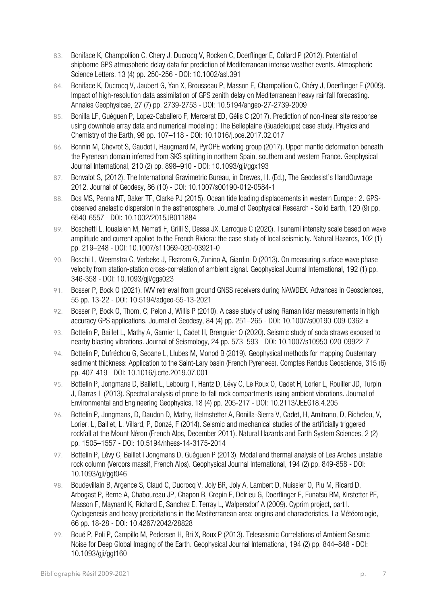- 83. Boniface K, Champollion C, Chery J, Ducrocq V, Rocken C, Doerflinger E, Collard P (2012). Potential of shipborne GPS atmospheric delay data for prediction of Mediterranean intense weather events. Atmospheric Science Letters, 13 (4) pp. 250-256 - DOI: 10.1002/asl.391
- 84. Boniface K, Ducrocq V, Jaubert G, Yan X, Brousseau P, Masson F, Champollion C, Chéry J, Doerflinger E (2009). Impact of high-resolution data assimilation of GPS zenith delay on Mediterranean heavy rainfall forecasting. Annales Geophysicae, 27 (7) pp. 2739-2753 - DOI: 10.5194/angeo-27-2739-2009
- 85. Bonilla LF, Guéguen P, Lopez-Caballero F, Mercerat ED, Gélis C (2017). Prediction of non-linear site response using downhole array data and numerical modeling : The Belleplaine (Guadeloupe) case study. Physics and Chemistry of the Earth, 98 pp. 107–118 - DOI: 10.1016/j.pce.2017.02.017
- 86. Bonnin M, Chevrot S, Gaudot I, Haugmard M, PyrOPE working group (2017). Upper mantle deformation beneath the Pyrenean domain inferred from SKS splitting in northern Spain, southern and western France. Geophysical Journal International, 210 (2) pp. 898–910 - DOI: 10.1093/gji/ggx193
- 87. Bonvalot S, (2012). The International Gravimetric Bureau, in Drewes, H. (Ed.), The Geodesist's HandOuvrage 2012. Journal of Geodesy, 86 (10) - DOI: 10.1007/s00190-012-0584-1
- 88. Bos MS, Penna NT, Baker TF, Clarke PJ (2015). Ocean tide loading displacements in western Europe : 2. GPSobserved anelastic dispersion in the asthenosphere. Journal of Geophysical Research - Solid Earth, 120 (9) pp. 6540-6557 - DOI: 10.1002/2015JB011884
- 89. Boschetti L, Ioualalen M, Nemati F, Grilli S, Dessa JX, Larroque C (2020). Tsunami intensity scale based on wave amplitude and current applied to the French Riviera: the case study of local seismicity. Natural Hazards, 102 (1) pp. 219–248 - DOI: 10.1007/s11069-020-03921-0
- 90. Boschi L, Weemstra C, Verbeke J, Ekstrom G, Zunino A, Giardini D (2013). On measuring surface wave phase velocity from station-station cross-correlation of ambient signal. Geophysical Journal International, 192 (1) pp. 346-358 - DOI: 10.1093/gji/ggs023
- 91. Bosser P, Bock O (2021). IWV retrieval from ground GNSS receivers during NAWDEX. Advances in Geosciences, 55 pp. 13-22 - DOI: 10.5194/adgeo-55-13-2021
- 92. Bosser P, Bock O, Thom, C, Pelon J, Willis P (2010). A case study of using Raman lidar measurements in high accuracy GPS applications. Journal of Geodesy, 84 (4) pp. 251–265 - DOI: 10.1007/s00190-009-0362-x
- 93. Bottelin P, Baillet L, Mathy A, Garnier L, Cadet H, Brenguier O (2020). Seismic study of soda straws exposed to nearby blasting vibrations. Journal of Seismology, 24 pp. 573–593 - DOI: 10.1007/s10950-020-09922-7
- 94. Bottelin P, Dufréchou G, Seoane L, Llubes M, Monod B (2019). Geophysical methods for mapping Quaternary sediment thickness: Application to the Saint-Lary basin (French Pyrenees). Comptes Rendus Geoscience, 315 (6) pp. 407-419 - DOI: 10.1016/j.crte.2019.07.001
- 95. Bottelin P, Jongmans D, Baillet L, Lebourg T, Hantz D, Lévy C, Le Roux O, Cadet H, Lorier L, Rouiller JD, Turpin J, Darras L (2013). Spectral analysis of prone-to-fall rock compartments using ambient vibrations. Journal of Environmental and Engineering Geophysics, 18 (4) pp. 205-217 - DOI: 10.2113/JEEG18.4.205
- 96. Bottelin P, Jongmans, D, Daudon D, Mathy, Helmstetter A, Bonilla-Sierra V, Cadet, H, Amitrano, D, Richefeu, V, Lorier, L, Baillet, L, Villard, P, Donzé, F (2014). Seismic and mechanical studies of the artificially triggered rockfall at the Mount Néron (French Alps, December 2011). Natural Hazards and Earth System Sciences, 2 (2) pp. 1505–1557 - DOI: 10.5194/nhess-14-3175-2014
- 97. Bottelin P, Lévy C, Baillet l Jongmans D, Guéguen P (2013). Modal and thermal analysis of Les Arches unstable rock column (Vercors massif, French Alps). Geophysical Journal International, 194 (2) pp. 849-858 - DOI: 10.1093/gji/ggt046
- 98. Boudevillain B, Argence S, Claud C, Ducrocq V, Joly BR, Joly A, Lambert D, Nuissier O, Plu M, Ricard D, Arbogast P, Berne A, Chaboureau JP, Chapon B, Crepin F, Delrieu G, Doerflinger E, Funatsu BM, Kirstetter PE, Masson F, Maynard K, Richard E, Sanchez E, Terray L, Walpersdorf A (2009). Cyprim project, part I. Cyclogenesis and heavy precipitations in the Mediterranean area: origins and characteristics. La Météorologie, 66 pp. 18-28 - DOI: 10.4267/2042/28828
- 99. Boué P, Poli P, Campillo M, Pedersen H, Bri X, Roux P (2013). Teleseismic Correlations of Ambient Seismic Noise for Deep Global Imaging of the Earth. Geophysical Journal International, 194 (2) pp. 844–848 - DOI: 10.1093/gji/ggt160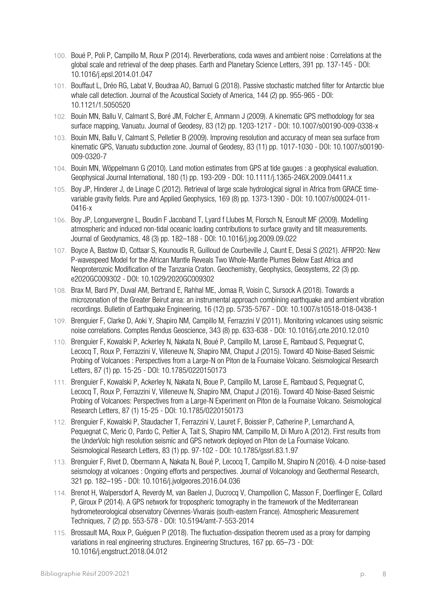- 100. Boué P, Poli P, Campillo M, Roux P (2014). Reverberations, coda waves and ambient noise : Correlations at the global scale and retrieval of the deep phases. Earth and Planetary Science Letters, 391 pp. 137-145 - DOI: 10.1016/j.epsl.2014.01.047
- 101. Bouffaut L, Dréo RG, Labat V, Boudraa AO, Barruol G (2018). Passive stochastic matched filter for Antarctic blue whale call detection. Journal of the Acoustical Society of America, 144 (2) pp. 955-965 - DOI: 10.1121/1.5050520
- 102. Bouin MN, Ballu V, Calmant S, Boré JM, Folcher E, Ammann J (2009). A kinematic GPS methodology for sea surface mapping, Vanuatu. Journal of Geodesy, 83 (12) pp. 1203-1217 - DOI: 10.1007/s00190-009-0338-x
- 103. Bouin MN, Ballu V, Calmant S, Pelletier B (2009). Improving resolution and accuracy of mean sea surface from kinematic GPS, Vanuatu subduction zone. Journal of Geodesy, 83 (11) pp. 1017-1030 - DOI: 10.1007/s00190- 009-0320-7
- 104. Bouin MN, Wöppelmann G (2010). Land motion estimates from GPS at tide gauges : a geophysical evaluation. Geophysical Journal International, 180 (1) pp. 193-209 - DOI: 10.1111/j.1365-246X.2009.04411.x
- 105. Boy JP, Hinderer J, de Linage C (2012). Retrieval of large scale hydrological signal in Africa from GRACE timevariable gravity fields. Pure and Applied Geophysics, 169 (8) pp. 1373-1390 - DOI: 10.1007/s00024-011- 0416-x
- 106. Boy JP, Longuevergne L, Boudin F Jacoband T, Lyard f Llubes M, Florsch N, Esnoult MF (2009). Modelling atmospheric and induced non-tidal oceanic loading contributions to surface gravity and tilt measurements. Journal of Geodynamics, 48 (3) pp. 182–188 - DOI: 10.1016/j.jog.2009.09.022
- 107. Boyce A, Bastow ID, Cottaar S, Kounoudis R, Guilloud de Courbeville J, Caunt E, Desai S (2021). AFRP20: New P‐wavespeed Model for the African Mantle Reveals Two Whole‐Mantle Plumes Below East Africa and Neoproterozoic Modification of the Tanzania Craton. Geochemistry, Geophysics, Geosystems, 22 (3) pp. e2020GC009302 - DOI: 10.1029/2020GC009302
- 108. Brax M, Bard PY, Duval AM, Bertrand E, Rahhal ME, Jomaa R, Voisin C, Sursock A (2018). Towards a microzonation of the Greater Beirut area: an instrumental approach combining earthquake and ambient vibration recordings. Bulletin of Earthquake Engineering, 16 (12) pp. 5735-5767 - DOI: 10.1007/s10518-018-0438-1
- 109. Brenguier F, Clarke D, Aoki Y, Shapiro NM, Campillo M, Ferrazzini V (2011). Monitoring volcanoes using seismic noise correlations. Comptes Rendus Geoscience, 343 (8) pp. 633-638 - DOI: 10.1016/j.crte.2010.12.010
- 110. Brenguier F, Kowalski P, Ackerley N, Nakata N, Boué P, Campillo M, Larose E, Rambaud S, Pequegnat C, Lecocq T, Roux P, Ferrazzini V, Villeneuve N, Shapiro NM, Chaput J (2015). Toward 4D Noise-Based Seismic Probing of Volcanoes : Perspectives from a Large-N on Piton de la Fournaise Volcano. Seismological Research Letters, 87 (1) pp. 15-25 - DOI: 10.1785/0220150173
- 111. Brenguier F, Kowalski P, Ackerley N, Nakata N, Boue P, Campillo M, Larose E, Rambaud S, Pequegnat C, Lecocq T, Roux P, Ferrazzini V, Villeneuve N, Shapiro NM, Chaput J (2016). Toward 4D Noise-Based Seismic Probing of Volcanoes: Perspectives from a Large-N Experiment on Piton de la Fournaise Volcano. Seismological Research Letters, 87 (1) 15-25 - DOI: 10.1785/0220150173
- 112. Brenguier F, Kowalski P, Staudacher T, Ferrazzini V, Lauret F, Boissier P, Catherine P, Lemarchand A, Pequegnat C, Meric O, Pardo C, Peltier A, Tait S, Shapiro NM, Campillo M, Di Muro A (2012). First results from the UnderVolc high resolution seismic and GPS network deployed on Piton de La Fournaise Volcano. Seismological Research Letters, 83 (1) pp. 97-102 - DOI: 10.1785/gssrl.83.1.97
- 113. Brenguier F, Rivet D, Obermann A, Nakata N, Boué P, Lecocq T, Campillo M, Shapiro N (2016). 4-D noise-based seismology at volcanoes : Ongoing efforts and perspectives. Journal of Volcanology and Geothermal Research, 321 pp. 182–195 - DOI: 10.1016/j.jvolgeores.2016.04.036
- 114. Brenot H, Walpersdorf A, Reverdy M, van Baelen J, Ducrocq V, Champollion C, Masson F, Doerflinger E, Collard P, Giroux P (2014). A GPS network for tropospheric tomography in the framework of the Mediterranean hydrometeorological observatory Cévennes-Vivarais (south-eastern France). Atmospheric Measurement Techniques, 7 (2) pp. 553-578 - DOI: 10.5194/amt-7-553-2014
- 115. Brossault MA, Roux P, Guéguen P (2018). The fluctuation-dissipation theorem used as a proxy for damping variations in real engineering structures. Engineering Structures, 167 pp. 65–73 - DOI: 10.1016/j.engstruct.2018.04.012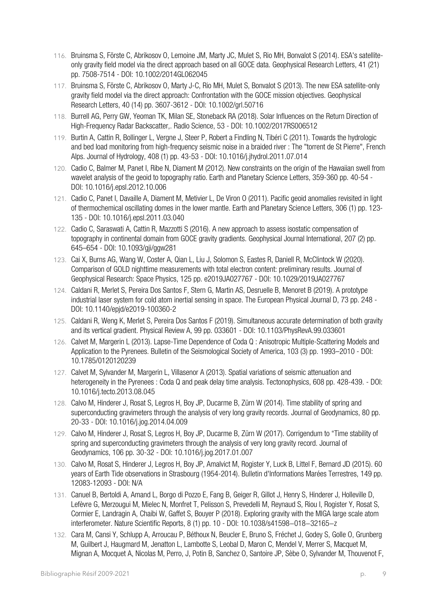- 116. Bruinsma S, Förste C, Abrikosov O, Lemoine JM, Marty JC, Mulet S, Rio MH, Bonvalot S (2014). ESA's satelliteonly gravity field model via the direct approach based on all GOCE data. Geophysical Research Letters, 41 (21) pp. 7508-7514 - DOI: 10.1002/2014GL062045
- 117. Bruinsma S, Förste C, Abrikosov O, Marty J-C, Rio MH, Mulet S, Bonvalot S (2013). The new ESA satellite-only gravity field model via the direct approach: Confrontation with the GOCE mission objectives. Geophysical Research Letters, 40 (14) pp. 3607-3612 - DOI: 10.1002/grl.50716
- 118. Burrell AG, Perry GW, Yeoman TK, Milan SE, Stoneback RA (2018). Solar Influences on the Return Direction of High‐Frequency Radar Backscatter,. Radio Science, 53 - DOI: 10.1002/2017RS006512
- 119. Burtin A, Cattin R, Bollinger L, Vergne J, Steer P, Robert a Findling N, Tibéri C (2011). Towards the hydrologic and bed load monitoring from high-frequency seismic noise in a braided river : The "torrent de St Pierre", French Alps. Journal of Hydrology, 408 (1) pp. 43-53 - DOI: 10.1016/j.jhydrol.2011.07.014
- 120. Cadio C, Balmer M, Panet I, Ribe N, Diament M (2012). New constraints on the origin of the Hawaiian swell from wavelet analysis of the geoid to topography ratio. Earth and Planetary Science Letters, 359-360 pp. 40-54 - DOI: 10.1016/j.epsl.2012.10.006
- 121. Cadio C, Panet I, Davaille A, Diament M, Metivier L, De Viron O (2011). Pacific geoid anomalies revisited in light of thermochemical oscillating domes in the lower mantle. Earth and Planetary Science Letters, 306 (1) pp. 123- 135 - DOI: 10.1016/j.epsl.2011.03.040
- 122. Cadio C, Saraswati A, Cattin R, Mazzotti S (2016). A new approach to assess isostatic compensation of topography in continental domain from GOCE gravity gradients. Geophysical Journal International, 207 (2) pp. 645–654 - DOI: 10.1093/gji/ggw281
- 123. Cai X, Burns AG, Wang W, Coster A, Qian L, Liu J, Solomon S, Eastes R, Daniell R, McClintock W (2020). Comparison of GOLD nighttime measurements with total electron content: preliminary results. Journal of Geophysical Research: Space Physics, 125 pp. e2019JA027767 - DOI: 10.1029/2019JA027767
- 124. Caldani R, Merlet S, Pereira Dos Santos F, Stern G, Martin AS, Desruelle B, Menoret B (2019). A prototype industrial laser system for cold atom inertial sensing in space. The European Physical Journal D, 73 pp. 248 - DOI: 10.1140/epjd/e2019-100360-2
- 125. Caldani R, Weng K, Merlet S, Pereira Dos Santos F (2019). Simultaneous accurate determination of both gravity and its vertical gradient. Physical Review A, 99 pp. 033601 - DOI: 10.1103/PhysRevA.99.033601
- 126. Calvet M, Margerin L (2013). Lapse-Time Dependence of Coda Q : Anisotropic Multiple-Scattering Models and Application to the Pyrenees. Bulletin of the Seismological Society of America, 103 (3) pp. 1993–2010 - DOI: 10.1785/0120120239
- 127. Calvet M, Sylvander M, Margerin L, Villasenor A (2013). Spatial variations of seismic attenuation and heterogeneity in the Pyrenees : Coda Q and peak delay time analysis. Tectonophysics, 608 pp. 428-439. - DOI: 10.1016/j.tecto.2013.08.045
- 128. Calvo M, Hinderer J, Rosat S, Legros H, Boy JP, Ducarme B, Zürn W (2014). Time stability of spring and superconducting gravimeters through the analysis of very long gravity records. Journal of Geodynamics, 80 pp. 20-33 - DOI: 10.1016/j.jog.2014.04.009
- 129. Calvo M, Hinderer J, Rosat S, Legros H, Boy JP, Ducarme B, Zürn W (2017). Corrigendum to "Time stability of spring and superconducting gravimeters through the analysis of very long gravity record. Journal of Geodynamics, 106 pp. 30-32 - DOI: 10.1016/j.jog.2017.01.007
- 130. Calvo M, Rosat S, Hinderer J, Legros H, Boy JP, Amalvict M, Rogister Y, Luck B, Littel F, Bernard JD (2015). 60 years of Earth Tide observations in Strasbourg (1954-2014). Bulletin d'Informations Marées Terrestres, 149 pp. 12083-12093 - DOI: N/A
- 131. Canuel B, Bertoldi A, Amand L, Borgo di Pozzo E, Fang B, Geiger R, Gillot J, Henry S, Hinderer J, Holleville D, Lefèvre G, Merzougui M, Mielec N, Monfret T, Pelisson S, Prevedelli M, Reynaud S, Riou I, Rogister Y, Rosat S, Cormier E, Landragin A, Chaibi W, Gaffet S, Bouyer P (2018). Exploring gravity with the MIGA large scale atom interferometer. Nature Scientific Reports, 8 (1) pp. 10 - DOI: 10.1038/s41598−018−32165−z
- 132. Cara M, Cansi Y, Schlupp A, Arroucau P, Béthoux N, Beucler E, Bruno S, Fréchet J, Godey S, Golle O, Grunberg M, Guilbert J, Haugmard M, Jenatton L, Lambotte S, Leobal D, Maron C, Mendel V, Merrer S, Macquet M, Mignan A, Mocquet A, Nicolas M, Perro, J, Potin B, Sanchez O, Santoire JP, Sèbe O, Sylvander M, Thouvenot F,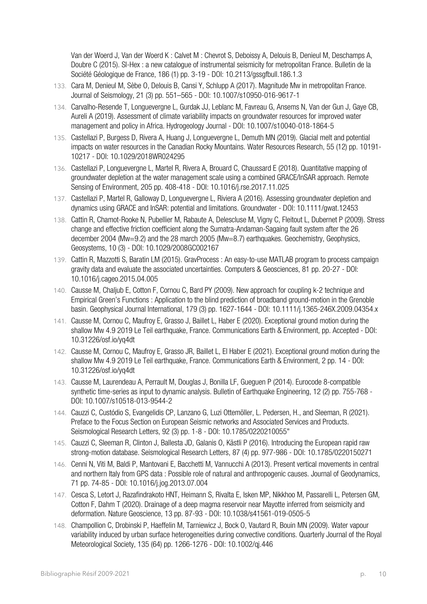Van der Woerd J, Van der Woerd K : Calvet M : Chevrot S, Deboissy A, Delouis B, Denieul M, Deschamps A, Doubre C (2015). SI-Hex : a new catalogue of instrumental seismicity for metropolitan France. Bulletin de la Société Géologique de France, 186 (1) pp. 3-19 - DOI: 10.2113/gssgfbull.186.1.3

- 133. Cara M, Denieul M, Sèbe O, Delouis B, Cansi Y, Schlupp A (2017). Magnitude Mw in metropolitan France. Journal of Seismology, 21 (3) pp. 551–565 - DOI: 10.1007/s10950-016-9617-1
- 134. Carvalho-Resende T, Longuevergne L, Gurdak JJ, Leblanc M, Favreau G, Ansems N, Van der Gun J, Gaye CB, Aureli A (2019). Assessment of climate variability impacts on groundwater resources for improved water management and policy in Africa. Hydrogeology Journal - DOI: 10.1007/s10040-018-1864-5
- 135. Castellazi P, Burgess D, Rivera A, Huang J, Longuevergne L, Demuth MN (2019). Glacial melt and potential impacts on water resources in the Canadian Rocky Mountains. Water Resources Research, 55 (12) pp. 10191- 10217 - DOI: 10.1029/2018WR024295
- 136. Castellazi P, Longuevergne L, Martel R, Rivera A, Brouard C, Chaussard E (2018). Quantitative mapping of groundwater depletion at the water management scale using a combined GRACE/InSAR approach. Remote Sensing of Environment, 205 pp. 408-418 - DOI: 10.1016/j.rse.2017.11.025
- 137. Castellazi P, Martel R, Galloway D, Longuevergne L, Riviera A (2016). Assessing groundwater depletion and dynamics using GRACE and InSAR: potential and limitations. Groundwater - DOI: 10.1111/gwat.12453
- 138. Cattin R, Chamot-Rooke N, Pubellier M, Rabaute A, Delescluse M, Vigny C, Fleitout L, Dubernet P (2009). Stress change and effective friction coefficient along the Sumatra-Andaman-Sagaing fault system after the 26 december 2004 (Mw=9.2) and the 28 march 2005 (Mw=8.7) earthquakes. Geochemistry, Geophysics, Geosystems, 10 (3) - DOI: 10.1029/2008GC002167
- 139. Cattin R, Mazzotti S, Baratin LM (2015). GravProcess : An easy-to-use MATLAB program to process campaign gravity data and evaluate the associated uncertainties. Computers & Geosciences, 81 pp. 20-27 - DOI: 10.1016/j.cageo.2015.04.005
- 140. Causse M, Chaljub E, Cotton F, Cornou C, Bard PY (2009). New approach for coupling k-2 technique and Empirical Green's Functions : Application to the blind prediction of broadband ground-motion in the Grenoble basin. Geophysical Journal International, 179 (3) pp. 1627-1644 - DOI: 10.1111/j.1365-246X.2009.04354.x
- 141. Causse M, Cornou C, Maufroy E, Grasso J, Baillet L, Haber E (2020). Exceptional ground motion during the shallow Mw 4.9 2019 Le Teil earthquake, France. Communications Earth & Environment, pp. Accepted - DOI: 10.31226/osf.io/yq4dt
- 142. Causse M, Cornou C, Maufroy E, Grasso JR, Baillet L, El Haber E (2021). Exceptional ground motion during the shallow Mw 4.9 2019 Le Teil earthquake, France. Communications Earth & Environment, 2 pp. 14 - DOI: 10.31226/osf.io/yq4dt
- 143. Causse M, Laurendeau A, Perrault M, Douglas J, Bonilla LF, Gueguen P (2014). Eurocode 8-compatible synthetic time-series as input to dynamic analysis. Bulletin of Earthquake Engineering, 12 (2) pp. 755-768 - DOI: 10.1007/s10518-013-9544-2
- 144. Cauzzi C, Custódio S, Evangelidis CP, Lanzano G, Luzi Ottemöller, L. Pedersen, H., and Sleeman, R (2021). Preface to the Focus Section on European Seismic networks and Associated Services and Products. Seismological Research Letters, 92 (3) pp. 1-8 - DOI: 10.1785/0220210055"
- 145. Cauzzi C, Sleeman R, Clinton J, Ballesta JD, Galanis O, Kästli P (2016). Introducing the European rapid raw strong‐motion database. Seismological Research Letters, 87 (4) pp. 977-986 - DOI: 10.1785/0220150271
- 146. Cenni N, Viti M, Baldi P, Mantovani E, Bacchetti M, Vannucchi A (2013). Present vertical movements in central and northern Italy from GPS data : Possible role of natural and anthropogenic causes. Journal of Geodynamics, 71 pp. 74-85 - DOI: 10.1016/j.jog.2013.07.004
- 147. Cesca S, Letort J, Razafindrakoto HNT, Heimann S, Rivalta E, Isken MP, Nikkhoo M, Passarelli L, Petersen GM, Cotton F, Dahm T (2020). Drainage of a deep magma reservoir near Mayotte inferred from seismicity and deformation. Nature Geoscience, 13 pp. 87-93 - DOI: 10.1038/s41561-019-0505-5
- 148. Champollion C, Drobinski P, Haeffelin M, Tarniewicz J, Bock O, Vautard R, Bouin MN (2009). Water vapour variability induced by urban surface heterogeneities during convective conditions. Quarterly Journal of the Royal Meteorological Society, 135 (64) pp. 1266-1276 - DOI: 10.1002/qj.446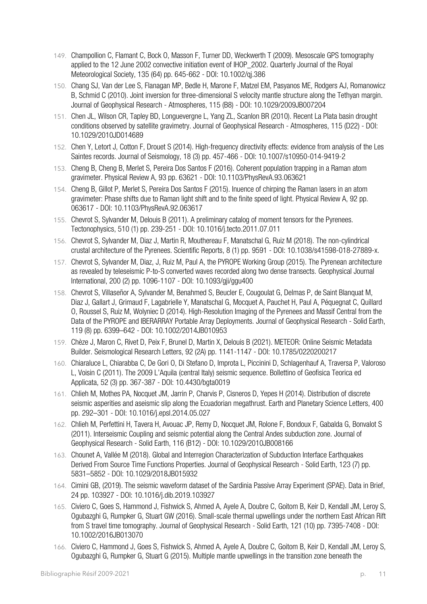- 149. Champollion C, Flamant C, Bock O, Masson F, Turner DD, Weckwerth T (2009). Mesoscale GPS tomography applied to the 12 June 2002 convective initiation event of IHOP\_2002. Quarterly Journal of the Royal Meteorological Society, 135 (64) pp. 645-662 - DOI: 10.1002/qj.386
- 150. Chang SJ, Van der Lee S, Flanagan MP, Bedle H, Marone F, Matzel EM, Pasyanos ME, Rodgers AJ, Romanowicz B, Schmid C (2010). Joint inversion for three-dimensional S velocity mantle structure along the Tethyan margin. Journal of Geophysical Research - Atmospheres, 115 (B8) - DOI: 10.1029/2009JB007204
- 151. Chen JL, Wilson CR, Tapley BD, Longuevergne L, Yang ZL, Scanlon BR (2010). Recent La Plata basin drought conditions observed by satellite gravimetry. Journal of Geophysical Research - Atmospheres, 115 (D22) - DOI: 10.1029/2010JD014689
- 152. Chen Y, Letort J, Cotton F, Drouet S (2014). High-frequency directivity effects: evidence from analysis of the Les Saintes records. Journal of Seismology, 18 (3) pp. 457-466 - DOI: 10.1007/s10950-014-9419-2
- 153. Cheng B, Cheng B, Merlet S, Pereira Dos Santos F (2016). Coherent population trapping in a Raman atom gravimeter. Physical Review A, 93 pp. 63621 - DOI: 10.1103/PhysRevA.93.063621
- 154. Cheng B, Gillot P, Merlet S, Pereira Dos Santos F (2015). Inuence of chirping the Raman lasers in an atom gravimeter: Phase shifts due to Raman light shift and to the finite speed of light. Physical Review A, 92 pp. 063617 - DOI: 10.1103/PhysRevA.92.063617
- 155. Chevrot S, Sylvander M, Delouis B (2011). A preliminary catalog of moment tensors for the Pyrenees. Tectonophysics, 510 (1) pp. 239-251 - DOI: 10.1016/j.tecto.2011.07.011
- 156. Chevrot S, Sylvander M, Diaz J, Martin R, Mouthereau F, Manatschal G, Ruiz M (2018). The non-cylindrical crustal architecture of the Pyrenees. Scientific Reports, 8 (1) pp. 9591 - DOI: 10.1038/s41598-018-27889-x.
- 157. Chevrot S, Sylvander M, Diaz, J, Ruiz M, Paul A, the PYROPE Working Group (2015). The Pyrenean architecture as revealed by teleseismic P-to-S converted waves recorded along two dense transects. Geophysical Journal International, 200 (2) pp. 1096-1107 - DOI: 10.1093/gji/ggu400
- 158. Chevrot S, Villaseñor A, Sylvander M, Benahmed S, Beucler E, Cougoulat G, Delmas P, de Saint Blanquat M, Diaz J, Gallart J, Grimaud F, Lagabrielle Y, Manatschal G, Mocquet A, Pauchet H, Paul A, Péquegnat C, Quillard O, Roussel S, Ruiz M, Wolyniec D (2014). High-Resolution Imaging of the Pyrenees and Massif Central from the Data of the PYROPE and IBERARRAY Portable Array Deployments. Journal of Geophysical Research - Solid Earth, 119 (8) pp. 6399–642 - DOI: 10.1002/2014JB010953
- 159. Chèze J, Maron C, Rivet D, Peix F, Brunel D, Martin X, Delouis B (2021). METEOR: Online Seismic Metadata Builder. Seismological Research Letters, 92 (2A) pp. 1141-1147 - DOI: 10.1785/0220200217
- 160. Chiaraluce L, Chiarabba C, De Gori O, Di Stefano D, Improta L, Piccinini D, Schlagenhauf A, Traversa P, Valoroso L, Voisin C (2011). The 2009 L'Aquila (central Italy) seismic sequence. Bollettino of Geofisica Teorica ed Applicata, 52 (3) pp. 367-387 - DOI: 10.4430/bgta0019
- 161. Chlieh M, Mothes PA, Nocquet JM, Jarrin P, Charvis P, Cisneros D, Yepes H (2014). Distribution of discrete seismic asperities and aseismic slip along the Ecuadorian megathrust. Earth and Planetary Science Letters, 400 pp. 292–301 - DOI: 10.1016/j.epsl.2014.05.027
- 162. Chlieh M, Perfettini H, Tavera H, Avouac JP, Remy D, Nocquet JM, Rolone F, Bondoux F, Gabalda G, Bonvalot S (2011). Interseismic Coupling and seismic potential along the Central Andes subduction zone. Journal of Geophysical Research - Solid Earth, 116 (B12) - DOI: 10.1029/2010JB008166
- 163. Chounet A, Vallée M (2018). Global and Interregion Characterization of Subduction Interface Earthquakes Derived From Source Time Functions Properties. Journal of Geophysical Research - Solid Earth, 123 (7) pp. 5831–5852 - DOI: 10.1029/2018JB015932
- 164. Cimini GB, (2019). The seismic waveform dataset of the Sardinia Passive Array Experiment (SPAE). Data in Brief, 24 pp. 103927 - DOI: 10.1016/j.dib.2019.103927
- 165. Civiero C, Goes S, Hammond J, Fishwick S, Ahmed A, Ayele A, Doubre C, Goitom B, Keir D, Kendall JM, Leroy S, Ogubazghi G, Rumpker G, Stuart GW (2016). Small‐scale thermal upwellings under the northern East African Rift from S travel time tomography. Journal of Geophysical Research - Solid Earth, 121 (10) pp. 7395-7408 - DOI: 10.1002/2016JB013070
- 166. Civiero C, Hammond J, Goes S, Fishwick S, Ahmed A, Ayele A, Doubre C, Goitom B, Keir D, Kendall JM, Leroy S, Ogubazghi G, Rumpker G, Stuart G (2015). Multiple mantle upwellings in the transition zone beneath the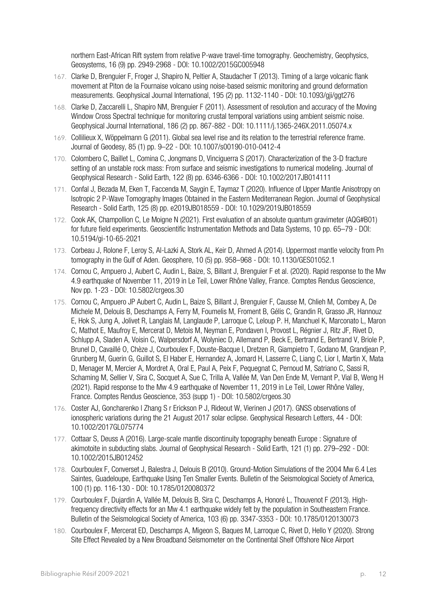northern East-African Rift system from relative P-wave travel-time tomography. Geochemistry, Geophysics, Geosystems, 16 (9) pp. 2949-2968 - DOI: 10.1002/2015GC005948

- 167. Clarke D, Brenguier F, Froger J, Shapiro N, Peltier A, Staudacher T (2013). Timing of a large volcanic flank movement at Piton de la Fournaise volcano using noise-based seismic monitoring and ground deformation measurements. Geophysical Journal International, 195 (2) pp. 1132-1140 - DOI: 10.1093/gji/ggt276
- 168. Clarke D, Zaccarelli L, Shapiro NM, Brenguier F (2011). Assessment of resolution and accuracy of the Moving Window Cross Spectral technique for monitoring crustal temporal variations using ambient seismic noise. Geophysical Journal International, 186 (2) pp. 867-882 - DOI: 10.1111/j.1365-246X.2011.05074.x
- 169. Collilieux X, Wöppelmann G (2011). Global sea level rise and its relation to the terrestrial reference frame. Journal of Geodesy, 85 (1) pp. 9–22 - DOI: 10.1007/s00190-010-0412-4
- 170. Colombero C, Baillet L, Comina C, Jongmans D, Vinciguerra S (2017). Characterization of the 3‐D fracture setting of an unstable rock mass: From surface and seismic investigations to numerical modeling. Journal of Geophysical Research - Solid Earth, 122 (8) pp. 6346-6366 - DOI: 10.1002/2017JB014111
- 171. Confal J, Bezada M, Eken T, Faccenda M, Saygin E, Taymaz T (2020). Influence of Upper Mantle Anisotropy on Isotropic 2 P-Wave Tomography Images Obtained in the Eastern Mediterranean Region. Journal of Geophysical Research - Solid Earth, 125 (8) pp. e2019JB018559 - DOI: 10.1029/2019JB018559
- 172. Cook AK, Champollion C, Le Moigne N (2021). First evaluation of an absolute quantum gravimeter (AQG#B01) for future field experiments. Geoscientific Instrumentation Methods and Data Systems, 10 pp. 65–79 - DOI: 10.5194/gi-10-65-2021
- 173. Corbeau J, Rolone F, Leroy S, Al-Lazki A, Stork AL, Keir D, Ahmed A (2014). Uppermost mantle velocity from Pn tomography in the Gulf of Aden. Geosphere, 10 (5) pp. 958–968 - DOI: 10.1130/GES01052.1
- 174. Cornou C, Ampuero J, Aubert C, Audin L, Baize, S, Billant J, Brenguier F et al. (2020). Rapid response to the Mw 4.9 earthquake of November 11, 2019 in Le Teil, Lower Rhône Valley, France. Comptes Rendus Geoscience, Nov pp. 1-23 - DOI: 10.5802/crgeos.30
- 175. Cornou C, Ampuero JP Aubert C, Audin L, Baize S, Billant J, Brenguier F, Causse M, Chlieh M, Combey A, De Michele M, Delouis B, Deschamps A, Ferry M, Foumelis M, Froment B, Gélis C, Grandin R, Grasso JR, Hannouz E, Hok S, Jung A, Jolivet R, Langlais M, Langlaude P, Larroque C, Leloup P. H, Manchuel K, Marconato L, Maron C, Mathot E, Maufroy E, Mercerat D, Metois M, Neyman E, Pondaven I, Provost L, Régnier J, Ritz JF, Rivet D, Schlupp A, Sladen A, Voisin C, Walpersdorf A, Wolyniec D, Allemand P, Beck E, Bertrand E, Bertrand V, Briole P, Brunel D, Cavaillé O, Chèze J, Courboulex F, Douste-Bacque I, Dretzen R, Giampietro T, Godano M, Grandjean P, Grunberg M, Guerin G, Guillot S, El Haber E, Hernandez A, Jomard H, Lasserre C, Liang C, Lior I, Martin X, Mata D, Menager M, Mercier A, Mordret A, Oral E, Paul A, Peix F, Pequegnat C, Pernoud M, Satriano C, Sassi R, Schaming M, Sellier V, Sira C, Socquet A, Sue C, Trilla A, Vallée M, Van Den Ende M, Vernant P, Vial B, Weng H (2021). Rapid response to the Mw 4.9 earthquake of November 11, 2019 in Le Teil, Lower Rhône Valley, France. Comptes Rendus Geoscience, 353 (supp 1) - DOI: 10.5802/crgeos.30
- 176. Coster AJ, Goncharenko l Zhang S r Erickson P J, Rideout W, Vierinen J (2017). GNSS observations of ionospheric variations during the 21 August 2017 solar eclipse. Geophysical Research Letters, 44 - DOI: 10.1002/2017GL075774
- 177. Cottaar S, Deuss A (2016). Large-scale mantle discontinuity topography beneath Europe : Signature of akimotoite in subducting slabs. Journal of Geophysical Research - Solid Earth, 121 (1) pp. 279–292 - DOI: 10.1002/2015JB012452
- 178. Courboulex F, Converset J, Balestra J, Delouis B (2010). Ground-Motion Simulations of the 2004 Mw 6.4 Les Saintes, Guadeloupe, Earthquake Using Ten Smaller Events. Bulletin of the Seismological Society of America, 100 (1) pp. 116-130 - DOI: 10.1785/0120080372
- 179. Courboulex F, Dujardin A, Vallée M, Delouis B, Sira C, Deschamps A, Honoré L, Thouvenot F (2013). Highfrequency directivity effects for an Mw 4.1 earthquake widely felt by the population in Southeastern France. Bulletin of the Seismological Society of America, 103 (6) pp. 3347-3353 - DOI: 10.1785/0120130073
- 180. Courboulex F, Mercerat ED, Deschamps A, Migeon S, Baques M, Larroque C, Rivet D, Hello Y (2020). Strong Site Effect Revealed by a New Broadband Seismometer on the Continental Shelf Offshore Nice Airport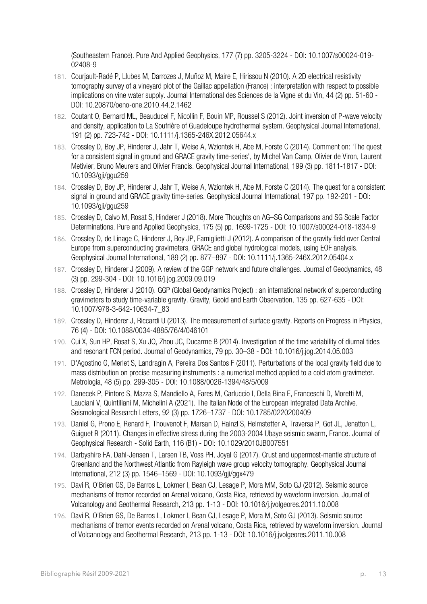(Southeastern France). Pure And Applied Geophysics, 177 (7) pp. 3205-3224 - DOI: 10.1007/s00024-019- 02408-9

- 181. Courjault-Radé P, Llubes M, Darrozes J, Muñoz M, Maire E, Hirissou N (2010). A 2D electrical resistivity tomography survey of a vineyard plot of the Gaillac appellation (France) : interpretation with respect to possible implications on vine water supply. Journal International des Sciences de la Vigne et du Vin, 44 (2) pp. 51-60 - DOI: 10.20870/oeno-one.2010.44.2.1462
- 182. Coutant O, Bernard ML, Beauducel F, Nicollin F, Bouin MP, Roussel S (2012). Joint inversion of P-wave velocity and density, application to La Soufrière of Guadeloupe hydrothermal system. Geophysical Journal International, 191 (2) pp. 723-742 - DOI: 10.1111/j.1365-246X.2012.05644.x
- 183. Crossley D, Boy JP, Hinderer J, Jahr T, Weise A, Wziontek H, Abe M, Forste C (2014). Comment on: 'The quest for a consistent signal in ground and GRACE gravity time-series', by Michel Van Camp, Olivier de Viron, Laurent Metivier, Bruno Meurers and Olivier Francis. Geophysical Journal International, 199 (3) pp. 1811-1817 - DOI: 10.1093/gji/ggu259
- 184. Crossley D, Boy JP, Hinderer J, Jahr T, Weise A, Wziontek H, Abe M, Forste C (2014). The quest for a consistent signal in ground and GRACE gravity time-series. Geophysical Journal International, 197 pp. 192-201 - DOI: 10.1093/gji/ggu259
- 185. Crossley D, Calvo M, Rosat S, Hinderer J (2018). More Thoughts on AG–SG Comparisons and SG Scale Factor Determinations. Pure and Applied Geophysics, 175 (5) pp. 1699-1725 - DOI: 10.1007/s00024-018-1834-9
- 186. Crossley D, de Linage C, Hinderer J, Boy JP, Famiglietti J (2012). A comparison of the gravity field over Central Europe from superconducting gravimeters, GRACE and global hydrological models, using EOF analysis. Geophysical Journal International, 189 (2) pp. 877–897 - DOI: 10.1111/j.1365-246X.2012.05404.x
- 187. Crossley D, Hinderer J (2009). A review of the GGP network and future challenges. Journal of Geodynamics, 48 (3) pp. 299-304 - DOI: 10.1016/j.jog.2009.09.019
- 188. Crossley D, Hinderer J (2010). GGP (Global Geodynamics Project) : an international network of superconducting gravimeters to study time-variable gravity. Gravity, Geoid and Earth Observation, 135 pp. 627-635 - DOI: 10.1007/978-3-642-10634-7\_83
- 189. Crossley D, Hinderer J, Riccardi U (2013). The measurement of surface gravity. Reports on Progress in Physics, 76 (4) - DOI: 10.1088/0034-4885/76/4/046101
- 190. Cui X, Sun HP, Rosat S, Xu JQ, Zhou JC, Ducarme B (2014). Investigation of the time variability of diurnal tides and resonant FCN period. Journal of Geodynamics, 79 pp. 30–38 - DOI: 10.1016/j.jog.2014.05.003
- 191. D'Agostino G, Merlet S, Landragin A, Pereira Dos Santos F (2011). Perturbations of the local gravity field due to mass distribution on precise measuring instruments : a numerical method applied to a cold atom gravimeter. Metrologia, 48 (5) pp. 299-305 - DOI: 10.1088/0026-1394/48/5/009
- 192. Danecek P, Pintore S, Mazza S, Mandiello A, Fares M, Carluccio I, Della Bina E, Franceschi D, Moretti M, Lauciani V, Quintiliani M, Michelini A (2021). The Italian Node of the European Integrated Data Archive. Seismological Research Letters, 92 (3) pp. 1726–1737 - DOI: 10.1785/0220200409
- 193. Daniel G, Prono E, Renard F, Thouvenot F, Marsan D, Hainzl S, Helmstetter A, Traversa P, Got JL, Jenatton L, Guiguet R (2011). Changes in effective stress during the 2003-2004 Ubaye seismic swarm, France. Journal of Geophysical Research - Solid Earth, 116 (B1) - DOI: 10.1029/2010JB007551
- 194. Darbyshire FA, Dahl-Jensen T, Larsen TB, Voss PH, Joyal G (2017). Crust and uppermost-mantle structure of Greenland and the Northwest Atlantic from Rayleigh wave group velocity tomography. Geophysical Journal International, 212 (3) pp. 1546–1569 - DOI: 10.1093/gji/ggx479
- 195. Davi R, O'Brien GS, De Barros L, Lokmer I, Bean CJ, Lesage P, Mora MM, Soto GJ (2012). Seismic source mechanisms of tremor recorded on Arenal volcano, Costa Rica, retrieved by waveform inversion. Journal of Volcanology and Geothermal Research, 213 pp. 1-13 - DOI: 10.1016/j.jvolgeores.2011.10.008
- 196. Davi R, O'Brien GS, De Barros L, Lokmer I, Bean CJ, Lesage P, Mora M, Soto GJ (2013). Seismic source mechanisms of tremor events recorded on Arenal volcano, Costa Rica, retrieved by waveform inversion. Journal of Volcanology and Geothermal Research, 213 pp. 1-13 - DOI: 10.1016/j.jvolgeores.2011.10.008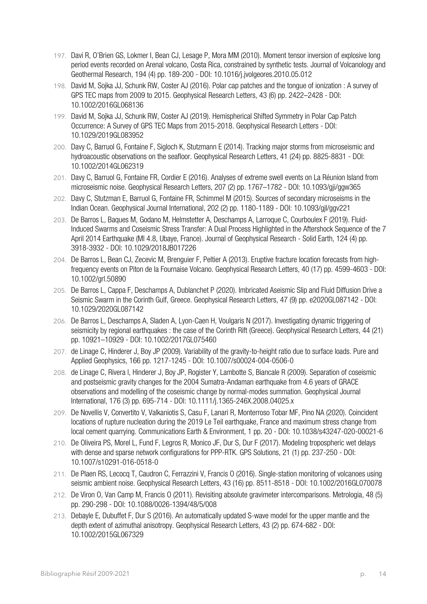- 197. Davi R, O'Brien GS, Lokmer I, Bean CJ, Lesage P, Mora MM (2010). Moment tensor inversion of explosive long period events recorded on Arenal volcano, Costa Rica, constrained by synthetic tests. Journal of Volcanology and Geothermal Research, 194 (4) pp. 189-200 - DOI: 10.1016/j.jvolgeores.2010.05.012
- 198. David M, Sojka JJ, Schunk RW, Coster AJ (2016). Polar cap patches and the tongue of ionization : A survey of GPS TEC maps from 2009 to 2015. Geophysical Research Letters, 43 (6) pp. 2422–2428 - DOI: 10.1002/2016GL068136
- 199. David M, Sojka JJ, Schunk RW, Coster AJ (2019). Hemispherical Shifted Symmetry in Polar Cap Patch Occurrence: A Survey of GPS TEC Maps from 2015-2018. Geophysical Research Letters - DOI: 10.1029/2019GL083952
- 200. Davy C, Barruol G, Fontaine F, Sigloch K, Stutzmann E (2014). Tracking major storms from microseismic and hydroacoustic observations on the seafloor. Geophysical Research Letters, 41 (24) pp. 8825-8831 - DOI: 10.1002/2014GL062319
- 201. Davy C, Barruol G, Fontaine FR, Cordier E (2016). Analyses of extreme swell events on La Réunion Island from microseismic noise. Geophysical Research Letters, 207 (2) pp. 1767–1782 - DOI: 10.1093/gji/ggw365
- 202. Davy C, Stutzman E, Barruol G, Fontaine FR, Schimmel M (2015). Sources of secondary microseisms in the Indian Ocean. Geophysical Journal International, 202 (2) pp. 1180-1189 - DOI: 10.1093/gjI/ggv221
- 203. De Barros L, Baques M, Godano M, Helmstetter A, Deschamps A, Larroque C, Courboulex F (2019). Fluid‐ Induced Swarms and Coseismic Stress Transfer: A Dual Process Highlighted in the Aftershock Sequence of the 7 April 2014 Earthquake (Ml 4.8, Ubaye, France). Journal of Geophysical Research - Solid Earth, 124 (4) pp. 3918-3932 - DOI: 10.1029/2018JB017226
- 204. De Barros L, Bean CJ, Zecevic M, Brenguier F, Peltier A (2013). Eruptive fracture location forecasts from highfrequency events on Piton de la Fournaise Volcano. Geophysical Research Letters, 40 (17) pp. 4599-4603 - DOI: 10.1002/grl.50890
- 205. De Barros L, Cappa F, Deschamps A, Dublanchet P (2020). Imbricated Aseismic Slip and Fluid Diffusion Drive a Seismic Swarm in the Corinth Gulf, Greece. Geophysical Research Letters, 47 (9) pp. e2020GL087142 - DOI: 10.1029/2020GL087142
- 206. De Barros L, Deschamps A, Sladen A, Lyon-Caen H, Voulgaris N (2017). Investigating dynamic triggering of seismicity by regional earthquakes : the case of the Corinth Rift (Greece). Geophysical Research Letters, 44 (21) pp. 10921–10929 - DOI: 10.1002/2017GL075460
- 207. de Linage C, Hinderer J, Boy JP (2009). Variability of the gravity-to-height ratio due to surface loads. Pure and Applied Geophysics, 166 pp. 1217-1245 - DOI: 10.1007/s00024-004-0506-0
- 208. de Linage C, Rivera l, Hinderer J, Boy JP, Rogister Y, Lambotte S, Biancale R (2009). Separation of coseismic and postseismic gravity changes for the 2004 Sumatra-Andaman earthquake from 4.6 years of GRACE observations and modelling of the coseismic change by normal-modes summation. Geophysical Journal International, 176 (3) pp. 695-714 - DOI: 10.1111/j.1365-246X.2008.04025.x
- 209. De Novellis V, Convertito V, Valkaniotis S, Casu F, Lanari R, Monterroso Tobar MF, Pino NA (2020). Coincident locations of rupture nucleation during the 2019 Le Teil earthquake, France and maximum stress change from local cement quarrying. Communications Earth & Environment, 1 pp. 20 - DOI: 10.1038/s43247-020-00021-6
- 210. De Oliveira PS, Morel L, Fund F, Legros R, Monico JF, Dur S, Dur F (2017). Modeling tropospheric wet delays with dense and sparse network configurations for PPP-RTK. GPS Solutions, 21 (1) pp. 237-250 - DOI: 10.1007/s10291-016-0518-0
- 211. De Plaen RS, Lecocq T, Caudron C, Ferrazzini V, Francis O (2016). Single-station monitoring of volcanoes using seismic ambient noise. Geophysical Research Letters, 43 (16) pp. 8511-8518 - DOI: 10.1002/2016GL070078
- 212. De Viron O, Van Camp M, Francis O (2011). Revisiting absolute gravimeter intercomparisons. Metrologia, 48 (5) pp. 290-298 - DOI: 10.1088/0026-1394/48/5/008
- 213. Debayle E, Dubuffet F, Dur S (2016). An automatically updated S-wave model for the upper mantle and the depth extent of azimuthal anisotropy. Geophysical Research Letters, 43 (2) pp. 674-682 - DOI: 10.1002/2015GL067329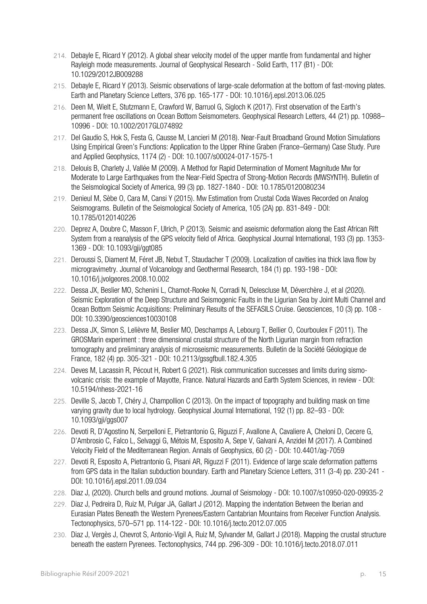- 214. Debayle E, Ricard Y (2012). A global shear velocity model of the upper mantle from fundamental and higher Rayleigh mode measurements. Journal of Geophysical Research - Solid Earth, 117 (B1) - DOI: 10.1029/2012JB009288
- 215. Debayle E, Ricard Y (2013). Seismic observations of large-scale deformation at the bottom of fast-moving plates. Earth and Planetary Science Letters, 376 pp. 165-177 - DOI: 10.1016/j.epsl.2013.06.025
- 216. Deen M, Wielt E, Stutzmann E, Crawford W, Barruol G, Sigloch K (2017). First observation of the Earth's permanent free oscillations on Ocean Bottom Seismometers. Geophysical Research Letters, 44 (21) pp. 10988– 10996 - DOI: 10.1002/2017GL074892
- 217. Del Gaudio S, Hok S, Festa G, Causse M, Lancieri M (2018). Near-Fault Broadband Ground Motion Simulations Using Empirical Green's Functions: Application to the Upper Rhine Graben (France–Germany) Case Study. Pure and Applied Geophysics, 1174 (2) - DOI: 10.1007/s00024-017-1575-1
- 218. Delouis B, Charlety J, Vallée M (2009). A Method for Rapid Determination of Moment Magnitude Mw for Moderate to Large Earthquakes from the Near-Field Spectra of Strong-Motion Records (MWSYNTH). Bulletin of the Seismological Society of America, 99 (3) pp. 1827-1840 - DOI: 10.1785/0120080234
- 219. Denieul M, Sèbe O, Cara M, Cansi Y (2015). Mw Estimation from Crustal Coda Waves Recorded on Analog Seismograms. Bulletin of the Seismological Society of America, 105 (2A) pp. 831-849 - DOI: 10.1785/0120140226
- 220. Deprez A, Doubre C, Masson F, Ulrich, P (2013). Seismic and aseismic deformation along the East African Rift System from a reanalysis of the GPS velocity field of Africa. Geophysical Journal International, 193 (3) pp. 1353- 1369 - DOI: 10.1093/gji/ggt085
- 221. Deroussi S, Diament M, Féret JB, Nebut T, Staudacher T (2009). Localization of cavities ina thick lava flow by microgravimetry. Journal of Volcanology and Geothermal Research, 184 (1) pp. 193-198 - DOI: 10.1016/j.jvolgeores.2008.10.002
- 222. Dessa JX, Beslier MO, Schenini L, Chamot-Rooke N, Corradi N, Delescluse M, Déverchère J, et al (2020). Seismic Exploration of the Deep Structure and Seismogenic Faults in the Ligurian Sea by Joint Multi Channel and Ocean Bottom Seismic Acquisitions: Preliminary Results of the SEFASILS Cruise. Geosciences, 10 (3) pp. 108 - DOI: 10.3390/geosciences10030108
- 223. Dessa JX, Simon S, Lelièvre M, Beslier MO, Deschamps A, Lebourg T, Bellier O, Courboulex F (2011). The GROSMarin experiment : three dimensional crustal structure of the North Ligurian margin from refraction tomography and preliminary analysis of microseismic measurements. Bulletin de la Société Géologique de France, 182 (4) pp. 305-321 - DOI: 10.2113/gssgfbull.182.4.305
- 224. Deves M, Lacassin R, Pécout H, Robert G (2021). Risk communication successes and limits during sismovolcanic crisis: the example of Mayotte, France. Natural Hazards and Earth System Sciences, in review - DOI: 10.5194/nhess-2021-16
- 225. Deville S, Jacob T, Chéry J, Champollion C (2013). On the impact of topography and building mask on time varying gravity due to local hydrology. Geophysical Journal International, 192 (1) pp. 82–93 - DOI: 10.1093/gji/ggs007
- 226. Devoti R, D'Agostino N, Serpelloni E, Pietrantonio G, Riguzzi F, Avallone A, Cavaliere A, Cheloni D, Cecere G, D'Ambrosio C, Falco L, Selvaggi G, Métois M, Esposito A, Sepe V, Galvani A, Anzidei M (2017). A Combined Velocity Field of the Mediterranean Region. Annals of Geophysics, 60 (2) - DOI: 10.4401/ag-7059
- 227. Devoti R, Esposito A, Pietrantonio G, Pisani AR, Riguzzi F (2011). Evidence of large scale deformation patterns from GPS data in the Italian subduction boundary. Earth and Planetary Science Letters, 311 (3-4) pp. 230-241 - DOI: 10.1016/j.epsl.2011.09.034
- 228. Diaz J, (2020). Church bells and ground motions. Journal of Seismology DOI: 10.1007/s10950-020-09935-2
- 229. Diaz J, Pedreira D, Ruiz M, Pulgar JA, Gallart J (2012). Mapping the indentation Between the Iberian and Eurasian Plates Beneath the Western Pyrenees/Eastern Cantabrian Mountains from Receiver Function Analysis. Tectonophysics, 570–571 pp. 114-122 - DOI: 10.1016/j.tecto.2012.07.005
- 230. Diaz J, Vergès J, Chevrot S, Antonio-Vigil A, Ruiz M, Sylvander M, Gallart J (2018). Mapping the crustal structure beneath the eastern Pyrenees. Tectonophysics, 744 pp. 296-309 - DOI: 10.1016/j.tecto.2018.07.011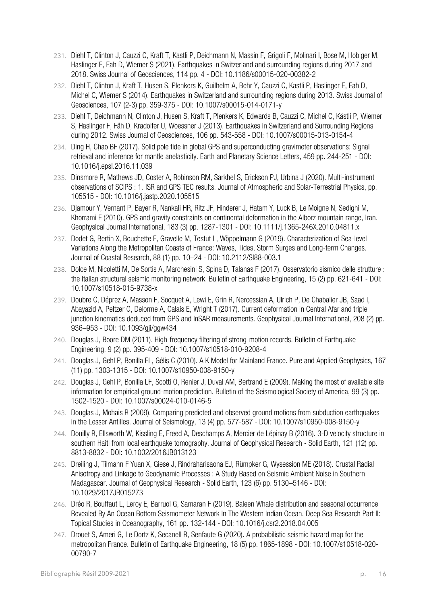- 231. Diehl T, Clinton J, Cauzzi C, Kraft T, Kastli P, Deichmann N, Massin F, Grigoli F, Molinari I, Bose M, Hobiger M, Haslinger F, Fah D, Wiemer S (2021). Earthquakes in Switzerland and surrounding regions during 2017 and 2018. Swiss Journal of Geosciences, 114 pp. 4 - DOI: 10.1186/s00015-020-00382-2
- 232. Diehl T, Clinton J, Kraft T, Husen S, Plenkers K, Guilhelm A, Behr Y, Cauzzi C, Kastli P, Haslinger F, Fah D, Michel C, Wiemer S (2014). Earthquakes in Switzerland and surrounding regions during 2013. Swiss Journal of Geosciences, 107 (2-3) pp. 359-375 - DOI: 10.1007/s00015-014-0171-y
- 233. Diehl T, Deichmann N, Clinton J, Husen S, Kraft T, Plenkers K, Edwards B, Cauzzi C, Michel C, Kästli P, Wiemer S, Haslinger F, Fäh D, Kradolfer U, Woessner J (2013). Earthquakes in Switzerland and Surrounding Regions during 2012. Swiss Journal of Geosciences, 106 pp. 543-558 - DOI: 10.1007/s00015-013-0154-4
- 234. Ding H, Chao BF (2017). Solid pole tide in global GPS and superconducting gravimeter observations: Signal retrieval and inference for mantle anelasticity. Earth and Planetary Science Letters, 459 pp. 244-251 - DOI: 10.1016/j.epsl.2016.11.039
- 235. Dinsmore R, Mathews JD, Coster A, Robinson RM, Sarkhel S, Erickson PJ, Urbina J (2020). Multi-instrument observations of SCIPS : 1. ISR and GPS TEC results. Journal of Atmospheric and Solar-Terrestrial Physics, pp. 105515 - DOI: 10.1016/j.jastp.2020.105515
- 236. Djamour Y, Vernant P, Bayer R, Nankali HR, Ritz JF, Hinderer J, Hatam Y, Luck B, Le Moigne N, Sedighi M, Khorrami F (2010). GPS and gravity constraints on continental deformation in the Alborz mountain range, Iran. Geophysical Journal International, 183 (3) pp. 1287-1301 - DOI: 10.1111/j.1365-246X.2010.04811.x
- 237. Dodet G, Bertin X, Bouchette F, Gravelle M, Testut L, Wöppelmann G (2019). Characterization of Sea-level Variations Along the Metropolitan Coasts of France: Waves, Tides, Storm Surges and Long-term Changes. Journal of Coastal Research, 88 (1) pp. 10–24 - DOI: 10.2112/SI88-003.1
- 238. Dolce M, Nicoletti M, De Sortis A, Marchesini S, Spina D, Talanas F (2017). Osservatorio sismico delle strutture : the Italian structural seismic monitoring network. Bulletin of Earthquake Engineering, 15 (2) pp. 621-641 - DOI: 10.1007/s10518-015-9738-x
- 239. Doubre C, Déprez A, Masson F, Socquet A, Lewi E, Grin R, Nercessian A, Ulrich P, De Chabalier JB, Saad I, Abayazid A, Peltzer G, Delorme A, Calais E, Wright T (2017). Current deformation in Central Afar and triple junction kinematics deduced from GPS and InSAR measurements. Geophysical Journal International, 208 (2) pp. 936–953 - DOI: 10.1093/gji/ggw434
- 240. Douglas J, Boore DM (2011). High-frequency filtering of strong-motion records. Bulletin of Earthquake Engineering, 9 (2) pp. 395-409 - DOI: 10.1007/s10518-010-9208-4
- 241. Douglas J, Gehl P, Bonilla FL, Gélis C (2010). A K Model for Mainland France. Pure and Applied Geophysics, 167 (11) pp. 1303-1315 - DOI: 10.1007/s10950-008-9150-y
- 242. Douglas J, Gehl P, Bonilla LF, Scotti O, Renier J, Duval AM, Bertrand E (2009). Making the most of available site information for empirical ground-motion prediction. Bulletin of the Seismological Society of America, 99 (3) pp. 1502-1520 - DOI: 10.1007/s00024-010-0146-5
- 243. Douglas J, Mohais R (2009). Comparing predicted and observed ground motions from subduction earthquakes in the Lesser Antilles. Journal of Seismology, 13 (4) pp. 577-587 - DOI: 10.1007/s10950-008-9150-y
- 244. Douilly R, Ellsworth W, Kissling E, Freed A, Deschamps A, Mercier de Lépinay B (2016). 3‐D velocity structure in southern Haiti from local earthquake tomography. Journal of Geophysical Research - Solid Earth, 121 (12) pp. 8813-8832 - DOI: 10.1002/2016JB013123
- 245. Dreiling J, Tilmann F Yuan X, Giese J, Rindraharisaona EJ, Rümpker G, Wysession ME (2018). Crustal Radial Anisotropy and Linkage to Geodynamic Processes : A Study Based on Seismic Ambient Noise in Southern Madagascar. Journal of Geophysical Research - Solid Earth, 123 (6) pp. 5130–5146 - DOI: 10.1029/2017JB015273
- 246. Dréo R, Bouffaut L, Leroy E, Barruol G, Samaran F (2019). Baleen Whale distribution and seasonal occurrence Revealed By An Ocean Bottom Seismometer Network In The Western Indian Ocean. Deep Sea Research Part II: Topical Studies in Oceanography, 161 pp. 132-144 - DOI: 10.1016/j.dsr2.2018.04.005
- 247. Drouet S, Ameri G, Le Dortz K, Secanell R, Senfaute G (2020). A probabilistic seismic hazard map for the metropolitan France. Bulletin of Earthquake Engineering, 18 (5) pp. 1865-1898 - DOI: 10.1007/s10518-020- 00790-7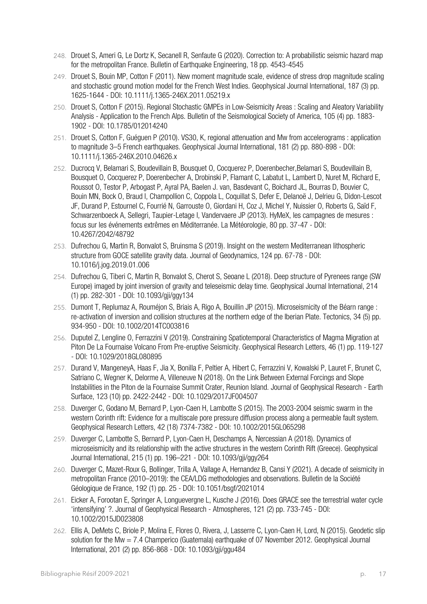- 248. Drouet S, Ameri G, Le Dortz K, Secanell R, Senfaute G (2020). Correction to: A probabilistic seismic hazard map for the metropolitan France. Bulletin of Earthquake Engineering, 18 pp. 4543-4545
- 249. Drouet S, Bouin MP, Cotton F (2011). New moment magnitude scale, evidence of stress drop magnitude scaling and stochastic ground motion model for the French West Indies. Geophysical Journal International, 187 (3) pp. 1625-1644 - DOI: 10.1111/j.1365-246X.2011.05219.x
- 250. Drouet S, Cotton F (2015). Regional Stochastic GMPEs in Low-Seismicity Areas : Scaling and Aleatory Variability Analysis - Application to the French Alps. Bulletin of the Seismological Society of America, 105 (4) pp. 1883- 1902 - DOI: 10.1785/012014240
- 251. Drouet S, Cotton F, Guéguen P (2010). VS30, K, regional attenuation and Mw from accelerograms : application to magnitude 3–5 French earthquakes. Geophysical Journal International, 181 (2) pp. 880-898 - DOI: 10.1111/j.1365-246X.2010.04626.x
- 252. Ducrocq V, Belamari S, Boudevillain B, Bousquet O, Cocquerez P, Doerenbecher,Belamari S, Boudevillain B, Bousquet O, Cocquerez P, Doerenbecher A, Drobinski P, Flamant C, Labatut L, Lambert D, Nuret M, Richard E, Roussot O, Testor P, Arbogast P, Ayral PA, Baelen J. van, Basdevant C, Boichard JL, Bourras D, Bouvier C, Bouin MN, Bock O, Braud I, Champollion C, Coppola L, Coquillat S, Defer E, Delanoë J, Delrieu G, Didon-Lescot JF, Durand P, Estournel C, Fourrié N, Garrouste O, Giordani H, Coz J, Michel Y, Nuissier O, Roberts G, Saïd F, Schwarzenboeck A, Sellegri, Taupier-Letage I, Vandervaere JP (2013). HyMeX, les campagnes de mesures : focus sur les événements extrêmes en Méditerranée. La Météorologie, 80 pp. 37-47 - DOI: 10.4267/2042/48792
- 253. Dufrechou G, Martin R, Bonvalot S, Bruinsma S (2019). Insight on the western Mediterranean lithospheric structure from GOCE satellite gravity data. Journal of Geodynamics, 124 pp. 67-78 - DOI: 10.1016/j.jog.2019.01.006
- 254. Dufrechou G, Tiberi C, Martin R, Bonvalot S, Cherot S, Seoane L (2018). Deep structure of Pyrenees range (SW Europe) imaged by joint inversion of gravity and teleseismic delay time. Geophysical Journal International, 214 (1) pp. 282-301 - DOI: 10.1093/gji/ggy134
- 255. Dumont T, Replumaz A, Rouméjon S, Briais A, Rigo A, Bouillin JP (2015). Microseismicity of the Béarn range : re-activation of inversion and collision structures at the northern edge of the Iberian Plate. Tectonics, 34 (5) pp. 934-950 - DOI: 10.1002/2014TC003816
- 256. Duputel Z, Lengline O, Ferrazzini V (2019). Constraining Spatiotemporal Characteristics of Magma Migration at Piton De La Fournaise Volcano From Pre-eruptive Seismicity. Geophysical Research Letters, 46 (1) pp. 119-127 - DOI: 10.1029/2018GL080895
- 257. Durand V, MangeneyA, Haas F, Jia X, Bonilla F, Peltier A, Hibert C, Ferrazzini V, Kowalski P, Lauret F, Brunet C, Satriano C, Wegner K, Delorme A, Villeneuve N (2018). On the Link Between External Forcings and Slope Instabilities in the Piton de la Fournaise Summit Crater, Reunion Island. Journal of Geophysical Research - Earth Surface, 123 (10) pp. 2422-2442 - DOI: 10.1029/2017JF004507
- 258. Duverger C, Godano M, Bernard P, Lyon-Caen H, Lambotte S (2015). The 2003-2004 seismic swarm in the western Corinth rift: Evidence for a multiscale pore pressure diffusion process along a permeable fault system. Geophysical Research Letters, 42 (18) 7374-7382 - DOI: 10.1002/2015GL065298
- 259. Duverger C, Lambotte S, Bernard P, Lyon-Caen H, Deschamps A, Nercessian A (2018). Dynamics of microseismicity and its relationship with the active structures in the western Corinth Rift (Greece). Geophysical Journal International, 215 (1) pp. 196–221 - DOI: 10.1093/gji/ggy264
- 260. Duverger C, Mazet-Roux G, Bollinger, Trilla A, Vallage A, Hernandez B, Cansi Y (2021). A decade of seismicity in metropolitan France (2010–2019): the CEA/LDG methodologies and observations. Bulletin de la Société Géologique de France, 192 (1) pp. 25 - DOI: 10.1051/bsgf/2021014
- 261. Eicker A, Forootan E, Springer A, Longuevergne L, Kusche J (2016). Does GRACE see the terrestrial water cycle 'intensifying' ?. Journal of Geophysical Research - Atmospheres, 121 (2) pp. 733-745 - DOI: 10.1002/2015JD023808
- 262. Ellis A, DeMets C, Briole P, Molina E, Flores O, Rivera, J, Lasserre C, Lyon-Caen H, Lord, N (2015). Geodetic slip solution for the Mw = 7.4 Champerico (Guatemala) earthquake of 07 November 2012. Geophysical Journal International, 201 (2) pp. 856-868 - DOI: 10.1093/gji/ggu484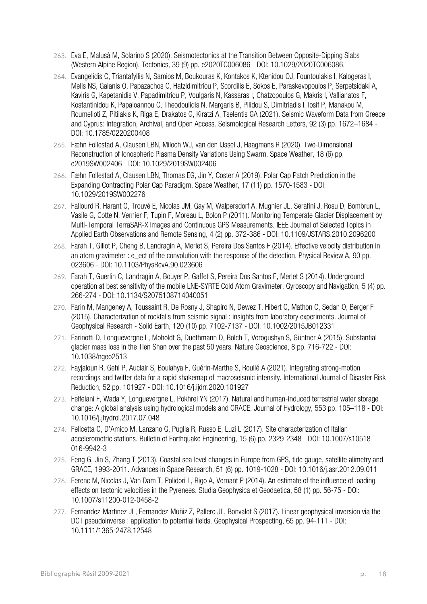- 263. Eva E, Malusà M, Solarino S (2020). Seismotectonics at the Transition Between Opposite‐Dipping Slabs (Western Alpine Region). Tectonics, 39 (9) pp. e2020TC006086 - DOI: 10.1029/2020TC006086.
- 264. Evangelidis C, Triantafyllis N, Samios M, Boukouras K, Kontakos K, Ktenidou OJ, Fountoulakis I, Kalogeras I, Melis NS, Galanis O, Papazachos C, Hatzidimitriou P, Scordilis E, Sokos E, Paraskevopoulos P, Serpetsidaki A, Kaviris G, Kapetanidis V, Papadimitriou P, Voulgaris N, Kassaras I, Chatzopoulos G, Makris I, Vallianatos F, Kostantinidou K, Papaioannou C, Theodoulidis N, Margaris B, Pilidou S, Dimitriadis I, Iosif P, Manakou M, Roumelioti Z, Pitilakis K, Riga E, Drakatos G, Kiratzi A, Tselentis GA (2021). Seismic Waveform Data from Greece and Cyprus: Integration, Archival, and Open Access. Seismological Research Letters, 92 (3) pp. 1672–1684 - DOI: 10.1785/0220200408
- 265. Fæhn Follestad A, Clausen LBN, Miloch WJ, van den IJssel J, Haagmans R (2020). Two-Dimensional Reconstruction of Ionospheric Plasma Density Variations Using Swarm. Space Weather, 18 (6) pp. e2019SW002406 - DOI: 10.1029/2019SW002406
- 266. Fæhn Follestad A, Clausen LBN, Thomas EG, Jin Y, Coster A (2019). Polar Cap Patch Prediction in the Expanding Contracting Polar Cap Paradigm. Space Weather, 17 (11) pp. 1570-1583 - DOI: 10.1029/2019SW002276
- 267. Fallourd R, Harant O, Trouvé E, Nicolas JM, Gay M, Walpersdorf A, Mugnier JL, Serafini J, Rosu D, Bombrun L, Vasile G, Cotte N, Vernier F, Tupin F, Moreau L, Bolon P (2011). Monitoring Temperate Glacier Displacement by Multi-Temporal TerraSAR-X Images and Continuous GPS Measurements. IEEE Journal of Selected Topics in Applied Earth Observations and Remote Sensing, 4 (2) pp. 372-386 - DOI: 10.1109/JSTARS.2010.2096200
- 268. Farah T, Gillot P, Cheng B, Landragin A, Merlet S, Pereira Dos Santos F (2014). Effective velocity distribution in an atom gravimeter : e\_ect of the convolution with the response of the detection. Physical Review A, 90 pp. 023606 - DOI: 10.1103/PhysRevA.90.023606
- 269. Farah T, Guerlin C, Landragin A, Bouyer P, Gaffet S, Pereira Dos Santos F, Merlet S (2014). Underground operation at best sensitivity of the mobile LNE-SYRTE Cold Atom Gravimeter. Gyroscopy and Navigation, 5 (4) pp. 266-274 - DOI: 10.1134/S2075108714040051
- 270. Farin M, Mangeney A, Toussaint R, De Rosny J, Shapiro N, Dewez T, Hibert C, Mathon C, Sedan O, Berger F (2015). Characterization of rockfalls from seismic signal : insights from laboratory experiments. Journal of Geophysical Research - Solid Earth, 120 (10) pp. 7102-7137 - DOI: 10.1002/2015JB012331
- 271. Farinotti D, Longuevergne L, Moholdt G, Duethmann D, Bolch T, Vorogushyn S, Güntner A (2015). Substantial glacier mass loss in the Tien Shan over the past 50 years. Nature Geoscience, 8 pp. 716-722 - DOI: 10.1038/ngeo2513
- 272. Fayjaloun R, Gehl P, Auclair S, Boulahya F, Guérin-Marthe S, Roullé A (2021). Integrating strong-motion recordings and twitter data for a rapid shakemap of macroseismic intensity. International Journal of Disaster Risk Reduction, 52 pp. 101927 - DOI: 10.1016/j.ijdrr.2020.101927
- 273. Felfelani F, Wada Y, Longuevergne L, Pokhrel YN (2017). Natural and human-induced terrestrial water storage change: A global analysis using hydrological models and GRACE. Journal of Hydrology, 553 pp. 105–118 - DOI: 10.1016/j.jhydrol.2017.07.048
- 274. Felicetta C, D'Amico M, Lanzano G, Puglia R, Russo E, Luzi L (2017). Site characterization of Italian accelerometric stations. Bulletin of Earthquake Engineering, 15 (6) pp. 2329-2348 - DOI: 10.1007/s10518- 016-9942-3
- 275. Feng G, Jin S, Zhang T (2013). Coastal sea level changes in Europe from GPS, tide gauge, satellite alimetry and GRACE, 1993-2011. Advances in Space Research, 51 (6) pp. 1019-1028 - DOI: 10.1016/j.asr.2012.09.011
- 276. Ferenc M, Nicolas J, Van Dam T, Polidori L, Rigo A, Vernant P (2014). An estimate of the influence of loading effects on tectonic velocities in the Pyrenees. Studia Geophysica et Geodaetica, 58 (1) pp. 56-75 - DOI: 10.1007/s11200-012-0458-2
- 277. Fernandez-Martınez JL, Fernandez-Muñiz Z, Pallero JL, Bonvalot S (2017). Linear geophysical inversion via the DCT pseudoinverse : application to potential fields. Geophysical Prospecting, 65 pp. 94-111 - DOI: 10.1111/1365-2478.12548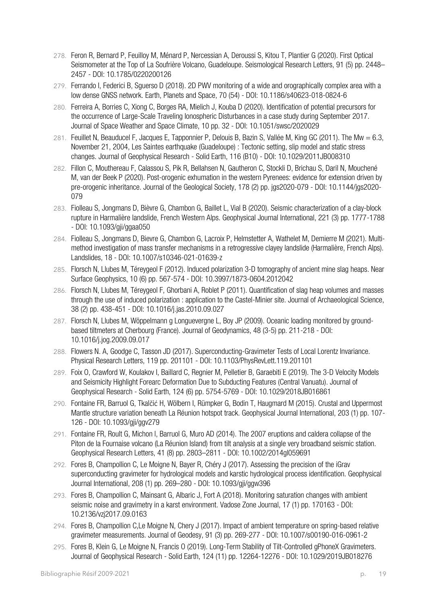- 278. Feron R, Bernard P, Feuilloy M, Ménard P, Nercessian A, Deroussi S, Kitou T, Plantier G (2020). First Optical Seismometer at the Top of La Soufrière Volcano, Guadeloupe. Seismological Research Letters, 91 (5) pp. 2448– 2457 - DOI: 10.1785/0220200126
- 279. Ferrando I, Federici B, Sguerso D (2018). 2D PWV monitoring of a wide and orographically complex area with a low dense GNSS network. Earth, Planets and Space, 70 (54) - DOI: 10.1186/s40623-018-0824-6
- 280. Ferreira A, Borries C, Xiong C, Borges RA, Mielich J, Kouba D (2020). Identification of potential precursors for the occurrence of Large-Scale Traveling Ionospheric Disturbances in a case study during September 2017. Journal of Space Weather and Space Climate, 10 pp. 32 - DOI: 10.1051/swsc/2020029
- 281. Feuillet N, Beauducel F, Jacques E, Tapponnier P, Delouis B, Bazin S, Vallée M, King GC (2011). The Mw = 6.3, November 21, 2004, Les Saintes earthquake (Guadeloupe) : Tectonic setting, slip model and static stress changes. Journal of Geophysical Research - Solid Earth, 116 (B10) - DOI: 10.1029/2011JB008310
- 282. Fillon C, Mouthereau F, Calassou S, Pik R, Bellahsen N, Gautheron C, Stockli D, Brichau S, Daril N, Mouchené M, van der Beek P (2020). Post-orogenic exhumation in the western Pyrenees: evidence for extension driven by pre-orogenic inheritance. Journal of the Geological Society, 178 (2) pp. jgs2020-079 - DOI: 10.1144/jgs2020- 079
- 283. Fiolleau S, Jongmans D, Bièvre G, Chambon G, Baillet L, Vial B (2020). Seismic characterization of a clay-block rupture in Harmalière landslide, French Western Alps. Geophysical Journal International, 221 (3) pp. 1777-1788 - DOI: 10.1093/gji/ggaa050
- 284. Fiolleau S, Jongmans D, Bievre G, Chambon G, Lacroix P, Helmstetter A, Wathelet M, Demierre M (2021). Multimethod investigation of mass transfer mechanisms in a retrogressive clayey landslide (Harmalière, French Alps). Landslides, 18 - DOI: 10.1007/s10346-021-01639-z
- 285. Florsch N, Llubes M, Téreygeol F (2012). Induced polarization 3-D tomography of ancient mine slag heaps. Near Surface Geophysics, 10 (6) pp. 567-574 - DOI: 10.3997/1873-0604.2012042
- 286. Florsch N, Llubes M, Téreygeol F, Ghorbani A, Roblet P (2011). Quantification of slag heap volumes and masses through the use of induced polarization : application to the Castel-Minier site. Journal of Archaeological Science, 38 (2) pp. 438-451 - DOI: 10.1016/j.jas.2010.09.027
- 287. Florsch N, Llubes M, Wöppelmann g Longuevergne L, Boy JP (2009). Oceanic loading monitored by groundbased tiltmeters at Cherbourg (France). Journal of Geodynamics, 48 (3-5) pp. 211-218 - DOI: 10.1016/j.jog.2009.09.017
- 288. Flowers N. A, Goodge C, Tasson JD (2017). Superconducting-Gravimeter Tests of Local Lorentz Invariance. Physical Research Letters, 119 pp. 201101 - DOI: 10.1103/PhysRevLett.119.201101
- 289. Foix O, Crawford W, Koulakov I, Baillard C, Regnier M, Pelletier B, Garaebiti E (2019). The 3‐D Velocity Models and Seismicity Highlight Forearc Deformation Due to Subducting Features (Central Vanuatu). Journal of Geophysical Research - Solid Earth, 124 (6) pp. 5754-5769 - DOI: 10.1029/2018JB016861
- 290. Fontaine FR, Barruol G, Tkalčić H, Wölbern I, Rümpker G, Bodin T, Haugmard M (2015). Crustal and Uppermost Mantle structure variation beneath La Réunion hotspot track. Geophysical Journal International, 203 (1) pp. 107- 126 - DOI: 10.1093/gji/ggv279
- 291. Fontaine FR, Roult G, Michon l, Barruol G, Muro AD (2014). The 2007 eruptions and caldera collapse of the Piton de la Fournaise volcano (La Réunion Island) from tilt analysis at a single very broadband seismic station. Geophysical Research Letters, 41 (8) pp. 2803–2811 - DOI: 10.1002/2014gl059691
- 292. Fores B, Champollion C, Le Moigne N, Bayer R, Chéry J (2017). Assessing the precision of the iGrav superconducting gravimeter for hydrological models and karstic hydrological process identification. Geophysical Journal International, 208 (1) pp. 269–280 - DOI: 10.1093/gji/ggw396
- 293. Fores B, Champollion C, Mainsant G, Albaric J, Fort A (2018). Monitoring saturation changes with ambient seismic noise and gravimetry in a karst environment. Vadose Zone Journal, 17 (1) pp. 170163 - DOI: 10.2136/vzj2017.09.0163
- 294. Fores B, Champollion C,Le Moigne N, Chery J (2017). Impact of ambient temperature on spring-based relative gravimeter measurements. Journal of Geodesy, 91 (3) pp. 269-277 - DOI: 10.1007/s00190-016-0961-2
- 295. Fores B, Klein G, Le Moigne N, Francis O (2019). Long‐Term Stability of Tilt‐Controlled gPhoneX Gravimeters. Journal of Geophysical Research - Solid Earth, 124 (11) pp. 12264-12276 - DOI: 10.1029/2019JB018276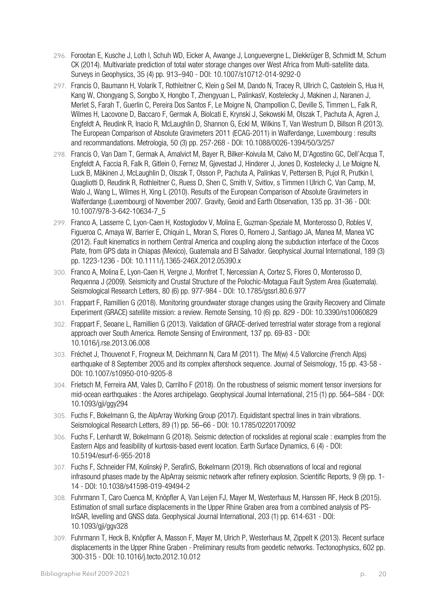- 296. Forootan E, Kusche J, Loth I, Schuh WD, Eicker A, Awange J, Longuevergne L, Diekkrüger B, Schmidt M, Schum CK (2014). Multivariate prediction of total water storage changes over West Africa from Multi-satellite data. Surveys in Geophysics, 35 (4) pp. 913–940 - DOI: 10.1007/s10712-014-9292-0
- 297. Francis O, Baumann H, Volarik T, Rothleitner C, Klein g Seil M, Dando N, Tracey R, Ullrich C, Castelein S, Hua H, Kang W, Chongyang S, Songbo X, Hongbo T, Zhengyuan L, PalinkasV, Kostelecky J, Makinen J, Naranen J, Merlet S, Farah T, Guerlin C, Pereira Dos Santos F, Le Moigne N, Champollion C, Deville S, Timmen L, Falk R, Wilmes H, Lacovone D, Baccaro F, Germak A, Biolcati E, Krynski J, Sekowski M, Olszak T, Pachuta A, Agren J, Engfeldt A, Reudink R, Inacio R, McLaughlin D, Shannon G, Eckl M, Wilkins T, Van Westrum D, Billson R (2013). The European Comparison of Absolute Gravimeters 2011 (ECAG-2011) in Walferdange, Luxembourg : results and recommandations. Metrologia, 50 (3) pp. 257-268 - DOI: 10.1088/0026-1394/50/3/257
- 298. Francis O, Van Dam T, Germak A, Amalvict M, Bayer R, Bilker-Koivula M, Calvo M, D'Agostino GC, Dell'Acqua T, Engfeldt A, Faccia R, Falk R, Gitlein O, Fernez M, Gjevestad J, Hinderer J, Jones D, Kostelecky J, Le Moigne N, Luck B, Mäkinen J, McLaughlin D, Olszak T, Olsson P, Pachuta A, Palinkas V, Pettersen B, Pujol R, Prutkin I, Quagliotti D, Reudink R, Rothleitner C, Ruess D, Shen C, Smith V, Svitlov, s Timmen l Ulrich C, Van Camp, M, Walo J, Wang L, Wilmes H, Xing L (2010). Results of the European Comparison of Absolute Gravimeters in Walferdange (Luxembourg) of November 2007. Gravity, Geoid and Earth Observation, 135 pp. 31-36 - DOI: 10.1007/978-3-642-10634-7\_5
- 299. Franco A, Lasserre C, Lyon-Caen H, Kostoglodov V, Molina E, Guzman-Speziale M, Monterosso D, Robles V, Figueroa C, Amaya W, Barrier E, Chiquin L, Moran S, Flores O, Romero J, Santiago JA, Manea M, Manea VC (2012). Fault kinematics in northern Central America and coupling along the subduction interface of the Cocos Plate, from GPS data in Chiapas (Mexico), Guatemala and El Salvador. Geophysical Journal International, 189 (3) pp. 1223-1236 - DOI: 10.1111/j.1365-246X.2012.05390.x
- 300. Franco A, Molina E, Lyon-Caen H, Vergne J, Monfret T, Nercessian A, Cortez S, Flores O, Monterosso D, Requenna J (2009). Seismicity and Crustal Structure of the Polochic-Motagua Fault System Area (Guatemala). Seismological Research Letters, 80 (6) pp. 977-984 - DOI: 10.1785/gssrl.80.6.977
- 301. Frappart F, Ramillien G (2018). Monitoring groundwater storage changes using the Gravity Recovery and Climate Experiment (GRACE) satellite mission: a review. Remote Sensing, 10 (6) pp. 829 - DOI: 10.3390/rs10060829
- 302. Frappart F, Seoane L, Ramillien G (2013). Validation of GRACE-derived terrestrial water storage from a regional approach over South America. Remote Sensing of Environment, 137 pp. 69-83 - DOI: 10.1016/j.rse.2013.06.008
- 303. Fréchet J, Thouvenot F, Frogneux M, Deichmann N, Cara M (2011). The M(w) 4.5 Vallorcine (French Alps) earthquake of 8 September 2005 and its complex aftershock sequence. Journal of Seismology, 15 pp. 43-58 - DOI: 10.1007/s10950-010-9205-8
- 304. Frietsch M, Ferreira AM, Vales D, Carrilho F (2018). On the robustness of seismic moment tensor inversions for mid-ocean earthquakes : the Azores archipelago. Geophysical Journal International, 215 (1) pp. 564–584 - DOI: 10.1093/gji/ggy294
- 305. Fuchs F, Bokelmann G, the AlpArray Working Group (2017). Equidistant spectral lines in train vibrations. Seismological Research Letters, 89 (1) pp. 56–66 - DOI: 10.1785/0220170092
- 306. Fuchs F, Lenhardt W, Bokelmann G (2018). Seismic detection of rockslides at regional scale : examples from the Eastern Alps and feasibility of kurtosis-based event location. Earth Surface Dynamics, 6 (4) - DOI: 10.5194/esurf-6-955-2018
- 307. Fuchs F, Schneider FM, Kolínský P, SerafinS, Bokelmann (2019). Rich observations of local and regional infrasound phases made by the AlpArray seismic network after refinery explosion. Scientific Reports, 9 (9) pp. 1- 14 - DOI: 10.1038/s41598-019-49494-2
- 308. Fuhrmann T, Caro Cuenca M, Knöpfler A, Van Leijen FJ, Mayer M, Westerhaus M, Hanssen RF, Heck B (2015). Estimation of small surface displacements in the Upper Rhine Graben area from a combined analysis of PS-InSAR, levelling and GNSS data. Geophysical Journal International, 203 (1) pp. 614-631 - DOI: 10.1093/gji/ggv328
- 309. Fuhrmann T, Heck B, Knöpfler A, Masson F, Mayer M, Ulrich P, Westerhaus M, Zippelt K (2013). Recent surface displacements in the Upper Rhine Graben - Preliminary results from geodetic networks. Tectonophysics, 602 pp. 300-315 - DOI: 10.1016/j.tecto.2012.10.012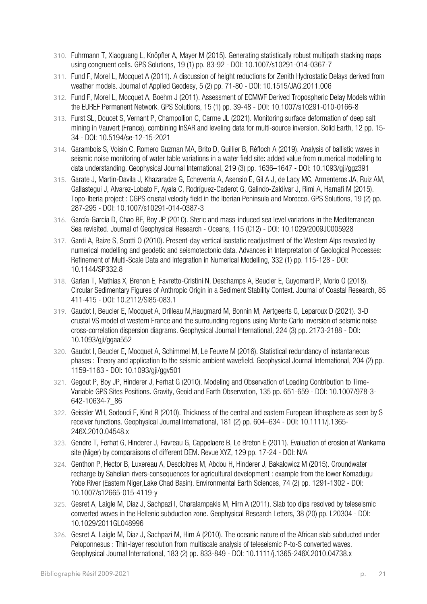- 310. Fuhrmann T, Xiaoguang L, Knöpfler A, Mayer M (2015). Generating statistically robust multipath stacking maps using congruent cells. GPS Solutions, 19 (1) pp. 83-92 - DOI: 10.1007/s10291-014-0367-7
- 311. Fund F, Morel L, Mocquet A (2011). A discussion of height reductions for Zenith Hydrostatic Delays derived from weather models. Journal of Applied Geodesy, 5 (2) pp. 71-80 - DOI: 10.1515/JAG.2011.006
- 312. Fund F, Morel L, Mocquet A, Boehm J (2011). Assessment of ECMWF Derived Tropospheric Delay Models within the EUREF Permanent Network. GPS Solutions, 15 (1) pp. 39-48 - DOI: 10.1007/s10291-010-0166-8
- 313. Furst SL, Doucet S, Vernant P, Champollion C, Carme JL (2021). Monitoring surface deformation of deep salt mining in Vauvert (France), combining InSAR and leveling data for multi-source inversion. Solid Earth, 12 pp. 15- 34 - DOI: 10.5194/se-12-15-2021
- 314. Garambois S, Voisin C, Romero Guzman MA, Brito D, Guillier B, Réfloch A (2019). Analysis of ballistic waves in seismic noise monitoring of water table variations in a water field site: added value from numerical modelling to data understanding. Geophysical Journal International, 219 (3) pp. 1636–1647 - DOI: 10.1093/gji/ggz391
- 315. Garate J, Martin-Davila J, Khazaradze G, Echeverria A, Asensio E, Gil A J, de Lacy MC, Armenteros JA, Ruiz AM, Gallastegui J, Alvarez-Lobato F, Ayala C, Rodríguez-Caderot G, Galindo-Zaldívar J, Rimi A, Harnafi M (2015). Topo-Iberia project : CGPS crustal velocity field in the Iberian Peninsula and Morocco. GPS Solutions, 19 (2) pp. 287-295 - DOI: 10.1007/s10291-014-0387-3
- 316. García-García D, Chao BF, Boy JP (2010). Steric and mass-induced sea level variations in the Mediterranean Sea revisited. Journal of Geophysical Research - Oceans, 115 (C12) - DOI: 10.1029/2009JC005928
- 317. Gardi A, Baize S, Scotti O (2010). Present-day vertical isostatic readjustment of the Western Alps revealed by numerical modelling and geodetic and seismotectonic data. Advances in Interpretation of Geological Processes: Refinement of Multi-Scale Data and Integration in Numerical Modelling, 332 (1) pp. 115-128 - DOI: 10.1144/SP332.8
- 318. Garlan T, Mathias X, Brenon E, Favretto-Cristini N, Deschamps A, Beucler E, Guyomard P, Morio O (2018). Circular Sedimentary Figures of Anthropic Origin in a Sediment Stability Context. Journal of Coastal Research, 85 411-415 - DOI: 10.2112/SI85-083.1
- 319. Gaudot I, Beucler E, Mocquet A, Drilleau M,Haugmard M, Bonnin M, Aertgeerts G, Leparoux D (2021). 3-D crustal VS model of western France and the surrounding regions using Monte Carlo inversion of seismic noise cross-correlation dispersion diagrams. Geophysical Journal International, 224 (3) pp. 2173-2188 - DOI: 10.1093/gji/ggaa552
- 320. Gaudot I, Beucler E, Mocquet A, Schimmel M, Le Feuvre M (2016). Statistical redundancy of instantaneous phases : Theory and application to the seismic ambient wavefield. Geophysical Journal International, 204 (2) pp. 1159-1163 - DOI: 10.1093/gji/ggv501
- 321. Gegout P, Boy JP, Hinderer J, Ferhat G (2010). Modeling and Observation of Loading Contribution to Time-Variable GPS Sites Positions. Gravity, Geoid and Earth Observation, 135 pp. 651-659 - DOI: 10.1007/978-3- 642-10634-7\_86
- 322. Geissler WH, Sodoudi F, Kind R (2010). Thickness of the central and eastern European lithosphere as seen by S receiver functions. Geophysical Journal International, 181 (2) pp. 604–634 - DOI: 10.1111/j.1365- 246X.2010.04548.x
- 323. Gendre T, Ferhat G, Hinderer J, Favreau G, Cappelaere B, Le Breton E (2011). Evaluation of erosion at Wankama site (Niger) by comparaisons of different DEM. Revue XYZ, 129 pp. 17-24 - DOI: N/A
- 324. Genthon P, Hector B, Luxereau A, Descloitres M, Abdou H, Hinderer J, Bakalowicz M (2015). Groundwater recharge by Sahelian rivers-consequences for agricultural development : example from the lower Komadugu Yobe River (Eastern Niger,Lake Chad Basin). Environmental Earth Sciences, 74 (2) pp. 1291-1302 - DOI: 10.1007/s12665-015-4119-y
- 325. Gesret A, Laigle M, Diaz J, Sachpazi l, Charalampakis M, Hirn A (2011). Slab top dips resolved by teleseismic converted waves in the Hellenic subduction zone. Geophysical Research Letters, 38 (20) pp. L20304 - DOI: 10.1029/2011GL048996
- 326. Gesret A, Laigle M, Diaz J, Sachpazi M, Hirn A (2010). The oceanic nature of the African slab subducted under Peloponnesus : Thin-layer resolution from multiscale analysis of teleseismic P-to-S converted waves. Geophysical Journal International, 183 (2) pp. 833-849 - DOI: 10.1111/j.1365-246X.2010.04738.x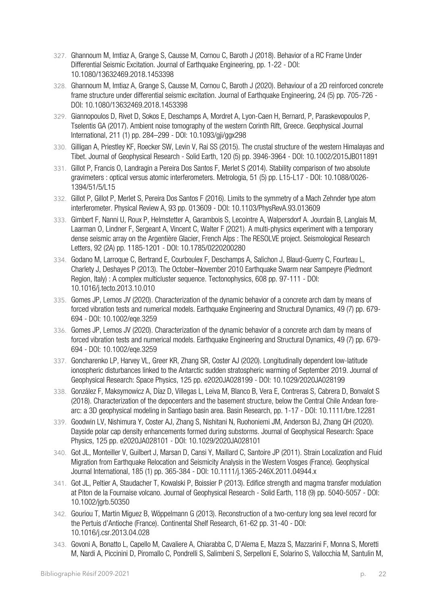- 327. Ghannoum M, Imtiaz A, Grange S, Causse M, Cornou C, Baroth J (2018). Behavior of a RC Frame Under Differential Seismic Excitation. Journal of Earthquake Engineering, pp. 1-22 - DOI: 10.1080/13632469.2018.1453398
- 328. Ghannoum M, Imtiaz A, Grange S, Causse M, Cornou C, Baroth J (2020). Behaviour of a 2D reinforced concrete frame structure under differential seismic excitation. Journal of Earthquake Engineering, 24 (5) pp. 705-726 - DOI: 10.1080/13632469.2018.1453398
- 329. Giannopoulos D, Rivet D, Sokos E, Deschamps A, Mordret A, Lyon-Caen H, Bernard, P, Paraskevopoulos P, Tselentis GA (2017). Ambient noise tomography of the western Corinth Rift, Greece. Geophysical Journal International, 211 (1) pp. 284–299 - DOI: 10.1093/gji/ggx298
- 330. Gilligan A, Priestley KF, Roecker SW, Levin V, Rai SS (2015). The crustal structure of the western Himalayas and Tibet. Journal of Geophysical Research - Solid Earth, 120 (5) pp. 3946-3964 - DOI: 10.1002/2015JB011891
- 331. Gillot P, Francis O, Landragin a Pereira Dos Santos F, Merlet S (2014). Stability comparison of two absolute gravimeters : optical versus atomic interferometers. Metrologia, 51 (5) pp. L15-L17 - DOI: 10.1088/0026- 1394/51/5/L15
- 332. Gillot P, Gillot P, Merlet S, Pereira Dos Santos F (2016). Limits to the symmetry of a Mach Zehnder type atom interferometer. Physical Review A, 93 pp. 013609 - DOI: 10.1103/PhysRevA.93.013609
- 333. Gimbert F, Nanni U, Roux P, Helmstetter A, Garambois S, Lecointre A, Walpersdorf A. Jourdain B, Langlais M, Laarman O, Lindner F, Sergeant A, Vincent C, Walter F (2021). A multi-physics experiment with a temporary dense seismic array on the Argentière Glacier, French Alps : The RESOLVE project. Seismological Research Letters, 92 (2A) pp. 1185-1201 - DOI: 10.1785/0220200280
- 334. Godano M, Larroque C, Bertrand E, Courboulex F, Deschamps A, Salichon J, Blaud-Guerry C, Fourteau L, Charlety J, Deshayes P (2013). The October–November 2010 Earthquake Swarm near Sampeyre (Piedmont Region, Italy) : A complex multicluster sequence. Tectonophysics, 608 pp. 97-111 - DOI: 10.1016/j.tecto.2013.10.010
- 335. Gomes JP, Lemos JV (2020). Characterization of the dynamic behavior of a concrete arch dam by means of forced vibration tests and numerical models. Earthquake Engineering and Structural Dynamics, 49 (7) pp. 679- 694 - DOI: 10.1002/eqe.3259
- 336. Gomes JP, Lemos JV (2020). Characterization of the dynamic behavior of a concrete arch dam by means of forced vibration tests and numerical models. Earthquake Engineering and Structural Dynamics, 49 (7) pp. 679- 694 - DOI: 10.1002/eqe.3259
- 337. Goncharenko LP, Harvey VL, Greer KR, Zhang SR, Coster AJ (2020). Longitudinally dependent low‐latitude ionospheric disturbances linked to the Antarctic sudden stratospheric warming of September 2019. Journal of Geophysical Research: Space Physics, 125 pp. e2020JA028199 - DOI: 10.1029/2020JA028199
- 338. González F, Maksymowicz A, Díaz D, Villegas L, Leiva M, Blanco B, Vera E, Contreras S, Cabrera D, Bonvalot S (2018). Characterization of the depocenters and the basement structure, below the Central Chile Andean forearc: a 3D geophysical modeling in Santiago basin area. Basin Research, pp. 1-17 - DOI: 10.1111/bre.12281
- 339. Goodwin LV, Nishimura Y, Coster AJ, Zhang S, Nishitani N, Ruohoniemi JM, Anderson BJ, Zhang QH (2020). Dayside polar cap density enhancements formed during substorms. Journal of Geophysical Research: Space Physics, 125 pp. e2020JA028101 - DOI: 10.1029/2020JA028101
- 340. Got JL, Monteiller V, Guilbert J, Marsan D, Cansi Y, Maillard C, Santoire JP (2011). Strain Localization and Fluid Migration from Earthquake Relocation and Seismicity Analysis in the Western Vosges (France). Geophysical Journal International, 185 (1) pp. 365-384 - DOI: 10.1111/j.1365-246X.2011.04944.x
- 341. Got JL, Peltier A, Staudacher T, Kowalski P, Boissier P (2013). Edifice strength and magma transfer modulation at Piton de la Fournaise volcano. Journal of Geophysical Research - Solid Earth, 118 (9) pp. 5040-5057 - DOI: 10.1002/jgrb.50350
- 342. Gouriou T, Martin Miguez B, Wöppelmann G (2013). Reconstruction of a two-century long sea level record for the Pertuis d'Antioche (France). Continental Shelf Research, 61-62 pp. 31-40 - DOI: 10.1016/j.csr.2013.04.028
- 343. Govoni A, Bonatto L, Capello M, Cavaliere A, Chiarabba C, D'Alema E, Mazza S, Mazzarini F, Monna S, Moretti M, Nardi A, Piccinini D, Piromallo C, Pondrelli S, Salimbeni S, Serpelloni E, Solarino S, Vallocchia M, Santulin M,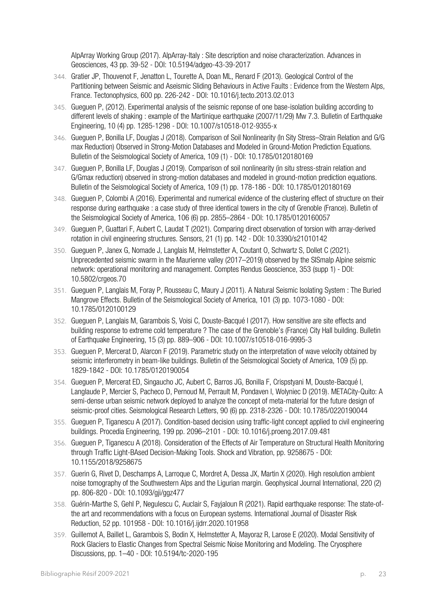AlpArray Working Group (2017). AlpArray-Italy : Site description and noise characterization. Advances in Geosciences, 43 pp. 39-52 - DOI: 10.5194/adgeo-43-39-2017

- 344. Gratier JP, Thouvenot F, Jenatton L, Tourette A, Doan ML, Renard F (2013). Geological Control of the Partitioning between Seismic and Aseismic Sliding Behaviours in Active Faults : Evidence from the Western Alps, France. Tectonophysics, 600 pp. 226-242 - DOI: 10.1016/j.tecto.2013.02.013
- 345. Gueguen P, (2012). Experimental analysis of the seismic reponse of one base-isolation building according to different levels of shaking : example of the Martinique earthquake (2007/11/29) Mw 7.3. Bulletin of Earthquake Engineering, 10 (4) pp. 1285-1298 - DOI: 10.1007/s10518-012-9355-x
- 346. Gueguen P, Bonilla LF, Douglas J (2018). Comparison of Soil Nonlinearity (In Sity Stress–Strain Relation and G/G max Reduction) Observed in Strong-Motion Databases and Modeled in Ground-Motion Prediction Equations. Bulletin of the Seismological Society of America, 109 (1) - DOI: 10.1785/0120180169
- 347. Gueguen P, Bonilla LF, Douglas J (2019). Comparison of soil nonlinearity (in situ stress-strain relation and G/Gmax reduction) observed in strong-motion databases and modeled in ground-motion prediction equations. Bulletin of the Seismological Society of America, 109 (1) pp. 178-186 - DOI: 10.1785/0120180169
- 348. Gueguen P, Colombi A (2016). Experimental and numerical evidence of the clustering effect of structure on their response during earthquake : a case study of three identical towers in the city of Grenoble (France). Bulletin of the Seismological Society of America, 106 (6) pp. 2855–2864 - DOI: 10.1785/0120160057
- 349. Gueguen P, Guattari F, Aubert C, Laudat T (2021). Comparing direct observation of torsion with array-derived rotation in civil engineering structures. Sensors, 21 (1) pp. 142 - DOI: 10.3390/s21010142
- 350. Gueguen P, Janex G, Nomade J, Langlais M, Helmstetter A, Coutant O, Schwartz S, Dollet C (2021). Unprecedented seismic swarm in the Maurienne valley (2017–2019) observed by the SISmalp Alpine seismic network: operational monitoring and management. Comptes Rendus Geoscience, 353 (supp 1) - DOI: 10.5802/crgeos.70
- 351. Gueguen P, Langlais M, Foray P, Rousseau C, Maury J (2011). A Natural Seismic Isolating System : The Buried Mangrove Effects. Bulletin of the Seismological Society of America, 101 (3) pp. 1073-1080 - DOI: 10.1785/0120100129
- 352. Gueguen P, Langlais M, Garambois S, Voisi C, Douste-Bacqué I (2017). How sensitive are site effects and building response to extreme cold temperature ? The case of the Grenoble's (France) City Hall building. Bulletin of Earthquake Engineering, 15 (3) pp. 889–906 - DOI: 10.1007/s10518-016-9995-3
- 353. Gueguen P, Mercerat D, Alarcon F (2019). Parametric study on the interpretation of wave velocity obtained by seismic interferometry in beam‐like buildings. Bulletin of the Seismological Society of America, 109 (5) pp. 1829-1842 - DOI: 10.1785/0120190054
- 354. Gueguen P, Mercerat ED, Singaucho JC, Aubert C, Barros JG, Bonilla F, Crispstyani M, Douste-Bacqué I, Langlaude P, Mercier S, Pacheco D, Pernoud M, Perrault M, Pondaven I, Wolyniec D (2019). METACity-Quito: A semi-dense urban seismic network deployed to analyze the concept of meta-material for the future design of seismic-proof cities. Seismological Research Letters, 90 (6) pp. 2318-2326 - DOI: 10.1785/0220190044
- 355. Gueguen P, Tiganescu A (2017). Condition-based decision using traffic-light concept applied to civil engineering buildings. Procedia Engineering, 199 pp. 2096–2101 - DOI: 10.1016/j.proeng.2017.09.481
- 356. Gueguen P, Tiganescu A (2018). Consideration of the Effects of Air Temperature on Structural Health Monitoring through Traffic Light-BAsed Decision-Making Tools. Shock and Vibration, pp. 9258675 - DOI: 10.1155/2018/9258675
- 357. Guerin G, Rivet D, Deschamps A, Larroque C, Mordret A, Dessa JX, Martin X (2020). High resolution ambient noise tomography of the Southwestern Alps and the Ligurian margin. Geophysical Journal International, 220 (2) pp. 806-820 - DOI: 10.1093/gji/ggz477
- 358. Guérin-Marthe S, Gehl P, Negulescu C, Auclair S, Fayjaloun R (2021). Rapid earthquake response: The state-ofthe art and recommendations with a focus on European systems. International Journal of Disaster Risk Reduction, 52 pp. 101958 - DOI: 10.1016/j.ijdrr.2020.101958
- 359. Guillemot A, Baillet L, Garambois S, Bodin X, Helmstetter A, Mayoraz R, Larose E (2020). Modal Sensitivity of Rock Glaciers to Elastic Changes from Spectral Seismic Noise Monitoring and Modeling. The Cryosphere Discussions, pp. 1–40 - DOI: 10.5194/tc-2020-195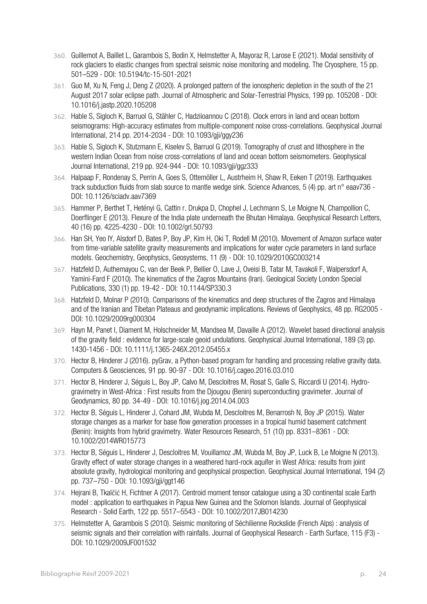- 360. Guillemot A, Baillet L, Garambois S, Bodin X, Helmstetter A, Mayoraz R, Larose E (2021). Modal sensitivity of rock glaciers to elastic changes from spectral seismic noise monitoring and modeling. The Cryosphere, 15 pp. 501–529 - DOI: 10.5194/tc-15-501-2021
- 361. Guo M, Xu N, Feng J, Deng Z (2020). A prolonged pattern of the ionospheric depletion in the south of the 21 August 2017 solar eclipse path. Journal of Atmospheric and Solar-Terrestrial Physics, 199 pp. 105208 - DOI: 10.1016/j.jastp.2020.105208
- 362. Hable S, Sigloch K, Barruol G, Stähler C, Hadziioannou C (2018). Clock errors in land and ocean bottom seismograms: High-accuracy estimates from multiple-component noise cross-correlations. Geophysical Journal International, 214 pp. 2014-2034 - DOI: 10.1093/gji/ggy236
- 363. Hable S, Sigloch K, Stutzmann E, Kiselev S, Barruol G (2019). Tomography of crust and lithosphere in the western Indian Ocean from noise cross-correlations of land and ocean bottom seismometers. Geophysical Journal International, 219 pp. 924-944 - DOI: 10.1093/gji/ggz333
- 364. Halpaap F, Rondenay S, Perrin A, Goes S, Ottemöller L, Austrheim H, Shaw R, Eeken T (2019). Earthquakes track subduction fluids from slab source to mantle wedge sink. Science Advances, 5 (4) pp. art n° eaav736 - DOI: 10.1126/sciadv.aav7369
- 365. Hammer P, Berthet T, Hetényi G, Cattin r. Drukpa D, Chophel J, Lechmann S, Le Moigne N, Champollion C, Doerflinger E (2013). Flexure of the India plate underneath the Bhutan Himalaya. Geophysical Research Letters, 40 (16) pp. 4225-4230 - DOI: 10.1002/grl.50793
- 366. Han SH, Yeo IY, Alsdorf D, Bates P, Boy JP, Kim H, Oki T, Rodell M (2010). Movement of Amazon surface water from time-variable satellite gravity measurements and implications for water cycle parameters in land surface models. Geochemistry, Geophysics, Geosystems, 11 (9) - DOI: 10.1029/2010GC003214
- 367. Hatzfeld D, Authemayou C, van der Beek P, Bellier O, Lave J, Oveisi B, Tatar M, Tavakoli F, Walpersdorf A, Yamini-Fard F (2010). The kinematics of the Zagros Mountains (Iran). Geological Society London Special Publications, 330 (1) pp. 19-42 - DOI: 10.1144/SP330.3
- 368. Hatzfeld D, Molnar P (2010). Comparisons of the kinematics and deep structures of the Zagros and Himalaya and of the Iranian and Tibetan Plateaus and geodynamic implications. Reviews of Geophysics, 48 pp. RG2005 - DOI: 10.1029/2009rg000304
- 369. Hayn M, Panet I, Diament M, Holschneider M, Mandsea M, Davaille A (2012). Wavelet based directional analysis of the gravity field : evidence for large-scale geoid undulations. Geophysical Journal International, 189 (3) pp. 1430-1456 - DOI: 10.1111/j.1365-246X.2012.05455.x
- 370. Hector B, Hinderer J (2016). pyGrav, a Python-based program for handling and processing relative gravity data. Computers & Geosciences, 91 pp. 90-97 - DOI: 10.1016/j.cageo.2016.03.010
- 371. Hector B, Hinderer J, Séguis L, Boy JP, Calvo M, Descloitres M, Rosat S, Galle S, Riccardi U (2014). Hydrogravimetry in West-Africa : First results from the Djougou (Benin) superconducting gravimeter. Journal of Geodynamics, 80 pp. 34-49 - DOI: 10.1016/j.jog.2014.04.003
- 372. Hector B, Séguis L, Hinderer J, Cohard JM, Wubda M, Descloitres M, Benarrosh N, Boy JP (2015). Water storage changes as a marker for base flow generation processes in a tropical humid basement catchment (Benin): Insights from hybrid gravimetry. Water Resources Research, 51 (10) pp. 8331–8361 - DOI: 10.1002/2014WR015773
- 373. Hector B, Séguis L, Hinderer J, Descloitres M, Vouillamoz JM, Wubda M, Boy JP, Luck B, Le Moigne N (2013). Gravity effect of water storage changes in a weathered hard-rock aquifer in West Africa: results from joint absolute gravity, hydrological monitoring and geophysical prospection. Geophysical Journal International, 194 (2) pp. 737–750 - DOI: 10.1093/gji/ggt146
- 374. Hejrani B, Tkalčić H, Fichtner A (2017). Centroid moment tensor catalogue using a 3D continental scale Earth model : application to earthquakes in Papua New Guinea and the Solomon Islands. Journal of Geophysical Research - Solid Earth, 122 pp. 5517–5543 - DOI: 10.1002/2017JB014230
- 375. Helmstetter A, Garambois S (2010). Seismic monitoring of Séchilienne Rockslide (French Alps) : analysis of seismic signals and their correlation with rainfalls. Journal of Geophysical Research - Earth Surface, 115 (F3) - DOI: 10.1029/2009JF001532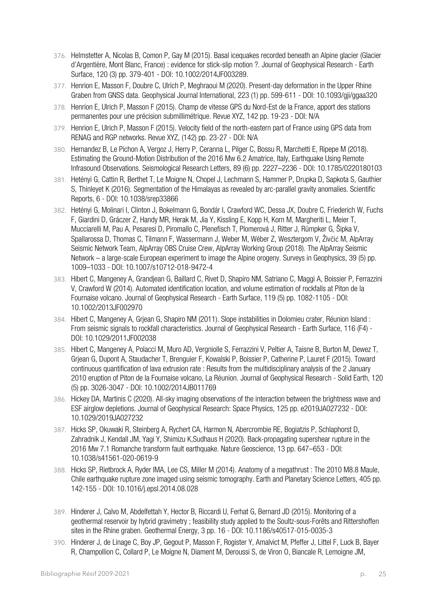- 376. Helmstetter A, Nicolas B, Comon P, Gay M (2015). Basal icequakes recorded beneath an Alpine glacier (Glacier d'Argentière, Mont Blanc, France) : evidence for stick-slip motion ?. Journal of Geophysical Research - Earth Surface, 120 (3) pp. 379-401 - DOI: 10.1002/2014JF003289.
- 377. Henrion E, Masson F, Doubre C, Ulrich P, Meghraoui M (2020). Present-day deformation in the Upper Rhine Graben from GNSS data. Geophysical Journal International, 223 (1) pp. 599-611 - DOI: 10.1093/gji/ggaa320
- 378. Henrion E, Ulrich P, Masson F (2015). Champ de vitesse GPS du Nord-Est de la France, apport des stations permanentes pour une précision submillimétrique. Revue XYZ, 142 pp. 19-23 - DOI: N/A
- 379. Henrion E, Ulrich P, Masson F (2015). Velocity field of the north-eastern part of France using GPS data from RENAG and RGP networks. Revue XYZ, (142) pp. 23-27 - DOI: N/A
- 380. Hernandez B, Le Pichon A, Vergoz J, Herry P, Ceranna L, Pilger C, Bossu R, Marchetti E, Ripepe M (2018). Estimating the Ground‐Motion Distribution of the 2016 Mw 6.2 Amatrice, Italy, Earthquake Using Remote Infrasound Observations. Seismological Research Letters, 89 (6) pp. 2227–2236 - DOI: 10.1785/0220180103
- 381. Hetényi G, Cattin R, Berthet T, Le Moigne N, Chopel J, Lechmann S, Hammer P, Drupka D, Sapkota S, Gauthier S, Thinleyet K (2016). Segmentation of the Himalayas as revealed by arc-parallel gravity anomalies. Scientific Reports, 6 - DOI: 10.1038/srep33866
- 382. Hetényi G, Molinari I, Clinton J, Bokelmann G, Bondár I, Crawford WC, Dessa JX, Doubre C, Friederich W, Fuchs F, Giardini D, Gráczer Z, Handy MR, Herak M, Jia Y, Kissling E, Kopp H, Korn M, Margheriti L, Meier T, Mucciarelli M, Pau A, Pesaresi D, Piromallo C, Plenefisch T, Plomerová J, Ritter J, Rümpker G, Šipka V, Spallarossa D, Thomas C, Tilmann F, Wassermann J, Weber M, Wéber Z, Wesztergom V, Živčić M, AlpArray Seismic Network Team, AlpArray OBS Cruise Crew, AlpArray Working Group (2018). The AlpArray Seismic Network – a large-scale European experiment to image the Alpine orogeny. Surveys in Geophysics, 39 (5) pp. 1009–1033 - DOI: 10.1007/s10712-018-9472-4
- 383. Hibert C, Mangeney A, Grandjean G, Baillard C, Rivet D, Shapiro NM, Satriano C, Maggi A, Boissier P, Ferrazzini V, Crawford W (2014). Automated identification location, and volume estimation of rockfalls at Piton de la Fournaise volcano. Journal of Geophysical Research - Earth Surface, 119 (5) pp. 1082-1105 - DOI: 10.1002/2013JF002970
- 384. Hibert C, Mangeney A, Grjean G, Shapiro NM (2011). Slope instabilities in Dolomieu crater, Réunion Island : From seismic signals to rockfall characteristics. Journal of Geophysical Research - Earth Surface, 116 (F4) - DOI: 10.1029/2011JF002038
- 385. Hibert C, Mangeney A, Polacci M, Muro AD, Vergniolle S, Ferrazzini V, Peltier A, Taisne B, Burton M, Dewez T, Grjean G, Dupont A, Staudacher T, Brenguier F, Kowalski P, Boissier P, Catherine P, Lauret F (2015). Toward continuous quantification of lava extrusion rate : Results from the multidisciplinary analysis of the 2 January 2010 eruption of Piton de la Fournaise volcano, La Réunion. Journal of Geophysical Research - Solid Earth, 120 (5) pp. 3026-3047 - DOI: 10.1002/2014JB011769
- 386. Hickey DA, Martinis C (2020). All‐sky imaging observations of the interaction between the brightness wave and ESF airglow depletions. Journal of Geophysical Research: Space Physics, 125 pp. e2019JA027232 - DOI: 10.1029/2019JA027232
- 387. Hicks SP, Okuwaki R, Steinberg A, Rychert CA, Harmon N, Abercrombie RE, Bogiatzis P, Schlaphorst D, Zahradnik J, Kendall JM, Yagi Y, Shimizu K,Sudhaus H (2020). Back-propagating supershear rupture in the 2016 Mw 7.1 Romanche transform fault earthquake. Nature Geoscience, 13 pp. 647–653 - DOI: 10.1038/s41561-020-0619-9
- 388. Hicks SP, Rietbrock A, Ryder IMA, Lee CS, Miller M (2014). Anatomy of a megathrust : The 2010 M8.8 Maule, Chile earthquake rupture zone imaged using seismic tomography. Earth and Planetary Science Letters, 405 pp. 142-155 - DOI: 10.1016/j.epsl.2014.08.028
- 389. Hinderer J, Calvo M, Abdelfettah Y, Hector B, Riccardi U, Ferhat G, Bernard JD (2015). Monitoring of a geothermal reservoir by hybrid gravimetry ; feasibility study applied to the Soultz-sous-Forêts and Rittershoffen sites in the Rhine graben. Geothermal Energy, 3 pp. 16 - DOI: 10.1186/s40517-015-0035-3
- 390. Hinderer J, de Linage C, Boy JP, Gegout P, Masson F, Rogister Y, Amalvict M, Pfeffer J, Littel F, Luck B, Bayer R, Champollion C, Collard P, Le Moigne N, Diament M, Deroussi S, de Viron O, Biancale R, Lemoigne JM,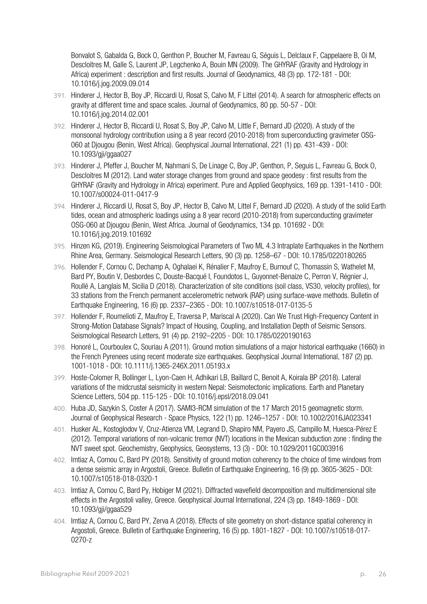Bonvalot S, Gabalda G, Bock O, Genthon P, Boucher M, Favreau G, Séguis L, Delclaux F, Cappelaere B, Oi M, Descloitres M, Galle S, Laurent JP, Legchenko A, Bouin MN (2009). The GHYRAF (Gravity and Hydrology in Africa) experiment : description and first results. Journal of Geodynamics, 48 (3) pp. 172-181 - DOI: 10.1016/j.jog.2009.09.014

- 391. Hinderer J, Hector B, Boy JP, Riccardi U, Rosat S, Calvo M, F Littel (2014). A search for atmospheric effects on gravity at different time and space scales. Journal of Geodynamics, 80 pp. 50-57 - DOI: 10.1016/j.jog.2014.02.001
- 392. Hinderer J, Hector B, Riccardi U, Rosat S, Boy JP, Calvo M, Little F, Bernard JD (2020). A study of the monsoonal hydrology contribution using a 8 year record (2010-2018) from superconducting gravimeter OSG-060 at Djougou (Benin, West Africa). Geophysical Journal International, 221 (1) pp. 431-439 - DOI: 10.1093/gji/ggaa027
- 393. Hinderer J, Pfeffer J, Boucher M, Nahmani S, De Linage C, Boy JP, Genthon, P, Seguis L, Favreau G, Bock O, Descloitres M (2012). Land water storage changes from ground and space geodesy : first results from the GHYRAF (Gravity and Hydrology in Africa) experiment. Pure and Applied Geophysics, 169 pp. 1391-1410 - DOI: 10.1007/s00024-011-0417-9
- 394. Hinderer J, Riccardi U, Rosat S, Boy JP, Hector B, Calvo M, Littel F, Bernard JD (2020). A study of the solid Earth tides, ocean and atmospheric loadings using a 8 year record (2010-2018) from superconducting gravimeter OSG-060 at Djougou (Benin, West Africa. Journal of Geodynamics, 134 pp. 101692 - DOI: 10.1016/j.jog.2019.101692
- 395. Hinzen KG, (2019). Engineering Seismological Parameters of Two ML 4.3 Intraplate Earthquakes in the Northern Rhine Area, Germany. Seismological Research Letters, 90 (3) pp. 1258–67 - DOI: 10.1785/0220180265
- 396. Hollender F, Cornou C, Dechamp A, Oghalaei K, Rénalier F, Maufroy E, Burnouf C, Thomassin S, Wathelet M, Bard PY, Boutin V, Desbordes C, Douste-Bacqué I, Foundotos L, Guyonnet-Benaize C, Perron V, Régnier J, Roullé A, Langlais M, Sicilia D (2018). Characterization of site conditions (soil class, VS30, velocity profiles), for 33 stations from the French permanent accelerometric network (RAP) using surface-wave methods. Bulletin of Earthquake Engineering, 16 (6) pp. 2337–2365 - DOI: 10.1007/s10518-017-0135-5
- 397. Hollender F, Roumelioti Z, Maufroy E, Traversa P, Mariscal A (2020). Can We Trust High‐Frequency Content in Strong‐Motion Database Signals? Impact of Housing, Coupling, and Installation Depth of Seismic Sensors. Seismological Research Letters, 91 (4) pp. 2192–2205 - DOI: 10.1785/0220190163
- 398. Honoré L, Courboulex C, Souriau A (2011). Ground motion simulations of a major historical earthquake (1660) in the French Pyrenees using recent moderate size earthquakes. Geophysical Journal International, 187 (2) pp. 1001-1018 - DOI: 10.1111/j.1365-246X.2011.05193.x
- 399. Hoste-Colomer R, Bollinger L, Lyon-Caen H, Adhikari LB, Baillard C, Benoit A, Koirala BP (2018). Lateral variations of the midcrustal seismicity in western Nepal: Seismotectonic implications. Earth and Planetary Science Letters, 504 pp. 115-125 - DOI: 10.1016/j.epsl/2018.09.041
- 400. Huba JD, Sazykin S, Coster A (2017). SAMI3-RCM simulation of the 17 March 2015 geomagnetic storm. Journal of Geophysical Research - Space Physics, 122 (1) pp. 1246–1257 - DOI: 10.1002/2016JA023341
- 401. Husker AL, Kostoglodov V, Cruz-Atienza VM, Legrand D, Shapiro NM, Payero JS, Campillo M, Huesca-Pérez E (2012). Temporal variations of non-volcanic tremor (NVT) locations in the Mexican subduction zone : finding the NVT sweet spot. Geochemistry, Geophysics, Geosystems, 13 (3) - DOI: 10.1029/2011GC003916
- 402. Imtiaz A, Cornou C, Bard PY (2018). Sensitivity of ground motion coherency to the choice of time windows from a dense seismic array in Argostoli, Greece. Bulletin of Earthquake Engineering, 16 (9) pp. 3605-3625 - DOI: 10.1007/s10518-018-0320-1
- 403. Imtiaz A, Cornou C, Bard Py, Hobiger M (2021). Diffracted wavefield decomposition and multidimensional site effects in the Argostoli valley, Greece. Geophysical Journal International, 224 (3) pp. 1849-1869 - DOI: 10.1093/gji/ggaa529
- 404. Imtiaz A, Cornou C, Bard PY, Zerva A (2018). Effects of site geometry on short-distance spatial coherency in Argostoli, Greece. Bulletin of Earthquake Engineering, 16 (5) pp. 1801-1827 - DOI: 10.1007/s10518-017- 0270-z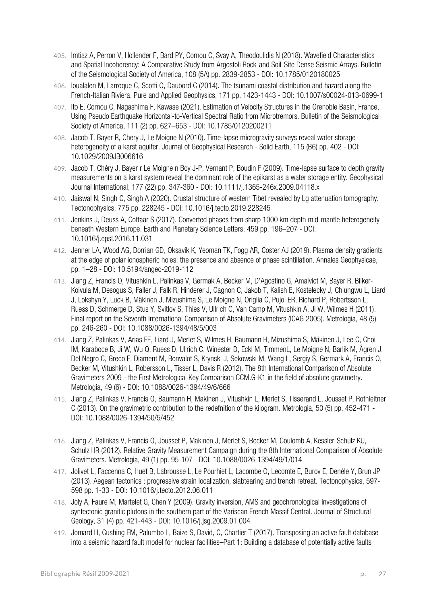- 405. Imtiaz A, Perron V, Hollender F, Bard PY, Cornou C, Svay A, Theodoulidis N (2018). Wavefield Characteristics and Spatial Incoherency: A Comparative Study from Argostoli Rock‐and Soil‐Site Dense Seismic Arrays. Bulletin of the Seismological Society of America, 108 (5A) pp. 2839-2853 - DOI: 10.1785/0120180025
- 406. Ioualalen M, Larroque C, Scotti O, Daubord C (2014). The tsunami coastal distribution and hazard along the French-Italian Riviera. Pure and Applied Geophysics, 171 pp. 1423-1443 - DOI: 10.1007/s00024-013-0699-1
- 407. Ito E, Cornou C, Nagashima F, Kawase (2021). Estimation of Velocity Structures in the Grenoble Basin, France, Using Pseudo Earthquake Horizontal-to-Vertical Spectral Ratio from Microtremors. Bulletin of the Seismological Society of America, 111 (2) pp. 627–653 - DOI: 10.1785/0120200211
- 408. Jacob T, Bayer R, Chery J, Le Moigne N (2010). Time-lapse microgravity surveys reveal water storage heterogeneity of a karst aquifer. Journal of Geophysical Research - Solid Earth, 115 (B6) pp. 402 - DOI: 10.1029/2009JB006616
- 409. Jacob T, Chéry J, Bayer r Le Moigne n Boy J-P, Vernant P, Boudin F (2009). Time-lapse surface to depth gravity measurements on a karst system reveal the dominant role of the epikarst as a water storage entity. Geophysical Journal International, 177 (22) pp. 347-360 - DOI: 10.1111/j.1365-246x.2009.04118.x
- 410. Jaiswal N, Singh C, Singh A (2020). Crustal structure of western Tibet revealed by Lg attenuation tomography. Tectonophysics, 775 pp. 228245 - DOI: 10.1016/j.tecto.2019.228245
- 411. Jenkins J, Deuss A, Cottaar S (2017). Converted phases from sharp 1000 km depth mid-mantle heterogeneity beneath Western Europe. Earth and Planetary Science Letters, 459 pp. 196–207 - DOI: 10.1016/j.epsl.2016.11.031
- 412. Jenner LA, Wood AG, Dorrian GD, Oksavik K, Yeoman TK, Fogg AR, Coster AJ (2019). Plasma density gradients at the edge of polar ionospheric holes: the presence and absence of phase scintillation. Annales Geophysicae, pp. 1–28 - DOI: 10.5194/angeo-2019-112
- 413. Jiang Z, Francis O, Vitushkin L, Palinkas V, Germak A, Becker M, D'Agostino G, Amalvict M, Bayer R, Bilker-Koivula M, Desogus S, Faller J, Falk R, Hinderer J, Gagnon C, Jakob T, Kalish E, Kostelecky J, Chiungwu L, Liard J, Lokshyn Y, Luck B, Mäkinen J, Mizushima S, Le Moigne N, Origlia C, Pujol ER, Richard P, Robertsson L, Ruess D, Schmerge D, Stus Y, Svitlov S, Thies V, Ullrich C, Van Camp M, Vitushkin A, Ji W, Wilmes H (2011). Final report on the Seventh International Comparison of Absolute Gravimeters (ICAG 2005). Metrologia, 48 (5) pp. 246-260 - DOI: 10.1088/0026-1394/48/5/003
- 414. Jiang Z, Palinkas V, Arias FE, Liard J, Merlet S, Wilmes H, Baumann H, Mizushima S, Mäkinen J, Lee C, Choi IM, Karaboce B, Ji W, Wu Q, Ruess D, Ullrich C, Winester D, Eckl M, TimmenL, Le Moigne N, Barlik M, Ågren J, Del Negro C, Greco F, Diament M, Bonvalot S, Krynski J, Sekowski M, Wang L, Sergiy S, Germark A, Francis O, Becker M, Vitushkin L, Robersson L, Tisser L, Davis R (2012). The 8th International Comparison of Absolute Gravimeters 2009 - the First Metrological Key Comparison CCM.G-K1 in the field of absolute gravimetry. Metrologia, 49 (6) - DOI: 10.1088/0026-1394/49/6/666
- 415. Jiang Z, Palinkas V, Francis O, Baumann H, Makinen J, Vitushkin L, Merlet S, Tisserand L, Jousset P, Rothleitner C (2013). On the gravimetric contribution to the redefnition of the kilogram. Metrologia, 50 (5) pp. 452-471 - DOI: 10.1088/0026-1394/50/5/452
- 416. Jiang Z, Palinkas V, Francis O, Jousset P, Makinen J, Merlet S, Becker M, Coulomb A, Kessler-Schulz KU, Schulz HR (2012). Relative Gravity Measurement Campaign during the 8th International Comparison of Absolute Gravimeters. Metrologia, 49 (1) pp. 95-107 - DOI: 10.1088/0026-1394/49/1/014
- 417. Jolivet L, Faccenna C, Huet B, Labrousse L, Le Pourhiet L, Lacombe O, Lecomte E, Burov E, Denèle Y, Brun JP (2013). Aegean tectonics : progressive strain localization, slabtearing and trench retreat. Tectonophysics, 597- 598 pp. 1-33 - DOI: 10.1016/j.tecto.2012.06.011
- 418. Joly A, Faure M, Martelet G, Chen Y (2009). Gravity inversion, AMS and geochronological investigations of syntectonic granitic plutons in the southern part of the Variscan French Massif Central. Journal of Structural Geology, 31 (4) pp. 421-443 - DOI: 10.1016/j.jsg.2009.01.004
- 419. Jomard H, Cushing EM, Palumbo L, Baize S, David, C, Chartier T (2017). Transposing an active fault database into a seismic hazard fault model for nuclear facilities–Part 1: Building a database of potentially active faults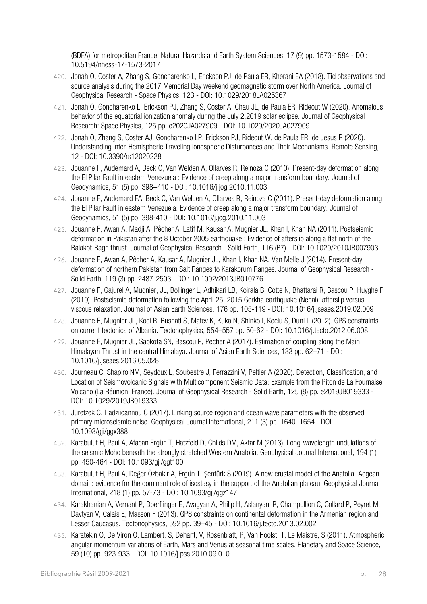(BDFA) for metropolitan France. Natural Hazards and Earth System Sciences, 17 (9) pp. 1573-1584 - DOI: 10.5194/nhess-17-1573-2017

- 420. Jonah O, Coster A, Zhang S, Goncharenko L, Erickson PJ, de Paula ER, Kherani EA (2018). Tid observations and source analysis during the 2017 Memorial Day weekend geomagnetic storm over North America. Journal of Geophysical Research - Space Physics, 123 - DOI: 10.1029/2018JA025367
- 421. Jonah O, Goncharenko L, Erickson PJ, Zhang S, Coster A, Chau JL, de Paula ER, Rideout W (2020). Anomalous behavior of the equatorial ionization anomaly during the July 2,2019 solar eclipse. Journal of Geophysical Research: Space Physics, 125 pp. e2020JA027909 - DOI: 10.1029/2020JA027909
- 422. Jonah O, Zhang S, Coster AJ, Goncharenko LP, Erickson PJ, Rideout W, de Paula ER, de Jesus R (2020). Understanding Inter-Hemispheric Traveling Ionospheric Disturbances and Their Mechanisms. Remote Sensing, 12 - DOI: 10.3390/rs12020228
- 423. Jouanne F, Audemard A, Beck C, Van Welden A, Ollarves R, Reinoza C (2010). Present-day deformation along the El Pilar Fault in eastern Venezuela : Evidence of creep along a major transform boundary. Journal of Geodynamics, 51 (5) pp. 398–410 - DOI: 10.1016/j.jog.2010.11.003
- 424. Jouanne F, Audemard FA, Beck C, Van Welden A, Ollarves R, Reinoza C (2011). Present-day deformation along the El Pilar Fault in eastern Venezuela: Evidence of creep along a major transform boundary. Journal of Geodynamics, 51 (5) pp. 398-410 - DOI: 10.1016/j.jog.2010.11.003
- 425. Jouanne F, Awan A, Madji A, Pêcher A, Latif M, Kausar A, Mugnier JL, Khan I, Khan NA (2011). Postseismic deformation in Pakistan after the 8 October 2005 earthquake : Evidence of afterslip along a flat north of the Balakot-Bagh thrust. Journal of Geophysical Research - Solid Earth, 116 (B7) - DOI: 10.1029/2010JB007903
- 426. Jouanne F, Awan A, Pêcher A, Kausar A, Mugnier JL, Khan I, Khan NA, Van Melle J (2014). Present-day deformation of northern Pakistan from Salt Ranges to Karakorum Ranges. Journal of Geophysical Research - Solid Earth, 119 (3) pp. 2487-2503 - DOI: 10.1002/2013JB010776
- 427. Jouanne F, Gajurel A, Mugnier, JL, Bollinger L, Adhikari LB, Koirala B, Cotte N, Bhattarai R, Bascou P, Huyghe P (2019). Postseismic deformation following the April 25, 2015 Gorkha earthquake (Nepal): afterslip versus viscous relaxation. Journal of Asian Earth Sciences, 176 pp. 105-119 - DOI: 10.1016/j.jseaes.2019.02.009
- 428. Jouanne F, Mugnier JL, Koci R, Bushati S, Matev K, Kuka N, Shinko I, Kociu S, Duni L (2012). GPS constraints on current tectonics of Albania. Tectonophysics, 554–557 pp. 50-62 - DOI: 10.1016/j.tecto.2012.06.008
- 429. Jouanne F, Mugnier JL, Sapkota SN, Bascou P, Pecher A (2017). Estimation of coupling along the Main Himalayan Thrust in the central Himalaya. Journal of Asian Earth Sciences, 133 pp. 62–71 - DOI: 10.1016/j.jseaes.2016.05.028
- 430. Journeau C, Shapiro NM, Seydoux L, Soubestre J, Ferrazzini V, Peltier A (2020). Detection, Classification, and Location of Seismovolcanic Signals with Multicomponent Seismic Data: Example from the Piton de La Fournaise Volcano (La Réunion, France). Journal of Geophysical Research - Solid Earth, 125 (8) pp. e2019JB019333 - DOI: 10.1029/2019JB019333
- 431. Juretzek C, Hadziioannou C (2017). Linking source region and ocean wave parameters with the observed primary microseismic noise. Geophysical Journal International, 211 (3) pp. 1640–1654 - DOI: 10.1093/gji/ggx388
- 432. Karabulut H, Paul A, Afacan Ergün T, Hatzfeld D, Childs DM, Aktar M (2013). Long-wavelength undulations of the seismic Moho beneath the strongly stretched Western Anatolia. Geophysical Journal International, 194 (1) pp. 450-464 - DOI: 10.1093/gji/ggt100
- 433. Karabulut H, Paul A, Değer Özbakır A, Ergün T, Şentürk S (2019). A new crustal model of the Anatolia–Aegean domain: evidence for the dominant role of isostasy in the support of the Anatolian plateau. Geophysical Journal International, 218 (1) pp. 57-73 - DOI: 10.1093/gji/ggz147
- 434. Karakhanian A, Vernant P, Doerflinger E, Avagyan A, Philip H, Aslanyan IR, Champollion C, Collard P, Peyret M, Davtyan V, Calais E, Masson F (2013). GPS constraints on continental deformation in the Armenian region and Lesser Caucasus. Tectonophysics, 592 pp. 39–45 - DOI: 10.1016/j.tecto.2013.02.002
- 435. Karatekin O, De Viron O, Lambert, S, Dehant, V, Rosenblatt, P, Van Hoolst, T, Le Maistre, S (2011). Atmospheric angular momentum variations of Earth, Mars and Venus at seasonal time scales. Planetary and Space Science, 59 (10) pp. 923-933 - DOI: 10.1016/j.pss.2010.09.010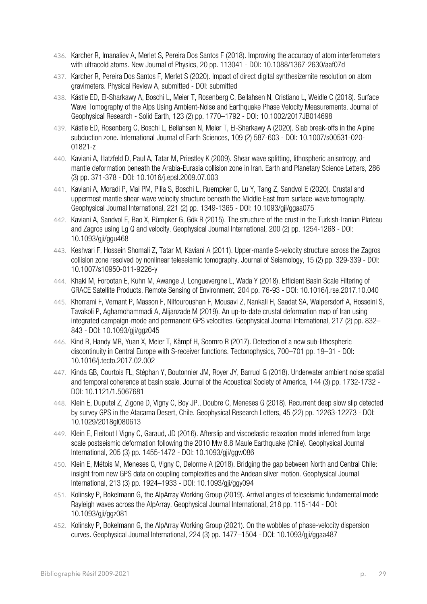- 436. Karcher R, Imanaliev A, Merlet S, Pereira Dos Santos F (2018). Improving the accuracy of atom interferometers with ultracold atoms. New Journal of Physics, 20 pp. 113041 - DOI: 10.1088/1367-2630/aaf07d
- 437. Karcher R, Pereira Dos Santos F, Merlet S (2020). Impact of direct digital synthesizernite resolution on atom gravimeters. Physical Review A, submitted - DOI: submitted
- 438. Kästle ED, El‐Sharkawy A, Boschi L, Meier T, Rosenberg C, Bellahsen N, Cristiano L, Weidle C (2018). Surface Wave Tomography of the Alps Using Ambient-Noise and Earthquake Phase Velocity Measurements. Journal of Geophysical Research - Solid Earth, 123 (2) pp. 1770–1792 - DOI: 10.1002/2017JB014698
- 439. Kästle ED, Rosenberg C, Boschi L, Bellahsen N, Meier T, El-Sharkawy A (2020). Slab break-offs in the Alpine subduction zone. International Journal of Earth Sciences, 109 (2) 587-603 - DOI: 10.1007/s00531-020- 01821-z
- 440. Kaviani A, Hatzfeld D, Paul A, Tatar M, Priestley K (2009). Shear wave splitting, lithospheric anisotropy, and mantle deformation beneath the Arabia-Eurasia collision zone in Iran. Earth and Planetary Science Letters, 286 (3) pp. 371-378 - DOI: 10.1016/j.epsl.2009.07.003
- 441. Kaviani A, Moradi P, Mai PM, Pilia S, Boschi L, Ruempker G, Lu Y, Tang Z, Sandvol E (2020). Crustal and uppermost mantle shear-wave velocity structure beneath the Middle East from surface-wave tomography. Geophysical Journal International, 221 (2) pp. 1349-1365 - DOI: 10.1093/gji/ggaa075
- 442. Kaviani A, Sandvol E, Bao X, Rümpker G, Gök R (2015). The structure of the crust in the Turkish-Iranian Plateau and Zagros using Lg Q and velocity. Geophysical Journal International, 200 (2) pp. 1254-1268 - DOI: 10.1093/gji/ggu468
- 443. Keshvari F, Hossein Shomali Z, Tatar M, Kaviani A (2011). Upper-mantle S-velocity structure across the Zagros collision zone resolved by nonlinear teleseismic tomography. Journal of Seismology, 15 (2) pp. 329-339 - DOI: 10.1007/s10950-011-9226-y
- 444. Khaki M, Forootan E, Kuhn M, Awange J, Longuevergne L, Wada Y (2018). Efficient Basin Scale Filtering of GRACE Satellite Products. Remote Sensing of Environment, 204 pp. 76-93 - DOI: 10.1016/j.rse.2017.10.040
- 445. Khorrami F, Vernant P, Masson F, Nilfouroushan F, Mousavi Z, Nankali H, Saadat SA, Walpersdorf A, Hosseini S, Tavakoli P, Aghamohammadi A, Alijanzade M (2019). An up-to-date crustal deformation map of Iran using integrated campaign-mode and permanent GPS velocities. Geophysical Journal International, 217 (2) pp. 832– 843 - DOI: 10.1093/gji/ggz045
- 446. Kind R, Handy MR, Yuan X, Meier T, Kämpf H, Soomro R (2017). Detection of a new sub-lithospheric discontinuity in Central Europe with S-receiver functions. Tectonophysics, 700–701 pp. 19–31 - DOI: 10.1016/j.tecto.2017.02.002
- 447. Kinda GB, Courtois FL, Stéphan Y, Boutonnier JM, Royer JY, Barruol G (2018). Underwater ambient noise spatial and temporal coherence at basin scale. Journal of the Acoustical Society of America, 144 (3) pp. 1732-1732 - DOI: 10.1121/1.5067681
- 448. Klein E, Duputel Z, Zigone D, Vigny C, Boy JP., Doubre C, Meneses G (2018). Recurrent deep slow slip detected by survey GPS in the Atacama Desert, Chile. Geophysical Research Letters, 45 (22) pp. 12263-12273 - DOI: 10.1029/2018gl080613
- 449. Klein E, Fleitout l Vigny C, Garaud, JD (2016). Afterslip and viscoelastic relaxation model inferred from large scale postseismic deformation following the 2010 Mw 8.8 Maule Earthquake (Chile). Geophysical Journal International, 205 (3) pp. 1455-1472 - DOI: 10.1093/gji/ggw086
- 450. Klein E, Métois M, Meneses G, Vigny C, Delorme A (2018). Bridging the gap between North and Central Chile: insight from new GPS data on coupling complexities and the Andean sliver motion. Geophysical Journal International, 213 (3) pp. 1924–1933 - DOI: 10.1093/gji/ggy094
- 451. Kolinsky P, Bokelmann G, the AlpArray Working Group (2019). Arrival angles of teleseismic fundamental mode Rayleigh waves across the AlpArray. Geophysical Journal International, 218 pp. 115-144 - DOI: 10.1093/gji/ggz081
- 452. Kolinsky P, Bokelmann G, the AlpArray Working Group (2021). On the wobbles of phase-velocity dispersion curves. Geophysical Journal International, 224 (3) pp. 1477–1504 - DOI: 10.1093/gji/ggaa487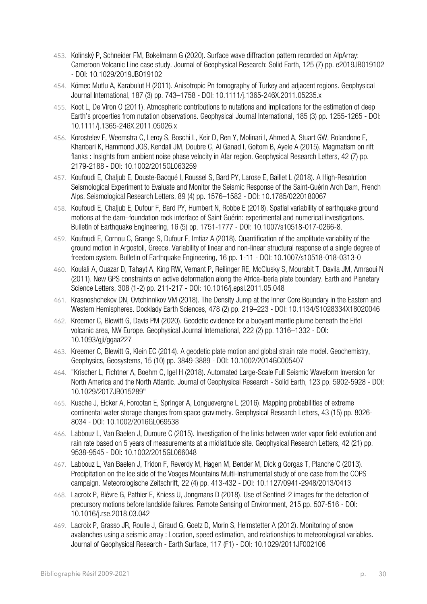- 453. Kolínský P, Schneider FM, Bokelmann G (2020). Surface wave diffraction pattern recorded on AlpArray: Cameroon Volcanic Line case study. Journal of Geophysical Research: Solid Earth, 125 (7) pp. e2019JB019102 - DOI: 10.1029/2019JBO19102
- 454. Kömec Mutlu A, Karabulut H (2011). Anisotropic Pn tomography of Turkey and adjacent regions. Geophysical Journal International, 187 (3) pp. 743–1758 - DOI: 10.1111/j.1365-246X.2011.05235.x
- 455. Koot L, De Viron O (2011). Atmospheric contributions to nutations and implications for the estimation of deep Earth's properties from nutation observations. Geophysical Journal International, 185 (3) pp. 1255-1265 - DOI: 10.1111/j.1365-246X.2011.05026.x
- 456. Korostelev F, Weemstra C, Leroy S, Boschi L, Keir D, Ren Y, Molinari I, Ahmed A, Stuart GW, Rolandone F, Khanbari K, Hammond JOS, Kendall JM, Doubre C, Al Ganad I, Goitom B, Ayele A (2015). Magmatism on rift flanks : Insights from ambient noise phase velocity in Afar region. Geophysical Research Letters, 42 (7) pp. 2179-2188 - DOI: 10.1002/2015GL063259
- 457. Koufoudi E, Chaljub E, Douste‐Bacqué I, Roussel S, Bard PY, Larose E, Baillet L (2018). A High‐Resolution Seismological Experiment to Evaluate and Monitor the Seismic Response of the Saint‐Guérin Arch Dam, French Alps. Seismological Research Letters, 89 (4) pp. 1576–1582 - DOI: 10.1785/0220180067
- 458. Koufoudi E, Chaljub E, Dufour F, Bard PY, Humbert N, Robbe E (2018). Spatial variability of earthquake ground motions at the dam–foundation rock interface of Saint Guérin: experimental and numerical investigations. Bulletin of Earthquake Engineering, 16 (5) pp. 1751-1777 - DOI: 10.1007/s10518-017-0266-8.
- 459. Koufoudi E, Cornou C, Grange S, Dufour F, Imtiaz A (2018). Quantification of the amplitude variability of the ground motion in Argostoli, Greece. Variability of linear and non-linear structural response of a single degree of freedom system. Bulletin of Earthquake Engineering, 16 pp. 1-11 - DOI: 10.1007/s10518-018-0313-0
- 460. Koulali A, Ouazar D, Tahayt A, King RW, Vernant P, Reilinger RE, McClusky S, Mourabit T, Davila JM, Amraoui N (2011). New GPS constraints on active deformation along the Africa-Iberia plate boundary. Earth and Planetary Science Letters, 308 (1-2) pp. 211-217 - DOI: 10.1016/j.epsl.2011.05.048
- 461. Krasnoshchekov DN, Ovtchinnikov VM (2018). The Density Jump at the Inner Core Boundary in the Eastern and Western Hemispheres. Docklady Earth Sciences, 478 (2) pp. 219–223 - DOI: 10.1134/S1028334X18020046
- 462. Kreemer C, Blewitt G, Davis PM (2020). Geodetic evidence for a buoyant mantle plume beneath the Eifel volcanic area, NW Europe. Geophysical Journal International, 222 (2) pp. 1316–1332 - DOI: 10.1093/gji/ggaa227
- 463. Kreemer C, Blewitt G, Klein EC (2014). A geodetic plate motion and global strain rate model. Geochemistry, Geophysics, Geosystems, 15 (10) pp. 3849-3889 - DOI: 10.1002/2014GC005407
- 464. "Krischer L, Fichtner A, Boehm C, Igel H (2018). Automated Large-Scale Full Seismic Waveform Inversion for North America and the North Atlantic. Journal of Geophysical Research - Solid Earth, 123 pp. 5902-5928 - DOI: 10.1029/2017JB015289"
- 465. Kusche J, Eicker A, Forootan E, Springer A, Longuevergne L (2016). Mapping probabilities of extreme continental water storage changes from space gravimetry. Geophysical Research Letters, 43 (15) pp. 8026- 8034 - DOI: 10.1002/2016GL069538
- 466. Labbouz L, Van Baelen J, Duroure C (2015). Investigation of the links between water vapor field evolution and rain rate based on 5 years of measurements at a midlatitude site. Geophysical Research Letters, 42 (21) pp. 9538-9545 - DOI: 10.1002/2015GL066048
- 467. Labbouz L, Van Baelen J, Tridon F, Reverdy M, Hagen M, Bender M, Dick g Gorgas T, Planche C (2013). Precipitation on the lee side of the Vosges Mountains Multi-instrumental study of one case from the COPS campaign. Meteorologische Zeitschrift, 22 (4) pp. 413-432 - DOI: 10.1127/0941-2948/2013/0413
- 468. Lacroix P, Bièvre G, Pathier E, Kniess U, Jongmans D (2018). Use of Sentinel-2 images for the detection of precursory motions before landslide failures. Remote Sensing of Environment, 215 pp. 507-516 - DOI: 10.1016/j.rse.2018.03.042
- 469. Lacroix P, Grasso JR, Roulle J, Giraud G, Goetz D, Morin S, Helmstetter A (2012). Monitoring of snow avalanches using a seismic array : Location, speed estimation, and relationships to meteorological variables. Journal of Geophysical Research - Earth Surface, 117 (F1) - DOI: 10.1029/2011JF002106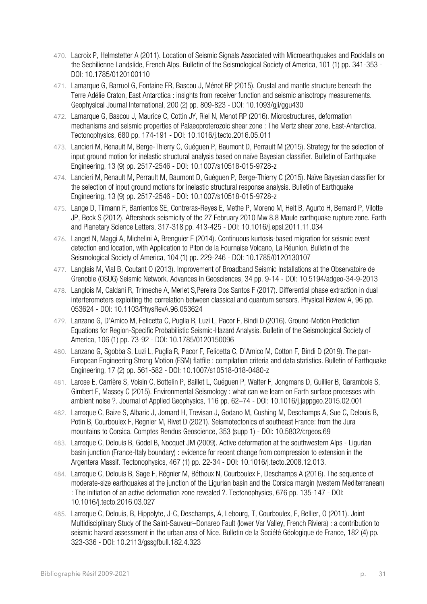- 470. Lacroix P, Helmstetter A (2011). Location of Seismic Signals Associated with Microearthquakes and Rockfalls on the Sechilienne Landslide, French Alps. Bulletin of the Seismological Society of America, 101 (1) pp. 341-353 - DOI: 10.1785/0120100110
- 471. Lamarque G, Barruol G, Fontaine FR, Bascou J, Ménot RP (2015). Crustal and mantle structure beneath the Terre Adélie Craton, East Antarctica : insights from receiver function and seismic anisotropy measurements. Geophysical Journal International, 200 (2) pp. 809-823 - DOI: 10.1093/gji/ggu430
- 472. Lamarque G, Bascou J, Maurice C, Cottin JY, Riel N, Menot RP (2016). Microstructures, deformation mechanisms and seismic properties of Palaeoproterozoic shear zone : The Mertz shear zone, East-Antarctica. Tectonophysics, 680 pp. 174-191 - DOI: 10.1016/j.tecto.2016.05.011
- 473. Lancieri M, Renault M, Berge-Thierry C, Guéguen P, Baumont D, Perrault M (2015). Strategy for the selection of input ground motion for inelastic structural analysis based on naïve Bayesian classifier. Bulletin of Earthquake Engineering, 13 (9) pp. 2517-2546 - DOI: 10.1007/s10518-015-9728-z
- 474. Lancieri M, Renault M, Perrault M, Baumont D, Guéguen P, Berge-Thierry C (2015). Naïve Bayesian classifier for the selection of input ground motions for inelastic structural response analysis. Bulletin of Earthquake Engineering, 13 (9) pp. 2517-2546 - DOI: 10.1007/s10518-015-9728-z
- 475. Lange D, Tilmann F, Barrientos SE, Contreras-Reyes E, Methe P, Moreno M, Heit B, Agurto H, Bernard P, Vilotte JP, Beck S (2012). Aftershock seismicity of the 27 February 2010 Mw 8.8 Maule earthquake rupture zone. Earth and Planetary Science Letters, 317-318 pp. 413-425 - DOI: 10.1016/j.epsl.2011.11.034
- 476. Langet N, Maggi A, Michelini A, Brenguier F (2014). Continuous kurtosis-based migration for seismic event detection and location, with Application to Piton de la Fournaise Volcano, La Réunion. Bulletin of the Seismological Society of America, 104 (1) pp. 229-246 - DOI: 10.1785/0120130107
- 477. Langlais M, Vial B, Coutant O (2013). Improvement of Broadband Seismic Installations at the Observatoire de Grenoble (OSUG) Seismic Network. Advances in Geosciences, 34 pp. 9-14 - DOI: 10.5194/adgeo-34-9-2013
- 478. Langlois M, Caldani R, Trimeche A, Merlet S,Pereira Dos Santos F (2017). Differential phase extraction in dual interferometers exploiting the correlation between classical and quantum sensors. Physical Review A, 96 pp. 053624 - DOI: 10.1103/PhysRevA.96.053624
- 479. Lanzano G, D'Amico M, Felicetta C, Puglia R, Luzi L, Pacor F, Bindi D (2016). Ground‐Motion Prediction Equations for Region‐Specific Probabilistic Seismic‐Hazard Analysis. Bulletin of the Seismological Society of America, 106 (1) pp. 73-92 - DOI: 10.1785/0120150096
- 480. Lanzano G, Sgobba S, Luzi L, Puglia R, Pacor F, Felicetta C, D'Amico M, Cotton F, Bindi D (2019). The pan-European Engineering Strong Motion (ESM) flatfile : compilation criteria and data statistics. Bulletin of Earthquake Engineering, 17 (2) pp. 561-582 - DOI: 10.1007/s10518-018-0480-z
- 481. Larose E, Carrière S, Voisin C, Bottelin P, Baillet L, Guéguen P, Walter F, Jongmans D, Guillier B, Garambois S, Gimbert F, Massey C (2015). Environmental Seismology : what can we learn on Earth surface processes with ambient noise ?. Journal of Applied Geophysics, 116 pp. 62–74 - DOI: 10.1016/j.jappgeo.2015.02.001
- 482. Larroque C, Baize S, Albaric J, Jomard H, Trevisan J, Godano M, Cushing M, Deschamps A, Sue C, Delouis B, Potin B, Courboulex F, Regnier M, Rivet D (2021). Seismotectonics of southeast France: from the Jura mountains to Corsica. Comptes Rendus Geoscience, 353 (supp 1) - DOI: 10.5802/crgeos.69
- 483. Larroque C, Delouis B, Godel B, Nocquet JM (2009). Active deformation at the southwestern Alps Ligurian basin junction (France-Italy boundary) : evidence for recent change from compression to extension in the Argentera Massif. Tectonophysics, 467 (1) pp. 22-34 - DOI: 10.1016/j.tecto.2008.12.013.
- 484. Larroque C, Delouis B, Sage F, Régnier M, Béthoux N, Courboulex F, Deschamps A (2016). The sequence of moderate-size earthquakes at the junction of the Ligurian basin and the Corsica margin (western Mediterranean) : The initiation of an active deformation zone revealed ?. Tectonophysics, 676 pp. 135-147 - DOI: 10.1016/j.tecto.2016.03.027
- 485. Larroque C, Delouis, B, Hippolyte, J-C, Deschamps, A, Lebourg, T, Courboulex, F, Bellier, O (2011). Joint Multidisciplinary Study of the Saint-Sauveur–Donareo Fault (lower Var Valley, French Riviera) : a contribution to seismic hazard assessment in the urban area of Nice. Bulletin de la Société Géologique de France, 182 (4) pp. 323-336 - DOI: 10.2113/gssgfbull.182.4.323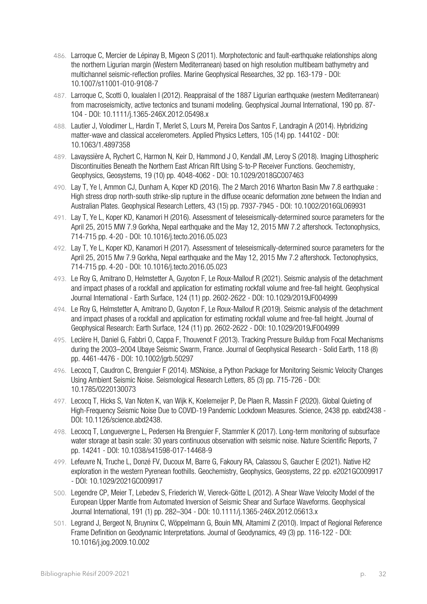- 486. Larroque C, Mercier de Lépinay B, Migeon S (2011). Morphotectonic and fault-earthquake relationships along the northern Ligurian margin (Western Mediterranean) based on high resolution multibeam bathymetry and multichannel seismic-reflection profiles. Marine Geophysical Researches, 32 pp. 163-179 - DOI: 10.1007/s11001-010-9108-7
- 487. Larroque C, Scotti O, Ioualalen I (2012). Reappraisal of the 1887 Ligurian earthquake (western Mediterranean) from macroseismicity, active tectonics and tsunami modeling. Geophysical Journal International, 190 pp. 87- 104 - DOI: 10.1111/j.1365-246X.2012.05498.x
- 488. Lautier J, Volodimer L, Hardin T, Merlet S, Lours M, Pereira Dos Santos F, Landragin A (2014). Hybridizing matter-wave and classical accelerometers. Applied Physics Letters, 105 (14) pp. 144102 - DOI: 10.1063/1.4897358
- 489. Lavayssière A, Rychert C, Harmon N, Keir D, Hammond J O, Kendall JM, Leroy S (2018). Imaging Lithospheric Discontinuities Beneath the Northern East African Rift Using S‐to‐P Receiver Functions. Geochemistry, Geophysics, Geosystems, 19 (10) pp. 4048-4062 - DOI: 10.1029/2018GC007463
- 490. Lay T, Ye l, Ammon CJ, Dunham A, Koper KD (2016). The 2 March 2016 Wharton Basin Mw 7.8 earthquake : High stress drop north-south strike-slip rupture in the diffuse oceanic deformation zone between the Indian and Australian Plates. Geophysical Research Letters, 43 (15) pp. 7937-7945 - DOI: 10.1002/2016GL069931
- 491. Lay T, Ye L, Koper KD, Kanamori H (2016). Assessment of teleseismically-determined source parameters for the April 25, 2015 MW 7.9 Gorkha, Nepal earthquake and the May 12, 2015 MW 7.2 aftershock. Tectonophysics, 714-715 pp. 4-20 - DOI: 10.1016/j.tecto.2016.05.023
- 492. Lay T, Ye L, Koper KD, Kanamori H (2017). Assessment of teleseismically-determined source parameters for the April 25, 2015 Mw 7.9 Gorkha, Nepal earthquake and the May 12, 2015 Mw 7.2 aftershock. Tectonophysics, 714-715 pp. 4-20 - DOI: 10.1016/j.tecto.2016.05.023
- 493. Le Roy G, Amitrano D, Helmstetter A, Guyoton F, Le Roux-Mallouf R (2021). Seismic analysis of the detachment and impact phases of a rockfall and application for estimating rockfall volume and free-fall height. Geophysical Journal International - Earth Surface, 124 (11) pp. 2602-2622 - DOI: 10.1029/2019JF004999
- 494. Le Roy G, Helmstetter A, Amitrano D, Guyoton F, Le Roux-Mallouf R (2019). Seismic analysis of the detachment and impact phases of a rockfall and application for estimating rockfall volume and free-fall height. Journal of Geophysical Research: Earth Surface, 124 (11) pp. 2602-2622 - DOI: 10.1029/2019JF004999
- 495. Leclère H, Daniel G, Fabbri O, Cappa F, Thouvenot F (2013). Tracking Pressure Buildup from Focal Mechanisms during the 2003–2004 Ubaye Seismic Swarm, France. Journal of Geophysical Research - Solid Earth, 118 (8) pp. 4461-4476 - DOI: 10.1002/jgrb.50297
- 496. Lecocq T, Caudron C, Brenguier F (2014). MSNoise, a Python Package for Monitoring Seismic Velocity Changes Using Ambient Seismic Noise. Seismological Research Letters, 85 (3) pp. 715-726 - DOI: 10.1785/0220130073
- 497. Lecocq T, Hicks S, Van Noten K, van Wijk K, Koelemeijer P, De Plaen R, Massin F (2020). Global Quieting of High-Frequency Seismic Noise Due to COVID-19 Pandemic Lockdown Measures. Science, 2438 pp. eabd2438 - DOI: 10.1126/science.abd2438.
- 498. Lecocq T, Longuevergne L, Pedersen Ha Brenguier F, Stammler K (2017). Long-term monitoring of subsurface water storage at basin scale: 30 years continuous observation with seismic noise. Nature Scientific Reports, 7 pp. 14241 - DOI: 10.1038/s41598-017-14468-9
- 499. Lefeuvre N, Truche L, Donzé FV, Ducoux M, Barre G, Fakoury RA, Calassou S, Gaucher E (2021). Native H2 exploration in the western Pyrenean foothills. Geochemistry, Geophysics, Geosystems, 22 pp. e2021GC009917 - DOI: 10.1029/2021GC009917
- 500. Legendre CP, Meier T, Lebedev S, Friederich W, Viereck-Götte L (2012). A Shear Wave Velocity Model of the European Upper Mantle from Automated Inversion of Seismic Shear and Surface Waveforms. Geophysical Journal International, 191 (1) pp. 282–304 - DOI: 10.1111/j.1365-246X.2012.05613.x
- 501. Legrand J, Bergeot N, Bruyninx C, Wöppelmann G, Bouin MN, Altamimi Z (2010). Impact of Regional Reference Frame Definition on Geodynamic Interpretations. Journal of Geodynamics, 49 (3) pp. 116-122 - DOI: 10.1016/j.jog.2009.10.002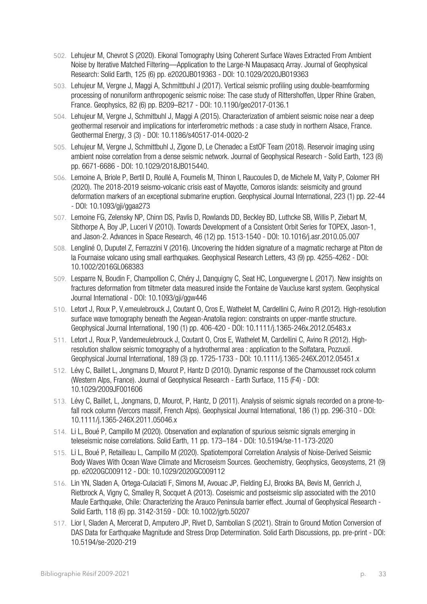- 502. Lehujeur M, Chevrot S (2020). Eikonal Tomography Using Coherent Surface Waves Extracted From Ambient Noise by Iterative Matched Filtering—Application to the Large‐N Maupasacq Array. Journal of Geophysical Research: Solid Earth, 125 (6) pp. e2020JB019363 - DOI: 10.1029/2020JB019363
- 503. Lehujeur M, Vergne J, Maggi A, Schmittbuhl J (2017). Vertical seismic profiling using double-beamforming processing of nonuniform anthropogenic seismic noise: The case study of Rittershoffen, Upper Rhine Graben, France. Geophysics, 82 (6) pp. B209–B217 - DOI: 10.1190/geo2017-0136.1
- 504. Lehujeur M, Vergne J, Schmitbuhl J, Maggi A (2015). Characterization of ambient seismic noise near a deep geothermal reservoir and implications for interferometric methods : a case study in northern Alsace, France. Geothermal Energy, 3 (3) - DOI: 10.1186/s40517-014-0020-2
- 505. Lehujeur M, Vergne J, Schmittbuhl J, Zigone D, Le Chenadec a EstOF Team (2018). Reservoir imaging using ambient noise correlation from a dense seismic network. Journal of Geophysical Research - Solid Earth, 123 (8) pp. 6671-6686 - DOI: 10.1029/2018JB015440.
- 506. Lemoine A, Briole P, Bertil D, Roullé A, Foumelis M, Thinon I, Raucoules D, de Michele M, Valty P, Colomer RH (2020). The 2018-2019 seismo-volcanic crisis east of Mayotte, Comoros islands: seismicity and ground deformation markers of an exceptional submarine eruption. Geophysical Journal International, 223 (1) pp. 22-44 - DOI: 10.1093/gji/ggaa273
- 507. Lemoine FG, Zelensky NP, Chinn DS, Pavlis D, Rowlands DD, Beckley BD, Luthcke SB, Willis P, Ziebart M, Sibthorpe A, Boy JP, Luceri V (2010). Towards Development of a Consistent Orbit Series for TOPEX, Jason-1, and Jason-2. Advances in Space Research, 46 (12) pp. 1513-1540 - DOI: 10.1016/j.asr.2010.05.007
- 508. Lengliné O, Duputel Z, Ferrazzini V (2016). Uncovering the hidden signature of a magmatic recharge at Piton de la Fournaise volcano using small earthquakes. Geophysical Research Letters, 43 (9) pp. 4255-4262 - DOI: 10.1002/2016GL068383
- 509. Lesparre N, Boudin F, Champollion C, Chéry J, Danquigny C, Seat HC, Longuevergne L (2017). New insights on fractures deformation from tiltmeter data measured inside the Fontaine de Vaucluse karst system. Geophysical Journal International - DOI: 10.1093/gji/ggw446
- 510. Letort J, Roux P, V,emeulebrouck J, Coutant O, Cros E, Wathelet M, Cardellini C, Avino R (2012). High-resolution surface wave tomography beneath the Aegean-Anatolia region: constraints on upper-mantle structure. Geophysical Journal International, 190 (1) pp. 406-420 - DOI: 10.1111/j.1365-246x.2012.05483.x
- 511. Letort J, Roux P, Vandemeulebrouck J, Coutant O, Cros E, Wathelet M, Cardellini C, Avino R (2012). Highresolution shallow seismic tomography of a hydrothermal area : application to the Solfatara, Pozzuoli. Geophysical Journal International, 189 (3) pp. 1725-1733 - DOI: 10.1111/j.1365-246X.2012.05451.x
- 512. Lévy C, Baillet L, Jongmans D, Mourot P, Hantz D (2010). Dynamic response of the Chamousset rock column (Western Alps, France). Journal of Geophysical Research - Earth Surface, 115 (F4) - DOI: 10.1029/2009JF001606
- 513. Lévy C, Baillet, L, Jongmans, D, Mourot, P, Hantz, D (2011). Analysis of seismic signals recorded on a prone-tofall rock column (Vercors massif, French Alps). Geophysical Journal International, 186 (1) pp. 296-310 - DOI: 10.1111/j.1365-246X.2011.05046.x
- 514. Li L, Boué P, Campillo M (2020). Observation and explanation of spurious seismic signals emerging in teleseismic noise correlations. Solid Earth, 11 pp. 173–184 - DOI: 10.5194/se-11-173-2020
- 515. Li L, Boué P, Retailleau L, Campillo M (2020). Spatiotemporal Correlation Analysis of Noise‐Derived Seismic Body Waves With Ocean Wave Climate and Microseism Sources. Geochemistry, Geophysics, Geosystems, 21 (9) pp. e2020GC009112 - DOI: 10.1029/2020GC009112
- 516. Lin YN, Sladen A, Ortega-Culaciati F, Simons M, Avouac JP, Fielding EJ, Brooks BA, Bevis M, Genrich J, Rietbrock A, Vigny C, Smalley R, Socquet A (2013). Coseismic and postseismic slip associated with the 2010 Maule Earthquake, Chile: Characterizing the Arauco Peninsula barrier effect. Journal of Geophysical Research - Solid Earth, 118 (6) pp. 3142-3159 - DOI: 10.1002/jgrb.50207
- 517. Lior I, Sladen A, Mercerat D, Amputero JP, Rivet D, Sambolian S (2021). Strain to Ground Motion Conversion of DAS Data for Earthquake Magnitude and Stress Drop Determination. Solid Earth Discussions, pp. pre-print - DOI: 10.5194/se-2020-219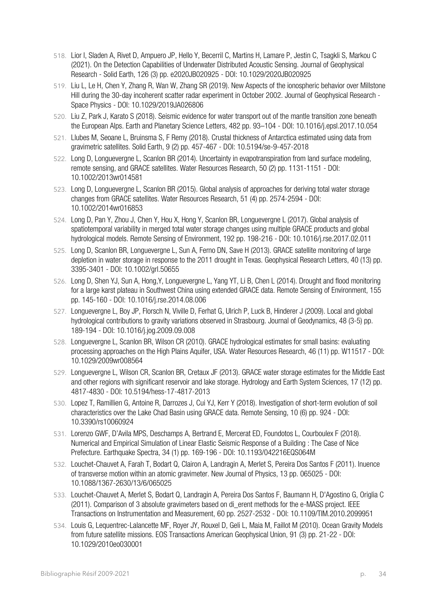- 518. Lior I, Sladen A, Rivet D, Ampuero JP, Hello Y, Becerril C, Martins H, Lamare P, Jestin C, Tsagkli S, Markou C (2021). On the Detection Capabilities of Underwater Distributed Acoustic Sensing. Journal of Geophysical Research - Solid Earth, 126 (3) pp. e2020JB020925 - DOI: 10.1029/2020JB020925
- 519. Liu L, Le H, Chen Y, Zhang R, Wan W, Zhang SR (2019). New Aspects of the ionospheric behavior over Millstone Hill during the 30-day incoherent scatter radar experiment in October 2002. Journal of Geophysical Research - Space Physics - DOI: 10.1029/2019JA026806
- 520. Liu Z, Park J, Karato S (2018). Seismic evidence for water transport out of the mantle transition zone beneath the European Alps. Earth and Planetary Science Letters, 482 pp. 93–104 - DOI: 10.1016/j.epsl.2017.10.054
- 521. Llubes M, Seoane L, Bruinsma S, F Remy (2018). Crustal thickness of Antarctica estimated using data from gravimetric satellites. Solid Earth, 9 (2) pp. 457-467 - DOI: 10.5194/se-9-457-2018
- 522. Long D, Longuevergne L, Scanlon BR (2014). Uncertainty in evapotranspiration from land surface modeling, remote sensing, and GRACE satellites. Water Resources Research, 50 (2) pp. 1131-1151 - DOI: 10.1002/2013wr014581
- 523. Long D, Longuevergne L, Scanlon BR (2015). Global analysis of approaches for deriving total water storage changes from GRACE satellites. Water Resources Research, 51 (4) pp. 2574-2594 - DOI: 10.1002/2014wr016853
- 524. Long D, Pan Y, Zhou J, Chen Y, Hou X, Hong Y, Scanlon BR, Longuevergne L (2017). Global analysis of spatiotemporal variability in merged total water storage changes using multiple GRACE products and global hydrological models. Remote Sensing of Environment, 192 pp. 198-216 - DOI: 10.1016/j.rse.2017.02.011
- 525. Long D, Scanlon BR, Longuevergne L, Sun A, Ferno DN, Save H (2013). GRACE satellite monitoring of large depletion in water storage in response to the 2011 drought in Texas. Geophysical Research Letters, 40 (13) pp. 3395-3401 - DOI: 10.1002/grl.50655
- 526. Long D, Shen YJ, Sun A, Hong,Y, Longuevergne L, Yang YT, Li B, Chen L (2014). Drought and flood monitoring for a large karst plateau in Southwest China using extended GRACE data. Remote Sensing of Environment, 155 pp. 145-160 - DOI: 10.1016/j.rse.2014.08.006
- 527. Longuevergne L, Boy JP, Florsch N, Viville D, Ferhat G, Ulrich P, Luck B, Hinderer J (2009). Local and global hydrological contributions to gravity variations observed in Strasbourg. Journal of Geodynamics, 48 (3-5) pp. 189-194 - DOI: 10.1016/j.jog.2009.09.008
- 528. Longuevergne L, Scanlon BR, Wilson CR (2010). GRACE hydrological estimates for small basins: evaluating processing approaches on the High Plains Aquifer, USA. Water Resources Research, 46 (11) pp. W11517 - DOI: 10.1029/2009wr008564
- 529. Longuevergne L, Wilson CR, Scanlon BR, Cretaux JF (2013). GRACE water storage estimates for the Middle East and other regions with significant reservoir and lake storage. Hydrology and Earth System Sciences, 17 (12) pp. 4817-4830 - DOI: 10.5194/hess-17-4817-2013
- 530. Lopez T, Ramillien G, Antoine R, Darrozes J, Cui YJ, Kerr Y (2018). Investigation of short-term evolution of soil characteristics over the Lake Chad Basin using GRACE data. Remote Sensing, 10 (6) pp. 924 - DOI: 10.3390/rs10060924
- 531. Lorenzo GWF, D'Avila MPS, Deschamps A, Bertrand E, Mercerat ED, Foundotos L, Courboulex F (2018). Numerical and Empirical Simulation of Linear Elastic Seismic Response of a Building : The Case of Nice Prefecture. Earthquake Spectra, 34 (1) pp. 169-196 - DOI: 10.1193/042216EQS064M
- 532. Louchet-Chauvet A, Farah T, Bodart Q, Clairon A, Landragin A, Merlet S, Pereira Dos Santos F (2011). Inuence of transverse motion within an atomic gravimeter. New Journal of Physics, 13 pp. 065025 - DOI: 10.1088/1367-2630/13/6/065025
- 533. Louchet-Chauvet A, Merlet S, Bodart Q, Landragin A, Pereira Dos Santos F, Baumann H, D'Agostino G, Origlia C (2011). Comparison of 3 absolute gravimeters based on di\_erent methods for the e-MASS project. IEEE Transactions on Instrumentation and Measurement, 60 pp. 2527-2532 - DOI: 10.1109/TIM.2010.2099951
- 534. Louis G, Lequentrec-Lalancette MF, Royer JY, Rouxel D, Geli L, Maia M, Faillot M (2010). Ocean Gravity Models from future satellite missions. EOS Transactions American Geophysical Union, 91 (3) pp. 21-22 - DOI: 10.1029/2010eo030001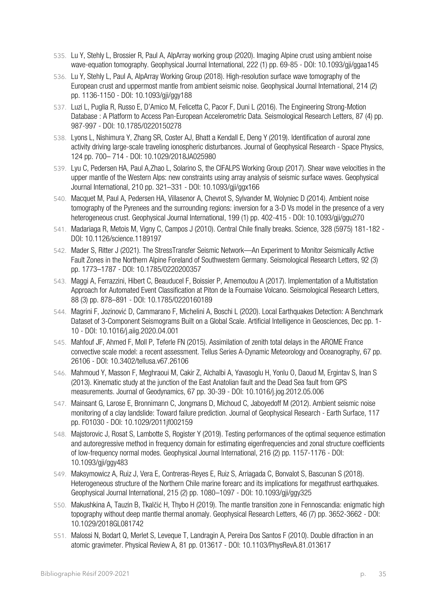- 535. Lu Y, Stehly L, Brossier R, Paul A, AlpArray working group (2020). Imaging Alpine crust using ambient noise wave-equation tomography. Geophysical Journal International, 222 (1) pp. 69-85 - DOI: 10.1093/gji/ggaa145
- 536. Lu Y, Stehly L, Paul A, AlpArray Working Group (2018). High-resolution surface wave tomography of the European crust and uppermost mantle from ambient seismic noise. Geophysical Journal International, 214 (2) pp. 1136-1150 - DOI: 10.1093/gji/ggy188
- 537. Luzi L, Puglia R, Russo E, D'Amico M, Felicetta C, Pacor F, Duni L (2016). The Engineering Strong‐Motion Database : A Platform to Access Pan-European Accelerometric Data. Seismological Research Letters, 87 (4) pp. 987-997 - DOI: 10.1785/0220150278
- 538. Lyons L, Nishimura Y, Zhang SR, Coster AJ, Bhatt a Kendall E, Deng Y (2019). Identification of auroral zone activity driving large‐scale traveling ionospheric disturbances. Journal of Geophysical Research - Space Physics, 124 pp. 700– 714 - DOI: 10.1029/2018JA025980
- 539. Lyu C, Pedersen HA, Paul A,Zhao L, Solarino S, the CIFALPS Working Group (2017). Shear wave velocities in the upper mantle of the Western Alps: new constraints using array analysis of seismic surface waves. Geophysical Journal International, 210 pp. 321–331 - DOI: 10.1093/gji/ggx166
- 540. Macquet M, Paul A, Pedersen HA, Villasenor A, Chevrot S, Sylvander M, Wolyniec D (2014). Ambient noise tomography of the Pyrenees and the surrounding regions: inversion for a 3-D Vs model in the presence of a very heterogeneous crust. Geophysical Journal International, 199 (1) pp. 402-415 - DOI: 10.1093/gji/ggu270
- 541. Madariaga R, Metois M, Vigny C, Campos J (2010). Central Chile finally breaks. Science, 328 (5975) 181-182 DOI: 10.1126/science.1189197
- 542. Mader S, Ritter J (2021). The StressTransfer Seismic Network—An Experiment to Monitor Seismically Active Fault Zones in the Northern Alpine Foreland of Southwestern Germany. Seismological Research Letters, 92 (3) pp. 1773–1787 - DOI: 10.1785/0220200357
- 543. Maggi A, Ferrazzini, Hibert C, Beauducel F, Boissier P, Amemoutou A (2017). Implementation of a Multistation Approach for Automated Event Classification at Piton de la Fournaise Volcano. Seismological Research Letters, 88 (3) pp. 878–891 - DOI: 10.1785/0220160189
- 544. Magrini F, Jozinović D, Cammarano F, Michelini A, Boschi L (2020). Local Earthquakes Detection: A Benchmark Dataset of 3-Component Seismograms Built on a Global Scale. Artificial Intelligence in Geosciences, Dec pp. 1- 10 - DOI: 10.1016/j.aiig.2020.04.001
- 545. Mahfouf JF, Ahmed F, Moll P, Teferle FN (2015). Assimilation of zenith total delays in the AROME France convective scale model: a recent assessment. Tellus Series A-Dynamic Meteorology and Oceanography, 67 pp. 26106 - DOI: 10.3402/tellusa.v67.26106
- 546. Mahmoud Y, Masson F, Meghraoui M, Cakir Z, Alchalbi A, Yavasoglu H, Yonlu O, Daoud M, Ergintav S, Inan S (2013). Kinematic study at the junction of the East Anatolian fault and the Dead Sea fault from GPS measurements. Journal of Geodynamics, 67 pp. 30-39 - DOI: 10.1016/j.jog.2012.05.006
- 547. Mainsant G, Larose E, Bronnimann C, Jongmans D, Michoud C, Jaboyedoff M (2012). Ambient seismic noise monitoring of a clay landslide: Toward failure prediction. Journal of Geophysical Research - Earth Surface, 117 pp. F01030 - DOI: 10.1029/2011jf002159
- 548. Majstorovic J, Rosat S, Lambotte S, Rogister Y (2019). Testing performances of the optimal sequence estimation and autoregressive method in frequency domain for estimating eigenfrequencies and zonal structure coefficients of low-frequency normal modes. Geophysical Journal International, 216 (2) pp. 1157-1176 - DOI: 10.1093/gji/ggy483
- 549. Maksymowicz A, Ruiz J, Vera E, Contreras-Reyes E, Ruiz S, Arriagada C, Bonvalot S, Bascunan S (2018). Heterogeneous structure of the Northern Chile marine forearc and its implications for megathrust earthquakes. Geophysical Journal International, 215 (2) pp. 1080–1097 - DOI: 10.1093/gji/ggy325
- 550. Makushkina A, Tauzin B, Tkalčić H, Thybo H (2019). The mantle transition zone in Fennoscandia: enigmatic high topography without deep mantle thermal anomaly. Geophysical Research Letters, 46 (7) pp. 3652-3662 - DOI: 10.1029/2018GL081742
- 551. Malossi N, Bodart Q, Merlet S, Leveque T, Landragin A, Pereira Dos Santos F (2010). Double difraction in an atomic gravimeter. Physical Review A, 81 pp. 013617 - DOI: 10.1103/PhysRevA.81.013617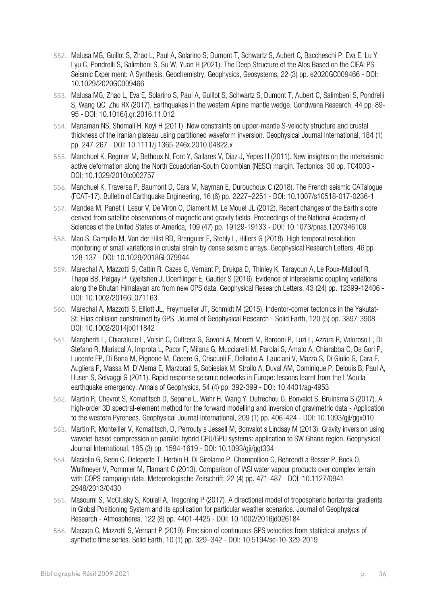- 552. Malusa MG, Guillot S, Zhao L, Paul A, Solarino S, Dumont T, Schwartz S, Aubert C, Baccheschi P, Eva E, Lu Y, Lyu C, Pondrelli S, Salimbeni S, Su W, Yuan H (2021). The Deep Structure of the Alps Based on the CIFALPS Seismic Experiment: A Synthesis. Geochemistry, Geophysics, Geosystems, 22 (3) pp. e2020GC009466 - DOI: 10.1029/2020GC009466
- 553. Malusa MG, Zhao L, Eva E, Solarino S, Paul A, Guillot S, Schwartz S, Dumont T, Aubert C, Salimbeni S, Pondrelli S, Wang QC, Zhu RX (2017). Earthquakes in the western Alpine mantle wedge. Gondwana Research, 44 pp. 89- 95 - DOI: 10.1016/j.gr.2016.11.012
- 554. Manaman NS, Shomali H, Koyi H (2011). New constraints on upper-mantle S-velocity structure and crustal thickness of the Iranian plateau using partitioned waveform inversion. Geophysical Journal International, 184 (1) pp. 247-267 - DOI: 10.1111/j.1365-246x.2010.04822.x
- 555. Manchuel K, Regnier M, Bethoux N, Font Y, Sallares V, Diaz J, Yepes H (2011). New insights on the interseismic active deformation along the North Ecuadorian-South Colombian (NESC) margin. Tectonics, 30 pp. TC4003 - DOI: 10.1029/2010tc002757
- 556. Manchuel K, Traversa P, Baumont D, Cara M, Nayman E, Durouchoux C (2018). The French seismic CATalogue (FCAT-17). Bulletin of Earthquake Engineering, 16 (6) pp. 2227–2251 - DOI: 10.1007/s10518-017-0236-1
- 557. Mandea M, Panet I, Lesur V, De Viron O, Diament M, Le Mouel JL (2012). Recent changes of the Earth's core derived from satellite observations of magnetic and gravity fields. Proceedings of the National Academy of Sciences of the United States of America, 109 (47) pp. 19129-19133 - DOI: 10.1073/pnas.1207346109
- 558. Mao S, Campillo M, Van der Hilst RD, Brenguier F, Stehly L, Hillers G (2018). High temporal resolution monitoring of small variations in crustal strain by dense seismic arrays. Geophysical Research Letters, 46 pp. 128-137 - DOI: 10.1029/2018GL079944
- 559. Marechal A, Mazzotti S, Cattin R, Cazes G, Vernant P, Drukpa D, Thinley K, Tarayoun A, Le Roux-Mallouf R, Thapa BB, Pelgay P, Gyeltshen J, Doerflinger E, Gautier S (2016). Evidence of interseismic coupling variations along the Bhutan Himalayan arc from new GPS data. Geophysical Research Letters, 43 (24) pp. 12399-12406 - DOI: 10.1002/2016GL071163
- 560. Marechal A, Mazzotti S, Elliott JL, Freymueller JT, Schmidt M (2015). Indentor-corner tectonics in the Yakutat-St. Elias collision constrained by GPS. Journal of Geophysical Research - Solid Earth, 120 (5) pp. 3897-3908 - DOI: 10.1002/2014jb011842
- 561. Margheriti L, Chiaraluce L, Voisin C, Cultrera G, Govoni A, Moretti M, Bordoni P, Luzi L, Azzara R, Valoroso L, Di Stefano R, Mariscal A, Improta L, Pacor F, Milana G, Mucciarelli M, Parolai S, Amato A, Chiarabba C, De Gori P, Lucente FP, Di Bona M, Pignone M, Cecere G, Criscuoli F, Delladio A, Lauciani V, Mazza S, Di Giulio G, Cara F, Augliera P, Massa M, D'Alema E, Marzorati S, Sobiesiak M, Strollo A, Duval AM, Dominique P, Delouis B, Paul A, Husen S, Selvaggi G (2011). Rapid response seismic networks in Europe: lessons learnt from the L'Aquila earthquake emergency. Annals of Geophysics, 54 (4) pp. 392-399 - DOI: 10.4401/ag-4953
- 562. Martin R, Chevrot S, Komatitsch D, Seoane L, Wehr H, Wang Y, Dufrechou G, Bonvalot S, Bruinsma S (2017). A high-order 3D spectral-element method for the forward modelling and inversion of gravimetric data - Application to the western Pyrenees. Geophysical Journal International, 209 (1) pp. 406-424 - DOI: 10.1093/gji/ggx010
- 563. Martin R, Monteiller V, Komatitsch, D, Perrouty s Jessell M, Bonvalot s Lindsay M (2013). Gravity inversion using wavelet-based compression on parallel hybrid CPU/GPU systems: application to SW Ghana region. Geophysical Journal International, 195 (3) pp. 1594-1619 - DOI: 10.1093/gji/ggt334
- 564. Masiello G, Serio C, Deleporte T, Herbin H, Di Girolamo P, Champollion C, Behrendt a Bosser P, Bock O, Wulfmeyer V, Pommier M, Flamant C (2013). Comparison of IASI water vapour products over complex terrain with COPS campaign data. Meteorologische Zeitschrift, 22 (4) pp. 471-487 - DOI: 10.1127/0941- 2948/2013/0430
- 565. Masoumi S, McClusky S, Koulali A, Tregoning P (2017). A directional model of tropospheric horizontal gradients in Global Positioning System and its application for particular weather scenarios. Journal of Geophysical Research - Atmospheres, 122 (8) pp. 4401-4425 - DOI: 10.1002/2016jd026184
- 566. Masson C, Mazzotti S, Vernant P (2019). Precision of continuous GPS velocities from statistical analysis of synthetic time series. Solid Earth, 10 (1) pp. 329–342 - DOI: 10.5194/se-10-329-2019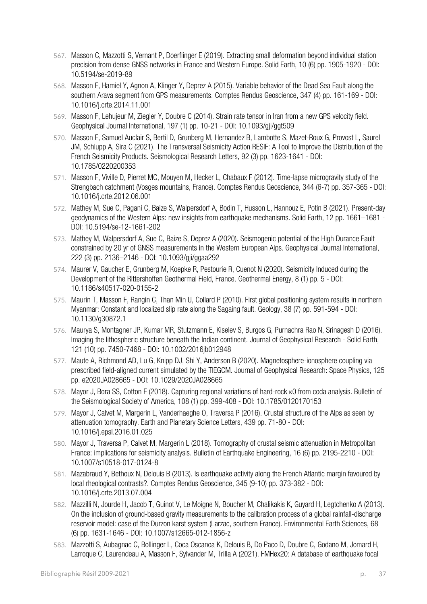- 567. Masson C, Mazzotti S, Vernant P, Doerflinger E (2019). Extracting small deformation beyond individual station precision from dense GNSS networks in France and Western Europe. Solid Earth, 10 (6) pp. 1905-1920 - DOI: 10.5194/se-2019-89
- 568. Masson F, Hamiel Y, Agnon A, Klinger Y, Deprez A (2015). Variable behavior of the Dead Sea Fault along the southern Arava segment from GPS measurements. Comptes Rendus Geoscience, 347 (4) pp. 161-169 - DOI: 10.1016/j.crte.2014.11.001
- 569. Masson F, Lehujeur M, Ziegler Y, Doubre C (2014). Strain rate tensor in Iran from a new GPS velocity field. Geophysical Journal International, 197 (1) pp. 10-21 - DOI: 10.1093/gji/ggt509
- 570. Masson F, Samuel Auclair S, Bertil D, Grunberg M, Hernandez B, Lambotte S, Mazet-Roux G, Provost L, Saurel JM, Schlupp A, Sira C (2021). The Transversal Seismicity Action RESIF: A Tool to Improve the Distribution of the French Seismicity Products. Seismological Research Letters, 92 (3) pp. 1623-1641 - DOI: 10.1785/0220200353
- 571. Masson F, Viville D, Pierret MC, Mouyen M, Hecker L, Chabaux F (2012). Time-lapse microgravity study of the Strengbach catchment (Vosges mountains, France). Comptes Rendus Geoscience, 344 (6-7) pp. 357-365 - DOI: 10.1016/j.crte.2012.06.001
- 572. Mathey M, Sue C, Pagani C, Baize S, Walpersdorf A, Bodin T, Husson L, Hannouz E, Potin B (2021). Present-day geodynamics of the Western Alps: new insights from earthquake mechanisms. Solid Earth, 12 pp. 1661–1681 - DOI: 10.5194/se-12-1661-202
- 573. Mathey M, Walpersdorf A, Sue C, Baize S, Deprez A (2020). Seismogenic potential of the High Durance Fault constrained by 20 yr of GNSS measurements in the Western European Alps. Geophysical Journal International, 222 (3) pp. 2136–2146 - DOI: 10.1093/gji/ggaa292
- 574. Maurer V, Gaucher E, Grunberg M, Koepke R, Pestourie R, Cuenot N (2020). Seismicity Induced during the Development of the Rittershoffen Geothermal Field, France. Geothermal Energy, 8 (1) pp. 5 - DOI: 10.1186/s40517-020-0155-2
- 575. Maurin T, Masson F, Rangin C, Than Min U, Collard P (2010). First global positioning system results in northern Myanmar: Constant and localized slip rate along the Sagaing fault. Geology, 38 (7) pp. 591-594 - DOI: 10.1130/g30872.1
- 576. Maurya S, Montagner JP, Kumar MR, Stutzmann E, Kiselev S, Burgos G, Purnachra Rao N, Srinagesh D (2016). Imaging the lithospheric structure beneath the Indian continent. Journal of Geophysical Research - Solid Earth, 121 (10) pp. 7450-7468 - DOI: 10.1002/2016jb012948
- 577. Maute A, Richmond AD, Lu G, Knipp DJ, Shi Y, Anderson B (2020). Magnetosphere‐ionosphere coupling via prescribed field‐aligned current simulated by the TIEGCM. Journal of Geophysical Research: Space Physics, 125 pp. e2020JA028665 - DOI: 10.1029/2020JA028665
- 578. Mayor J, Bora SS, Cotton F (2018). Capturing regional variations of hard‐rock κ0 from coda analysis. Bulletin of the Seismological Society of America, 108 (1) pp. 399-408 - DOI: 10.1785/0120170153
- 579. Mayor J, Calvet M, Margerin L, Vanderhaeghe O, Traversa P (2016). Crustal structure of the Alps as seen by attenuation tomography. Earth and Planetary Science Letters, 439 pp. 71-80 - DOI: 10.1016/j.epsl.2016.01.025
- 580. Mayor J, Traversa P, Calvet M, Margerin L (2018). Tomography of crustal seismic attenuation in Metropolitan France: implications for seismicity analysis. Bulletin of Earthquake Engineering, 16 (6) pp. 2195-2210 - DOI: 10.1007/s10518-017-0124-8
- 581. Mazabraud Y, Bethoux N, Delouis B (2013). Is earthquake activity along the French Atlantic margin favoured by local rheological contrasts?. Comptes Rendus Geoscience, 345 (9-10) pp. 373-382 - DOI: 10.1016/j.crte.2013.07.004
- 582. Mazzilli N, Jourde H, Jacob T, Guinot V, Le Moigne N, Boucher M, Chalikakis K, Guyard H, Legtchenko A (2013). On the inclusion of ground-based gravity measurements to the calibration process of a global rainfall-discharge reservoir model: case of the Durzon karst system (Larzac, southern France). Environmental Earth Sciences, 68 (6) pp. 1631-1646 - DOI: 10.1007/s12665-012-1856-z
- 583. Mazzotti S, Aubagnac C, Bollinger L, Coca Oscanoa K, Delouis B, Do Paco D, Doubre C, Godano M, Jomard H, Larroque C, Laurendeau A, Masson F, Sylvander M, Trilla A (2021). FMHex20: A database of earthquake focal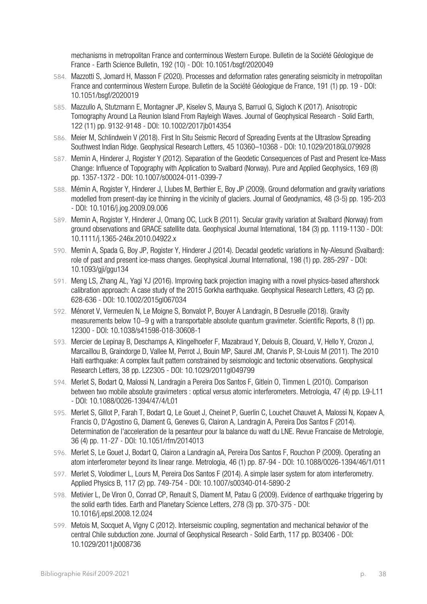mechanisms in metropolitan France and conterminous Western Europe. Bulletin de la Société Géologique de France - Earth Science Bulletin, 192 (10) - DOI: 10.1051/bsgf/2020049

- 584. Mazzotti S, Jomard H, Masson F (2020). Processes and deformation rates generating seismicity in metropolitan France and conterminous Western Europe. Bulletin de la Société Géologique de France, 191 (1) pp. 19 - DOI: 10.1051/bsgf/2020019
- 585. Mazzullo A, Stutzmann E, Montagner JP, Kiselev S, Maurya S, Barruol G, Sigloch K (2017). Anisotropic Tomography Around La Reunion Island From Rayleigh Waves. Journal of Geophysical Research - Solid Earth, 122 (11) pp. 9132-9148 - DOI: 10.1002/2017jb014354
- 586. Meier M, Schlindwein V (2018). First In Situ Seismic Record of Spreading Events at the Ultraslow Spreading Southwest Indian Ridge. Geophysical Research Letters, 45 10360–10368 - DOI: 10.1029/2018GL079928
- 587. Memin A, Hinderer J, Rogister Y (2012). Separation of the Geodetic Consequences of Past and Present Ice-Mass Change: Influence of Topography with Application to Svalbard (Norway). Pure and Applied Geophysics, 169 (8) pp. 1357-1372 - DOI: 10.1007/s00024-011-0399-7
- 588. Mémin A, Rogister Y, Hinderer J, Llubes M, Berthier E, Boy JP (2009). Ground deformation and gravity variations modelled from present-day ice thinning in the vicinity of glaciers. Journal of Geodynamics, 48 (3-5) pp. 195-203 - DOI: 10.1016/j.jog.2009.09.006
- 589. Memin A, Rogister Y, Hinderer J, Omang OC, Luck B (2011). Secular gravity variation at Svalbard (Norway) from ground observations and GRACE satellite data. Geophysical Journal International, 184 (3) pp. 1119-1130 - DOI: 10.1111/j.1365-246x.2010.04922.x
- 590. Memin A, Spada G, Boy JP, Rogister Y, Hinderer J (2014). Decadal geodetic variations in Ny-Alesund (Svalbard): role of past and present ice-mass changes. Geophysical Journal International, 198 (1) pp. 285-297 - DOI: 10.1093/gji/ggu134
- 591. Meng LS, Zhang AL, Yagi YJ (2016). Improving back projection imaging with a novel physics-based aftershock calibration approach: A case study of the 2015 Gorkha earthquake. Geophysical Research Letters, 43 (2) pp. 628-636 - DOI: 10.1002/2015gl067034
- 592. Ménoret V, Vermeulen N, Le Moigne S, Bonvalot P, Bouyer A Landragin, B Desruelle (2018). Gravity measurements below 10−9 g with a transportable absolute quantum gravimeter. Scientific Reports, 8 (1) pp. 12300 - DOI: 10.1038/s41598-018-30608-1
- 593. Mercier de Lepinay B, Deschamps A, Klingelhoefer F, Mazabraud Y, Delouis B, Clouard, V, Hello Y, Crozon J, Marcaillou B, Graindorge D, Vallee M, Perrot J, Bouin MP, Saurel JM, Charvis P, St-Louis M (2011). The 2010 Haiti earthquake: A complex fault pattern constrained by seismologic and tectonic observations. Geophysical Research Letters, 38 pp. L22305 - DOI: 10.1029/2011gl049799
- 594. Merlet S, Bodart Q, Malossi N, Landragin a Pereira Dos Santos F, Gitlein O, Timmen L (2010). Comparison between two mobile absolute gravimeters : optical versus atomic interferometers. Metrologia, 47 (4) pp. L9-L11 - DOI: 10.1088/0026-1394/47/4/L01
- 595. Merlet S, Gillot P, Farah T, Bodart Q, Le Gouet J, Cheinet P, Guerlin C, Louchet Chauvet A, Malossi N, Kopaev A, Francis O, D'Agostino G, Diament G, Geneves G, Clairon A, Landragin A, Pereira Dos Santos F (2014). Determination de l'acceleration de la pesanteur pour la balance du watt du LNE. Revue Francaise de Metrologie, 36 (4) pp. 11-27 - DOI: 10.1051/rfm/2014013
- 596. Merlet S, Le Gouet J, Bodart Q, Clairon a Landragin aA, Pereira Dos Santos F, Rouchon P (2009). Operating an atom interferometer beyond its linear range. Metrologia, 46 (1) pp. 87-94 - DOI: 10.1088/0026-1394/46/1/011
- 597. Merlet S, Volodimer L, Lours M, Pereira Dos Santos F (2014). A simple laser system for atom interferometry. Applied Physics B, 117 (2) pp. 749-754 - DOI: 10.1007/s00340-014-5890-2
- 598. Metivier L, De Viron O, Conrad CP, Renault S, Diament M, Patau G (2009). Evidence of earthquake triggering by the solid earth tides. Earth and Planetary Science Letters, 278 (3) pp. 370-375 - DOI: 10.1016/j.epsl.2008.12.024
- 599. Metois M, Socquet A, Vigny C (2012). Interseismic coupling, segmentation and mechanical behavior of the central Chile subduction zone. Journal of Geophysical Research - Solid Earth, 117 pp. B03406 - DOI: 10.1029/2011jb008736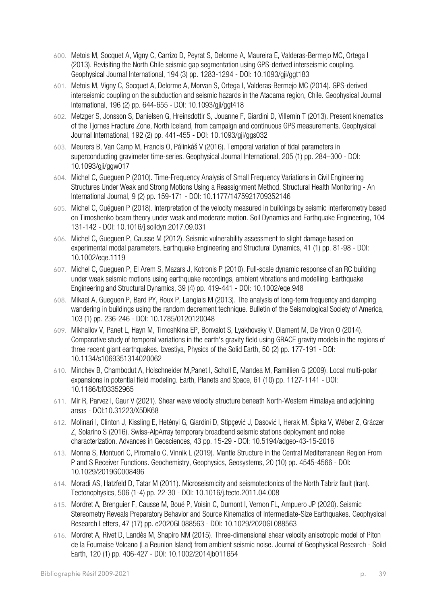- 600. Metois M, Socquet A, Vigny C, Carrizo D, Peyrat S, Delorme A, Maureira E, Valderas-Bermejo MC, Ortega I (2013). Revisiting the North Chile seismic gap segmentation using GPS-derived interseismic coupling. Geophysical Journal International, 194 (3) pp. 1283-1294 - DOI: 10.1093/gji/ggt183
- 601. Metois M, Vigny C, Socquet A, Delorme A, Morvan S, Ortega I, Valderas-Bermejo MC (2014). GPS-derived interseismic coupling on the subduction and seismic hazards in the Atacama region, Chile. Geophysical Journal International, 196 (2) pp. 644-655 - DOI: 10.1093/gji/ggt418
- 602. Metzger S, Jonsson S, Danielsen G, Hreinsdottir S, Jouanne F, Giardini D, Villemin T (2013). Present kinematics of the Tjornes Fracture Zone, North Iceland, from campaign and continuous GPS measurements. Geophysical Journal International, 192 (2) pp. 441-455 - DOI: 10.1093/gji/ggs032
- 603. Meurers B, Van Camp M, Francis O, Pálinkáš V (2016). Temporal variation of tidal parameters in superconducting gravimeter time-series. Geophysical Journal International, 205 (1) pp. 284–300 - DOI: 10.1093/gji/ggw017
- 604. Michel C, Gueguen P (2010). Time-Frequency Analysis of Small Frequency Variations in Civil Engineering Structures Under Weak and Strong Motions Using a Reassignment Method. Structural Health Monitoring - An International Journal, 9 (2) pp. 159-171 - DOI: 10.1177/1475921709352146
- 605. Michel C, Guéguen P (2018). Interpretation of the velocity measured in buildings by seismic interferometry based on Timoshenko beam theory under weak and moderate motion. Soil Dynamics and Earthquake Engineering, 104 131-142 - DOI: 10.1016/j.soildyn.2017.09.031
- 606. Michel C, Gueguen P, Causse M (2012). Seismic vulnerability assessment to slight damage based on experimental modal parameters. Earthquake Engineering and Structural Dynamics, 41 (1) pp. 81-98 - DOI: 10.1002/eqe.1119
- 607. Michel C, Gueguen P, El Arem S, Mazars J, Kotronis P (2010). Full-scale dynamic response of an RC building under weak seismic motions using earthquake recordings, ambient vibrations and modelling. Earthquake Engineering and Structural Dynamics, 39 (4) pp. 419-441 - DOI: 10.1002/eqe.948
- 608. Mikael A, Gueguen P, Bard PY, Roux P, Langlais M (2013). The analysis of long-term frequency and damping wandering in buildings using the random decrement technique. Bulletin of the Seismological Society of America, 103 (1) pp. 236-246 - DOI: 10.1785/0120120048
- 609. Mikhailov V, Panet L, Hayn M, Timoshkina EP, Bonvalot S, Lyakhovsky V, Diament M, De Viron O (2014). Comparative study of temporal variations in the earth's gravity field using GRACE gravity models in the regions of three recent giant earthquakes. Izvestiya, Physics of the Solid Earth, 50 (2) pp. 177-191 - DOI: 10.1134/s1069351314020062
- 610. Minchev B, Chambodut A, Holschneider M,Panet I, Scholl E, Mandea M, Ramillien G (2009). Local multi-polar expansions in potential field modeling. Earth, Planets and Space, 61 (10) pp. 1127-1141 - DOI: 10.1186/bf03352965
- 611. Mir R, Parvez I, Gaur V (2021). Shear wave velocity structure beneath North-Western Himalaya and adjoining areas - DOI:10.31223/X5DK68
- 612. Molinari I, Clinton J, Kissling E, Hetényi G, Giardini D, Stipçević J, Dasović I, Herak M, Šipka V, Wéber Z, Gráczer Z, Solarino S (2016). Swiss-AlpArray temporary broadband seismic stations deployment and noise characterization. Advances in Geosciences, 43 pp. 15-29 - DOI: 10.5194/adgeo-43-15-2016
- 613. Monna S, Montuori C, Piromallo C, Vinnik L (2019). Mantle Structure in the Central Mediterranean Region From P and S Receiver Functions. Geochemistry, Geophysics, Geosystems, 20 (10) pp. 4545-4566 - DOI: 10.1029/2019GC008496
- 614. Moradi AS, Hatzfeld D, Tatar M (2011). Microseismicity and seismotectonics of the North Tabriz fault (Iran). Tectonophysics, 506 (1-4) pp. 22-30 - DOI: 10.1016/j.tecto.2011.04.008
- 615. Mordret A, Brenguier F, Causse M, Boué P, Voisin C, Dumont I, Vernon FL, Ampuero JP (2020). Seismic Stereometry Reveals Preparatory Behavior and Source Kinematics of Intermediate‐Size Earthquakes. Geophysical Research Letters, 47 (17) pp. e2020GL088563 - DOI: 10.1029/2020GL088563
- 616. Mordret A, Rivet D, Landès M, Shapiro NM (2015). Three-dimensional shear velocity anisotropic model of Piton de la Fournaise Volcano (La Reunion Island) from ambient seismic noise. Journal of Geophysical Research - Solid Earth, 120 (1) pp. 406-427 - DOI: 10.1002/2014jb011654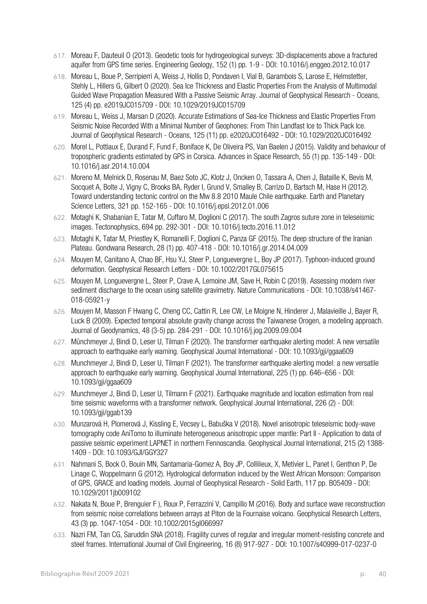- 617. Moreau F, Dauteuil O (2013). Geodetic tools for hydrogeological surveys: 3D-displacements above a fractured aquifer from GPS time series. Engineering Geology, 152 (1) pp. 1-9 - DOI: 10.1016/j.enggeo.2012.10.017
- 618. Moreau L, Boue P, Serripierri A, Weiss J, Hollis D, Pondaven I, Vial B, Garambois S, Larose E, Helmstetter, Stehly L, Hillers G, Gilbert O (2020). Sea Ice Thickness and Elastic Properties From the Analysis of Multimodal Guided Wave Propagation Measured With a Passive Seismic Array. Journal of Geophysical Research - Oceans, 125 (4) pp. e2019JC015709 - DOI: 10.1029/2019JC015709
- 619. Moreau L, Weiss J, Marsan D (2020). Accurate Estimations of Sea‐Ice Thickness and Elastic Properties From Seismic Noise Recorded With a Minimal Number of Geophones: From Thin Landfast Ice to Thick Pack Ice. Journal of Geophysical Research - Oceans, 125 (11) pp. e2020JC016492 - DOI: 10.1029/2020JC016492
- 620. Morel L, Pottiaux E, Durand F, Fund F, Boniface K, De Oliveira PS, Van Baelen J (2015). Validity and behaviour of tropospheric gradients estimated by GPS in Corsica. Advances in Space Research, 55 (1) pp. 135-149 - DOI: 10.1016/j.asr.2014.10.004
- 621. Moreno M, Melnick D, Rosenau M, Baez Soto JC, Klotz J, Oncken O, Tassara A, Chen J, Bataille K, Bevis M, Socquet A, Bolte J, Vigny C, Brooks BA, Ryder I, Grund V, Smalley B, Carrizo D, Bartsch M, Hase H (2012). Toward understanding tectonic control on the Mw 8.8 2010 Maule Chile earthquake. Earth and Planetary Science Letters, 321 pp. 152-165 - DOI: 10.1016/j.epsl.2012.01.006
- 622. Motaghi K, Shabanian E, Tatar M, Cuffaro M, Doglioni C (2017). The south Zagros suture zone in teleseismic images. Tectonophysics, 694 pp. 292-301 - DOI: 10.1016/j.tecto.2016.11.012
- 623. Motaghi K, Tatar M, Priestley K, Romanelli F, Doglioni C, Panza GF (2015). The deep structure of the Iranian Plateau. Gondwana Research, 28 (1) pp. 407-418 - DOI: 10.1016/j.gr.2014.04.009
- 624. Mouyen M, Canitano A, Chao BF, Hsu YJ, Steer P, Longuevergne L, Boy JP (2017). Typhoon-induced ground deformation. Geophysical Research Letters - DOI: 10.1002/2017GL075615
- 625. Mouyen M, Longuevergne L, Steer P, Crave A, Lemoine JM, Save H, Robin C (2019). Assessing modern river sediment discharge to the ocean using satellite gravimetry. Nature Communications - DOI: 10.1038/s41467-018-05921-y
- 626. Mouyen M, Masson F Hwang C, Cheng CC, Cattin R, Lee CW, Le Moigne N, Hinderer J, Malavieille J, Bayer R, Luck B (2009). Expected temporal absolute gravity change across the Taiwanese Orogen, a modeling approach. Journal of Geodynamics, 48 (3-5) pp. 284-291 - DOI: 10.1016/j.jog.2009.09.004
- 627. Münchmeyer J, Bindi D, Leser U, Tilman F (2020). The transformer earthquake alerting model: A new versatile approach to earthquake early warning. Geophysical Journal International - DOI: 10.1093/gii/ggaa609
- 628. Munchmeyer J, Bindi D, Leser U, Tilman F (2021). The transformer earthquake alerting model: a new versatile approach to earthquake early warning. Geophysical Journal International, 225 (1) pp. 646–656 - DOI: 10.1093/gji/ggaa609
- 629. Munchmeyer J, Bindi D, Leser U, Tilmann F (2021). Earthquake magnitude and location estimation from real time seismic waveforms with a transformer network. Geophysical Journal International, 226 (2) - DOI: 10.1093/gji/ggab139
- 630. Munzarová H, Plomerová J, Kissling E, Vecsey L, Babuška V (2018). Novel anisotropic teleseismic body-wave tomography code AniTomo to illuminate heterogeneous anisotropic upper mantle: Part II - Application to data of passive seismic experiment LAPNET in northern Fennoscandia. Geophysical Journal International, 215 (2) 1388- 1409 - DOI: 10.1093/GJI/GGY327
- 631. Nahmani S, Bock O, Bouin MN, Santamaria-Gomez A, Boy JP, Collilieux, X, Metivier L, Panet I, Genthon P, De Linage C, Woppelmann G (2012). Hydrological deformation induced by the West African Monsoon: Comparison of GPS, GRACE and loading models. Journal of Geophysical Research - Solid Earth, 117 pp. B05409 - DOI: 10.1029/2011jb009102
- 632. Nakata N, Boue P, Brenguier F ), Roux P, Ferrazzini V, Campillo M (2016). Body and surface wave reconstruction from seismic noise correlations between arrays at Piton de la Fournaise volcano. Geophysical Research Letters, 43 (3) pp. 1047-1054 - DOI: 10.1002/2015gl066997
- 633. Nazri FM, Tan CG, Saruddin SNA (2018). Fragility curves of regular and irregular moment-resisting concrete and steel frames. International Journal of Civil Engineering, 16 (8) 917-927 - DOI: 10.1007/s40999-017-0237-0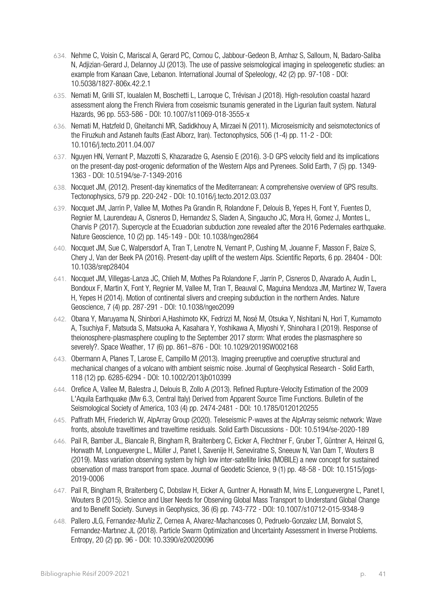- 634. Nehme C, Voisin C, Mariscal A, Gerard PC, Cornou C, Jabbour-Gedeon B, Amhaz S, Salloum, N, Badaro-Saliba N, Adjizian-Gerard J, Delannoy JJ (2013). The use of passive seismological imaging in speleogenetic studies: an example from Kanaan Cave, Lebanon. International Journal of Speleology, 42 (2) pp. 97-108 - DOI: 10.5038/1827-806x.42.2.1
- 635. Nemati M, Grilli ST, Ioualalen M, Boschetti L, Larroque C, Trévisan J (2018). High-resolution coastal hazard assessment along the French Riviera from coseismic tsunamis generated in the Ligurian fault system. Natural Hazards, 96 pp. 553-586 - DOI: 10.1007/s11069-018-3555-x
- 636. Nemati M, Hatzfeld D, Gheitanchi MR, Sadidkhouy A, Mirzaei N (2011). Microseismicity and seismotectonics of the Firuzkuh and Astaneh faults (East Alborz, Iran). Tectonophysics, 506 (1-4) pp. 11-2 - DOI: 10.1016/j.tecto.2011.04.007
- 637. Nguyen HN, Vernant P, Mazzotti S, Khazaradze G, Asensio E (2016). 3-D GPS velocity field and its implications on the present-day post-orogenic deformation of the Western Alps and Pyrenees. Solid Earth, 7 (5) pp. 1349- 1363 - DOI: 10.5194/se-7-1349-2016
- 638. Nocquet JM, (2012). Present-day kinematics of the Mediterranean: A comprehensive overview of GPS results. Tectonophysics, 579 pp. 220-242 - DOI: 10.1016/j.tecto.2012.03.037
- 639. Nocquet JM, Jarrin P, Vallee M, Mothes Pa Grandin R, Rolandone F, Delouis B, Yepes H, Font Y, Fuentes D, Regnier M, Laurendeau A, Cisneros D, Hernandez S, Sladen A, Singaucho JC, Mora H, Gomez J, Montes L, Charvis P (2017). Supercycle at the Ecuadorian subduction zone revealed after the 2016 Pedernales earthquake. Nature Geoscience, 10 (2) pp. 145-149 - DOI: 10.1038/ngeo2864
- 640. Nocquet JM, Sue C, Walpersdorf A, Tran T, Lenotre N, Vernant P, Cushing M, Jouanne F, Masson F, Baize S, Chery J, Van der Beek PA (2016). Present-day uplift of the western Alps. Scientific Reports, 6 pp. 28404 - DOI: 10.1038/srep28404
- 641. Nocquet JM, Villegas-Lanza JC, Chlieh M, Mothes Pa Rolandone F, Jarrin P, Cisneros D, Alvarado A, Audin L, Bondoux F, Martin X, Font Y, Regnier M, Vallee M, Tran T, Beauval C, Maguina Mendoza JM, Martinez W, Tavera H, Yepes H (2014). Motion of continental slivers and creeping subduction in the northern Andes. Nature Geoscience, 7 (4) pp. 287-291 - DOI: 10.1038/ngeo2099
- 642. Obana Y, Maruyama N, Shinbori A,Hashimoto KK, Fedrizzi M, Nosé M, Otsuka Y, Nishitani N, Hori T, Kumamoto A, Tsuchiya F, Matsuda S, Matsuoka A, Kasahara Y, Yoshikawa A, Miyoshi Y, Shinohara I (2019). Response of theionosphere‐plasmasphere coupling to the September 2017 storm: What erodes the plasmasphere so severely?. Space Weather, 17 (6) pp. 861–876 - DOI: 10.1029/2019SW002168
- 643. Obermann A, Planes T, Larose E, Campillo M (2013). Imaging preeruptive and coeruptive structural and mechanical changes of a volcano with ambient seismic noise. Journal of Geophysical Research - Solid Earth, 118 (12) pp. 6285-6294 - DOI: 10.1002/2013jb010399
- 644. Orefice A, Vallee M, Balestra J, Delouis B, Zollo A (2013). Refined Rupture-Velocity Estimation of the 2009 L'Aquila Earthquake (Mw 6.3, Central Italy) Derived from Apparent Source Time Functions. Bulletin of the Seismological Society of America, 103 (4) pp. 2474-2481 - DOI: 10.1785/0120120255
- 645. Paffrath MH, Friederich W, AlpArray Group (2020). Teleseismic P-waves at the AlpArray seismic network: Wave fronts, absolute traveltimes and traveltime residuals. Solid Earth Discussions - DOI: 10.5194/se-2020-189
- 646. Pail R, Bamber JL, Biancale R, Bingham R, Braitenberg C, Eicker A, Flechtner F, Gruber T, Güntner A, Heinzel G, Horwath M, Longuevergne L, Müller J, Panet I, Savenije H, Seneviratne S, Sneeuw N, Van Dam T, Wouters B (2019). Mass variation observing system by high low inter-satellite links (MOBILE) a new concept for sustained observation of mass transport from space. Journal of Geodetic Science, 9 (1) pp. 48-58 - DOI: 10.1515/jogs-2019-0006
- 647. Pail R, Bingham R, Braitenberg C, Dobslaw H, Eicker A, Guntner A, Horwath M, Ivins E, Longuevergne L, Panet I, Wouters B (2015). Science and User Needs for Observing Global Mass Transport to Understand Global Change and to Benefit Society. Surveys in Geophysics, 36 (6) pp. 743-772 - DOI: 10.1007/s10712-015-9348-9
- 648. Pallero JLG, Fernandez-Muñiz Z, Cernea A, Alvarez-Machancoses O, Pedruelo-Gonzalez LM, Bonvalot S, Fernandez-Martınez JL (2018). Particle Swarm Optimization and Uncertainty Assessment in Inverse Problems. Entropy, 20 (2) pp. 96 - DOI: 10.3390/e20020096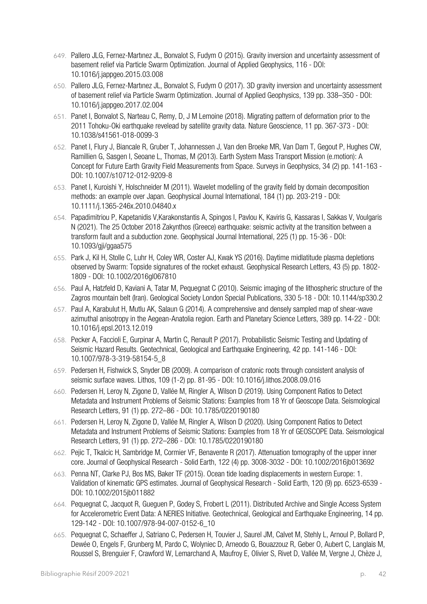- 649. Pallero JLG, Fernez-Martınez JL, Bonvalot S, Fudym O (2015). Gravity inversion and uncertainty assessment of basement relief via Particle Swarm Optimization. Journal of Applied Geophysics, 116 - DOI: 10.1016/j.jappgeo.2015.03.008
- 650. Pallero JLG, Fernez-Martınez JL, Bonvalot S, Fudym O (2017). 3D gravity inversion and uncertainty assessment of basement relief via Particle Swarm Optimization. Journal of Applied Geophysics, 139 pp. 338–350 - DOI: 10.1016/j.jappgeo.2017.02.004
- 651. Panet I, Bonvalot S, Narteau C, Remy, D, J M Lemoine (2018). Migrating pattern of deformation prior to the 2011 Tohoku-Oki earthquake revelead by satellite gravity data. Nature Geoscience, 11 pp. 367-373 - DOI: 10.1038/s41561-018-0099-3
- 652. Panet I, Flury J, Biancale R, Gruber T, Johannessen J, Van den Broeke MR, Van Dam T, Gegout P, Hughes CW, Ramillien G, Sasgen I, Seoane L, Thomas, M (2013). Earth System Mass Transport Mission (e.motion): A Concept for Future Earth Gravity Field Measurements from Space. Surveys in Geophysics, 34 (2) pp. 141-163 - DOI: 10.1007/s10712-012-9209-8
- 653. Panet I, Kuroishi Y, Holschneider M (2011). Wavelet modelling of the gravity field by domain decomposition methods: an example over Japan. Geophysical Journal International, 184 (1) pp. 203-219 - DOI: 10.1111/j.1365-246x.2010.04840.x
- 654. Papadimitriou P, Kapetanidis V,Karakonstantis A, Spingos I, Pavlou K, Kaviris G, Kassaras I, Sakkas V, Voulgaris N (2021). The 25 October 2018 Zakynthos (Greece) earthquake: seismic activity at the transition between a transform fault and a subduction zone. Geophysical Journal International, 225 (1) pp. 15-36 - DOI: 10.1093/gji/ggaa575
- 655. Park J, Kil H, Stolle C, Luhr H, Coley WR, Coster AJ, Kwak YS (2016). Daytime midlatitude plasma depletions observed by Swarm: Topside signatures of the rocket exhaust. Geophysical Research Letters, 43 (5) pp. 1802- 1809 - DOI: 10.1002/2016gl067810
- 656. Paul A, Hatzfeld D, Kaviani A, Tatar M, Pequegnat C (2010). Seismic imaging of the lithospheric structure of the Zagros mountain belt (Iran). Geological Society London Special Publications, 330 5-18 - DOI: 10.1144/sp330.2
- 657. Paul A, Karabulut H, Mutlu AK, Salaun G (2014). A comprehensive and densely sampled map of shear-wave azimuthal anisotropy in the Aegean-Anatolia region. Earth and Planetary Science Letters, 389 pp. 14-22 - DOI: 10.1016/j.epsl.2013.12.019
- 658. Pecker A, Faccioli E, Gurpinar A, Martin C, Renault P (2017). Probabilistic Seismic Testing and Updating of Seismic Hazard Results. Geotechnical, Geological and Earthquake Engineering, 42 pp. 141-146 - DOI: 10.1007/978-3-319-58154-5\_8
- 659. Pedersen H, Fishwick S, Snyder DB (2009). A comparison of cratonic roots through consistent analysis of seismic surface waves. Lithos, 109 (1-2) pp. 81-95 - DOI: 10.1016/j.lithos.2008.09.016
- 660. Pedersen H, Leroy N, Zigone D, Vallée M, Ringler A, Wilson D (2019). Using Component Ratios to Detect Metadata and Instrument Problems of Seismic Stations: Examples from 18 Yr of Geoscope Data. Seismological Research Letters, 91 (1) pp. 272–86 - DOI: 10.1785/0220190180
- 661. Pedersen H, Leroy N, Zigone D, Vallée M, Ringler A, Wilson D (2020). Using Component Ratios to Detect Metadata and Instrument Problems of Seismic Stations: Examples from 18 Yr of GEOSCOPE Data. Seismological Research Letters, 91 (1) pp. 272–286 - DOI: 10.1785/0220190180
- 662. Pejic T, Tkalcic H, Sambridge M, Cormier VF, Benavente R (2017). Attenuation tomography of the upper inner core. Journal of Geophysical Research - Solid Earth, 122 (4) pp. 3008-3032 - DOI: 10.1002/2016jb013692
- 663. Penna NT, Clarke PJ, Bos MS, Baker TF (2015). Ocean tide loading displacements in western Europe: 1. Validation of kinematic GPS estimates. Journal of Geophysical Research - Solid Earth, 120 (9) pp. 6523-6539 - DOI: 10.1002/2015jb011882
- 664. Pequegnat C, Jacquot R, Gueguen P, Godey S, Frobert L (2011). Distributed Archive and Single Access System for Accelerometric Event Data: A NERIES Initiative. Geotechnical, Geological and Earthquake Engineering, 14 pp. 129-142 - DOI: 10.1007/978-94-007-0152-6\_10
- 665. Pequegnat C, Schaeffer J, Satriano C, Pedersen H, Touvier J, Saurel JM, Calvet M, Stehly L, Arnoul P, Bollard P, Dewée O, Engels F, Grunberg M, Pardo C, Wolyniec D, Arneodo G, Bouazzouz R, Geber O, Aubert C, Langlais M, Roussel S, Brenguier F, Crawford W, Lemarchand A, Maufroy E, Olivier S, Rivet D, Vallée M, Vergne J, Chèze J,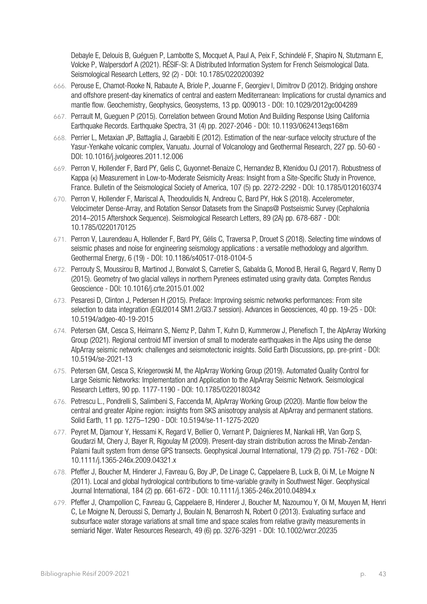Debayle E, Delouis B, Guéguen P, Lambotte S, Mocquet A, Paul A, Peix F, Schindelé F, Shapiro N, Stutzmann E, Volcke P, Walpersdorf A (2021). RÉSIF‐SI: A Distributed Information System for French Seismological Data. Seismological Research Letters, 92 (2) - DOI: 10.1785/0220200392

- 666. Perouse E, Chamot-Rooke N, Rabaute A, Briole P, Jouanne F, Georgiev I, Dimitrov D (2012). Bridging onshore and offshore present-day kinematics of central and eastern Mediterranean: Implications for crustal dynamics and mantle flow. Geochemistry, Geophysics, Geosystems, 13 pp. Q09013 - DOI: 10.1029/2012gc004289
- 667. Perrault M, Gueguen P (2015). Correlation between Ground Motion And Building Response Using California Earthquake Records. Earthquake Spectra, 31 (4) pp. 2027-2046 - DOI: 10.1193/062413eqs168m
- 668. Perrier L, Metaxian JP, Battaglia J, Garaebiti E (2012). Estimation of the near-surface velocity structure of the Yasur-Yenkahe volcanic complex, Vanuatu. Journal of Volcanology and Geothermal Research, 227 pp. 50-60 - DOI: 10.1016/j.jvolgeores.2011.12.006
- 669. Perron V, Hollender F, Bard PY, Gelis C, Guyonnet-Benaize C, Hernandez B, Ktenidou OJ (2017). Robustness of Kappa (κ) Measurement in Low-to-Moderate Seismicity Areas: Insight from a Site-Specific Study in Provence, France. Bulletin of the Seismological Society of America, 107 (5) pp. 2272-2292 - DOI: 10.1785/0120160374
- 670. Perron V, Hollender F, Mariscal A, Theodoulidis N, Andreou C, Bard PY, Hok S (2018). Accelerometer, Velocimeter Dense‐Array, and Rotation Sensor Datasets from the Sinaps@ Postseismic Survey (Cephalonia 2014–2015 Aftershock Sequence). Seismological Research Letters, 89 (2A) pp. 678-687 - DOI: 10.1785/0220170125
- 671. Perron V, Laurendeau A, Hollender F, Bard PY, Gélis C, Traversa P, Drouet S (2018). Selecting time windows of seismic phases and noise for engineering seismology applications : a versatile methodology and algorithm. Geothermal Energy, 6 (19) - DOI: 10.1186/s40517-018-0104-5
- 672. Perrouty S, Moussirou B, Martinod J, Bonvalot S, Carretier S, Gabalda G, Monod B, Herail G, Regard V, Remy D (2015). Geometry of two glacial valleys in northern Pyrenees estimated using gravity data. Comptes Rendus Geoscience - DOI: 10.1016/j.crte.2015.01.002
- 673. Pesaresi D, Clinton J, Pedersen H (2015). Preface: Improving seismic networks performances: From site selection to data integration (EGU2014 SM1.2/GI3.7 session). Advances in Geosciences, 40 pp. 19-25 - DOI: 10.5194/adgeo-40-19-2015
- 674. Petersen GM, Cesca S, Heimann S, Niemz P, Dahm T, Kuhn D, Kummerow J, Plenefisch T, the AlpArray Working Group (2021). Regional centroid MT inversion of small to moderate earthquakes in the Alps using the dense AlpArray seismic network: challenges and seismotectonic insights. Solid Earth Discussions, pp. pre-print - DOI: 10.5194/se-2021-13
- 675. Petersen GM, Cesca S, Kriegerowski M, the AlpArray Working Group (2019). Automated Quality Control for Large Seismic Networks: Implementation and Application to the AlpArray Seismic Network. Seismological Research Letters, 90 pp. 1177-1190 - DOI: 10.1785/0220180342
- 676. Petrescu L., Pondrelli S, Salimbeni S, Faccenda M, AlpArray Working Group (2020). Mantle flow below the central and greater Alpine region: insights from SKS anisotropy analysis at AlpArray and permanent stations. Solid Earth, 11 pp. 1275–1290 - DOI: 10.5194/se-11-1275-2020
- 677. Peyret M, Djamour Y, Hessami K, Regard V, Bellier O, Vernant P, Daignieres M, Nankali HR, Van Gorp S, Goudarzi M, Chery J, Bayer R, Rigoulay M (2009). Present-day strain distribution across the Minab-Zendan-Palami fault system from dense GPS transects. Geophysical Journal International, 179 (2) pp. 751-762 - DOI: 10.1111/j.1365-246x.2009.04321.x
- 678. Pfeffer J, Boucher M, Hinderer J, Favreau G, Boy JP, De Linage C, Cappelaere B, Luck B, Oi M, Le Moigne N (2011). Local and global hydrological contributions to time-variable gravity in Southwest Niger. Geophysical Journal International, 184 (2) pp. 661-672 - DOI: 10.1111/j.1365-246x.2010.04894.x
- 679. Pfeffer J, Champollion C, Favreau G, Cappelaere B, Hinderer J, Boucher M, Nazoumou Y, Oi M, Mouyen M, Henri C, Le Moigne N, Deroussi S, Demarty J, Boulain N, Benarrosh N, Robert O (2013). Evaluating surface and subsurface water storage variations at small time and space scales from relative gravity measurements in semiarid Niger. Water Resources Research, 49 (6) pp. 3276-3291 - DOI: 10.1002/wrcr.20235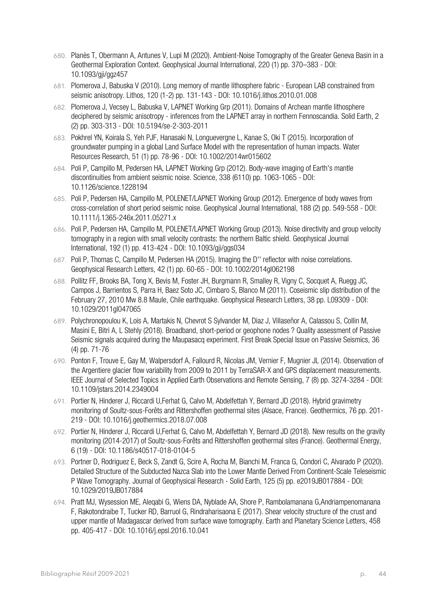- 680. Planès T, Obermann A, Antunes V, Lupi M (2020). Ambient-Noise Tomography of the Greater Geneva Basin in a Geothermal Exploration Context. Geophysical Journal International, 220 (1) pp. 370–383 - DOI: 10.1093/gji/ggz457
- 681. Plomerova J, Babuska V (2010). Long memory of mantle lithosphere fabric European LAB constrained from seismic anisotropy. Lithos, 120 (1-2) pp. 131-143 - DOI: 10.1016/j.lithos.2010.01.008
- 682. Plomerova J, Vecsey L, Babuska V, LAPNET Working Grp (2011). Domains of Archean mantle lithosphere deciphered by seismic anisotropy - inferences from the LAPNET array in northern Fennoscandia. Solid Earth, 2 (2) pp. 303-313 - DOI: 10.5194/se-2-303-2011
- 683. Pokhrel YN, Koirala S, Yeh PJF, Hanasaki N, Longuevergne L, Kanae S, Oki T (2015). Incorporation of groundwater pumping in a global Land Surface Model with the representation of human impacts. Water Resources Research, 51 (1) pp. 78-96 - DOI: 10.1002/2014wr015602
- 684. Poli P, Campillo M, Pedersen HA, LAPNET Working Grp (2012). Body-wave imaging of Earth's mantle discontinuities from ambient seismic noise. Science, 338 (6110) pp. 1063-1065 - DOI: 10.1126/science.1228194
- 685. Poli P, Pedersen HA, Campillo M, POLENET/LAPNET Working Group (2012). Emergence of body waves from cross-correlation of short period seismic noise. Geophysical Journal International, 188 (2) pp. 549-558 - DOI: 10.1111/j.1365-246x.2011.05271.x
- 686. Poli P, Pedersen HA, Campillo M, POLENET/LAPNET Working Group (2013). Noise directivity and group velocity tomography in a region with small velocity contrasts: the northern Baltic shield. Geophysical Journal International, 192 (1) pp. 413-424 - DOI: 10.1093/gji/ggs034
- 687. Poli P, Thomas C, Campillo M, Pedersen HA (2015). Imaging the D'' reflector with noise correlations. Geophysical Research Letters, 42 (1) pp. 60-65 - DOI: 10.1002/2014gl062198
- 688. Pollitz FF, Brooks BA, Tong X, Bevis M, Foster JH, Burgmann R, Smalley R, Vigny C, Socquet A, Ruegg JC, Campos J, Barrientos S, Parra H, Baez Soto JC, Cimbaro S, Blanco M (2011). Coseismic slip distribution of the February 27, 2010 Mw 8.8 Maule, Chile earthquake. Geophysical Research Letters, 38 pp. L09309 - DOI: 10.1029/2011gl047065
- 689. Polychronopoulou K, Lois A, Martakis N, Chevrot S Sylvander M, Diaz J, Villaseñor A, Calassou S, Collin M, Masini E, Bitri A, L Stehly (2018). Broadband, short-period or geophone nodes ? Quality assessment of Passive Seismic signals acquired during the Maupasacq experiment. First Break Special Issue on Passive Seismics, 36 (4) pp. 71-76
- 690. Ponton F, Trouve E, Gay M, Walpersdorf A, Fallourd R, Nicolas JM, Vernier F, Mugnier JL (2014). Observation of the Argentiere glacier flow variability from 2009 to 2011 by TerraSAR-X and GPS displacement measurements. IEEE Journal of Selected Topics in Applied Earth Observations and Remote Sensing, 7 (8) pp. 3274-3284 - DOI: 10.1109/jstars.2014.2349004
- 691. Portier N, Hinderer J, Riccardi U,Ferhat G, Calvo M, Abdelfettah Y, Bernard JD (2018). Hybrid gravimetry monitoring of Soultz-sous-Forêts and Rittershoffen geothermal sites (Alsace, France). Geothermics, 76 pp. 201- 219 - DOI: 10.1016/j.geothermics.2018.07.008
- 692. Portier N, Hinderer J, Riccardi U,Ferhat G, Calvo M, Abdelfettah Y, Bernard JD (2018). New results on the gravity monitoring (2014-2017) of Soultz-sous-Forêts and Rittershoffen geothermal sites (France). Geothermal Energy, 6 (19) - DOI: 10.1186/s40517-018-0104-5
- 693. Portner D, Rodriguez E, Beck S, Zandt G, Scire A, Rocha M, Bianchi M, Franca G, Condori C, Alvarado P (2020). Detailed Structure of the Subducted Nazca Slab into the Lower Mantle Derived From Continent‐Scale Teleseismic P Wave Tomography. Journal of Geophysical Research - Solid Earth, 125 (5) pp. e2019JB017884 - DOI: 10.1029/2019JB017884
- 694. Pratt MJ, Wysession ME, Aleqabi G, Wiens DA, Nyblade AA, Shore P, Rambolamanana G,Andriampenomanana F, Rakotondraibe T, Tucker RD, Barruol G, Rindraharisaona E (2017). Shear velocity structure of the crust and upper mantle of Madagascar derived from surface wave tomography. Earth and Planetary Science Letters, 458 pp. 405-417 - DOI: 10.1016/j.epsl.2016.10.041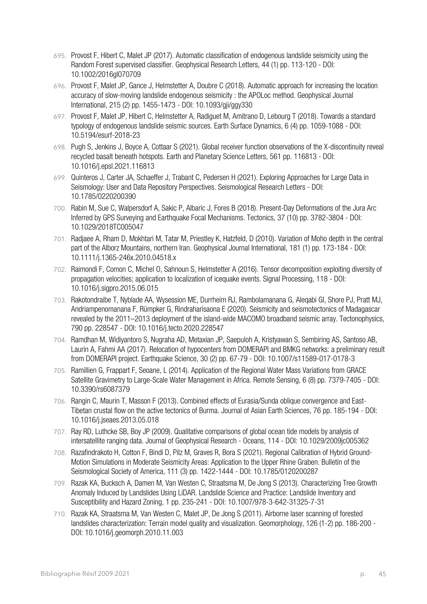- 695. Provost F, Hibert C, Malet JP (2017). Automatic classification of endogenous landslide seismicity using the Random Forest supervised classifier. Geophysical Research Letters, 44 (1) pp. 113-120 - DOI: 10.1002/2016gl070709
- 696. Provost F, Malet JP, Gance J, Helmstetter A, Doubre C (2018). Automatic approach for increasing the location accuracy of slow-moving landslide endogenous seismicity : the APOLoc method. Geophysical Journal International, 215 (2) pp. 1455-1473 - DOI: 10.1093/gji/ggy330
- 697. Provost F, Malet JP, Hibert C, Helmstetter A, Radiguet M, Amitrano D, Lebourg T (2018). Towards a standard typology of endogenous landslide seismic sources. Earth Surface Dynamics, 6 (4) pp. 1059-1088 - DOI: 10.5194/esurf-2018-23
- 698. Pugh S, Jenkins J, Boyce A, Cottaar S (2021). Global receiver function observations of the X-discontinuity reveal recycled basalt beneath hotspots. Earth and Planetary Science Letters, 561 pp. 116813 - DOI: 10.1016/j.epsl.2021.116813
- 699. Quinteros J, Carter JA, Schaeffer J, Trabant C, Pedersen H (2021). Exploring Approaches for Large Data in Seismology: User and Data Repository Perspectives. Seismological Research Letters - DOI: 10.1785/0220200390
- 700. Rabin M, Sue C, Walpersdorf A, Sakic P, Albaric J, Fores B (2018). Present‐Day Deformations of the Jura Arc Inferred by GPS Surveying and Earthquake Focal Mechanisms. Tectonics, 37 (10) pp. 3782-3804 - DOI: 10.1029/2018TC005047
- 701. Radjaee A, Rham D, Mokhtari M, Tatar M, Priestley K, Hatzfeld, D (2010). Variation of Moho depth in the central part of the Alborz Mountains, northern Iran. Geophysical Journal International, 181 (1) pp. 173-184 - DOI: 10.1111/j.1365-246x.2010.04518.x
- 702. Raimondi F, Comon C, Michel O, Sahnoun S, Helmstetter A (2016). Tensor decomposition exploiting diversity of propagation velocities; application to localization of icequake events. Signal Processing, 118 - DOI: 10.1016/j.sigpro.2015.06.015
- 703. Rakotondraibe T, Nyblade AA, Wysession ME, Durrheim RJ, Rambolamanana G, Aleqabi GI, Shore PJ, Pratt MJ, Andriampenomanana F, Rümpker G, Rindraharisaona E (2020). Seismicity and seismotectonics of Madagascar revealed by the 2011–2013 deployment of the island-wide MACOMO broadband seismic array. Tectonophysics, 790 pp. 228547 - DOI: 10.1016/j.tecto.2020.228547
- 704. Ramdhan M, Widiyantoro S, Nugraha AD, Metaxian JP, Saepuloh A, Kristyawan S, Sembiring AS, Santoso AB, Laurin A, Fahmi AA (2017). Relocation of hypocenters from DOMERAPI and BMKG networks: a preliminary result from DOMERAPI project. Earthquake Science, 30 (2) pp. 67-79 - DOI: 10.1007/s11589-017-0178-3
- 705. Ramillien G, Frappart F, Seoane, L (2014). Application of the Regional Water Mass Variations from GRACE Satellite Gravimetry to Large-Scale Water Management in Africa. Remote Sensing, 6 (8) pp. 7379-7405 - DOI: 10.3390/rs6087379
- 706. Rangin C, Maurin T, Masson F (2013). Combined effects of Eurasia/Sunda oblique convergence and East-Tibetan crustal flow on the active tectonics of Burma. Journal of Asian Earth Sciences, 76 pp. 185-194 - DOI: 10.1016/j.jseaes.2013.05.018
- 707. Ray RD, Luthcke SB, Boy JP (2009). Qualitative comparisons of global ocean tide models by analysis of intersatellite ranging data. Journal of Geophysical Research - Oceans, 114 - DOI: 10.1029/2009jc005362
- 708. Razafindrakoto H, Cotton F, Bindi D, Pilz M, Graves R, Bora S (2021). Regional Calibration of Hybrid Ground‐ Motion Simulations in Moderate Seismicity Areas: Application to the Upper Rhine Graben. Bulletin of the Seismological Society of America, 111 (3) pp. 1422-1444 - DOI: 10.1785/0120200287
- 709. Razak KA, Bucksch A, Damen M, Van Westen C, Straatsma M, De Jong S (2013). Characterizing Tree Growth Anomaly Induced by Landslides Using LiDAR. Landslide Science and Practice: Landslide Inventory and Susceptibility and Hazard Zoning, 1 pp. 235-241 - DOI: 10.1007/978-3-642-31325-7-31
- 710. Razak KA, Straatsma M, Van Westen C, Malet JP, De Jong S (2011). Airborne laser scanning of forested landslides characterization: Terrain model quality and visualization. Geomorphology, 126 (1-2) pp. 186-200 - DOI: 10.1016/j.geomorph.2010.11.003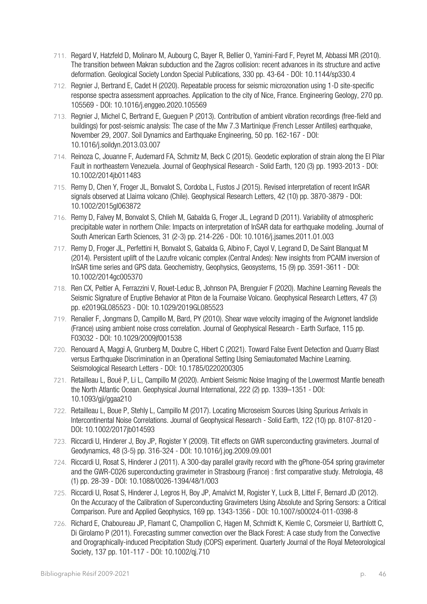- 711. Regard V, Hatzfeld D, Molinaro M, Aubourg C, Bayer R, Bellier O, Yamini-Fard F, Peyret M, Abbassi MR (2010). The transition between Makran subduction and the Zagros collision: recent advances in its structure and active deformation. Geological Society London Special Publications, 330 pp. 43-64 - DOI: 10.1144/sp330.4
- 712. Regnier J, Bertrand E, Cadet H (2020). Repeatable process for seismic microzonation using 1-D site-specific response spectra assessment approaches. Application to the city of Nice, France. Engineering Geology, 270 pp. 105569 - DOI: 10.1016/j.enggeo.2020.105569
- 713. Regnier J, Michel C, Bertrand E, Gueguen P (2013). Contribution of ambient vibration recordings (free-field and buildings) for post-seismic analysis: The case of the Mw 7.3 Martinique (French Lesser Antilles) earthquake, November 29, 2007. Soil Dynamics and Earthquake Engineering, 50 pp. 162-167 - DOI: 10.1016/j.soildyn.2013.03.007
- 714. Reinoza C, Jouanne F, Audemard FA, Schmitz M, Beck C (2015). Geodetic exploration of strain along the El Pilar Fault in northeastern Venezuela. Journal of Geophysical Research - Solid Earth, 120 (3) pp. 1993-2013 - DOI: 10.1002/2014jb011483
- 715. Remy D, Chen Y, Froger JL, Bonvalot S, Cordoba L, Fustos J (2015). Revised interpretation of recent InSAR signals observed at Llaima volcano (Chile). Geophysical Research Letters, 42 (10) pp. 3870-3879 - DOI: 10.1002/2015gl063872
- 716. Remy D, Falvey M, Bonvalot S, Chlieh M, Gabalda G, Froger JL, Legrand D (2011). Variability of atmospheric precipitable water in northern Chile: Impacts on interpretation of InSAR data for earthquake modeling. Journal of South American Earth Sciences, 31 (2-3) pp. 214-226 - DOI: 10.1016/j.jsames.2011.01.003
- 717. Remy D, Froger JL, Perfettini H, Bonvalot S, Gabalda G, Albino F, Cayol V, Legrand D, De Saint Blanquat M (2014). Persistent uplift of the Lazufre volcanic complex (Central Andes): New insights from PCAIM inversion of InSAR time series and GPS data. Geochemistry, Geophysics, Geosystems, 15 (9) pp. 3591-3611 - DOI: 10.1002/2014gc005370
- 718. Ren CX, Peltier A, Ferrazzini V, Rouet-Leduc B, Johnson PA, Brenguier F (2020). Machine Learning Reveals the Seismic Signature of Eruptive Behavior at Piton de la Fournaise Volcano. Geophysical Research Letters, 47 (3) pp. e2019GL085523 - DOI: 10.1029/2019GL085523
- 719. Renalier F, Jongmans D, Campillo M, Bard, PY (2010). Shear wave velocity imaging of the Avignonet landslide (France) using ambient noise cross correlation. Journal of Geophysical Research - Earth Surface, 115 pp. F03032 - DOI: 10.1029/2009jf001538
- 720. Renouard A, Maggi A, Grunberg M, Doubre C, Hibert C (2021). Toward False Event Detection and Quarry Blast versus Earthquake Discrimination in an Operational Setting Using Semiautomated Machine Learning. Seismological Research Letters - DOI: 10.1785/0220200305
- 721. Retailleau L, Boué P, Li L, Campillo M (2020). Ambient Seismic Noise Imaging of the Lowermost Mantle beneath the North Atlantic Ocean. Geophysical Journal International, 222 (2) pp. 1339–1351 - DOI: 10.1093/gji/ggaa210
- 722. Retailleau L, Boue P, Stehly L, Campillo M (2017). Locating Microseism Sources Using Spurious Arrivals in Intercontinental Noise Correlations. Journal of Geophysical Research - Solid Earth, 122 (10) pp. 8107-8120 - DOI: 10.1002/2017jb014593
- 723. Riccardi U, Hinderer J, Boy JP, Rogister Y (2009). Tilt effects on GWR superconducting gravimeters. Journal of Geodynamics, 48 (3-5) pp. 316-324 - DOI: 10.1016/j.jog.2009.09.001
- 724. Riccardi U, Rosat S, Hinderer J (2011). A 300-day parallel gravity record with the gPhone-054 spring gravimeter and the GWR-C026 superconducting gravimeter in Strasbourg (France) : first comparative study. Metrologia, 48 (1) pp. 28-39 - DOI: 10.1088/0026-1394/48/1/003
- 725. Riccardi U, Rosat S, Hinderer J, Legros H, Boy JP, Amalvict M, Rogister Y, Luck B, Littel F, Bernard JD (2012). On the Accuracy of the Calibration of Superconducting Gravimeters Using Absolute and Spring Sensors: a Critical Comparison. Pure and Applied Geophysics, 169 pp. 1343-1356 - DOI: 10.1007/s00024-011-0398-8
- 726. Richard E, Chaboureau JP, Flamant C, Champollion C, Hagen M, Schmidt K, Kiemle C, Corsmeier U, Barthlott C, Di Girolamo P (2011). Forecasting summer convection over the Black Forest: A case study from the Convective and Orographically-induced Precipitation Study (COPS) experiment. Quarterly Journal of the Royal Meteorological Society, 137 pp. 101-117 - DOI: 10.1002/qj.710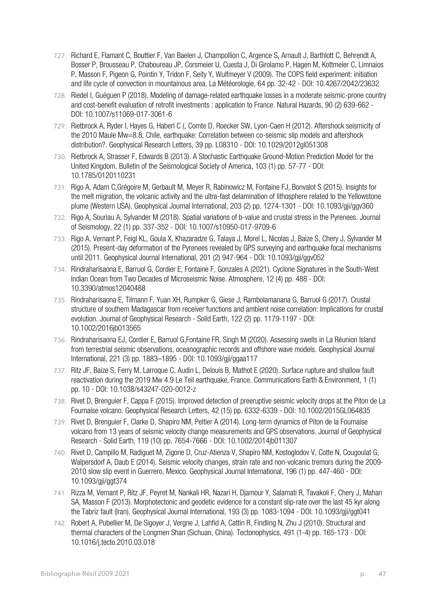- 727. Richard E, Flamant C, Bouttier F, Van Baelen J, Champollion C, Argence S, Arnault J, Barthlott C, Behrendt A, Bosser P, Brousseau P, Chaboureau JP, Corsmeier U, Cuesta J, Di Girolamo P, Hagen M, Kottmeier C, Limnaios P, Masson F, Pigeon G, Pointin Y, Tridon F, Seity Y, Wulfmeyer V (2009). The COPS field experiment: initiation and life cycle of convection in mountainous area. La Météorologie, 64 pp. 32-42 - DOI: 10.4267/2042/23632
- 728. Riedel I, Guéguen P (2018). Modeling of damage-related earthquake losses in a moderate seismic-prone country and cost-benefit evaluation of retrofit investments : application to France. Natural Hazards, 90 (2) 639-662 - DOI: 10.1007/s11069-017-3061-6
- 729. Rietbrock A, Ryder I, Hayes G, Haberl C (, Comte D, Roecker SW, Lyon-Caen H (2012). Aftershock seismicity of the 2010 Maule Mw=8.8, Chile, earthquake: Correlation between co-seismic slip models and aftershock distribution?. Geophysical Research Letters, 39 pp. L08310 - DOI: 10.1029/2012gl051308
- 730. Rietbrock A, Strasser F, Edwards B (2013). A Stochastic Earthquake Ground-Motion Prediction Model for the United Kingdom. Bulletin of the Seismological Society of America, 103 (1) pp. 57-77 - DOI: 10.1785/0120110231
- 731. Rigo A, Adam C,Grégoire M, Gerbault M, Meyer R, Rabinowicz M, Fontaine FJ, Bonvalot S (2015). Insights for the melt migration, the volcanic activity and the ultra-fast delamination of lithosphere related to the Yellowstone plume (Western USA). Geophysical Journal International, 203 (2) pp. 1274-1301 - DOI: 10.1093/gji/ggv360
- 732. Rigo A, Souriau A, Sylvander M (2018). Spatial variations of b-value and crustal stress in the Pyrenees. Journal of Seismology, 22 (1) pp. 337-352 - DOI: 10.1007/s10950-017-9709-6
- 733. Rigo A, Vernant P, Feigl KL, Goula X, Khazaradze G, Talaya J, Morel L, Nicolas J, Baize S, Chery J, Sylvander M (2015). Present-day deformation of the Pyrenees revealed by GPS surveying and earthquake focal mechanisms until 2011. Geophysical Journal International, 201 (2) 947-964 - DOI: 10.1093/gji/ggv052
- 734. Rindraharisaona E, Barruol G, Cordier E, Fontaine F, Gonzales A (2021). Cyclone Signatures in the South-West Indian Ocean from Two Decades of Microseismic Noise. Atmosphere, 12 (4) pp. 488 - DOI: 10.3390/atmos12040488
- 735. Rindraharisaona E, Tilmann F, Yuan XH, Rumpker G, Giese J, Rambolamanana G, Barruol G (2017). Crustal structure of southern Madagascar from receiver functions and ambient noise correlation: Implications for crustal evolution. Journal of Geophysical Research - Solid Earth, 122 (2) pp. 1179-1197 - DOI: 10.1002/2016jb013565
- 736. Rindraharisaona EJ, Cordier E, Barruol G,Fontaine FR, Singh M (2020). Assessing swells in La Réunion Island from terrestrial seismic observations, oceanographic records and offshore wave models. Geophysical Journal International, 221 (3) pp. 1883–1895 - DOI: 10.1093/gji/ggaa117
- 737. Ritz JF, Baize S, Ferry M, Larroque C, Audin L, Delouis B, Mathot E (2020). Surface rupture and shallow fault reactivation during the 2019 Mw 4.9 Le Teil earthquake, France. Communications Earth & Environment, 1 (1) pp. 10 - DOI: 10.1038/s43247-020-0012-z
- 738. Rivet D, Brenguier F, Cappa F (2015). Improved detection of preeruptive seismic velocity drops at the Piton de La Fournaise volcano. Geophysical Research Letters, 42 (15) pp. 6332-6339 - DOI: 10.1002/2015GL064835
- 739. Rivet D, Brenguier F, Clarke D, Shapiro NM, Peltier A (2014). Long-term dynamics of Piton de la Fournaise volcano from 13 years of seismic velocity change measurements and GPS observations. Journal of Geophysical Research - Solid Earth, 119 (10) pp. 7654-7666 - DOI: 10.1002/2014jb011307
- 740. Rivet D, Campillo M, Radiguet M, Zigone D, Cruz-Atienza V, Shapiro NM, Kostoglodov V, Cotte N, Cougoulat G, Walpersdorf A, Daub E (2014). Seismic velocity changes, strain rate and non-volcanic tremors during the 2009- 2010 slow slip event in Guerrero, Mexico. Geophysical Journal International, 196 (1) pp. 447-460 - DOI: 10.1093/gji/ggt374
- 741. Rizza M, Vernant P, Ritz JF, Peyret M, Nankali HR, Nazari H, Djamour Y, Salamati R, Tavakoli F, Chery J, Mahan SA, Masson F (2013). Morphotectonic and geodetic evidence for a constant slip-rate over the last 45 kyr along the Tabriz fault (Iran). Geophysical Journal International, 193 (3) pp. 1083-1094 - DOI: 10.1093/gji/ggt041
- 742. Robert A, Pubellier M, De Sigoyer J, Vergne J, Lahfid A, Cattin R, Findling N, Zhu J (2010). Structural and thermal characters of the Longmen Shan (Sichuan, China). Tectonophysics, 491 (1-4) pp. 165-173 - DOI: 10.1016/j.tecto.2010.03.018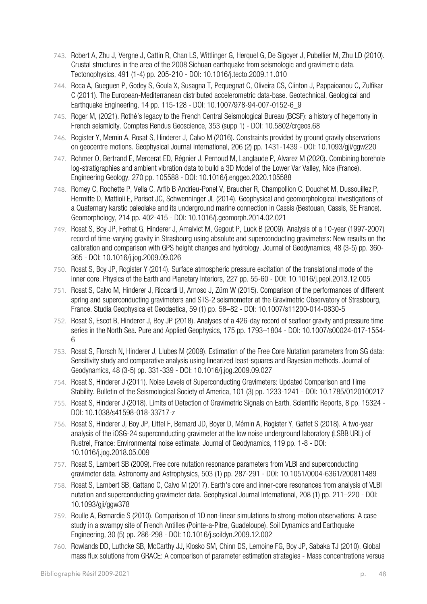- 743. Robert A, Zhu J, Vergne J, Cattin R, Chan LS, Wittlinger G, Herquel G, De Sigoyer J, Pubellier M, Zhu LD (2010). Crustal structures in the area of the 2008 Sichuan earthquake from seismologic and gravimetric data. Tectonophysics, 491 (1-4) pp. 205-210 - DOI: 10.1016/j.tecto.2009.11.010
- 744. Roca A, Gueguen P, Godey S, Goula X, Susagna T, Pequegnat C, Oliveira CS, Clinton J, Pappaioanou C, Zulfikar C (2011). The European-Mediterranean distributed accelerometric data-base. Geotechnical, Geological and Earthquake Engineering, 14 pp. 115-128 - DOI: 10.1007/978-94-007-0152-6\_9
- 745. Roger M, (2021). Rothé's legacy to the French Central Seismological Bureau (BCSF): a history of hegemony in French seismicity. Comptes Rendus Geoscience, 353 (supp 1) - DOI: 10.5802/crgeos.68
- 746. Rogister Y, Memin A, Rosat S, Hinderer J, Calvo M (2016). Constraints provided by ground gravity observations on geocentre motions. Geophysical Journal International, 206 (2) pp. 1431-1439 - DOI: 10.1093/gji/ggw220
- 747. Rohmer O, Bertrand E, Mercerat ED, Régnier J, Pernoud M, Langlaude P, Alvarez M (2020). Combining borehole log-stratigraphies and ambient vibration data to build a 3D Model of the Lower Var Valley, Nice (France). Engineering Geology, 270 pp. 105588 - DOI: 10.1016/j.enggeo.2020.105588
- 748. Romey C, Rochette P, Vella C, Arfib B Andrieu-Ponel V, Braucher R, Champollion C, Douchet M, Dussouillez P, Hermitte D, Mattioli E, Parisot JC, Schwenninger JL (2014). Geophysical and geomorphological investigations of a Quaternary karstic paleolake and its underground marine connection in Cassis (Bestouan, Cassis, SE France). Geomorphology, 214 pp. 402-415 - DOI: 10.1016/j.geomorph.2014.02.021
- 749. Rosat S, Boy JP, Ferhat G, Hinderer J, Amalvict M, Gegout P, Luck B (2009). Analysis of a 10-year (1997-2007) record of time-varying gravity in Strasbourg using absolute and superconducting gravimeters: New results on the calibration and comparison with GPS height changes and hydrology. Journal of Geodynamics, 48 (3-5) pp. 360- 365 - DOI: 10.1016/j.jog.2009.09.026
- 750. Rosat S, Boy JP, Rogister Y (2014). Surface atmospheric pressure excitation of the translational mode of the inner core. Physics of the Earth and Planetary Interiors, 227 pp. 55-60 - DOI: 10.1016/j.pepi.2013.12.005
- 751. Rosat S, Calvo M, Hinderer J, Riccardi U, Arnoso J, Zürn W (2015). Comparison of the performances of different spring and superconducting gravimeters and STS-2 seismometer at the Gravimetric Observatory of Strasbourg, France. Studia Geophysica et Geodaetica, 59 (1) pp. 58–82 - DOI: 10.1007/s11200-014-0830-5
- 752. Rosat S, Escot B, Hinderer J, Boy JP (2018). Analyses of a 426-day record of seafloor gravity and pressure time series in the North Sea. Pure and Applied Geophysics, 175 pp. 1793–1804 - DOI: 10.1007/s00024-017-1554- 6
- 753. Rosat S, Florsch N, Hinderer J, Llubes M (2009). Estimation of the Free Core Nutation parameters from SG data: Sensitivity study and comparative analysis using linearized least-squares and Bayesian methods. Journal of Geodynamics, 48 (3-5) pp. 331-339 - DOI: 10.1016/j.jog.2009.09.027
- 754. Rosat S, Hinderer J (2011). Noise Levels of Superconducting Gravimeters: Updated Comparison and Time Stability. Bulletin of the Seismological Society of America, 101 (3) pp. 1233-1241 - DOI: 10.1785/0120100217
- 755. Rosat S, Hinderer J (2018). Limits of Detection of Gravimetric Signals on Earth. Scientific Reports, 8 pp. 15324 DOI: 10.1038/s41598-018-33717-z
- 756. Rosat S, Hinderer J, Boy JP, Littel F, Bernard JD, Boyer D, Mémin A, Rogister Y, Gaffet S (2018). A two-year analysis of the iOSG-24 superconducting gravimeter at the low noise underground laboratory (LSBB URL) of Rustrel, France: Environmental noise estimate. Journal of Geodynamics, 119 pp. 1-8 - DOI: 10.1016/j.jog.2018.05.009
- 757. Rosat S, Lambert SB (2009). Free core nutation resonance parameters from VLBI and superconducting gravimeter data. Astronomy and Astrophysics, 503 (1) pp. 287-291 - DOI: 10.1051/0004-6361/200811489
- 758. Rosat S, Lambert SB, Gattano C, Calvo M (2017). Earth's core and inner-core resonances from analysis of VLBI nutation and superconducting gravimeter data. Geophysical Journal International, 208 (1) pp. 211–220 - DOI: 10.1093/gji/ggw378
- 759. Roulle A, Bernardie S (2010). Comparison of 1D non-linear simulations to strong-motion observations: A case study in a swampy site of French Antilles (Pointe-a-Pitre, Guadeloupe). Soil Dynamics and Earthquake Engineering, 30 (5) pp. 286-298 - DOI: 10.1016/j.soildyn.2009.12.002
- 760. Rowlands DD, Luthcke SB, McCarthy JJ, Klosko SM, Chinn DS, Lemoine FG, Boy JP, Sabaka TJ (2010). Global mass flux solutions from GRACE: A comparison of parameter estimation strategies - Mass concentrations versus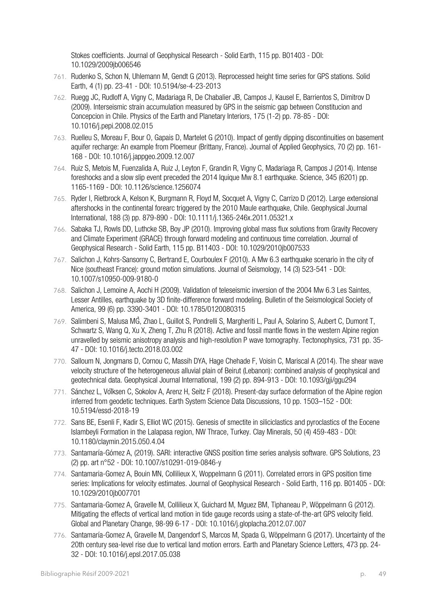Stokes coefficients. Journal of Geophysical Research - Solid Earth, 115 pp. B01403 - DOI: 10.1029/2009jb006546

- 761. Rudenko S, Schon N, Uhlemann M, Gendt G (2013). Reprocessed height time series for GPS stations. Solid Earth, 4 (1) pp. 23-41 - DOI: 10.5194/se-4-23-2013
- 762. Ruegg JC, Rudloff A, Vigny C, Madariaga R, De Chabalier JB, Campos J, Kausel E, Barrientos S, Dimitrov D (2009). Interseismic strain accumulation measured by GPS in the seismic gap between Constitucion and Concepcion in Chile. Physics of the Earth and Planetary Interiors, 175 (1-2) pp. 78-85 - DOI: 10.1016/j.pepi.2008.02.015
- 763. Ruelleu S, Moreau F, Bour O, Gapais D, Martelet G (2010). Impact of gently dipping discontinuities on basement aquifer recharge: An example from Ploemeur (Brittany, France). Journal of Applied Geophysics, 70 (2) pp. 161- 168 - DOI: 10.1016/j.jappgeo.2009.12.007
- 764. Ruiz S, Metois M, Fuenzalida A, Ruiz J, Leyton F, Grandin R, Vigny C, Madariaga R, Campos J (2014). Intense foreshocks and a slow slip event preceded the 2014 Iquique Mw 8.1 earthquake. Science, 345 (6201) pp. 1165-1169 - DOI: 10.1126/science.1256074
- 765. Ryder I, Rietbrock A, Kelson K, Burgmann R, Floyd M, Socquet A, Vigny C, Carrizo D (2012). Large extensional aftershocks in the continental forearc triggered by the 2010 Maule earthquake, Chile. Geophysical Journal International, 188 (3) pp. 879-890 - DOI: 10.1111/j.1365-246x.2011.05321.x
- 766. Sabaka TJ, Rowls DD, Luthcke SB, Boy JP (2010). Improving global mass flux solutions from Gravity Recovery and Climate Experiment (GRACE) through forward modeling and continuous time correlation. Journal of Geophysical Research - Solid Earth, 115 pp. B11403 - DOI: 10.1029/2010jb007533
- 767. Salichon J, Kohrs-Sansorny C, Bertrand E, Courboulex F (2010). A Mw 6.3 earthquake scenario in the city of Nice (southeast France): ground motion simulations. Journal of Seismology, 14 (3) 523-541 - DOI: 10.1007/s10950-009-9180-0
- 768. Salichon J, Lemoine A, Aochi H (2009). Validation of teleseismic inversion of the 2004 Mw 6.3 Les Saintes, Lesser Antilles, earthquake by 3D finite-difference forward modeling. Bulletin of the Seismological Society of America, 99 (6) pp. 3390-3401 - DOI: 10.1785/0120080315
- 769. Salimbeni S, Malusa MG̀, Zhao L, Guillot S, Pondrelli S, Margheriti L, Paul A, Solarino S, Aubert C, Dumont T, Schwartz S, Wang Q, Xu X, Zheng T, Zhu R (2018). Active and fossil mantle flows in the western Alpine region unravelled by seismic anisotropy analysis and high-resolution P wave tomography. Tectonophysics, 731 pp. 35- 47 - DOI: 10.1016/j.tecto.2018.03.002
- 770. Salloum N, Jongmans D, Cornou C, Massih DYA, Hage Chehade F, Voisin C, Mariscal A (2014). The shear wave velocity structure of the heterogeneous alluvial plain of Beirut (Lebanon): combined analysis of geophysical and geotechnical data. Geophysical Journal International, 199 (2) pp. 894-913 - DOI: 10.1093/gji/ggu294
- 771. Sánchez L, Völksen C, Sokolov A, Arenz H, Seitz F (2018). Present-day surface deformation of the Alpine region inferred from geodetic techniques. Earth System Science Data Discussions, 10 pp. 1503–152 - DOI: 10.5194/essd-2018-19
- 772. Sans BE, Esenli F, Kadir S, Elliot WC (2015). Genesis of smectite in siliciclastics and pyroclastics of the Eocene Islambeyli Formation in the Lalapasa region, NW Thrace, Turkey. Clay Minerals, 50 (4) 459-483 - DOI: 10.1180/claymin.2015.050.4.04
- 773. Santamaría-Gómez A, (2019). SARI: interactive GNSS position time series analysis software. GPS Solutions, 23 (2) pp. art n°52 - DOI: 10.1007/s10291-019-0846-y
- 774. Santamaria-Gomez A, Bouin MN, Collilieux X, Woppelmann G (2011). Correlated errors in GPS position time series: Implications for velocity estimates. Journal of Geophysical Research - Solid Farth, 116 pp. B01405 - DOI: 10.1029/2010jb007701
- 775. Santamaria-Gomez A, Gravelle M, Collilieux X, Guichard M, Mguez BM, Tiphaneau P, Wöppelmann G (2012). Mitigating the effects of vertical land motion in tide gauge records using a state-of-the-art GPS velocity field. Global and Planetary Change, 98-99 6-17 - DOI: 10.1016/j.gloplacha.2012.07.007
- 776. Santamaría-Gomez A, Gravelle M, Dangendorf S, Marcos M, Spada G, Wöppelmann G (2017). Uncertainty of the 20th century sea-level rise due to vertical land motion errors. Earth and Planetary Science Letters, 473 pp. 24- 32 - DOI: 10.1016/j.epsl.2017.05.038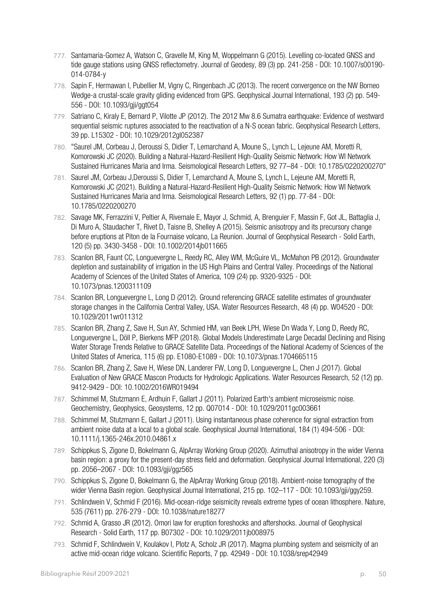- 777. Santamaria-Gomez A, Watson C, Gravelle M, King M, Woppelmann G (2015). Levelling co-located GNSS and tide gauge stations using GNSS reflectometry. Journal of Geodesy, 89 (3) pp. 241-258 - DOI: 10.1007/s00190-014-0784-y
- 778. Sapin F, Hermawan I, Pubellier M, Vigny C, Ringenbach JC (2013). The recent convergence on the NW Borneo Wedge-a crustal-scale gravity gliding evidenced from GPS. Geophysical Journal International, 193 (2) pp. 549- 556 - DOI: 10.1093/gji/ggt054
- 779. Satriano C, Kiraly E, Bernard P, Vilotte JP (2012). The 2012 Mw 8.6 Sumatra earthquake: Evidence of westward sequential seismic ruptures associated to the reactivation of a N-S ocean fabric. Geophysical Research Letters, 39 pp. L15302 - DOI: 10.1029/2012gl052387
- 780. "Saurel JM, Corbeau J, Deroussi S, Didier T, Lemarchand A, Moune S,, Lynch L, Lejeune AM, Moretti R, Komorowski JC (2020). Building a Natural-Hazard-Resilient High-Quality Seismic Network: How WI Network Sustained Hurricanes Maria and Irma. Seismological Research Letters, 92 77–84 - DOI: 10.1785/0220200270"
- 781. Saurel JM, Corbeau J,Deroussi S, Didier T, Lemarchand A, Moune S, Lynch L, Lejeune AM, Moretti R, Komorowski JC (2021). Building a Natural‐Hazard‐Resilient High‐Quality Seismic Network: How WI Network Sustained Hurricanes Maria and Irma. Seismological Research Letters, 92 (1) pp. 77-84 - DOI: 10.1785/0220200270
- 782. Savage MK, Ferrazzini V, Peltier A, Rivemale E, Mayor J, Schmid, A, Brenguier F, Massin F, Got JL, Battaglia J, Di Muro A, Staudacher T, Rivet D, Taisne B, Shelley A (2015). Seismic anisotropy and its precursory change before eruptions at Piton de la Fournaise volcano, La Reunion. Journal of Geophysical Research - Solid Earth, 120 (5) pp. 3430-3458 - DOI: 10.1002/2014jb011665
- 783. Scanlon BR, Faunt CC, Longuevergne L, Reedy RC, Alley WM, McGuire VL, McMahon PB (2012). Groundwater depletion and sustainability of irrigation in the US High Plains and Central Valley. Proceedings of the National Academy of Sciences of the United States of America, 109 (24) pp. 9320-9325 - DOI: 10.1073/pnas.1200311109
- 784. Scanlon BR, Longuevergne L, Long D (2012). Ground referencing GRACE satellite estimates of groundwater storage changes in the California Central Valley, USA. Water Resources Research, 48 (4) pp. W04520 - DOI: 10.1029/2011wr011312
- 785. Scanlon BR, Zhang Z, Save H, Sun AY, Schmied HM, van Beek LPH, Wiese Dn Wada Y, Long D, Reedy RC, Longuevergne L, Döll P, Bierkens MFP (2018). Global Models Underestimate Large Decadal Declining and Rising Water Storage Trends Relative to GRACE Satellite Data. Proceedings of the National Academy of Sciences of the United States of America, 115 (6) pp. E1080-E1089 - DOI: 10.1073/pnas.1704665115
- 786. Scanlon BR, Zhang Z, Save H, Wiese DN, Landerer FW, Long D, Longuevergne L, Chen J (2017). Global Evaluation of New GRACE Mascon Products for Hydrologic Applications. Water Resources Research, 52 (12) pp. 9412-9429 - DOI: 10.1002/2016WR019494
- 787. Schimmel M, Stutzmann E, Ardhuin F, Gallart J (2011). Polarized Earth's ambient microseismic noise. Geochemistry, Geophysics, Geosystems, 12 pp. Q07014 - DOI: 10.1029/2011gc003661
- 788. Schimmel M, Stutzmann E, Gallart J (2011). Using instantaneous phase coherence for signal extraction from ambient noise data at a local to a global scale. Geophysical Journal International, 184 (1) 494-506 - DOI: 10.1111/j.1365-246x.2010.04861.x
- 789. Schippkus S, Zigone D, Bokelmann G, AlpArray Working Group (2020). Azimuthal anisotropy in the wider Vienna basin region: a proxy for the present-day stress field and deformation. Geophysical Journal International, 220 (3) pp. 2056–2067 - DOI: 10.1093/gji/ggz565
- 790. Schippkus S, Zigone D, Bokelmann G, the AlpArray Working Group (2018). Ambient-noise tomography of the wider Vienna Basin region. Geophysical Journal International, 215 pp. 102–117 - DOI: 10.1093/gji/ggy259.
- 791. Schlindwein V, Schmid F (2016). Mid-ocean-ridge seismicity reveals extreme types of ocean lithosphere. Nature, 535 (7611) pp. 276-279 - DOI: 10.1038/nature18277
- 792. Schmid A, Grasso JR (2012). Omori law for eruption foreshocks and aftershocks. Journal of Geophysical Research - Solid Earth, 117 pp. B07302 - DOI: 10.1029/2011jb008975
- 793. Schmid F, Schlindwein V, Koulakov I, Plotz A, Scholz JR (2017). Magma plumbing system and seismicity of an active mid-ocean ridge volcano. Scientific Reports, 7 pp. 42949 - DOI: 10.1038/srep42949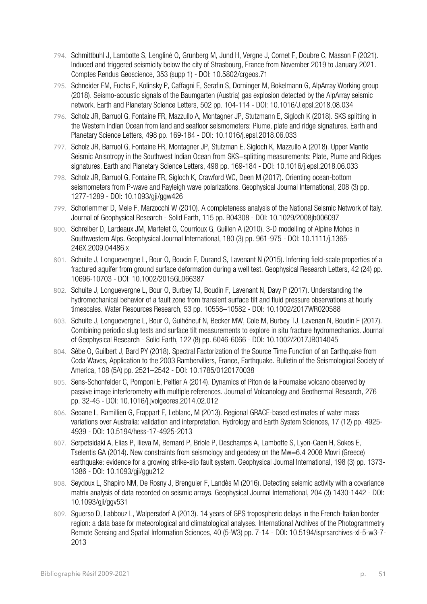- 794. Schmittbuhl J, Lambotte S, Lengliné O, Grunberg M, Jund H, Vergne J, Cornet F, Doubre C, Masson F (2021). Induced and triggered seismicity below the city of Strasbourg, France from November 2019 to January 2021. Comptes Rendus Geoscience, 353 (supp 1) - DOI: 10.5802/crgeos.71
- 795. Schneider FM, Fuchs F, Kolinsky P, Caffagni E, Serafin S, Dorninger M, Bokelmann G, AlpArray Working group (2018). Seismo-acoustic signals of the Baumgarten (Austria) gas explosion detected by the AlpArray seismic network. Earth and Planetary Science Letters, 502 pp. 104-114 - DOI: 10.1016/J.epsl.2018.08.034
- 796. Scholz JR, Barruol G, Fontaine FR, Mazzullo A, Montagner JP, Stutzmann E, Sigloch K (2018). SKS splitting in the Western Indian Ocean from land and seafloor seismometers: Plume, plate and ridge signatures. Earth and Planetary Science Letters, 498 pp. 169-184 - DOI: 10.1016/j.epsl.2018.06.033
- 797. Scholz JR, Barruol G, Fontaine FR, Montagner JP, Stutzman E, Sigloch K, Mazzullo A (2018). Upper Mantle Seismic Anisotropy in the Southwest Indian Ocean from SKS−splitting measurements: Plate, Plume and Ridges signatures. Earth and Planetary Science Letters, 498 pp. 169-184 - DOI: 10.1016/j.epsl.2018.06.033
- 798. Scholz JR, Barruol G, Fontaine FR, Sigloch K, Crawford WC, Deen M (2017). Orienting ocean-bottom seismometers from P-wave and Rayleigh wave polarizations. Geophysical Journal International, 208 (3) pp. 1277-1289 - DOI: 10.1093/gji/ggw426
- 799. Schorlemmer D, Mele F, Marzocchi W (2010). A completeness analysis of the National Seismic Network of Italy. Journal of Geophysical Research - Solid Earth, 115 pp. B04308 - DOI: 10.1029/2008jb006097
- 800. Schreiber D, Lardeaux JM, Martelet G, Courrioux G, Guillen A (2010). 3-D modelling of Alpine Mohos in Southwestern Alps. Geophysical Journal International, 180 (3) pp. 961-975 - DOI: 10.1111/j.1365- 246X.2009.04486.x
- 801. Schuite J, Longuevergne L, Bour O, Boudin F, Durand S, Lavenant N (2015). Inferring field-scale properties of a fractured aquifer from ground surface deformation during a well test. Geophysical Research Letters, 42 (24) pp. 10696-10703 - DOI: 10.1002/2015GL066387
- 802. Schuite J, Longuevergne L, Bour O, Burbey TJ, Boudin F, Lavenant N, Davy P (2017). Understanding the hydromechanical behavior of a fault zone from transient surface tilt and fluid pressure observations at hourly timescales. Water Resources Research, 53 pp. 10558–10582 - DOI: 10.1002/2017WR020588
- 803. Schuite J, Longuevergne L, Bour O, Guihéneuf N, Becker MW, Cole M, Burbey TJ, Lavenan N, Boudin F (2017). Combining periodic slug tests and surface tilt measurements to explore in situ fracture hydromechanics. Journal of Geophysical Research - Solid Earth, 122 (8) pp. 6046-6066 - DOI: 10.1002/2017JB014045
- 804. Sèbe O, Guilbert J, Bard PY (2018). Spectral Factorization of the Source Time Function of an Earthquake from Coda Waves, Application to the 2003 Rambervillers, France, Earthquake. Bulletin of the Seismological Society of America, 108 (5A) pp. 2521–2542 - DOI: 10.1785/0120170038
- 805. Sens-Schonfelder C, Pomponi E, Peltier A (2014). Dynamics of Piton de la Fournaise volcano observed by passive image interferometry with multiple references. Journal of Volcanology and Geothermal Research, 276 pp. 32-45 - DOI: 10.1016/j.jvolgeores.2014.02.012
- 806. Seoane L, Ramillien G, Frappart F, Leblanc, M (2013). Regional GRACE-based estimates of water mass variations over Australia: validation and interpretation. Hydrology and Earth System Sciences, 17 (12) pp. 4925- 4939 - DOI: 10.5194/hess-17-4925-2013
- 807. Serpetsidaki A, Elias P, Ilieva M, Bernard P, Briole P, Deschamps A, Lambotte S, Lyon-Caen H, Sokos E, Tselentis GA (2014). New constraints from seismology and geodesy on the Mw=6.4 2008 Movri (Greece) earthquake: evidence for a growing strike-slip fault system. Geophysical Journal International, 198 (3) pp. 1373- 1386 - DOI: 10.1093/gji/ggu212
- 808. Seydoux L, Shapiro NM, De Rosny J, Brenguier F, Landès M (2016). Detecting seismic activity with a covariance matrix analysis of data recorded on seismic arrays. Geophysical Journal International, 204 (3) 1430-1442 - DOI: 10.1093/gji/ggv531
- 809. Sguerso D, Labbouz L, Walpersdorf A (2013). 14 years of GPS tropospheric delays in the French-Italian border region: a data base for meteorological and climatological analyses. International Archives of the Photogrammetry Remote Sensing and Spatial Information Sciences, 40 (5-W3) pp. 7-14 - DOI: 10.5194/isprsarchives-xl-5-w3-7-2013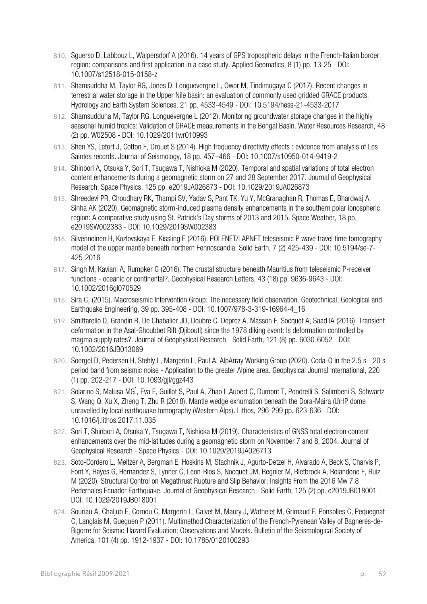- 810. Sguerso D, Labbouz L, Walpersdorf A (2016). 14 years of GPS tropospheric delays in the French-Italian border region: comparisons and first application in a case study. Applied Geomatics, 8 (1) pp. 13-25 - DOI: 10.1007/s12518-015-0158-z
- 811. Shamsuddha M, Taylor RG, Jones D, Longuevergne L, Owor M, Tindimugaya C (2017). Recent changes in terrestrial water storage in the Upper Nile basin: an evaluation of commonly used gridded GRACE products. Hydrology and Earth System Sciences, 21 pp. 4533-4549 - DOI: 10.5194/hess-21-4533-2017
- 812. Shamsudduha M, Taylor RG, Longuevergne L (2012). Monitoring groundwater storage changes in the highly seasonal humid tropics: Validation of GRACE measurements in the Bengal Basin. Water Resources Research, 48 (2) pp. W02508 - DOI: 10.1029/2011wr010993
- 813. Shen YS, Letort J, Cotton F, Drouet S (2014). High frequency directivity effects : evidence from analysis of Les Saintes records. Journal of Seismology, 18 pp. 457–466 - DOI: 10.1007/s10950-014-9419-2
- 814. Shinbori A, Otsuka Y, Sori T, Tsugawa T, Nishioka M (2020). Temporal and spatial variations of total electron content enhancements during a geomagnetic storm on 27 and 28 September 2017. Journal of Geophysical Research: Space Physics, 125 pp. e2019JA026873 - DOI: 10.1029/2019JA026873
- 815. Shreedevi PR, Choudhary RK, Thampi SV, Yadav S, Pant TK, Yu Y, McGranaghan R, Thomas E, Bhardwaj A, Sinha AK (2020). Geomagnetic storm-induced plasma density enhancements in the southern polar ionospheric region: A comparative study using St. Patrick's Day storms of 2013 and 2015. Space Weather, 18 pp. e2019SW002383 - DOI: 10.1029/2019SW002383
- 816. Silvennoinen H, Kozlovskaya E, Kissling E (2016). POLENET/LAPNET teleseismic P wave travel time tomography model of the upper mantle beneath northern Fennoscandia. Solid Earth, 7 (2) 425-439 - DOI: 10.5194/se-7- 425-2016
- 817. Singh M, Kaviani A, Rumpker G (2016). The crustal structure beneath Mauritius from teleseismic P-receiver functions - oceanic or continental?. Geophysical Research Letters, 43 (18) pp. 9636-9643 - DOI: 10.1002/2016gl070529
- 818. Sira C, (2015). Macroseismic Intervention Group: The necessary field observation. Geotechnical, Geological and Earthquake Engineering, 39 pp. 395-408 - DOI: 10.1007/978-3-319-16964-4\_16
- 819. Smittarello D, Grandin R, De Chabalier JD, Doubre C, Deprez A, Masson F, Socquet A, Saad IA (2016). Transient deformation in the Asal‐Ghoubbet Rift (Djibouti) since the 1978 diking event: Is deformation controlled by magma supply rates?. Journal of Geophysical Research - Solid Earth, 121 (8) pp. 6030-6052 - DOI: 10.1002/2016JB013069
- 820. Soergel D, Pedersen H, Stehly L, Margerin L, Paul A, AlpArray Working Group (2020). Coda-Q in the 2.5 s 20 s period band from seismic noise - Application to the greater Alpine area. Geophysical Journal International, 220 (1) pp. 202-217 - DOI: 10.1093/gji/ggz443
- 821. Solarino S, Malusa MG, Eva E, Guillot S, Paul A, Zhao L,Aubert C, Dumont T, Pondrelli S, Salimbeni S, Schwartz S, Wang Q, Xu X, Zheng T, Zhu R (2018). Mantle wedge exhumation beneath the Dora-Maira (U)HP dome unravelled by local earthquake tomography (Western Alps). Lithos, 296-299 pp. 623-636 - DOI: 10.1016/j.lithos.2017.11.035
- 822. Sori T, Shinbori A, Otsuka Y, Tsugawa T, Nishioka M (2019). Characteristics of GNSS total electron content enhancements over the mid-latitudes during a geomagnetic storm on November 7 and 8, 2004. Journal of Geophysical Research - Space Physics - DOI: 10.1029/2019JA026713
- 823. Soto-Cordero L, Meltzer A, Bergman E, Hoskins M, Stachnik J, Agurto-Detzel H, Alvarado A, Beck S, Charvis P, Font Y, Hayes G, Hernandez S, Lynner C, Leon-Rios S, Nocquet JM, Regnier M, Rietbrock A, Rolandone F, Ruiz M (2020). Structural Control on Megathrust Rupture and Slip Behavior: Insights From the 2016 Mw 7.8 Pedernales Ecuador Earthquake. Journal of Geophysical Research - Solid Earth, 125 (2) pp. e2019JB018001 - DOI: 10.1029/2019JB018001
- 824. Souriau A, Chaljub E, Cornou C, Margerin L, Calvet M, Maury J, Wathelet M, Grimaud F, Ponsolles C, Pequegnat C, Langlais M, Gueguen P (2011). Multimethod Characterization of the French-Pyrenean Valley of Bagneres-de-Bigorre for Seismic-Hazard Evaluation: Observations and Models. Bulletin of the Seismological Society of America, 101 (4) pp. 1912-1937 - DOI: 10.1785/0120100293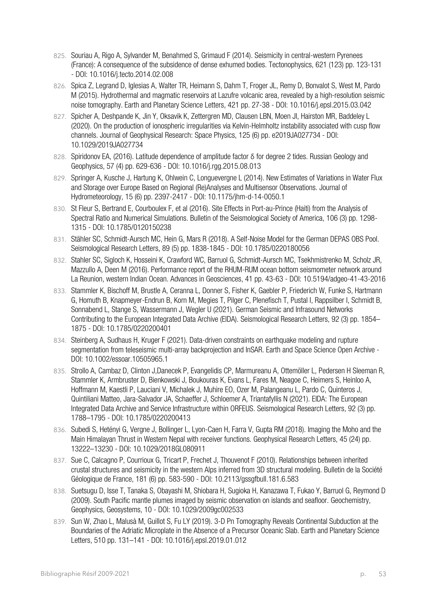- 825. Souriau A, Rigo A, Sylvander M, Benahmed S, Grimaud F (2014). Seismicity in central-western Pyrenees (France): A consequence of the subsidence of dense exhumed bodies. Tectonophysics, 621 (123) pp. 123-131 - DOI: 10.1016/j.tecto.2014.02.008
- 826. Spica Z, Legrand D, Iglesias A, Walter TR, Heimann S, Dahm T, Froger JL, Remy D, Bonvalot S, West M, Pardo M (2015). Hydrothermal and magmatic reservoirs at Lazufre volcanic area, revealed by a high-resolution seismic noise tomography. Earth and Planetary Science Letters, 421 pp. 27-38 - DOI: 10.1016/j.epsl.2015.03.042
- 827. Spicher A, Deshpande K, Jin Y, Oksavik K, Zettergren MD, Clausen LBN, Moen JI, Hairston MR, Baddeley L (2020). On the production of ionospheric irregularities via Kelvin-Helmholtz instability associated with cusp flow channels. Journal of Geophysical Research: Space Physics, 125 (6) pp. e2019JA027734 - DOI: 10.1029/2019JA027734
- 828. Spiridonov EA, (2016). Latitude dependence of amplitude factor δ for degree 2 tides. Russian Geology and Geophysics, 57 (4) pp. 629-636 - DOI: 10.1016/j.rgg.2015.08.013
- 829. Springer A, Kusche J, Hartung K, Ohlwein C, Longuevergne L (2014). New Estimates of Variations in Water Flux and Storage over Europe Based on Regional (Re)Analyses and Multisensor Observations. Journal of Hydrometeorology, 15 (6) pp. 2397-2417 - DOI: 10.1175/jhm-d-14-0050.1
- 830. St Fleur S, Bertrand E, Courboulex F, et al (2016). Site Effects in Port‐au‐Prince (Haiti) from the Analysis of Spectral Ratio and Numerical Simulations. Bulletin of the Seismological Society of America. 106 (3) pp. 1298-1315 - DOI: 10.1785/0120150238
- 831. Stähler SC, Schmidt-Aursch MC, Hein G, Mars R (2018). A Self-Noise Model for the German DEPAS OBS Pool. Seismological Research Letters, 89 (5) pp. 1838-1845 - DOI: 10.1785/0220180056
- 832. Stahler SC, Sigloch K, Hosseini K, Crawford WC, Barruol G, Schmidt-Aursch MC, Tsekhmistrenko M, Scholz JR, Mazzullo A, Deen M (2016). Performance report of the RHUM-RUM ocean bottom seismometer network around La Reunion, western Indian Ocean. Advances in Geosciences, 41 pp. 43-63 - DOI: 10.5194/adgeo-41-43-2016
- 833. Stammler K, Bischoff M, Brustle A, Ceranna L, Donner S, Fisher K, Gaebler P, Friederich W, Funke S, Hartmann G, Homuth B, Knapmeyer-Endrun B, Korn M, Megies T, Pilger C, Plenefisch T, Pustal I, Rappsilber I, Schmidt B, Sonnabend L, Stange S, Wassermann J, Wegler U (2021). German Seismic and Infrasound Networks Contributing to the European Integrated Data Archive (EIDA). Seismological Research Letters, 92 (3) pp. 1854– 1875 - DOI: 10.1785/0220200401
- 834. Steinberg A, Sudhaus H, Kruger F (2021). Data-driven constraints on earthquake modeling and rupture segmentation from teleseismic multi-array backprojection and InSAR. Earth and Space Science Open Archive - DOI: 10.1002/essoar.10505965.1
- 835. Strollo A, Cambaz D, Clinton J,Danecek P, Evangelidis CP, Marmureanu A, Ottemöller L, Pedersen H Sleeman R, Stammler K, Armbruster D, Bienkowski J, Boukouras K, Evans L, Fares M, Neagoe C, Heimers S, Heinloo A, Hoffmann M, Kaestli P, Lauciani V, Michalek J, Muhire EO, Ozer M, Palangeanu L, Pardo C, Quinteros J, Quintiliani Matteo, Jara-Salvador JA, Schaeffer J, Schloemer A, Triantafyllis N (2021). EIDA: The European Integrated Data Archive and Service Infrastructure within ORFEUS. Seismological Research Letters, 92 (3) pp. 1788–1795 - DOI: 10.1785/0220200413
- 836. Subedi S, Hetényi G, Vergne J, Bollinger L, Lyon‐Caen H, Farra V, Gupta RM (2018). Imaging the Moho and the Main Himalayan Thrust in Western Nepal with receiver functions. Geophysical Research Letters, 45 (24) pp. 13222–13230 - DOI: 10.1029/2018GL080911
- 837. Sue C, Calcagno P, Courrioux G, Tricart P, Frechet J, Thouvenot F (2010). Relationships between inherited crustal structures and seismicity in the western Alps inferred from 3D structural modeling. Bulletin de la Société Géologique de France, 181 (6) pp. 583-590 - DOI: 10.2113/gssgfbull.181.6.583
- 838. Suetsugu D, Isse T, Tanaka S, Obayashi M, Shiobara H, Sugioka H, Kanazawa T, Fukao Y, Barruol G, Reymond D (2009). South Pacific mantle plumes imaged by seismic observation on islands and seafloor. Geochemistry, Geophysics, Geosystems, 10 - DOI: 10.1029/2009gc002533
- 839. Sun W, Zhao L, Malusà M, Guillot S, Fu LY (2019). 3-D Pn Tomography Reveals Continental Subduction at the Boundaries of the Adriatic Microplate in the Absence of a Precursor Oceanic Slab. Earth and Planetary Science Letters, 510 pp. 131–141 - DOI: 10.1016/j.epsl.2019.01.012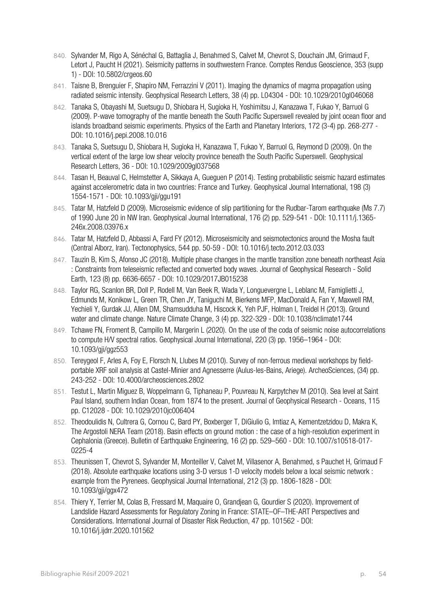- 840. Sylvander M, Rigo A, Sénéchal G, Battaglia J, Benahmed S, Calvet M, Chevrot S, Douchain JM, Grimaud F, Letort J, Paucht H (2021). Seismicity patterns in southwestern France. Comptes Rendus Geoscience, 353 (supp 1) - DOI: 10.5802/crgeos.60
- 841. Taisne B, Brenguier F, Shapiro NM, Ferrazzini V (2011). Imaging the dynamics of magma propagation using radiated seismic intensity. Geophysical Research Letters, 38 (4) pp. L04304 - DOI: 10.1029/2010gl046068
- 842. Tanaka S, Obayashi M, Suetsugu D, Shiobara H, Sugioka H, Yoshimitsu J, Kanazawa T, Fukao Y, Barruol G (2009). P-wave tomography of the mantle beneath the South Pacific Superswell revealed by joint ocean floor and islands broadband seismic experiments. Physics of the Earth and Planetary Interiors, 172 (3-4) pp. 268-277 - DOI: 10.1016/j.pepi.2008.10.016
- 843. Tanaka S, Suetsugu D, Shiobara H, Sugioka H, Kanazawa T, Fukao Y, Barruol G, Reymond D (2009). On the vertical extent of the large low shear velocity province beneath the South Pacific Superswell. Geophysical Research Letters, 36 - DOI: 10.1029/2009gl037568
- 844. Tasan H, Beauval C, Helmstetter A, Sikkaya A, Gueguen P (2014). Testing probabilistic seismic hazard estimates against accelerometric data in two countries: France and Turkey. Geophysical Journal International, 198 (3) 1554-1571 - DOI: 10.1093/gji/ggu191
- 845. Tatar M, Hatzfeld D (2009). Microseismic evidence of slip partitioning for the Rudbar-Tarom earthquake (Ms 7.7) of 1990 June 20 in NW Iran. Geophysical Journal International, 176 (2) pp. 529-541 - DOI: 10.1111/j.1365- 246x.2008.03976.x
- 846. Tatar M, Hatzfeld D, Abbassi A, Fard FY (2012). Microseismicity and seismotectonics around the Mosha fault (Central Alborz, Iran). Tectonophysics, 544 pp. 50-59 - DOI: 10.1016/j.tecto.2012.03.033
- 847. Tauzin B, Kim S, Afonso JC (2018). Multiple phase changes in the mantle transition zone beneath northeast Asia : Constraints from teleseismic reflected and converted body waves. Journal of Geophysical Research - Solid Earth, 123 (8) pp. 6636-6657 - DOI: 10.1029/2017JB015238
- 848. Taylor RG, Scanlon BR, Doll P, Rodell M, Van Beek R, Wada Y, Longuevergne L, Leblanc M, Famiglietti J, Edmunds M, Konikow L, Green TR, Chen JY, Taniguchi M, Bierkens MFP, MacDonald A, Fan Y, Maxwell RM, Yechieli Y, Gurdak JJ, Allen DM, Shamsudduha M, Hiscock K, Yeh PJF, Holman I, Treidel H (2013). Ground water and climate change. Nature Climate Change, 3 (4) pp. 322-329 - DOI: 10.1038/nclimate1744
- 849. Tchawe FN, Froment B, Campillo M, Margerin L (2020). On the use of the coda of seismic noise autocorrelations to compute H/V spectral ratios. Geophysical Journal International, 220 (3) pp. 1956–1964 - DOI: 10.1093/gji/ggz553
- 850. Tereygeol F, Arles A, Foy E, Florsch N, Llubes M (2010). Survey of non-ferrous medieval workshops by fieldportable XRF soil analysis at Castel-Minier and Agnesserre (Aulus-les-Bains, Ariege). ArcheoSciences, (34) pp. 243-252 - DOI: 10.4000/archeosciences.2802
- 851. Testut L, Martin Miguez B, Woppelmann G, Tiphaneau P, Pouvreau N, Karpytchev M (2010). Sea level at Saint Paul Island, southern Indian Ocean, from 1874 to the present. Journal of Geophysical Research - Oceans, 115 pp. C12028 - DOI: 10.1029/2010jc006404
- 852. Theodoulidis N, Cultrera G, Cornou C, Bard PY, Boxberger T, DiGiulio G, Imtiaz A, Kementzetzidou D, Makra K, The Argostoli NERA Team (2018). Basin effects on ground motion : the case of a high-resolution experiment in Cephalonia (Greece). Bulletin of Earthquake Engineering, 16 (2) pp. 529–560 - DOI: 10.1007/s10518-017- 0225-4
- 853. Theunissen T, Chevrot S, Sylvander M, Monteiller V, Calvet M, Villasenor A, Benahmed, s Pauchet H, Grimaud F (2018). Absolute earthquake locations using 3-D versus 1-D velocity models below a local seismic network : example from the Pyrenees. Geophysical Journal International, 212 (3) pp. 1806-1828 - DOI: 10.1093/gji/ggx472
- 854. Thiery Y, Terrier M, Colas B, Fressard M, Maquaire O, Grandjean G, Gourdier S (2020). Improvement of Landslide Hazard Assessments for Regulatory Zoning in France: STATE–OF–THE-ART Perspectives and Considerations. International Journal of Disaster Risk Reduction, 47 pp. 101562 - DOI: 10.1016/j.ijdrr.2020.101562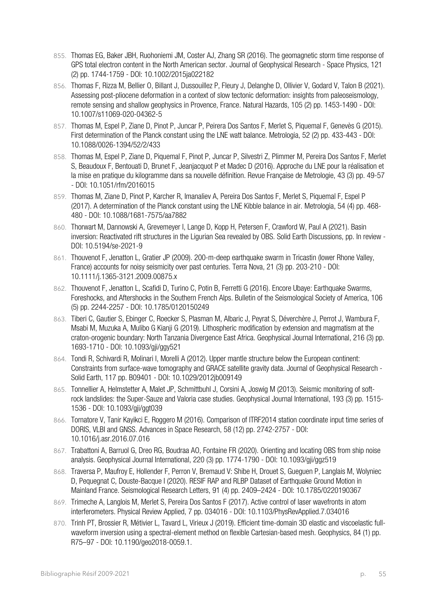- 855. Thomas EG, Baker JBH, Ruohoniemi JM, Coster AJ, Zhang SR (2016). The geomagnetic storm time response of GPS total electron content in the North American sector. Journal of Geophysical Research - Space Physics, 121 (2) pp. 1744-1759 - DOI: 10.1002/2015ja022182
- 856. Thomas F, Rizza M, Bellier O, Billant J, Dussouillez P, Fleury J, Delanghe D, Ollivier V, Godard V, Talon B (2021). Assessing post-pliocene deformation in a context of slow tectonic deformation: insights from paleoseismology, remote sensing and shallow geophysics in Provence, France. Natural Hazards, 105 (2) pp. 1453-1490 - DOI: 10.1007/s11069-020-04362-5
- 857. Thomas M, Espel P, Ziane D, Pinot P, Juncar P, Peirera Dos Santos F, Merlet S, Piquemal F, Genevès G (2015). First determination of the Planck constant using the LNE watt balance. Metrologia, 52 (2) pp. 433-443 - DOI: 10.1088/0026-1394/52/2/433
- 858. Thomas M, Espel P, Ziane D, Piquemal F, Pinot P, Juncar P, Silvestri Z, Plimmer M, Pereira Dos Santos F, Merlet S, Beaudoux F, Bentouati D, Brunet F, Jeanjacquot P et Madec D (2016). Approche du LNE pour la réalisation et la mise en pratique du kilogramme dans sa nouvelle définition. Revue Française de Metrologie, 43 (3) pp. 49-57 - DOI: 10.1051/rfm/2016015
- 859. Thomas M, Ziane D, Pinot P, Karcher R, Imanaliev A, Pereira Dos Santos F, Merlet S, Piquemal F, Espel P (2017). A determination of the Planck constant using the LNE Kibble balance in air. Metrologia, 54 (4) pp. 468- 480 - DOI: 10.1088/1681-7575/aa7882
- 860. Thorwart M, Dannowski A, Grevemeyer I, Lange D, Kopp H, Petersen F, Crawford W, Paul A (2021). Basin inversion: Reactivated rift structures in the Ligurian Sea revealed by OBS. Solid Earth Discussions, pp. In review - DOI: 10.5194/se-2021-9
- 861. Thouvenot F, Jenatton L, Gratier JP (2009). 200-m-deep earthquake swarm in Tricastin (lower Rhone Valley, France) accounts for noisy seismicity over past centuries. Terra Nova, 21 (3) pp. 203-210 - DOI: 10.1111/j.1365-3121.2009.00875.x
- 862. Thouvenot F, Jenatton L, Scafidi D, Turino C, Potin B, Ferretti G (2016). Encore Ubaye: Earthquake Swarms, Foreshocks, and Aftershocks in the Southern French Alps. Bulletin of the Seismological Society of America, 106 (5) pp. 2244-2257 - DOI: 10.1785/0120150249
- 863. Tiberi C, Gautier S, Ebinger C, Roecker S, Plasman M, Albaric J, Peyrat S, Déverchère J, Perrot J, Wambura F, Msabi M, Muzuka A, Mulibo G Kianji G (2019). Lithospheric modification by extension and magmatism at the craton-orogenic boundary: North Tanzania Divergence East Africa. Geophysical Journal International, 216 (3) pp. 1693-1710 - DOI: 10.1093/gji/ggy521
- 864. Tondi R, Schivardi R, Molinari I, Morelli A (2012). Upper mantle structure below the European continent: Constraints from surface-wave tomography and GRACE satellite gravity data. Journal of Geophysical Research - Solid Earth, 117 pp. B09401 - DOI: 10.1029/2012jb009149
- 865. Tonnellier A, Helmstetter A, Malet JP, Schmittbuhl J, Corsini A, Joswig M (2013). Seismic monitoring of softrock landslides: the Super-Sauze and Valoria case studies. Geophysical Journal International, 193 (3) pp. 1515- 1536 - DOI: 10.1093/gji/ggt039
- 866. Tornatore V, Tanir Kayikci E, Roggero M (2016). Comparison of ITRF2014 station coordinate input time series of DORIS, VLBI and GNSS. Advances in Space Research, 58 (12) pp. 2742-2757 - DOI: 10.1016/j.asr.2016.07.016
- 867. Trabattoni A, Barruol G, Dreo RG, Boudraa AO, Fontaine FR (2020). Orienting and locating OBS from ship noise analysis. Geophysical Journal International, 220 (3) pp. 1774-1790 - DOI: 10.1093/gji/ggz519
- 868. Traversa P, Maufroy E, Hollender F, Perron V, Bremaud V: Shibe H, Drouet S, Gueguen P, Langlais M, Wolyniec D. Pequegnat C, Douste-Bacque I (2020). RESIF RAP and RLBP Dataset of Earthquake Ground Motion in Mainland France. Seismological Research Letters, 91 (4) pp. 2409–2424 - DOI: 10.1785/0220190367
- 869. Trimeche A, Langlois M, Merlet S, Pereira Dos Santos F (2017). Active control of laser wavefronts in atom interferometers. Physical Review Applied, 7 pp. 034016 - DOI: 10.1103/PhysRevApplied.7.034016
- 870. Trinh PT, Brossier R, Métivier L, Tavard L, Virieux J (2019). Efficient time-domain 3D elastic and viscoelastic fullwaveform inversion using a spectral-element method on flexible Cartesian-based mesh. Geophysics, 84 (1) pp. R75–97 - DOI: 10.1190/geo2018-0059.1.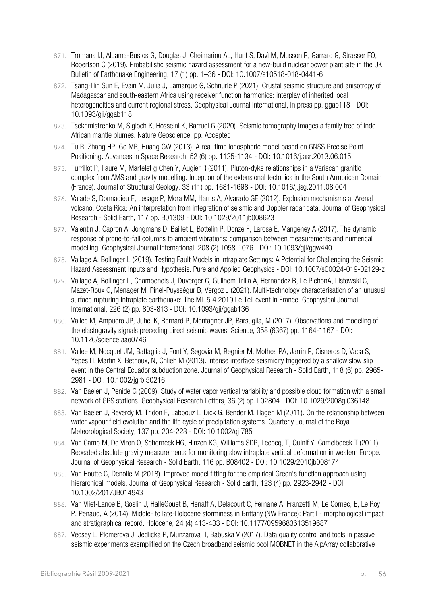- 871. Tromans IJ, Aldama-Bustos G, Douglas J, Cheimariou AL, Hunt S, Davì M, Musson R, Garrard G, Strasser FO, Robertson C (2019). Probabilistic seismic hazard assessment for a new-build nuclear power plant site in the UK. Bulletin of Earthquake Engineering, 17 (1) pp. 1–36 - DOI: 10.1007/s10518-018-0441-6
- 872. Tsang-Hin Sun E, Evain M, Julia J, Lamarque G, Schnurle P (2021). Crustal seismic structure and anisotropy of Madagascar and south-eastern Africa using receiver function harmonics: interplay of inherited local heterogeneities and current regional stress. Geophysical Journal International, in press pp. ggab118 - DOI: 10.1093/gji/ggab118
- 873. Tsekhmistrenko M, Sigloch K, Hosseini K, Barruol G (2020). Seismic tomography images a family tree of Indo-African mantle plumes. Nature Geoscience, pp. Accepted
- 874. Tu R, Zhang HP, Ge MR, Huang GW (2013). A real-time ionospheric model based on GNSS Precise Point Positioning. Advances in Space Research, 52 (6) pp. 1125-1134 - DOI: 10.1016/j.asr.2013.06.015
- 875. Turrillot P, Faure M, Martelet g Chen Y, Augier R (2011). Pluton-dyke relationships in a Variscan granitic complex from AMS and gravity modelling. Inception of the extensional tectonics in the South Armorican Domain (France). Journal of Structural Geology, 33 (11) pp. 1681-1698 - DOI: 10.1016/j.jsg.2011.08.004
- 876. Valade S, Donnadieu F, Lesage P, Mora MM, Harris A, Alvarado GE (2012). Explosion mechanisms at Arenal volcano, Costa Rica: An interpretation from integration of seismic and Doppler radar data. Journal of Geophysical Research - Solid Earth, 117 pp. B01309 - DOI: 10.1029/2011jb008623
- 877. Valentin J, Capron A, Jongmans D, Baillet L, Bottelin P, Donze F, Larose E, Mangeney A (2017). The dynamic response of prone-to-fall columns to ambient vibrations: comparison between measurements and numerical modelling. Geophysical Journal International, 208 (2) 1058-1076 - DOI: 10.1093/gji/ggw440
- 878. Vallage A, Bollinger L (2019). Testing Fault Models in Intraplate Settings: A Potential for Challenging the Seismic Hazard Assessment Inputs and Hypothesis. Pure and Applied Geophysics - DOI: 10.1007/s00024-019-02129-z
- 879. Vallage A, Bollinger L, Champenois J, Duverger C, Guilhem Trilla A, Hernandez B, Le PichonA, Listowski C, Mazet-Roux G, Menager M, Pinel-Puysségur B, Vergoz J (2021). Multi-technology characterisation of an unusual surface rupturing intraplate earthquake: The ML 5.4 2019 Le Teil event in France. Geophysical Journal International, 226 (2) pp. 803-813 - DOI: 10.1093/gji/ggab136
- 880. Vallee M, Ampuero JP, Juhel K, Bernard P, Montagner JP, Barsuglia, M (2017). Observations and modeling of the elastogravity signals preceding direct seismic waves. Science, 358 (6367) pp. 1164-1167 - DOI: 10.1126/science.aao0746
- 881. Vallee M, Nocquet JM, Battaglia J, Font Y, Segovia M, Regnier M, Mothes PA, Jarrin P, Cisneros D, Vaca S, Yepes H, Martin X, Bethoux, N, Chlieh M (2013). Intense interface seismicity triggered by a shallow slow slip event in the Central Ecuador subduction zone. Journal of Geophysical Research - Solid Earth, 118 (6) pp. 2965- 2981 - DOI: 10.1002/jgrb.50216
- 882. Van Baelen J, Penide G (2009). Study of water vapor vertical variability and possible cloud formation with a small network of GPS stations. Geophysical Research Letters, 36 (2) pp. L02804 - DOI: 10.1029/2008gl036148
- 883. Van Baelen J, Reverdy M, Tridon F, Labbouz L, Dick G, Bender M, Hagen M (2011). On the relationship between water vapour field evolution and the life cycle of precipitation systems. Quarterly Journal of the Royal Meteorological Society, 137 pp. 204-223 - DOI: 10.1002/qj.785
- 884. Van Camp M, De Viron O, Scherneck HG, Hinzen KG, Williams SDP, Lecocq, T, Quinif Y, Camelbeeck T (2011). Repeated absolute gravity measurements for monitoring slow intraplate vertical deformation in western Europe. Journal of Geophysical Research - Solid Earth, 116 pp. B08402 - DOI: 10.1029/2010jb008174
- 885. Van Houtte C, Denolle M (2018). Improved model fitting for the empirical Green's function approach using hierarchical models. Journal of Geophysical Research - Solid Earth, 123 (4) pp. 2923-2942 - DOI: 10.1002/2017JB014943
- 886. Van Vliet-Lanoe B, Goslin J, HalleGouet B, Henaff A, Delacourt C, Fernane A, Franzetti M, Le Cornec, E, Le Roy P, Penaud, A (2014). Middle- to late-Holocene storminess in Brittany (NW France): Part I - morphological impact and stratigraphical record. Holocene, 24 (4) 413-433 - DOI: 10.1177/0959683613519687
- 887. Vecsey L, Plomerova J, Jedlicka P, Munzarova H, Babuska V (2017). Data quality control and tools in passive seismic experiments exemplified on the Czech broadband seismic pool MOBNET in the AlpArray collaborative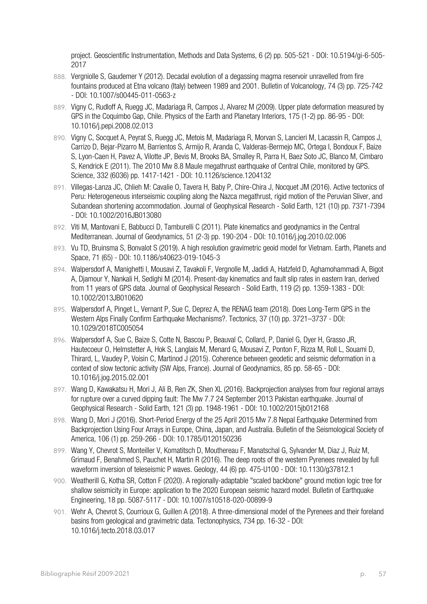project. Geoscientific Instrumentation, Methods and Data Systems, 6 (2) pp. 505-521 - DOI: 10.5194/gi-6-505- 2017

- 888. Vergniolle S, Gaudemer Y (2012). Decadal evolution of a degassing magma reservoir unravelled from fire fountains produced at Etna volcano (Italy) between 1989 and 2001. Bulletin of Volcanology, 74 (3) pp. 725-742 - DOI: 10.1007/s00445-011-0563-z
- 889. Vigny C, Rudloff A, Ruegg JC, Madariaga R, Campos J, Alvarez M (2009). Upper plate deformation measured by GPS in the Coquimbo Gap, Chile. Physics of the Earth and Planetary Interiors, 175 (1-2) pp. 86-95 - DOI: 10.1016/j.pepi.2008.02.013
- 890. Vigny C, Socquet A, Peyrat S, Ruegg JC, Metois M, Madariaga R, Morvan S, Lancieri M, Lacassin R, Campos J, Carrizo D, Bejar-Pizarro M, Barrientos S, Armijo R, Aranda C, Valderas-Bermejo MC, Ortega I, Bondoux F, Baize S, Lyon-Caen H, Pavez A, Vilotte JP, Bevis M, Brooks BA, Smalley R, Parra H, Baez Soto JC, Blanco M, Cimbaro S, Kendrick E (2011). The 2010 Mw 8.8 Maule megathrust earthquake of Central Chile, monitored by GPS. Science, 332 (6036) pp. 1417-1421 - DOI: 10.1126/science.1204132
- 891. Villegas‐Lanza JC, Chlieh M: Cavalie O, Tavera H, Baby P, Chire-Chira J, Nocquet JM (2016). Active tectonics of Peru: Heterogeneous interseismic coupling along the Nazca megathrust, rigid motion of the Peruvian Sliver, and Subandean shortening accommodation. Journal of Geophysical Research - Solid Earth, 121 (10) pp. 7371-7394 - DOI: 10.1002/2016JB013080
- 892. Viti M, Mantovani E, Babbucci D, Tamburelli C (2011). Plate kinematics and geodynamics in the Central Mediterranean. Journal of Geodynamics, 51 (2-3) pp. 190-204 - DOI: 10.1016/j.jog.2010.02.006
- 893. Vu TD, Bruinsma S, Bonvalot S (2019). A high resolution gravimetric geoid model for Vietnam. Earth, Planets and Space, 71 (65) - DOI: 10.1186/s40623-019-1045-3
- 894. Walpersdorf A, Manighetti I, Mousavi Z, Tavakoli F, Vergnolle M, Jadidi A, Hatzfeld D, Aghamohammadi A, Bigot A, Djamour Y, Nankali H, Sedighi M (2014). Present-day kinematics and fault slip rates in eastern Iran, derived from 11 years of GPS data. Journal of Geophysical Research - Solid Earth, 119 (2) pp. 1359-1383 - DOI: 10.1002/2013JB010620
- 895. Walpersdorf A, Pinget L, Vernant P, Sue C, Deprez A, the RENAG team (2018). Does Long-Term GPS in the Western Alps Finally Confirm Earthquake Mechanisms?. Tectonics, 37 (10) pp. 3721–3737 - DOI: 10.1029/2018TC005054
- 896. Walpersdorf A, Sue C, Baize S, Cotte N, Bascou P, Beauval C, Collard, P, Daniel G, Dyer H, Grasso JR, Hautecoeur O, Helmstetter A, Hok S, Langlais M, Menard G, Mousavi Z, Ponton F, Rizza M, Roll L, Souami D, Thirard, L, Vaudey P, Voisin C, Martinod J (2015). Coherence between geodetic and seismic deformation in a context of slow tectonic activity (SW Alps, France). Journal of Geodynamics, 85 pp. 58-65 - DOI: 10.1016/j.jog.2015.02.001
- 897. Wang D, Kawakatsu H, Mori J, Ali B, Ren ZK, Shen XL (2016). Backprojection analyses from four regional arrays for rupture over a curved dipping fault: The Mw 7.7 24 September 2013 Pakistan earthquake. Journal of Geophysical Research - Solid Earth, 121 (3) pp. 1948-1961 - DOI: 10.1002/2015jb012168
- 898. Wang D, Mori J (2016). Short-Period Energy of the 25 April 2015 Mw 7.8 Nepal Earthquake Determined from Backprojection Using Four Arrays in Europe, China, Japan, and Australia. Bulletin of the Seismological Society of America, 106 (1) pp. 259-266 - DOI: 10.1785/0120150236
- 899. Wang Y, Chevrot S, Monteiller V, Komatitsch D, Mouthereau F, Manatschal G, Sylvander M, Diaz J, Ruiz M, Grimaud F, Benahmed S, Pauchet H, Martin R (2016). The deep roots of the western Pyrenees revealed by full waveform inversion of teleseismic P waves. Geology, 44 (6) pp. 475-U100 - DOI: 10.1130/g37812.1
- 900. Weatherill G, Kotha SR, Cotton F (2020). A regionally-adaptable "scaled backbone" ground motion logic tree for shallow seismicity in Europe: application to the 2020 European seismic hazard model. Bulletin of Earthquake Engineering, 18 pp. 5087-5117 - DOI: 10.1007/s10518-020-00899-9
- 901. Wehr A, Chevrot S, Courrioux G, Guillen A (2018). A three-dimensional model of the Pyrenees and their foreland basins from geological and gravimetric data. Tectonophysics, 734 pp. 16-32 - DOI: 10.1016/j.tecto.2018.03.017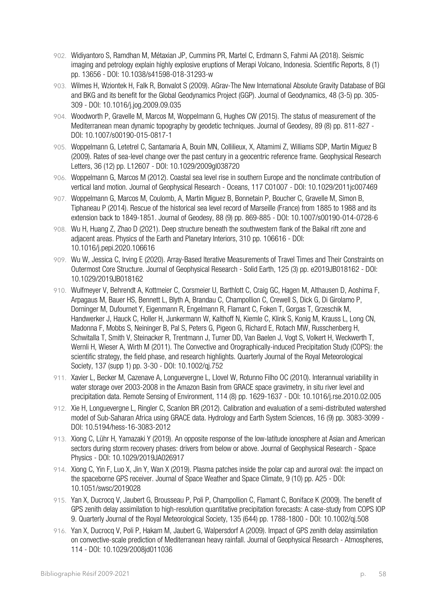- 902. Widiyantoro S, Ramdhan M, Métaxian JP, Cummins PR, Martel C, Erdmann S, Fahmi AA (2018). Seismic imaging and petrology explain highly explosive eruptions of Merapi Volcano, Indonesia. Scientific Reports, 8 (1) pp. 13656 - DOI: 10.1038/s41598-018-31293-w
- 903. Wilmes H, Wziontek H, Falk R, Bonvalot S (2009). AGrav-The New International Absolute Gravity Database of BGI and BKG and its benefit for the Global Geodynamics Project (GGP). Journal of Geodynamics, 48 (3-5) pp. 305- 309 - DOI: 10.1016/j.jog.2009.09.035
- 904. Woodworth P, Gravelle M, Marcos M, Woppelmann G, Hughes CW (2015). The status of measurement of the Mediterranean mean dynamic topography by geodetic techniques. Journal of Geodesy, 89 (8) pp. 811-827 - DOI: 10.1007/s00190-015-0817-1
- 905. Woppelmann G, Letetrel C, Santamaria A, Bouin MN, Collilieux, X, Altamimi Z, Williams SDP, Martin Miguez B (2009). Rates of sea-level change over the past century in a geocentric reference frame. Geophysical Research Letters, 36 (12) pp. L12607 - DOI: 10.1029/2009gl038720
- 906. Woppelmann G, Marcos M (2012). Coastal sea level rise in southern Europe and the nonclimate contribution of vertical land motion. Journal of Geophysical Research - Oceans, 117 C01007 - DOI: 10.1029/2011jc007469
- 907. Woppelmann G, Marcos M, Coulomb, A, Martin Miguez B, Bonnetain P, Boucher C, Gravelle M, Simon B, Tiphaneau P (2014). Rescue of the historical sea level record of Marseille (France) from 1885 to 1988 and its extension back to 1849-1851. Journal of Geodesy, 88 (9) pp. 869-885 - DOI: 10.1007/s00190-014-0728-6
- 908. Wu H, Huang Z, Zhao D (2021). Deep structure beneath the southwestern flank of the Baikal rift zone and adjacent areas. Physics of the Earth and Planetary Interiors, 310 pp. 106616 - DOI: 10.1016/j.pepi.2020.106616
- 909. Wu W, Jessica C, Irving E (2020). Array‐Based Iterative Measurements of Travel Times and Their Constraints on Outermost Core Structure. Journal of Geophysical Research - Solid Earth, 125 (3) pp. e2019JB018162 - DOI: 10.1029/2019JB018162
- 910. Wulfmeyer V, Behrendt A, Kottmeier C, Corsmeier U, Barthlott C, Craig GC, Hagen M, Althausen D, Aoshima F, Arpagaus M, Bauer HS, Bennett L, Blyth A, Brandau C, Champollion C, Crewell S, Dick G, Di Girolamo P, Dorninger M, Dufournet Y, Eigenmann R, Engelmann R, Flamant C, Foken T, Gorgas T, Grzeschik M, Handwerker J, Hauck C, Holler H, Junkermann W, Kalthoff N, Kiemle C, Klink S, Konig M, Krauss L, Long CN, Madonna F, Mobbs S, Neininger B, Pal S, Peters G, Pigeon G, Richard E, Rotach MW, Russchenberg H, Schwitalla T, Smith V, Steinacker R, Trentmann J, Turner DD, Van Baelen J, Vogt S, Volkert H, Weckwerth T, Wernli H, Wieser A, Wirth M (2011). The Convective and Orographically-induced Precipitation Study (COPS): the scientific strategy, the field phase, and research highlights. Quarterly Journal of the Royal Meteorological Society, 137 (supp 1) pp. 3-30 - DOI: 10.1002/qj.752
- 911. Xavier L, Becker M, Cazenave A, Longuevergne L, Llovel W, Rotunno Filho OC (2010). Interannual variability in water storage over 2003-2008 in the Amazon Basin from GRACE space gravimetry, in situ river level and precipitation data. Remote Sensing of Environment, 114 (8) pp. 1629-1637 - DOI: 10.1016/j.rse.2010.02.005
- 912. Xie H, Longuevergne L, Ringler C, Scanlon BR (2012). Calibration and evaluation of a semi-distributed watershed model of Sub-Saharan Africa using GRACE data. Hydrology and Earth System Sciences, 16 (9) pp. 3083-3099 -DOI: 10.5194/hess-16-3083-2012
- 913. Xiong C, Lühr H, Yamazaki Y (2019). An opposite response of the low-latitude ionosphere at Asian and American sectors during storm recovery phases: drivers from below or above. Journal of Geophysical Research - Space Physics - DOI: 10.1029/2019JA026917
- 914. Xiong C, Yin F, Luo X, Jin Y, Wan X (2019). Plasma patches inside the polar cap and auroral oval: the impact on the spaceborne GPS receiver. Journal of Space Weather and Space Climate, 9 (10) pp. A25 - DOI: 10.1051/swsc/2019028
- 915. Yan X, Ducrocq V, Jaubert G, Brousseau P, Poli P, Champollion C, Flamant C, Boniface K (2009). The benefit of GPS zenith delay assimilation to high-resolution quantitative precipitation forecasts: A case-study from COPS IOP 9. Quarterly Journal of the Royal Meteorological Society, 135 (644) pp. 1788-1800 - DOI: 10.1002/qj.508
- 916. Yan X, Ducrocq V, Poli P, Hakam M, Jaubert G, Walpersdorf A (2009). Impact of GPS zenith delay assimilation on convective-scale prediction of Mediterranean heavy rainfall. Journal of Geophysical Research - Atmospheres, 114 - DOI: 10.1029/2008jd011036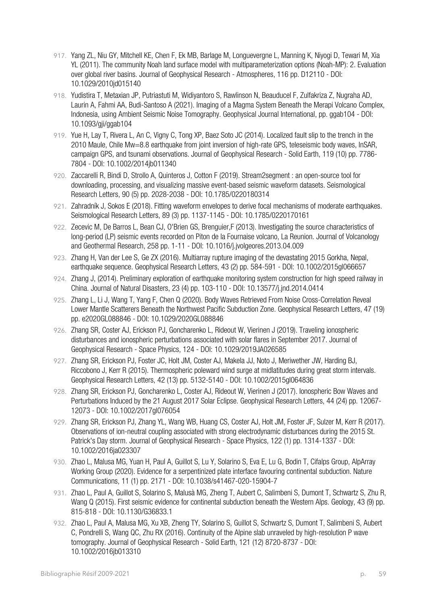- 917. Yang ZL, Niu GY, Mitchell KE, Chen F, Ek MB, Barlage M, Longuevergne L, Manning K, Niyogi D, Tewari M, Xia YL (2011). The community Noah land surface model with multiparameterization options (Noah-MP): 2. Evaluation over global river basins. Journal of Geophysical Research - Atmospheres, 116 pp. D12110 - DOI: 10.1029/2010jd015140
- 918. Yudistira T, Metaxian JP, Putriastuti M, Widiyantoro S, Rawlinson N, Beauducel F, Zulfakriza Z, Nugraha AD, Laurin A, Fahmi AA, Budi-Santoso A (2021). Imaging of a Magma System Beneath the Merapi Volcano Complex, Indonesia, using Ambient Seismic Noise Tomography. Geophysical Journal International, pp. ggab104 - DOI: 10.1093/gji/ggab104
- 919. Yue H, Lay T, Rivera L, An C, Vigny C, Tong XP, Baez Soto JC (2014). Localized fault slip to the trench in the 2010 Maule, Chile Mw=8.8 earthquake from joint inversion of high-rate GPS, teleseismic body waves, InSAR, campaign GPS, and tsunami observations. Journal of Geophysical Research - Solid Earth, 119 (10) pp. 7786- 7804 - DOI: 10.1002/2014jb011340
- 920. Zaccarelli R, Bindi D, Strollo A, Quinteros J, Cotton F (2019). Stream2segment : an open-source tool for downloading, processing, and visualizing massive event-based seismic waveform datasets. Seismological Research Letters, 90 (5) pp. 2028-2038 - DOI: 10.1785/0220180314
- 921. Zahradník J, Sokos E (2018). Fitting waveform envelopes to derive focal mechanisms of moderate earthquakes. Seismological Research Letters, 89 (3) pp. 1137-1145 - DOI: 10.1785/0220170161
- 922. Zecevic M, De Barros L, Bean CJ, O'Brien GS, Brenguier,F (2013). Investigating the source characteristics of long-period (LP) seismic events recorded on Piton de la Fournaise volcano, La Reunion. Journal of Volcanology and Geothermal Research, 258 pp. 1-11 - DOI: 10.1016/j.jvolgeores.2013.04.009
- 923. Zhang H, Van der Lee S, Ge ZX (2016). Multiarray rupture imaging of the devastating 2015 Gorkha, Nepal, earthquake sequence. Geophysical Research Letters, 43 (2) pp. 584-591 - DOI: 10.1002/2015gl066657
- 924. Zhang J, (2014). Preliminary exploration of earthquake monitoring system construction for high speed railway in China. Journal of Natural Disasters, 23 (4) pp. 103-110 - DOI: 10.13577/j.jnd.2014.0414
- 925. Zhang L, Li J, Wang T, Yang F, Chen Q (2020). Body Waves Retrieved From Noise Cross‐Correlation Reveal Lower Mantle Scatterers Beneath the Northwest Pacific Subduction Zone. Geophysical Research Letters, 47 (19) pp. e2020GL088846 - DOI: 10.1029/2020GL088846
- 926. Zhang SR, Coster AJ, Erickson PJ, Goncharenko L, Rideout W, Vierinen J (2019). Traveling ionospheric disturbances and ionospheric perturbations associated with solar flares in September 2017. Journal of Geophysical Research - Space Physics, 124 - DOI: 10.1029/2019JA026585
- 927. Zhang SR, Erickson PJ, Foster JC, Holt JM, Coster AJ, Makela JJ, Noto J, Meriwether JW, Harding BJ, Riccobono J, Kerr R (2015). Thermospheric poleward wind surge at midlatitudes during great storm intervals. Geophysical Research Letters, 42 (13) pp. 5132-5140 - DOI: 10.1002/2015gl064836
- 928. Zhang SR, Erickson PJ, Goncharenko L, Coster AJ, Rideout W, Vierinen J (2017). Ionospheric Bow Waves and Perturbations Induced by the 21 August 2017 Solar Eclipse. Geophysical Research Letters, 44 (24) pp. 12067- 12073 - DOI: 10.1002/2017gl076054
- 929. Zhang SR, Erickson PJ, Zhang YL, Wang WB, Huang CS, Coster AJ, Holt JM, Foster JF, Sulzer M, Kerr R (2017). Observations of ion-neutral coupling associated with strong electrodynamic disturbances during the 2015 St. Patrick's Day storm. Journal of Geophysical Research - Space Physics, 122 (1) pp. 1314-1337 - DOI: 10.1002/2016ja023307
- 930. Zhao L, Malusa MG, Yuan H, Paul A, Guillot S, Lu Y, Solarino S, Eva E, Lu G, Bodin T, Cifalps Group, AlpArray Working Group (2020). Evidence for a serpentinized plate interface favouring continental subduction. Nature Communications, 11 (1) pp. 2171 - DOI: 10.1038/s41467-020-15904-7
- 931. Zhao L, Paul A, Guillot S, Solarino S, Malusà MG, Zheng T, Aubert C, Salimbeni S, Dumont T, Schwartz S, Zhu R, Wang Q (2015). First seismic evidence for continental subduction beneath the Western Alps. Geology, 43 (9) pp. 815-818 - DOI: 10.1130/G36833.1
- 932. Zhao L, Paul A, Malusa MG, Xu XB, Zheng TY, Solarino S, Guillot S, Schwartz S, Dumont T, Salimbeni S, Aubert C, Pondrelli S, Wang QC, Zhu RX (2016). Continuity of the Alpine slab unraveled by high-resolution P wave tomography. Journal of Geophysical Research - Solid Earth, 121 (12) 8720-8737 - DOI: 10.1002/2016jb013310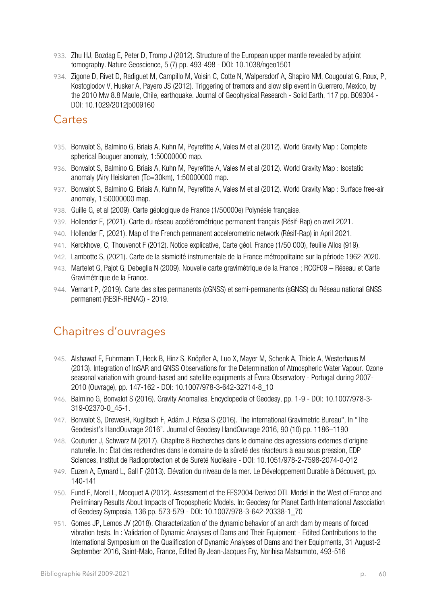- 933. Zhu HJ, Bozdag E, Peter D, Tromp J (2012). Structure of the European upper mantle revealed by adjoint tomography. Nature Geoscience, 5 (7) pp. 493-498 - DOI: 10.1038/ngeo1501
- 934. Zigone D, Rivet D, Radiguet M, Campillo M, Voisin C, Cotte N, Walpersdorf A, Shapiro NM, Cougoulat G, Roux, P, Kostoglodov V, Husker A, Payero JS (2012). Triggering of tremors and slow slip event in Guerrero, Mexico, by the 2010 Mw 8.8 Maule, Chile, earthquake. Journal of Geophysical Research - Solid Earth, 117 pp. B09304 - DOI: 10.1029/2012jb009160

#### Cartes

- 935. Bonvalot S, Balmino G, Briais A, Kuhn M, Peyrefitte A, Vales M et al (2012). World Gravity Map : Complete spherical Bouguer anomaly, 1:50000000 map.
- 936. Bonvalot S, Balmino G, Briais A, Kuhn M, Peyrefitte A, Vales M et al (2012). World Gravity Map : Isostatic anomaly (Airy Heiskanen (Tc=30km), 1:50000000 map.
- 937. Bonvalot S, Balmino G, Briais A, Kuhn M, Peyrefitte A, Vales M et al (2012). World Gravity Map : Surface free-air anomaly, 1:50000000 map.
- 938. Guille G, et al (2009). Carte géologique de France (1/50000e) Polynésie française.
- 939. Hollender F, (2021). Carte du réseau accélérométrique permanent français (Résif-Rap) en avril 2021.
- 940. Hollender F, (2021). Map of the French permanent accelerometric network (Résif-Rap) in April 2021.
- 941. Kerckhove, C, Thouvenot F (2012). Notice explicative, Carte géol. France (1/50 000), feuille Allos (919).
- 942. Lambotte S, (2021). Carte de la sismicité instrumentale de la France métropolitaine sur la période 1962-2020.
- 943. Martelet G, Pajot G, Debeglia N (2009). Nouvelle carte gravimétrique de la France ; RCGF09 Réseau et Carte Gravimétrique de la France.
- 944. Vernant P, (2019). Carte des sites permanents (cGNSS) et semi-permanents (sGNSS) du Réseau national GNSS permanent (RESIF-RENAG) - 2019.

# Chapitres d'ouvrages

- 945. Alshawaf F, Fuhrmann T, Heck B, Hinz S, Knöpfler A, Luo X, Mayer M, Schenk A, Thiele A, Westerhaus M (2013). Integration of InSAR and GNSS Observations for the Determination of Atmospheric Water Vapour. Ozone seasonal variation with ground-based and satellite equipments at Évora Observatory - Portugal during 2007- 2010 (Ouvrage), pp. 147-162 - DOI: 10.1007/978-3-642-32714-8\_10
- 946. Balmino G, Bonvalot S (2016). Gravity Anomalies. Encyclopedia of Geodesy, pp. 1-9 DOI: 10.1007/978-3- 319-02370-0\_45-1.
- 947. Bonvalot S, DrewesH, Kuglitsch F, Adám J, Rózsa S (2016). The international Gravimetric Bureau", In "The Geodesist's HandOuvrage 2016". Journal of Geodesy HandOuvrage 2016, 90 (10) pp. 1186–1190
- 948. Couturier J, Schwarz M (2017). Chapitre 8 Recherches dans le domaine des agressions externes d'origine naturelle. In : État des recherches dans le domaine de la sûreté des réacteurs à eau sous pression, EDP Sciences, Institut de Radioprotection et de Sureté Nucléaire - DOI: 10.1051/978-2-7598-2074-0-012
- 949. Euzen A, Eymard L, Gall F (2013). Elévation du niveau de la mer. Le Développement Durable à Découvert, pp. 140-141
- 950. Fund F, Morel L, Mocquet A (2012). Assessment of the FES2004 Derived OTL Model in the West of France and Preliminary Results About Impacts of Tropospheric Models. In: Geodesy for Planet Earth International Association of Geodesy Symposia, 136 pp. 573-579 - DOI: 10.1007/978-3-642-20338-1\_70
- 951. Gomes JP, Lemos JV (2018). Characterization of the dynamic behavior of an arch dam by means of forced vibration tests. In : Validation of Dynamic Analyses of Dams and Their Equipment - Edited Contributions to the International Symposium on the Qualification of Dynamic Analyses of Dams and their Equipments, 31 August-2 September 2016, Saint-Malo, France, Edited By Jean-Jacques Fry, Norihisa Matsumoto, 493-516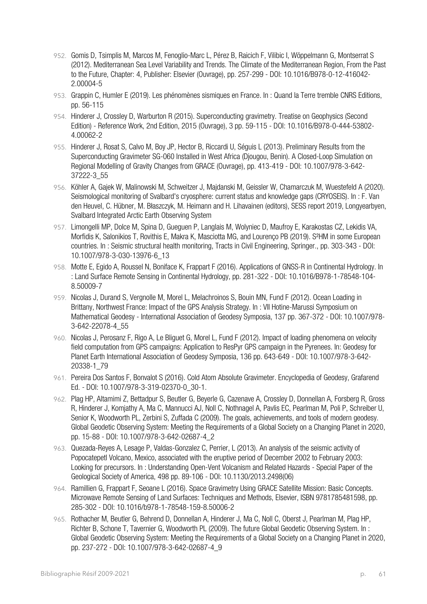- 952. Gomis D, Tsimplis M, Marcos M, Fenoglio-Marc L, Pérez B, Raicich F, Vilibic I, Wöppelmann G, Montserrat S (2012). Mediterranean Sea Level Variability and Trends. The Climate of the Mediterranean Region, From the Past to the Future, Chapter: 4, Publisher: Elsevier (Ouvrage), pp. 257-299 - DOI: 10.1016/B978-0-12-416042- 2.00004-5
- 953. Grappin C, Humler E (2019). Les phénomènes sismiques en France. In : Quand la Terre tremble CNRS Editions, pp. 56-115
- 954. Hinderer J, Crossley D, Warburton R (2015). Superconducting gravimetry. Treatise on Geophysics (Second Edition) - Reference Work, 2nd Edition, 2015 (Ouvrage), 3 pp. 59-115 - DOI: 10.1016/B978-0-444-53802- 4.00062-2
- 955. Hinderer J, Rosat S, Calvo M, Boy JP, Hector B, Riccardi U, Séguis L (2013). Preliminary Results from the Superconducting Gravimeter SG-060 Installed in West Africa (Djougou, Benin). A Closed-Loop Simulation on Regional Modelling of Gravity Changes from GRACE (Ouvrage), pp. 413-419 - DOI: 10.1007/978-3-642- 37222-3\_55
- 956. Köhler A, Gajek W, Malinowski M, Schweitzer J, Majdanski M, Geissler W, Chamarczuk M, Wuestefeld A (2020). Seismological monitoring of Svalbard's cryosphere: current status and knowledge gaps (CRYOSEIS). In : F. Van den Heuvel, C. Hübner, M. Błaszczyk, M. Heimann and H. Lihavainen (editors), SESS report 2019, Longyearbyen, Svalbard Integrated Arctic Earth Observing System
- 957. Limongelli MP, Dolce M, Spina D, Gueguen P, Langlais M, Wolyniec D, Maufroy E, Karakostas CZ, Lekidis VA, Morfidis K, Salonikios T, Rovithis E, Makra K, Masciotta MG, and Lourenço PB (2019). S²HM in some European countries. In : Seismic structural health monitoring, Tracts in Civil Engineering, Springer., pp. 303-343 - DOI: 10.1007/978-3-030-13976-6\_13
- 958. Motte E, Egido A, Roussel N, Boniface K, Frappart F (2016). Applications of GNSS-R in Continental Hydrology. In : Land Surface Remote Sensing in Continental Hydrology, pp. 281-322 - DOI: 10.1016/B978-1-78548-104- 8.50009-7
- 959. Nicolas J, Durand S, Vergnolle M, Morel L, Melachroinos S, Bouin MN, Fund F (2012). Ocean Loading in Brittany, Northwest France: Impact of the GPS Analysis Strategy. In : VII Hotine-Marussi Symposium on Mathematical Geodesy - International Association of Geodesy Symposia, 137 pp. 367-372 - DOI: 10.1007/978- 3-642-22078-4\_55
- 960. Nicolas J, Perosanz F, Rigo A, Le Bliguet G, Morel L, Fund F (2012). Impact of loading phenomena on velocity field computation from GPS campaigns: Application to ResPyr GPS campaign in the Pyrenees. In: Geodesy for Planet Earth International Association of Geodesy Symposia, 136 pp. 643-649 - DOI: 10.1007/978-3-642- 20338-1\_79
- 961. Pereira Dos Santos F, Bonvalot S (2016). Cold Atom Absolute Gravimeter. Encyclopedia of Geodesy, Grafarend Ed. - DOI: 10.1007/978-3-319-02370-0\_30-1.
- 962. Plag HP, Altamimi Z, Bettadpur S, Beutler G, Beyerle G, Cazenave A, Crossley D, Donnellan A, Forsberg R, Gross R, Hinderer J, Komjathy A, Ma C, Mannucci AJ, Noll C, Nothnagel A, Pavlis EC, Pearlman M, Poli P, Schreiber U, Senior K, Woodworth PL, Zerbini S, Zuffada C (2009). The goals, achievements, and tools of modern geodesy. Global Geodetic Observing System: Meeting the Requirements of a Global Society on a Changing Planet in 2020, pp. 15-88 - DOI: 10.1007/978-3-642-02687-4\_2
- 963. Quezada-Reyes A, Lesage P, Valdas-Gonzalez C, Perrier, L (2013). An analysis of the seismic activity of Popocatepetl Volcano, Mexico, associated with the eruptive period of December 2002 to February 2003: Looking for precursors. In : Understanding Open-Vent Volcanism and Related Hazards - Special Paper of the Geological Society of America, 498 pp. 89-106 - DOI: 10.1130/2013.2498(06)
- 964. Ramillien G, Frappart F, Seoane L (2016). Space Gravimetry Using GRACE Satellite Mission: Basic Concepts. Microwave Remote Sensing of Land Surfaces: Techniques and Methods, Elsevier, ISBN 9781785481598, pp. 285-302 - DOI: 10.1016/b978-1-78548-159-8.50006-2
- 965. Rothacher M, Beutler G, Behrend D, Donnellan A, Hinderer J, Ma C, Noll C, Oberst J, Pearlman M, Plag HP, Richter B, Schone T, Tavernier G, Woodworth PL (2009). The future Global Geodetic Observing System. In : Global Geodetic Observing System: Meeting the Requirements of a Global Society on a Changing Planet in 2020, pp. 237-272 - DOI: 10.1007/978-3-642-02687-4\_9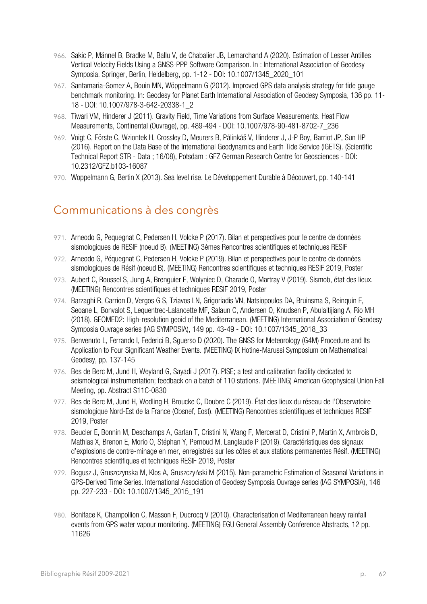- 966. Sakic P, Männel B, Bradke M, Ballu V, de Chabalier JB, Lemarchand A (2020). Estimation of Lesser Antilles Vertical Velocity Fields Using a GNSS-PPP Software Comparison. In : International Association of Geodesy Symposia. Springer, Berlin, Heidelberg, pp. 1-12 - DOI: 10.1007/1345\_2020\_101
- 967. Santamaria-Gomez A, Bouin MN, Wöppelmann G (2012). Improved GPS data analysis strategy for tide gauge benchmark monitoring. In: Geodesy for Planet Earth International Association of Geodesy Symposia, 136 pp. 11- 18 - DOI: 10.1007/978-3-642-20338-1\_2
- 968. Tiwari VM, Hinderer J (2011). Gravity Field, Time Variations from Surface Measurements. Heat Flow Measurements, Continental (Ouvrage), pp. 489-494 - DOI: 10.1007/978-90-481-8702-7\_236
- 969. Voigt C, Förste C, Wziontek H, Crossley D, Meurers B, Pálinkáš V, Hinderer J, J-P Boy, Barriot JP, Sun HP (2016). Report on the Data Base of the International Geodynamics and Earth Tide Service (IGETS). (Scientific Technical Report STR - Data ; 16/08), Potsdam : GFZ German Research Centre for Geosciences - DOI: 10.2312/GFZ.b103-16087
- 970. Woppelmann G, Bertin X (2013). Sea level rise. Le Développement Durable à Découvert, pp. 140-141

### Communications à des congrès

- 971. Arneodo G, Pequegnat C, Pedersen H, Volcke P (2017). Bilan et perspectives pour le centre de données sismologiques de RESIF (noeud B). (MEETING) 3èmes Rencontres scientifiques et techniques RESIF
- 972. Arneodo G, Péquegnat C, Pedersen H, Volcke P (2019). Bilan et perspectives pour le centre de données sismologiques de Résif (noeud B). (MEETING) Rencontres scientifiques et techniques RESIF 2019, Poster
- 973. Aubert C, Roussel S, Jung A, Brenguier F, Wolyniec D, Charade O, Martray V (2019). Sismob, état des lieux. (MEETING) Rencontres scientifiques et techniques RESIF 2019, Poster
- 974. Barzaghi R, Carrion D, Vergos G S, Tziavos LN, Grigoriadis VN, Natsiopoulos DA, Bruinsma S, Reinquin F, Seoane L, Bonvalot S, Lequentrec-Lalancette MF, Salaun C, Andersen O, Knudsen P, Abulaitijiang A, Rio MH (2018). GEOMED2: High-resolution geoid of the Mediterranean. (MEETING) International Association of Geodesy Symposia Ouvrage series (IAG SYMPOSIA), 149 pp. 43-49 - DOI: 10.1007/1345\_2018\_33
- 975. Benvenuto L, Ferrando I, Federici B, Sguerso D (2020). The GNSS for Meteorology (G4M) Procedure and Its Application to Four Significant Weather Events. (MEETING) IX Hotine-Marussi Symposium on Mathematical Geodesy, pp. 137-145
- 976. Bes de Berc M, Jund H, Weyland G, Sayadi J (2017). PISE; a test and calibration facility dedicated to seismological instrumentation; feedback on a batch of 110 stations. (MEETING) American Geophysical Union Fall Meeting, pp. Abstract S11C-0830
- 977. Bes de Berc M, Jund H, Wodling H, Broucke C, Doubre C (2019). État des lieux du réseau de l'Observatoire sismologique Nord-Est de la France (Obsnef, Eost). (MEETING) Rencontres scientifiques et techniques RESIF 2019, Poster
- 978. Beucler E, Bonnin M, Deschamps A, Garlan T, Cristini N, Wang F, Mercerat D, Cristini P, Martin X, Ambrois D, Mathias X, Brenon E, Morio O, Stéphan Y, Pernoud M, Langlaude P (2019). Caractéristiques des signaux d'explosions de contre-minage en mer, enregistrés sur les côtes et aux stations permanentes Résif. (MEETING) Rencontres scientifiques et techniques RESIF 2019, Poster
- 979. Bogusz J, Gruszczynska M, Klos A, Gruszczyński M (2015). Non-parametric Estimation of Seasonal Variations in GPS-Derived Time Series. International Association of Geodesy Symposia Ouvrage series (IAG SYMPOSIA), 146 pp. 227-233 - DOI: 10.1007/1345\_2015\_191
- 980. Boniface K, Champollion C, Masson F, Ducrocq V (2010). Characterisation of Mediterranean heavy rainfall events from GPS water vapour monitoring. (MEETING) EGU General Assembly Conference Abstracts, 12 pp. 11626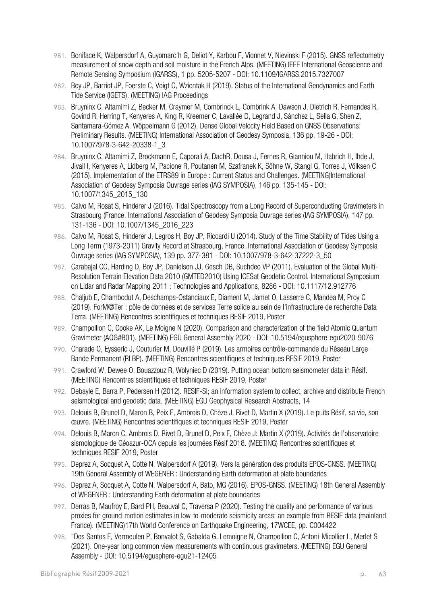- 981. Boniface K, Walpersdorf A, Guyomarc'h G, Deliot Y, Karbou F, Vionnet V, Nievinski F (2015). GNSS reflectometry measurement of snow depth and soil moisture in the French Alps. (MEETING) IEEE International Geoscience and Remote Sensing Symposium (IGARSS), 1 pp. 5205-5207 - DOI: 10.1109/IGARSS.2015.7327007
- 982. Boy JP, Barriot JP, Foerste C, Voigt C, Wziontak H (2019). Status of the International Geodynamics and Earth Tide Service (IGETS). (MEETING) IAG Proceedings
- 983. Bruyninx C, Altamimi Z, Becker M, Craymer M, Combrinck L, Combrink A, Dawson J, Dietrich R, Fernandes R, Govind R, Herring T, Kenyeres A, King R, Kreemer C, Lavallée D, Legrand J, Sánchez L, Sella G, Shen Z, Santamara-Gómez A, Wöppelmann G (2012). Dense Global Velocity Field Based on GNSS Observations: Preliminary Results. (MEETING) International Association of Geodesy Symposia, 136 pp. 19-26 - DOI: 10.1007/978-3-642-20338-1\_3
- 984. Bruyninx C, Altamimi Z, Brockmann E, Caporali A, DachR, Dousa J, Fernes R, Gianniou M, Habrich H, Ihde J, Jivall l, Kenyeres A, Lidberg M, Pacione R, Poutanen M, Szafranek K, Söhne W, Stangl G, Torres J, Völksen C (2015). Implementation of the ETRS89 in Europe : Current Status and Challenges. (MEETING)International Association of Geodesy Symposia Ouvrage series (IAG SYMPOSIA), 146 pp. 135-145 - DOI: 10.1007/1345\_2015\_130
- 985. Calvo M, Rosat S, Hinderer J (2016). Tidal Spectroscopy from a Long Record of Superconducting Gravimeters in Strasbourg (France. International Association of Geodesy Symposia Ouvrage series (IAG SYMPOSIA), 147 pp. 131-136 - DOI: 10.1007/1345\_2016\_223
- 986. Calvo M, Rosat S, Hinderer J, Legros H, Boy JP, Riccardi U (2014). Study of the Time Stability of Tides Using a Long Term (1973-2011) Gravity Record at Strasbourg, France. International Association of Geodesy Symposia Ouvrage series (IAG SYMPOSIA), 139 pp. 377-381 - DOI: 10.1007/978-3-642-37222-3\_50
- 987. Carabajal CC, Harding D, Boy JP, Danielson JJ, Gesch DB, Suchdeo VP (2011). Evaluation of the Global Multi-Resolution Terrain Elevation Data 2010 (GMTED2010) Using ICESat Geodetic Control. International Symposium on Lidar and Radar Mapping 2011 : Technologies and Applications, 8286 - DOI: 10.1117/12.912776
- 988. Chaljub E, Chambodut A, Deschamps-Ostanciaux E, Diament M, Jamet O, Lasserre C, Mandea M, Proy C (2019). ForM@Ter : pôle de données et de services Terre solide au sein de l'infrastructure de recherche Data Terra. (MEETING) Rencontres scientifiques et techniques RESIF 2019, Poster
- 989. Champollion C, Cooke AK, Le Moigne N (2020). Comparison and characterization of the field Atomic Quantum Gravimeter (AQG#B01). (MEETING) EGU General Assembly 2020 - DOI: 10.5194/egusphere-egu2020-9076
- 990. Charade O, Eysseric J, Couturier M, Douvillé P (2019). Les armoires contrôle-commande du Réseau Large Bande Permanent (RLBP). (MEETING) Rencontres scientifiques et techniques RESIF 2019, Poster
- 991. Crawford W, Dewee O, Bouazzouz R, Wolyniec D (2019). Putting ocean bottom seismometer data in Résif. (MEETING) Rencontres scientifiques et techniques RESIF 2019, Poster
- 992. Debayle E, Barra P, Pedersen H (2012). RESIF-SI; an information system to collect, archive and distribute French seismological and geodetic data. (MEETING) EGU Geophysical Research Abstracts, 14
- 993. Delouis B, Brunel D, Maron B, Peix F, Ambrois D, Chèze J, Rivet D, Martin X (2019). Le puits Résif, sa vie, son œuvre. (MEETING) Rencontres scientifiques et techniques RESIF 2019, Poster
- 994. Delouis B, Maron C, Ambrois D, Rivet D, Brunel D, Peix F, Chèze J: Martin X (2019). Activités de l'observatoire sismologique de Géoazur-OCA depuis les journées Résif 2018. (MEETING) Rencontres scientifiques et techniques RESIF 2019, Poster
- 995. Deprez A, Socquet A, Cotte N, Walpersdorf A (2019). Vers la génération des produits EPOS-GNSS. (MEETING) 19th General Assembly of WEGENER : Understanding Earth deformation at plate boundaries
- 996. Deprez A, Socquet A, Cotte N, Walpersdorf A, Bato, MG (2016). EPOS-GNSS. (MEETING) 18th General Assembly of WEGENER : Understanding Earth deformation at plate boundaries
- 997. Derras B, Maufroy E, Bard PH, Beauval C, Traversa P (2020). Testing the quality and performance of various proxies for ground-motion estimates in low-to-moderate seismicity areas: an example from RESIF data (mainland France). (MEETING)17th World Conference on Earthquake Engineering, 17WCEE, pp. C004422
- 998. "Dos Santos F, Vermeulen P, Bonvalot S, Gabalda G, Lemoigne N, Champollion C, Antoni-Micollier L, Merlet S (2021). One-year long common view measurements with continuous gravimeters. (MEETING) EGU General Assembly - DOI: 10.5194/egusphere-egu21-12405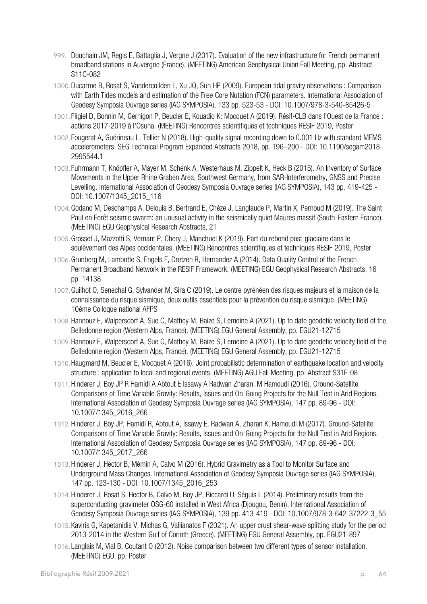- 999. Douchain JM, Regis E, Battaglia J, Vergne J (2017). Evaluation of the new infrastructure for French permanent broadband stations in Auvergne (France). (MEETING) American Geophysical Union Fall Meeting, pp. Abstract S11C-082
- 1000.Ducarme B, Rosat S, Vandercoilden L, Xu JQ, Sun HP (2009). European tidal gravity observations : Comparison with Earth Tides models and estimation of the Free Core Nutation (FCN) parameters. International Association of Geodesy Symposia Ouvrage series (IAG SYMPOSIA), 133 pp. 523-53 - DOI: 10.1007/978-3-540-85426-5
- 1001. Fligiel D, Bonnin M, Gernigon P, Beucler E, Kouadio K: Mocquet A (2019). Résif-CLB dans l'Ouest de la France : actions 2017-2019 à l'Osuna. (MEETING) Rencontres scientifiques et techniques RESIF 2019, Poster
- 1002. Fougerat A, Guérineau L, Tellier N (2018). High-quality signal recording down to 0.001 Hz with standard MEMS accelerometers. SEG Technical Program Expanded Abstracts 2018, pp. 196–200 - DOI: 10.1190/segam2018- 2995544.1
- 1003. Fuhrmann T, Knöpfler A, Mayer M, Schenk A, Westerhaus M, Zippelt K, Heck B (2015). An Inventory of Surface Movements in the Upper Rhine Graben Area, Southwest Germany, from SAR-Interferometry, GNSS and Precise Levelling. International Association of Geodesy Symposia Ouvrage series (IAG SYMPOSIA), 143 pp. 419-425 - DOI: 10.1007/1345\_2015\_116
- 1004.Godano M, Deschamps A, Delouis B, Bertrand E, Chèze J, Langlaude P, Martin X, Pernoud M (2019). The Saint Paul en Forêt seismic swarm: an unusual activity in the seismically quiet Maures massif (South-Eastern France). (MEETING) EGU Geophysical Research Abstracts, 21
- 1005.Grosset J, Mazzotti S, Vernant P, Chery J, Manchuel K (2019). Part du rebond post-glaciaire dans le soulèvement des Alpes occidentales. (MEETING) Rencontres scientifiques et techniques RESIF 2019, Poster
- 1006.Grunberg M, Lambotte S, Engels F, Dretzen R, Hernandez A (2014). Data Quality Control of the French Permanent Broadband Network in the RESIF Framework. (MEETING) EGU Geophysical Research Abstracts, 16 pp. 14138
- 1007.Guilhot O, Senechal G, Sylvander M, Sira C (2019). Le centre pyrénéen des risques majeurs et la maison de la connaissance du risque sismique, deux outils essentiels pour la prévention du risque sismique. (MEETING) 10ème Colloque national AFPS
- 1008.Hannouz E, Walpersdorf A, Sue C, Mathey M, Baize S, Lemoine A (2021). Up to date geodetic velocity field of the Belledonne region (Western Alps, France). (MEETING) EGU General Assembly, pp. EGU21-12715
- 1009.Hannouz E, Walpersdorf A, Sue C, Mathey M, Baize S, Lemoine A (2021). Up to date geodetic velocity field of the Belledonne region (Western Alps, France). (MEETING) EGU General Assembly, pp. EGU21-12715
- 1010.Haugmard M, Beucler E, Mocquet A (2016). Joint probabilistic determination of earthquake location and velocity structure : application to local and regional events. (MEETING) AGU Fall Meeting, pp. Abstract S31E-08
- 1011.Hinderer J, Boy JP R Hamidi A Abtout E Issawy A Radwan Zharan, M Hamoudi (2016). Ground-Satellite Comparisons of Time Variable Gravity: Results, Issues and On-Going Projects for the Null Test in Arid Regions. International Association of Geodesy Symposia Ouvrage series (IAG SYMPOSIA), 147 pp. 89-96 - DOI: 10.1007/1345\_2016\_266
- 1012.Hinderer J, Boy JP, Hamidi R, Abtout A, Issawy E, Radwan A, Zharan K, Hamoudi M (2017). Ground-Satellite Comparisons of Time Variable Gravity: Results, Issues and On-Going Projects for the Null Test in Arid Regions. International Association of Geodesy Symposia Ouvrage series (IAG SYMPOSIA), 147 pp. 89-96 - DOI: 10.1007/1345\_2017\_266
- 1013.Hinderer J, Hector B, Mémin A, Calvo M (2016). Hybrid Gravimetry as a Tool to Monitor Surface and Underground Mass Changes. International Association of Geodesy Symposia Ouvrage series (IAG SYMPOSIA), 147 pp. 123-130 - DOI: 10.1007/1345\_2016\_253
- 1014.Hinderer J, Rosat S, Hector B, Calvo M, Boy JP, Riccardi U, Séguis L (2014). Preliminary results from the superconducting gravimeter OSG-60 installed in West Africa (Djougou, Benin). International Association of Geodesy Symposia Ouvrage series (IAG SYMPOSIA), 139 pp. 413-419 - DOI: 10.1007/978-3-642-37222-3\_55
- 1015.Kaviris G, Kapetanidis V, Michas G, Vallianatos F (2021). An upper crust shear-wave splitting study for the period 2013-2014 in the Western Gulf of Corinth (Greece). (MEETING) EGU General Assembly, pp. EGU21-897
- 1016. Langlais M, Vial B, Coutant O (2012). Noise comparison between two different types of sensor installation. (MEETING) EGU, pp. Poster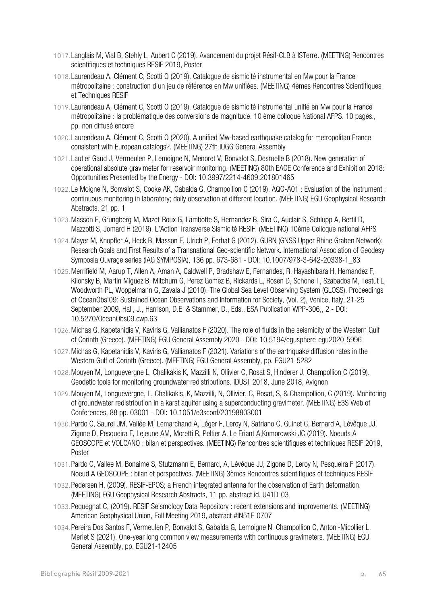- 1017. Langlais M, Vial B, Stehly L, Aubert C (2019). Avancement du projet Résif-CLB à ISTerre. (MEETING) Rencontres scientifiques et techniques RESIF 2019, Poster
- 1018. Laurendeau A, Clément C, Scotti O (2019). Catalogue de sismicité instrumental en Mw pour la France métropolitaine : construction d'un jeu de référence en Mw unifiées. (MEETING) 4èmes Rencontres Scientifiques et Techniques RESIF
- 1019. Laurendeau A, Clément C, Scotti O (2019). Catalogue de sismicité instrumental unifié en Mw pour la France métropolitaine : la problématique des conversions de magnitude. 10 ème colloque National AFPS. 10 pages., pp. non diffusé encore
- 1020. Laurendeau A, Clément C, Scotti O (2020). A unified Mw-based earthquake catalog for metropolitan France consistent with European catalogs?. (MEETING) 27th IUGG General Assembly
- 1021. Lautier Gaud J, Vermeulen P, Lemoigne N, Menoret V, Bonvalot S, Desruelle B (2018). New generation of operational absolute gravimeter for reservoir monitoring. (MEETING) 80th EAGE Conference and Exhibition 2018: Opportunities Presented by the Energy - DOI: 10.3997/2214-4609.201801465
- 1022. Le Moigne N, Bonvalot S, Cooke AK, Gabalda G, Champollion C (2019). AQG-A01 : Evaluation of the instrument ; continuous monitoring in laboratory; daily observation at different location. (MEETING) EGU Geophysical Research Abstracts, 21 pp. 1
- 1023.Masson F, Grungberg M, Mazet-Roux G, Lambotte S, Hernandez B, Sira C, Auclair S, Schlupp A, Bertil D, Mazzotti S, Jomard H (2019). L'Action Transverse Sismicité RESIF. (MEETING) 10ème Colloque national AFPS
- 1024.Mayer M, Knopfler A, Heck B, Masson F, Ulrich P, Ferhat G (2012). GURN (GNSS Upper Rhine Graben Network): Research Goals and First Results of a Transnational Geo-scientific Network. International Association of Geodesy Symposia Ouvrage series (IAG SYMPOSIA), 136 pp. 673-681 - DOI: 10.1007/978-3-642-20338-1\_83
- 1025.Merrifield M, Aarup T, Allen A, Aman A, Caldwell P, Bradshaw E, Fernandes, R, Hayashibara H, Hernandez F, Kilonsky B, Martin Miguez B, Mitchum G, Perez Gomez B, Rickards L, Rosen D, Schone T, Szabados M, Testut L, Woodworth PL, Woppelmann G, Zavala J (2010). The Global Sea Level Observing System (GLOSS). Proceedings of OceanObs'09: Sustained Ocean Observations and Information for Society, (Vol. 2), Venice, Italy, 21-25 September 2009, Hall, J., Harrison, D.E. & Stammer, D., Eds., ESA Publication WPP-306,, 2 - DOI: 10.5270/OceanObs09.cwp.63
- 1026.Michas G, Kapetanidis V, Kaviris G, Vallianatos F (2020). The role of fluids in the seismicity of the Western Gulf of Corinth (Greece). (MEETING) EGU General Assembly 2020 - DOI: 10.5194/egusphere-egu2020-5996
- 1027.Michas G, Kapetanidis V, Kaviris G, Vallianatos F (2021). Variations of the earthquake diffusion rates in the Western Gulf of Corinth (Greece). (MEETING) EGU General Assembly, pp. EGU21-5282
- 1028.Mouyen M, Longuevergne L, Chalikakis K, Mazzilli N, Ollivier C, Rosat S, Hinderer J, Champollion C (2019). Geodetic tools for monitoring groundwater redistributions. iDUST 2018, June 2018, Avignon
- 1029.Mouyen M, Longuevergne, L, Chalikakis, K, Mazzilli, N, Ollivier, C, Rosat, S, & Champollion, C (2019). Monitoring of groundwater redistribution in a karst aquifer using a superconducting gravimeter. (MEETING) E3S Web of Conferences, 88 pp. 03001 - DOI: 10.1051/e3sconf/20198803001
- 1030.Pardo C, Saurel JM, Vallée M, Lemarchand A, Léger F, Leroy N, Satriano C, Guinet C, Bernard A, Lévêque JJ, Zigone D, Pesqueira F, Lejeune AM, Moretti R, Peltier A, Le Friant A,Komorowski JC (2019). Noeuds A GEOSCOPE et VOLCANO : bilan et perspectives. (MEETING) Rencontres scientifiques et techniques RESIF 2019, Poster
- 1031.Pardo C, Vallee M, Bonaime S, Stutzmann E, Bernard, A, Lévêque JJ, Zigone D, Leroy N, Pesqueira F (2017). Noeud A GEOSCOPE : bilan et perspectives. (MEETING) 3èmes Rencontres scientifiques et techniques RESIF
- 1032.Pedersen H, (2009). RESIF-EPOS; a French integrated antenna for the observation of Earth deformation. (MEETING) EGU Geophysical Research Abstracts, 11 pp. abstract id. U41D-03
- 1033.Pequegnat C, (2019). RESIF Seismology Data Repository : recent extensions and improvements. (MEETING) American Geophysical Union, Fall Meeting 2019, abstract #IN51F-0707
- 1034.Pereira Dos Santos F, Vermeulen P, Bonvalot S, Gabalda G, Lemoigne N, Champollion C, Antoni-Micollier L, Merlet S (2021). One-year long common view measurements with continuous gravimeters. (MEETING) EGU General Assembly, pp. EGU21-12405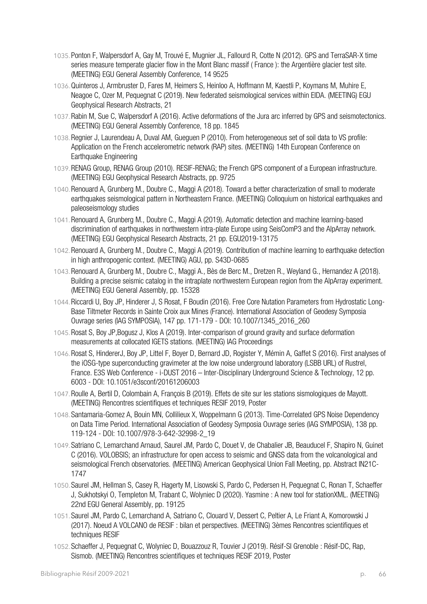- 1035.Ponton F, Walpersdorf A, Gay M, Trouvé E, Mugnier JL, Fallourd R, Cotte N (2012). GPS and TerraSAR-X time series measure temperate glacier flow in the Mont Blanc massif ( France ): the Argentière glacier test site. (MEETING) EGU General Assembly Conference, 14 9525
- 1036.Quinteros J, Armbruster D, Fares M, Heimers S, Heinloo A, Hoffmann M, Kaestli P, Koymans M, Muhire E, Neagoe C, Ozer M, Pequegnat C (2019). New federated seismological services within EIDA. (MEETING) EGU Geophysical Research Abstracts, 21
- 1037.Rabin M, Sue C, Walpersdorf A (2016). Active deformations of the Jura arc inferred by GPS and seismotectonics. (MEETING) EGU General Assembly Conference, 18 pp. 1845
- 1038.Regnier J, Laurendeau A, Duval AM, Gueguen P (2010). From heterogeneous set of soil data to VS profile: Application on the French accelerometric network (RAP) sites. (MEETING) 14th European Conference on Earthquake Engineering
- 1039.RENAG Group, RENAG Group (2010). RESIF-RENAG; the French GPS component of a European infrastructure. (MEETING) EGU Geophysical Research Abstracts, pp. 9725
- 1040.Renouard A, Grunberg M., Doubre C., Maggi A (2018). Toward a better characterization of small to moderate earthquakes seismological pattern in Northeastern France. (MEETING) Colloquium on historical earthquakes and paleoseismology studies
- 1041.Renouard A, Grunberg M., Doubre C., Maggi A (2019). Automatic detection and machine learning-based discrimination of earthquakes in northwestern intra-plate Europe using SeisComP3 and the AlpArray network. (MEETING) EGU Geophysical Research Abstracts, 21 pp. EGU2019-13175
- 1042.Renouard A, Grunberg M., Doubre C., Maggi A (2019). Contribution of machine learning to earthquake detection in high anthropogenic context. (MEETING) AGU, pp. S43D-0685
- 1043.Renouard A, Grunberg M., Doubre C., Maggi A., Bès de Berc M., Dretzen R., Weyland G., Hernandez A (2018). Building a precise seismic catalog in the intraplate northwestern European region from the AlpArray experiment. (MEETING) EGU General Assembly, pp. 15328
- 1044.Riccardi U, Boy JP, Hinderer J, S Rosat, F Boudin (2016). Free Core Nutation Parameters from Hydrostatic Long-Base Tiltmeter Records in Sainte Croix aux Mines (France). International Association of Geodesy Symposia Ouvrage series (IAG SYMPOSIA), 147 pp. 171-179 - DOI: 10.1007/1345\_2016\_260
- 1045.Rosat S, Boy JP,Bogusz J, Klos A (2019). Inter-comparison of ground gravity and surface deformation measurements at collocated IGETS stations. (MEETING) IAG Proceedings
- 1046.Rosat S, HindererJ, Boy JP, Littel F, Boyer D, Bernard JD, Rogister Y, Mémin A, Gaffet S (2016). First analyses of the iOSG-type superconducting gravimeter at the low noise underground laboratory (LSBB URL) of Rustrel, France. E3S Web Conference - i-DUST 2016 – Inter-Disciplinary Underground Science & Technology, 12 pp. 6003 - DOI: 10.1051/e3sconf/20161206003
- 1047.Roulle A, Bertil D, Colombain A, François B (2019). Effets de site sur les stations sismologiques de Mayott. (MEETING) Rencontres scientifiques et techniques RESIF 2019, Poster
- 1048.Santamaria-Gomez A, Bouin MN, Collilieux X, Woppelmann G (2013). Time-Correlated GPS Noise Dependency on Data Time Period. International Association of Geodesy Symposia Ouvrage series (IAG SYMPOSIA), 138 pp. 119-124 - DOI: 10.1007/978-3-642-32998-2\_19
- 1049.Satriano C, Lemarchand Arnaud, Saurel JM, Pardo C, Douet V, de Chabalier JB, Beauducel F, Shapiro N, Guinet C (2016). VOLOBSIS; an infrastructure for open access to seismic and GNSS data from the volcanological and seismological French observatories. (MEETING) American Geophysical Union Fall Meeting, pp. Abstract IN21C-1747
- 1050.Saurel JM, Hellman S, Casey R, Hagerty M, Lisowski S, Pardo C, Pedersen H, Pequegnat C, Ronan T, Schaeffer J, Sukhotskyi O, Templeton M, Trabant C, Wolyniec D (2020). Yasmine : A new tool for stationXML. (MEETING) 22nd EGU General Assembly, pp. 19125
- 1051.Saurel JM, Pardo C, Lemarchand A, Satriano C, Clouard V, Dessert C, Peltier A, Le Friant A, Komorowski J (2017). Noeud A VOLCANO de RESIF : bilan et perspectives. (MEETING) 3èmes Rencontres scientifiques et techniques RESIF
- 1052.Schaeffer J, Pequegnat C, Wolyniec D, Bouazzouz R, Touvier J (2019). Résif-SI Grenoble : Résif-DC, Rap, Sismob. (MEETING) Rencontres scientifiques et techniques RESIF 2019, Poster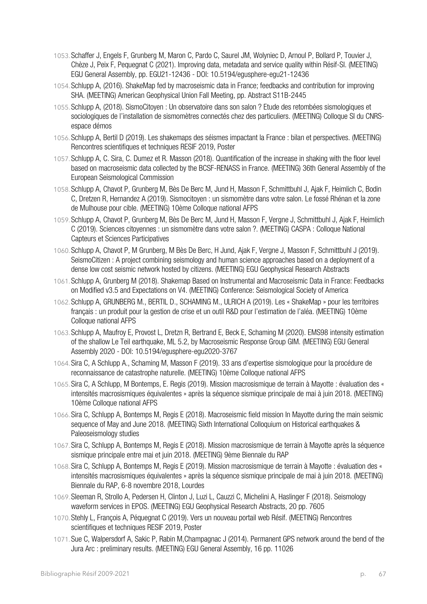- 1053.Schaffer J, Engels F, Grunberg M, Maron C, Pardo C, Saurel JM, Wolyniec D, Arnoul P, Bollard P, Touvier J, Chèze J, Peix F, Pequegnat C (2021). Improving data, metadata and service quality within Résif-SI. (MEETING) EGU General Assembly, pp. EGU21-12436 - DOI: 10.5194/egusphere-egu21-12436
- 1054.Schlupp A, (2016). ShakeMap fed by macroseismic data in France; feedbacks and contribution for improving SHA. (MEETING) American Geophysical Union Fall Meeting, pp. Abstract S11B-2445
- 1055.Schlupp A, (2018). SismoCitoyen : Un observatoire dans son salon ? Etude des retombées sismologiques et sociologiques de l'installation de sismomètres connectés chez des particuliers. (MEETING) Colloque SI du CNRSespace démos
- 1056.Schlupp A, Bertil D (2019). Les shakemaps des séismes impactant la France : bilan et perspectives. (MEETING) Rencontres scientifiques et techniques RESIF 2019, Poster
- 1057.Schlupp A, C. Sira, C. Dumez et R. Masson (2018). Quantification of the increase in shaking with the floor level based on macroseismic data collected by the BCSF-RENASS in France. (MEETING) 36th General Assembly of the European Seismological Commission
- 1058.Schlupp A, Chavot P, Grunberg M, Bès De Berc M, Jund H, Masson F, Schmittbuhl J, Ajak F, Heimlich C, Bodin C, Dretzen R, Hernandez A (2019). Sismocitoyen : un sismomètre dans votre salon. Le fossé Rhénan et la zone de Mulhouse pour cible. (MEETING) 10ème Colloque national AFPS
- 1059.Schlupp A, Chavot P, Grunberg M, Bès De Berc M, Jund H, Masson F, Vergne J, Schmittbuhl J, Ajak F, Heimlich C (2019). Sciences citoyennes : un sismomètre dans votre salon ?. (MEETING) CASPA : Colloque National Capteurs et Sciences Participatives
- 1060.Schlupp A, Chavot P, M Grunberg, M Bès De Berc, H Jund, Ajak F, Vergne J, Masson F, Schmittbuhl J (2019). SeismoCitizen : A project combining seismology and human science approaches based on a deployment of a dense low cost seismic network hosted by citizens. (MEETING) EGU Geophysical Research Abstracts
- 1061.Schlupp A, Grunberg M (2018). Shakemap Based on Instrumental and Macroseismic Data in France: Feedbacks on Modified v3.5 and Expectations on V4. (MEETING) Conference: Seismological Society of America
- 1062.Schlupp A, GRUNBERG M., BERTIL D., SCHAMING M., ULRICH A (2019). Les « ShakeMap » pour les territoires français : un produit pour la gestion de crise et un outil R&D pour l'estimation de l'aléa. (MEETING) 10ème Colloque national AFPS
- 1063.Schlupp A, Maufroy E, Provost L, Dretzn R, Bertrand E, Beck E, Schaming M (2020). EMS98 intensity estimation of the shallow Le Teil earthquake, ML 5.2, by Macroseismic Response Group GIM. (MEETING) EGU General Assembly 2020 - DOI: 10.5194/egusphere-egu2020-3767
- 1064.Sira C, A Schlupp A., Schaming M, Masson F (2019). 33 ans d'expertise sismologique pour la procédure de reconnaissance de catastrophe naturelle. (MEETING) 10ème Colloque national AFPS
- 1065.Sira C, A Schlupp, M Bontemps, E. Regis (2019). Mission macrosismique de terrain à Mayotte : évaluation des « intensités macrosismiques équivalentes » après la séquence sismique principale de mai à juin 2018. (MEETING) 10ème Colloque national AFPS
- 1066.Sira C, Schlupp A, Bontemps M, Regis E (2018). Macroseismic field mission In Mayotte during the main seismic sequence of May and June 2018. (MEETING) Sixth International Colloquium on Historical earthquakes & Paleoseismology studies
- 1067.Sira C, Schlupp A, Bontemps M, Regis E (2018). Mission macrosismique de terrain à Mayotte après la séquence sismique principale entre mai et juin 2018. (MEETING) 9ème Biennale du RAP
- 1068.Sira C, Schlupp A, Bontemps M, Regis E (2019). Mission macrosismique de terrain à Mayotte : évaluation des « intensités macrosismiques équivalentes » après la séquence sismique principale de mai à juin 2018. (MEETING) Biennale du RAP, 6-8 novembre 2018, Lourdes
- 1069.Sleeman R, Strollo A, Pedersen H, Clinton J, Luzi L, Cauzzi C, Michelini A, Haslinger F (2018). Seismology waveform services in EPOS. (MEETING) EGU Geophysical Research Abstracts, 20 pp. 7605
- 1070.Stehly L, François A, Péquegnat C (2019). Vers un nouveau portail web Résif. (MEETING) Rencontres scientifiques et techniques RESIF 2019, Poster
- 1071.Sue C, Walpersdorf A, Sakic P, Rabin M,Champagnac J (2014). Permanent GPS network around the bend of the Jura Arc : preliminary results. (MEETING) EGU General Assembly, 16 pp. 11026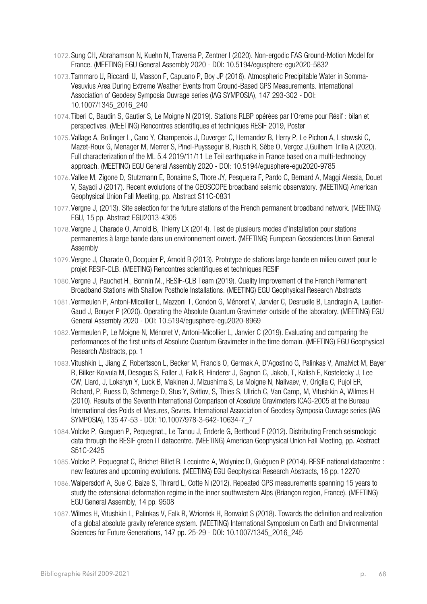- 1072.Sung CH, Abrahamson N, Kuehn N, Traversa P, Zentner I (2020). Non-ergodic FAS Ground-Motion Model for France. (MEETING) EGU General Assembly 2020 - DOI: 10.5194/egusphere-egu2020-5832
- 1073. Tammaro U, Riccardi U, Masson F, Capuano P, Boy JP (2016). Atmospheric Precipitable Water in Somma-Vesuvius Area During Extreme Weather Events from Ground-Based GPS Measurements. International Association of Geodesy Symposia Ouvrage series (IAG SYMPOSIA), 147 293-302 - DOI: 10.1007/1345\_2016\_240
- 1074. Tiberi C, Baudin S, Gautier S, Le Moigne N (2019). Stations RLBP opérées par l'Oreme pour Résif : bilan et perspectives. (MEETING) Rencontres scientifiques et techniques RESIF 2019, Poster
- 1075. Vallage A, Bollinger L, Cano Y, Champenois J, Duverger C, Hernandez B, Herry P, Le Pichon A, Listowski C, Mazet-Roux G, Menager M, Merrer S, Pinel-Puyssegur B, Rusch R, Sèbe O, Vergoz J,Guilhem Trilla A (2020). Full characterization of the ML 5.4 2019/11/11 Le Teil earthquake in France based on a multi-technology approach. (MEETING) EGU General Assembly 2020 - DOI: 10.5194/egusphere-egu2020-9785
- 1076. Vallee M, Zigone D, Stutzmann E, Bonaime S, Thore JY, Pesqueira F, Pardo C, Bernard A, Maggi Alessia, Douet V, Sayadi J (2017). Recent evolutions of the GEOSCOPE broadband seismic observatory. (MEETING) American Geophysical Union Fall Meeting, pp. Abstract S11C-0831
- 1077. Vergne J, (2013). Site selection for the future stations of the French permanent broadband network. (MEETING) EGU, 15 pp. Abstract EGU2013-4305
- 1078. Vergne J, Charade O, Arnold B, Thierry LX (2014). Test de plusieurs modes d'installation pour stations permanentes à large bande dans un environnement ouvert. (MEETING) European Geosciences Union General Assembly
- 1079. Vergne J, Charade O, Docquier P, Arnold B (2013). Prototype de stations large bande en milieu ouvert pour le projet RESIF-CLB. (MEETING) Rencontres scientifiques et techniques RESIF
- 1080. Vergne J, Pauchet H., Bonnin M., RESIF-CLB Team (2019). Quality Improvement of the French Permanent Broadband Stations with Shallow Posthole Installations. (MEETING) EGU Geophysical Research Abstracts
- 1081. Vermeulen P, Antoni-Micollier L, Mazzoni T, Condon G, Ménoret V, Janvier C, Desruelle B, Landragin A, Lautier-Gaud J, Bouyer P (2020). Operating the Absolute Quantum Gravimeter outside of the laboratory. (MEETING) EGU General Assembly 2020 - DOI: 10.5194/egusphere-egu2020-8969
- 1082. Vermeulen P, Le Moigne N, Ménoret V, Antoni-Micollier L, Janvier C (2019). Evaluating and comparing the performances of the first units of Absolute Quantum Gravimeter in the time domain. (MEETING) EGU Geophysical Research Abstracts, pp. 1
- 1083. Vitushkin L, Jiang Z, Robertsson L, Becker M, Francis O, Germak A, D'Agostino G, Palinkas V, Amalvict M, Bayer R, Bilker-Koivula M, Desogus S, Faller J, Falk R, Hinderer J, Gagnon C, Jakob, T, Kalish E, Kostelecky J, Lee CW, Liard, J, Lokshyn Y, Luck B, Makinen J, Mizushima S, Le Moigne N, Nalivaev, V, Origlia C, Pujol ER, Richard, P, Ruess D, Schmerge D, Stus Y, Svitlov, S, Thies S, Ullrich C, Van Camp, M, Vitushkin A, Wilmes H (2010). Results of the Seventh International Comparison of Absolute Gravimeters ICAG-2005 at the Bureau International des Poids et Mesures, Sevres. International Association of Geodesy Symposia Ouvrage series (IAG SYMPOSIA), 135 47-53 - DOI: 10.1007/978-3-642-10634-7\_7
- 1084. Volcke P, Gueguen P, Pequegnat., Le Tanou J, Enderle G, Berthoud F (2012). Distributing French seismologic data through the RESIF green IT datacentre. (MEETING) American Geophysical Union Fall Meeting, pp. Abstract S51C-2425
- 1085. Volcke P, Pequegnat C, Brichet-Billet B, Lecointre A, Wolyniec D, Guéguen P (2014). RESIF national datacentre : new features and upcoming evolutions. (MEETING) EGU Geophysical Research Abstracts, 16 pp. 12270
- 1086.Walpersdorf A, Sue C, Baize S, Thirard L, Cotte N (2012). Repeated GPS measurements spanning 15 years to study the extensional deformation regime in the inner southwestern Alps (Briançon region, France). (MEETING) EGU General Assembly, 14 pp. 9508
- 1087.Wilmes H, Vitushkin L, Palinkas V, Falk R, Wziontek H, Bonvalot S (2018). Towards the definition and realization of a global absolute gravity reference system. (MEETING) International Symposium on Earth and Environmental Sciences for Future Generations, 147 pp. 25-29 - DOI: 10.1007/1345\_2016\_245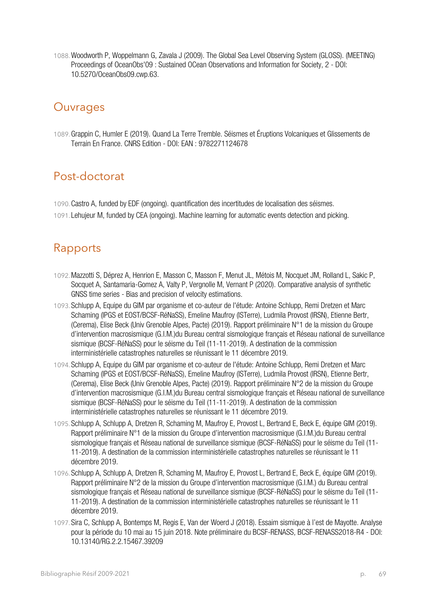1088.Woodworth P, Woppelmann G, Zavala J (2009). The Global Sea Level Observing System (GLOSS). (MEETING) Proceedings of OceanObs'09 : Sustained OCean Observations and Information for Society, 2 - DOI: 10.5270/OceanObs09.cwp.63.

## **Ouvrages**

1089.Grappin C, Humler E (2019). Quand La Terre Tremble. Séismes et Éruptions Volcaniques et Glissements de Terrain En France. CNRS Edition - DOI: EAN : 9782271124678

# Post-doctorat

1090.Castro A, funded by EDF (ongoing). quantification des incertitudes de localisation des séismes. 1091. Lehujeur M, funded by CEA (ongoing). Machine learning for automatic events detection and picking.

## Rapports

- 1092.Mazzotti S, Déprez A, Henrion E, Masson C, Masson F, Menut JL, Métois M, Nocquet JM, Rolland L, Sakic P, Socquet A, Santamaria-Gomez A, Valty P, Vergnolle M, Vernant P (2020). Comparative analysis of synthetic GNSS time series - Bias and precision of velocity estimations.
- 1093.Schlupp A, Equipe du GIM par organisme et co-auteur de l'étude: Antoine Schlupp, Remi Dretzen et Marc Schaming (IPGS et EOST/BCSF-RéNaSS), Emeline Maufroy (ISTerre), Ludmila Provost (IRSN), Etienne Bertr, (Cerema), Elise Beck (Univ Grenoble Alpes, Pacte) (2019). Rapport préliminaire N°1 de la mission du Groupe d'intervention macrosismique (G.I.M.)du Bureau central sismologique français et Réseau national de surveillance sismique (BCSF-RéNaSS) pour le séisme du Teil (11-11-2019). A destination de la commission interministérielle catastrophes naturelles se réunissant le 11 décembre 2019.
- 1094.Schlupp A, Equipe du GIM par organisme et co-auteur de l'étude: Antoine Schlupp, Remi Dretzen et Marc Schaming (IPGS et EOST/BCSF-RéNaSS), Emeline Maufroy (ISTerre), Ludmila Provost (IRSN), Etienne Bertr, (Cerema), Elise Beck (Univ Grenoble Alpes, Pacte) (2019). Rapport préliminaire N°2 de la mission du Groupe d'intervention macrosismique (G.I.M.)du Bureau central sismologique français et Réseau national de surveillance sismique (BCSF-RéNaSS) pour le séisme du Teil (11-11-2019). A destination de la commission interministérielle catastrophes naturelles se réunissant le 11 décembre 2019.
- 1095.Schlupp A, Schlupp A, Dretzen R, Schaming M, Maufroy E, Provost L, Bertrand E, Beck E, équipe GIM (2019). Rapport préliminaire N°1 de la mission du Groupe d'intervention macrosismique (G.I.M.)du Bureau central sismologique français et Réseau national de surveillance sismique (BCSF-RéNaSS) pour le séisme du Teil (11- 11-2019). A destination de la commission interministérielle catastrophes naturelles se réunissant le 11 décembre 2019.
- 1096.Schlupp A, Schlupp A, Dretzen R, Schaming M, Maufroy E, Provost L, Bertrand E, Beck E, équipe GIM (2019). Rapport préliminaire N°2 de la mission du Groupe d'intervention macrosismique (G.I.M.) du Bureau central sismologique français et Réseau national de surveillance sismique (BCSF-RéNaSS) pour le séisme du Teil (11- 11-2019). A destination de la commission interministérielle catastrophes naturelles se réunissant le 11 décembre 2019.
- 1097.Sira C, Schlupp A, Bontemps M, Regis E, Van der Woerd J (2018). Essaim sismique à l'est de Mayotte. Analyse pour la période du 10 mai au 15 juin 2018. Note préliminaire du BCSF-RENASS, BCSF-RENASS2018-R4 - DOI: 10.13140/RG.2.2.15467.39209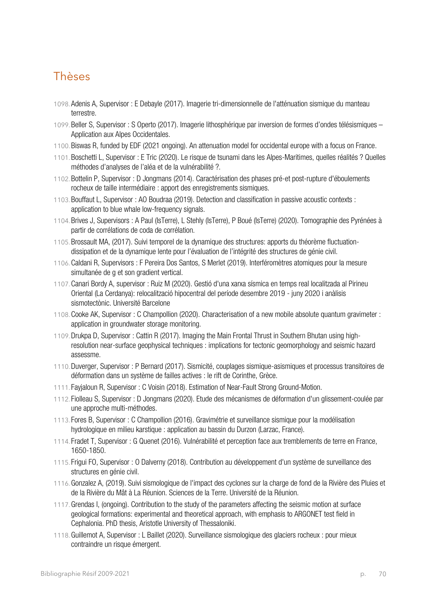#### Thèses

- 1098.Adenis A, Supervisor : E Debayle (2017). Imagerie tri-dimensionnelle de l'atténuation sismique du manteau terrestre.
- 1099.Beller S, Supervisor : S Operto (2017). Imagerie lithosphérique par inversion de formes d'ondes télésismiques Application aux Alpes Occidentales.
- 1100.Biswas R, funded by EDF (2021 ongoing). An attenuation model for occidental europe with a focus on France.
- 1101.Boschetti L, Supervisor : E Tric (2020). Le risque de tsunami dans les Alpes-Maritimes, quelles réalités ? Quelles méthodes d'analyses de l'aléa et de la vulnérabilité ?.
- 1102.Bottelin P, Supervisor : D Jongmans (2014). Caractérisation des phases pré-et post-rupture d'éboulements rocheux de taille intermédiaire : apport des enregistrements sismiques.
- 1103.Bouffaut L, Supervisor : AO Boudraa (2019). Detection and classification in passive acoustic contexts : application to blue whale low-frequency signals.
- 1104.Brives J, Supervisors : A Paul (IsTerre), L Stehly (IsTerre), P Boué (IsTerre) (2020). Tomographie des Pyrénées à partir de corrélations de coda de corrélation.
- 1105.Brossault MA, (2017). Suivi temporel de la dynamique des structures: apports du théorème fluctuationdissipation et de la dynamique lente pour l'évaluation de l'intégrité des structures de génie civil.
- 1106.Caldani R, Supervisors : F Pereira Dos Santos, S Merlet (2019). Interféromètres atomiques pour la mesure simultanée de g et son gradient vertical.
- 1107.Canari Bordy A, supervisor : Ruiz M (2020). Gestió d'una xarxa sísmica en temps real localitzada al Pirineu Oriental (La Cerdanya): relocalització hipocentral del període desembre 2019 - juny 2020 i anàlisis sismotectònic. Université Barcelone
- 1108.Cooke AK, Supervisor : C Champollion (2020). Characterisation of a new mobile absolute quantum gravimeter : application in groundwater storage monitoring.
- 1109.Drukpa D, Supervisor : Cattin R (2017). Imaging the Main Frontal Thrust in Southern Bhutan using highresolution near-surface geophysical techniques : implications for tectonic geomorphology and seismic hazard assessme.
- 1110.Duverger, Supervisor : P Bernard (2017). Sismicité, couplages sismique-asismiques et processus transitoires de déformation dans un système de failles actives : le rift de Corinthe, Grèce.
- 1111. Fayjaloun R, Supervisor : C Voisin (2018). Estimation of Near-Fault Strong Ground-Motion.
- 1112. Fiolleau S, Supervisor : D Jongmans (2020). Etude des mécanismes de déformation d'un glissement-coulée par une approche multi-méthodes.
- 1113. Fores B, Supervisor : C Champollion (2016). Gravimétrie et surveillance sismique pour la modélisation hydrologique en milieu karstique : application au bassin du Durzon (Larzac, France).
- 1114. Fradet T, Supervisor : G Quenet (2016). Vulnérabilité et perception face aux tremblements de terre en France, 1650-1850.
- 1115. Frigui FO, Supervisor : O Dalverny (2018). Contribution au développement d'un système de surveillance des structures en génie civil.
- 1116.Gonzalez A, (2019). Suivi sismologique de l'impact des cyclones sur la charge de fond de la Rivière des Pluies et de la Rivière du Mât à La Réunion. Sciences de la Terre. Université de la Réunion.
- 1117.Grendas I, (ongoing). Contribution to the study of the parameters affecting the seismic motion at surface geological formations: experimental and theoretical approach, with emphasis to ARGONET test field in Cephalonia. PhD thesis, Aristotle University of Thessaloniki.
- 1118.Guillemot A, Supervisor : L Baillet (2020). Surveillance sismologique des glaciers rocheux : pour mieux contraindre un risque émergent.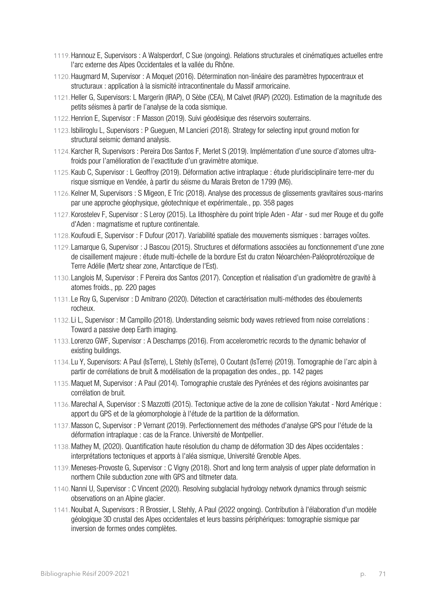- 1119.Hannouz E, Supervisors : A Walsperdorf, C Sue (ongoing). Relations structurales et cinématiques actuelles entre l'arc externe des Alpes Occidentales et la vallée du Rhône.
- 1120.Haugmard M, Supervisor : A Moquet (2016). Détermination non-linéaire des paramètres hypocentraux et structuraux : application à la sismicité intracontinentale du Massif armoricaine.
- 1121.Heller G, Supervisors: L Margerin (IRAP), O Sèbe (CEA), M Calvet (IRAP) (2020). Estimation de la magnitude des petits séismes à partir de l'analyse de la coda sismique.
- 1122.Henrion E, Supervisor : F Masson (2019). Suivi géodésique des réservoirs souterrains.
- 1123. Isbiliroglu L, Supervisors : P Gueguen, M Lancieri (2018). Strategy for selecting input ground motion for structural seismic demand analysis.
- 1124.Karcher R, Supervisors : Pereira Dos Santos F, Merlet S (2019). Implémentation d'une source d'atomes ultrafroids pour l'amélioration de l'exactitude d'un gravimètre atomique.
- 1125.Kaub C, Supervisor : L Geoffroy (2019). Déformation active intraplaque : étude pluridisciplinaire terre-mer du risque sismique en Vendée, à partir du séisme du Marais Breton de 1799 (M6).
- 1126.Kelner M, Supervisors : S Migeon, E Tric (2018). Analyse des processus de glissements gravitaires sous-marins par une approche géophysique, géotechnique et expérimentale., pp. 358 pages
- 1127.Korostelev F, Supervisor : S Leroy (2015). La lithosphère du point triple Aden Afar sud mer Rouge et du golfe d'Aden : magmatisme et rupture continentale.
- 1128.Koufoudi E, Supervisor : F Dufour (2017). Variabilité spatiale des mouvements sismiques : barrages voûtes.
- 1129. Lamarque G, Supervisor : J Bascou (2015). Structures et déformations associées au fonctionnement d'une zone de cisaillement majeure : étude multi-échelle de la bordure Est du craton Néoarchéen-Paléoprotérozoïque de Terre Adélie (Mertz shear zone, Antarctique de l'Est).
- 1130. Langlois M, Supervisor : F Pereira dos Santos (2017). Conception et réalisation d'un gradiomètre de gravité à atomes froids., pp. 220 pages
- 1131. Le Roy G, Supervisor : D Amitrano (2020). Détection et caractérisation multi-méthodes des éboulements rocheux.
- 1132. Li L, Supervisor : M Campillo (2018). Understanding seismic body waves retrieved from noise correlations : Toward a passive deep Earth imaging.
- 1133. Lorenzo GWF, Supervisor : A Deschamps (2016). From accelerometric records to the dynamic behavior of existing buildings.
- 1134. Lu Y, Supervisors: A Paul (IsTerre), L Stehly (IsTerre), O Coutant (IsTerre) (2019). Tomographie de l'arc alpin à partir de corrélations de bruit & modélisation de la propagation des ondes., pp. 142 pages
- 1135.Maquet M, Supervisor : A Paul (2014). Tomographie crustale des Pyrénées et des régions avoisinantes par corrélation de bruit.
- 1136.Marechal A, Supervisor : S Mazzotti (2015). Tectonique active de la zone de collision Yakutat Nord Amérique : apport du GPS et de la géomorphologie à l'étude de la partition de la déformation.
- 1137.Masson C, Supervisor : P Vernant (2019). Perfectionnement des méthodes d'analyse GPS pour l'étude de la déformation intraplaque : cas de la France. Université de Montpellier.
- 1138.Mathey M, (2020). Quantification haute résolution du champ de déformation 3D des Alpes occidentales : interprétations tectoniques et apports à l'aléa sismique, Université Grenoble Alpes.
- 1139.Meneses-Provoste G, Supervisor : C Vigny (2018). Short and long term analysis of upper plate deformation in northern Chile subduction zone with GPS and tiltmeter data.
- 1140.Nanni U, Supervisor : C Vincent (2020). Resolving subglacial hydrology network dynamics through seismic observations on an Alpine glacier.
- 1141.Nouibat A, Supervisors : R Brossier, L Stehly, A Paul (2022 ongoing). Contribution à l'élaboration d'un modèle géologique 3D crustal des Alpes occidentales et leurs bassins périphériques: tomographie sismique par inversion de formes ondes complètes.